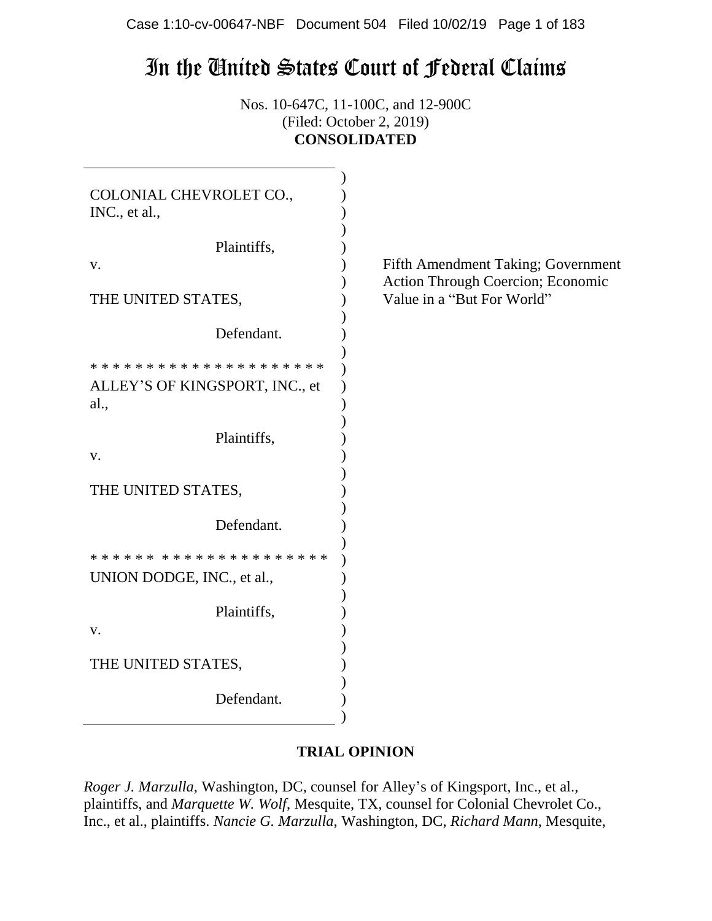# In the United States Court of Federal Claims

Nos. 10-647C, 11-100C, and 12-900C (Filed: October 2, 2019) **CONSOLIDATED**

| COLONIAL CHEVROLET CO.,<br>INC., et al., |                                                                         |
|------------------------------------------|-------------------------------------------------------------------------|
| Plaintiffs,                              |                                                                         |
| V.                                       | Fifth Amendment Taking; Government<br>Action Through Coercion; Economic |
| THE UNITED STATES,                       | Value in a "But For World"                                              |
| Defendant.                               |                                                                         |
|                                          |                                                                         |
| ALLEY'S OF KINGSPORT, INC., et           |                                                                         |
| al.,                                     |                                                                         |
| Plaintiffs,                              |                                                                         |
| V.                                       |                                                                         |
|                                          |                                                                         |
| THE UNITED STATES,                       |                                                                         |
| Defendant.                               |                                                                         |
|                                          |                                                                         |
| UNION DODGE, INC., et al.,               |                                                                         |
|                                          |                                                                         |
| Plaintiffs,                              |                                                                         |
| V.                                       |                                                                         |
| THE UNITED STATES,                       |                                                                         |
|                                          |                                                                         |
| Defendant.                               |                                                                         |
|                                          |                                                                         |

# **TRIAL OPINION**

*Roger J. Marzulla*, Washington, DC, counsel for Alley's of Kingsport, Inc., et al., plaintiffs, and *Marquette W. Wolf*, Mesquite, TX, counsel for Colonial Chevrolet Co., Inc., et al., plaintiffs. *Nancie G. Marzulla*, Washington, DC, *Richard Mann*, Mesquite,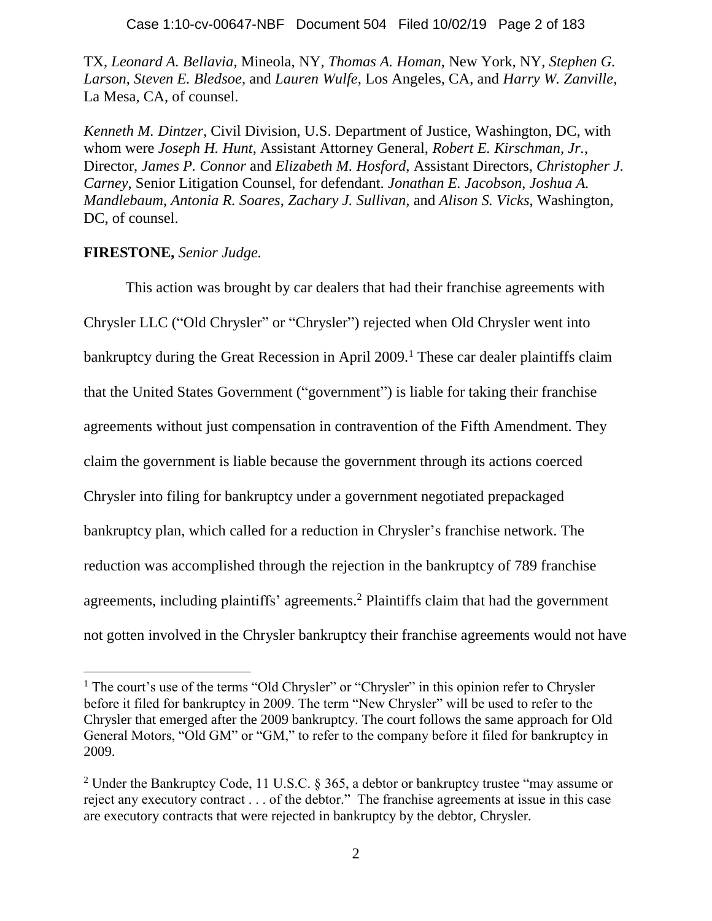TX, *Leonard A. Bellavia*, Mineola, NY, *Thomas A. Homan*, New York, NY, *Stephen G. Larson*, *Steven E. Bledsoe*, and *Lauren Wulfe*, Los Angeles, CA, and *Harry W. Zanville*, La Mesa, CA, of counsel.

*Kenneth M. Dintzer*, Civil Division, U.S. Department of Justice, Washington, DC, with whom were *Joseph H. Hunt*, Assistant Attorney General, *Robert E. Kirschman, Jr.*, Director, *James P. Connor* and *Elizabeth M. Hosford*, Assistant Directors, *Christopher J. Carney*, Senior Litigation Counsel, for defendant. *Jonathan E. Jacobson*, *Joshua A. Mandlebaum*, *Antonia R. Soares*, *Zachary J. Sullivan*, and *Alison S. Vicks*, Washington, DC, of counsel.

## **FIRESTONE,** *Senior Judge.*

This action was brought by car dealers that had their franchise agreements with Chrysler LLC ("Old Chrysler" or "Chrysler") rejected when Old Chrysler went into bankruptcy during the Great Recession in April  $2009$ .<sup>1</sup> These car dealer plaintiffs claim that the United States Government ("government") is liable for taking their franchise agreements without just compensation in contravention of the Fifth Amendment. They claim the government is liable because the government through its actions coerced Chrysler into filing for bankruptcy under a government negotiated prepackaged bankruptcy plan, which called for a reduction in Chrysler's franchise network. The reduction was accomplished through the rejection in the bankruptcy of 789 franchise agreements, including plaintiffs' agreements.<sup>2</sup> Plaintiffs claim that had the government not gotten involved in the Chrysler bankruptcy their franchise agreements would not have

<sup>&</sup>lt;sup>1</sup> The court's use of the terms "Old Chrysler" or "Chrysler" in this opinion refer to Chrysler before it filed for bankruptcy in 2009. The term "New Chrysler" will be used to refer to the Chrysler that emerged after the 2009 bankruptcy. The court follows the same approach for Old General Motors, "Old GM" or "GM," to refer to the company before it filed for bankruptcy in 2009.

<sup>&</sup>lt;sup>2</sup> Under the Bankruptcy Code, 11 U.S.C. § 365, a debtor or bankruptcy trustee "may assume or reject any executory contract . . . of the debtor." The franchise agreements at issue in this case are executory contracts that were rejected in bankruptcy by the debtor, Chrysler.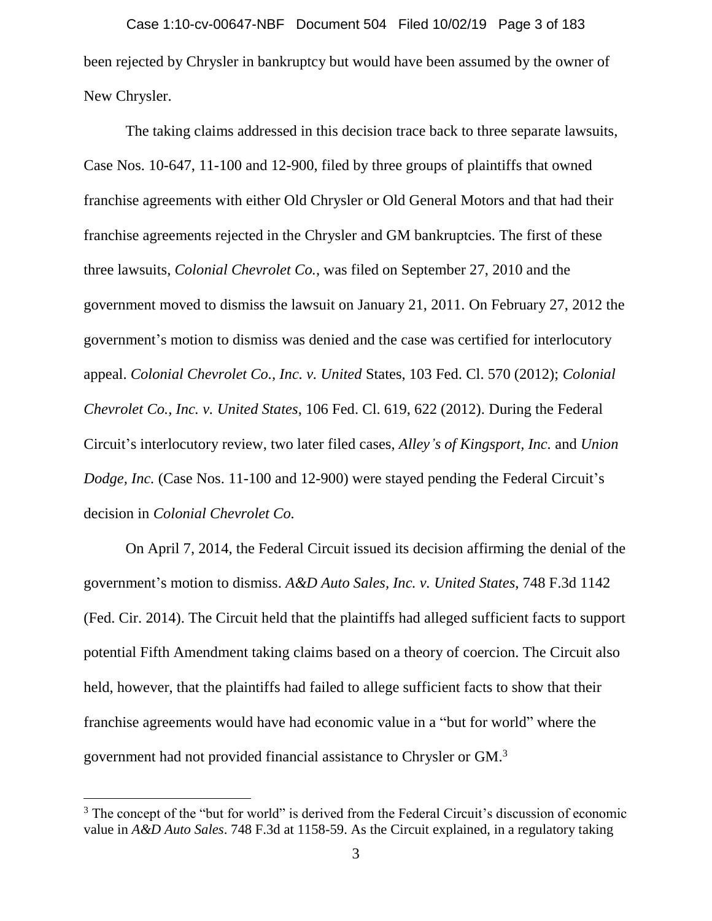been rejected by Chrysler in bankruptcy but would have been assumed by the owner of New Chrysler. Case 1:10-cv-00647-NBF Document 504 Filed 10/02/19 Page 3 of 183

The taking claims addressed in this decision trace back to three separate lawsuits, Case Nos. 10-647, 11-100 and 12-900, filed by three groups of plaintiffs that owned franchise agreements with either Old Chrysler or Old General Motors and that had their franchise agreements rejected in the Chrysler and GM bankruptcies. The first of these three lawsuits, *Colonial Chevrolet Co.*, was filed on September 27, 2010 and the government moved to dismiss the lawsuit on January 21, 2011. On February 27, 2012 the government's motion to dismiss was denied and the case was certified for interlocutory appeal. *Colonial Chevrolet Co., Inc. v. United* States, 103 Fed. Cl. 570 (2012); *Colonial Chevrolet Co., Inc. v. United States*, 106 Fed. Cl. 619, 622 (2012). During the Federal Circuit's interlocutory review, two later filed cases, *Alley's of Kingsport, Inc.* and *Union Dodge, Inc.* (Case Nos. 11-100 and 12-900) were stayed pending the Federal Circuit's decision in *Colonial Chevrolet Co.*

On April 7, 2014, the Federal Circuit issued its decision affirming the denial of the government's motion to dismiss. *A&D Auto Sales, Inc. v. United States*, 748 F.3d 1142 (Fed. Cir. 2014). The Circuit held that the plaintiffs had alleged sufficient facts to support potential Fifth Amendment taking claims based on a theory of coercion. The Circuit also held, however, that the plaintiffs had failed to allege sufficient facts to show that their franchise agreements would have had economic value in a "but for world" where the government had not provided financial assistance to Chrysler or GM.<sup>3</sup>

<sup>&</sup>lt;sup>3</sup> The concept of the "but for world" is derived from the Federal Circuit's discussion of economic value in *A&D Auto Sales*. 748 F.3d at 1158-59. As the Circuit explained, in a regulatory taking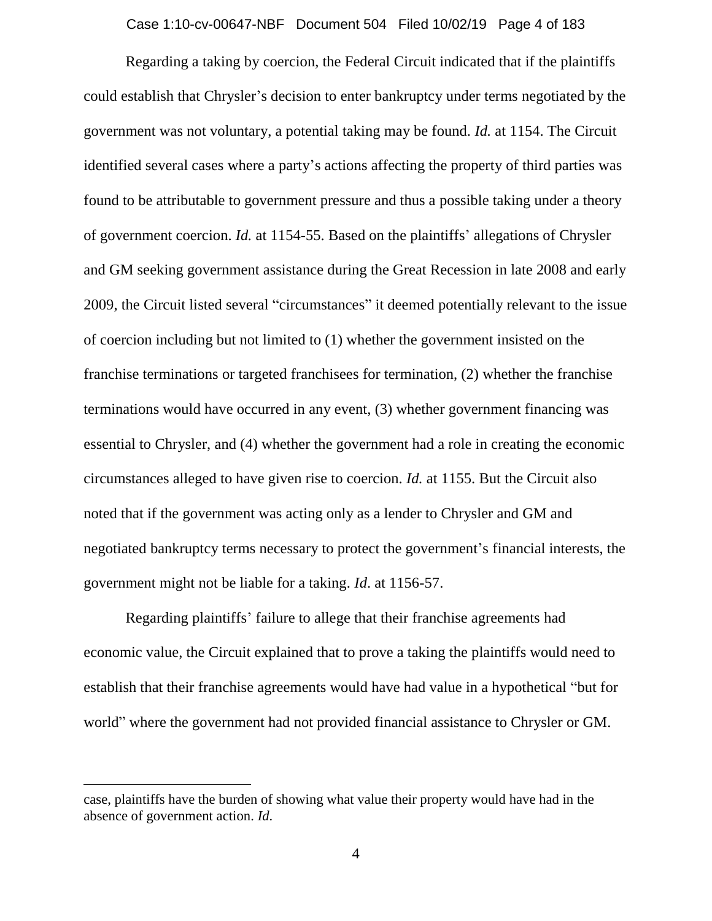#### Case 1:10-cv-00647-NBF Document 504 Filed 10/02/19 Page 4 of 183

Regarding a taking by coercion, the Federal Circuit indicated that if the plaintiffs could establish that Chrysler's decision to enter bankruptcy under terms negotiated by the government was not voluntary, a potential taking may be found. *Id.* at 1154. The Circuit identified several cases where a party's actions affecting the property of third parties was found to be attributable to government pressure and thus a possible taking under a theory of government coercion. *Id.* at 1154-55. Based on the plaintiffs' allegations of Chrysler and GM seeking government assistance during the Great Recession in late 2008 and early 2009, the Circuit listed several "circumstances" it deemed potentially relevant to the issue of coercion including but not limited to (1) whether the government insisted on the franchise terminations or targeted franchisees for termination, (2) whether the franchise terminations would have occurred in any event, (3) whether government financing was essential to Chrysler, and (4) whether the government had a role in creating the economic circumstances alleged to have given rise to coercion. *Id.* at 1155. But the Circuit also noted that if the government was acting only as a lender to Chrysler and GM and negotiated bankruptcy terms necessary to protect the government's financial interests, the government might not be liable for a taking. *Id*. at 1156-57.

Regarding plaintiffs' failure to allege that their franchise agreements had economic value, the Circuit explained that to prove a taking the plaintiffs would need to establish that their franchise agreements would have had value in a hypothetical "but for world" where the government had not provided financial assistance to Chrysler or GM.

case, plaintiffs have the burden of showing what value their property would have had in the absence of government action. *Id*.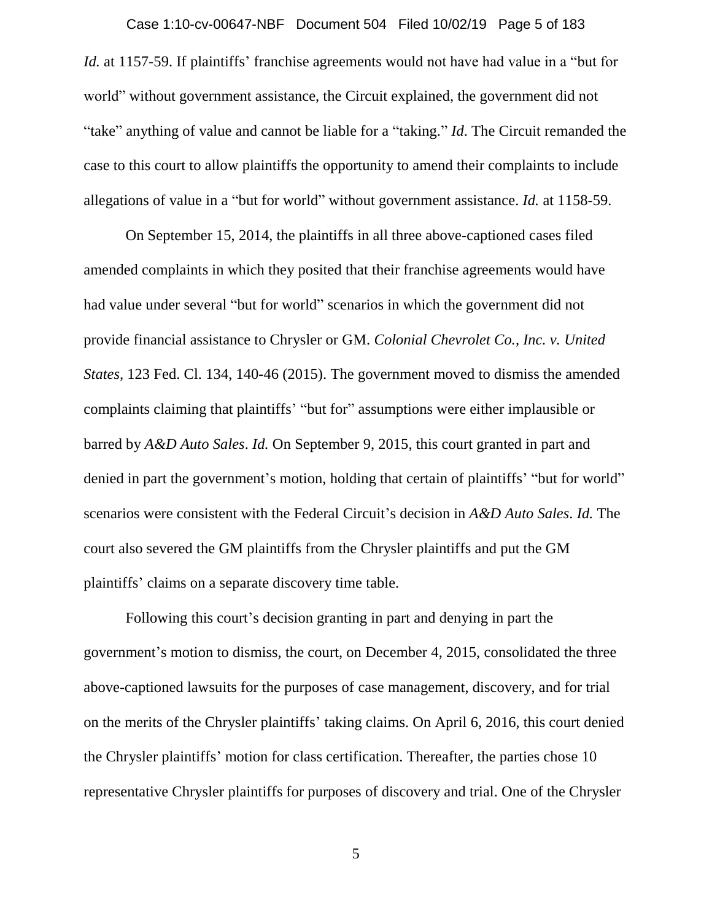#### Case 1:10-cv-00647-NBF Document 504 Filed 10/02/19 Page 5 of 183

*Id.* at 1157-59. If plaintiffs' franchise agreements would not have had value in a "but for world" without government assistance, the Circuit explained, the government did not "take" anything of value and cannot be liable for a "taking." *Id*. The Circuit remanded the case to this court to allow plaintiffs the opportunity to amend their complaints to include allegations of value in a "but for world" without government assistance. *Id.* at 1158-59.

On September 15, 2014, the plaintiffs in all three above-captioned cases filed amended complaints in which they posited that their franchise agreements would have had value under several "but for world" scenarios in which the government did not provide financial assistance to Chrysler or GM. *Colonial Chevrolet Co., Inc. v. United States,* 123 Fed. Cl. 134, 140-46 (2015). The government moved to dismiss the amended complaints claiming that plaintiffs' "but for" assumptions were either implausible or barred by *A&D Auto Sales*. *Id.* On September 9, 2015, this court granted in part and denied in part the government's motion, holding that certain of plaintiffs' "but for world" scenarios were consistent with the Federal Circuit's decision in *A&D Auto Sales*. *Id.* The court also severed the GM plaintiffs from the Chrysler plaintiffs and put the GM plaintiffs' claims on a separate discovery time table.

Following this court's decision granting in part and denying in part the government's motion to dismiss, the court, on December 4, 2015, consolidated the three above-captioned lawsuits for the purposes of case management, discovery, and for trial on the merits of the Chrysler plaintiffs' taking claims. On April 6, 2016, this court denied the Chrysler plaintiffs' motion for class certification. Thereafter, the parties chose 10 representative Chrysler plaintiffs for purposes of discovery and trial. One of the Chrysler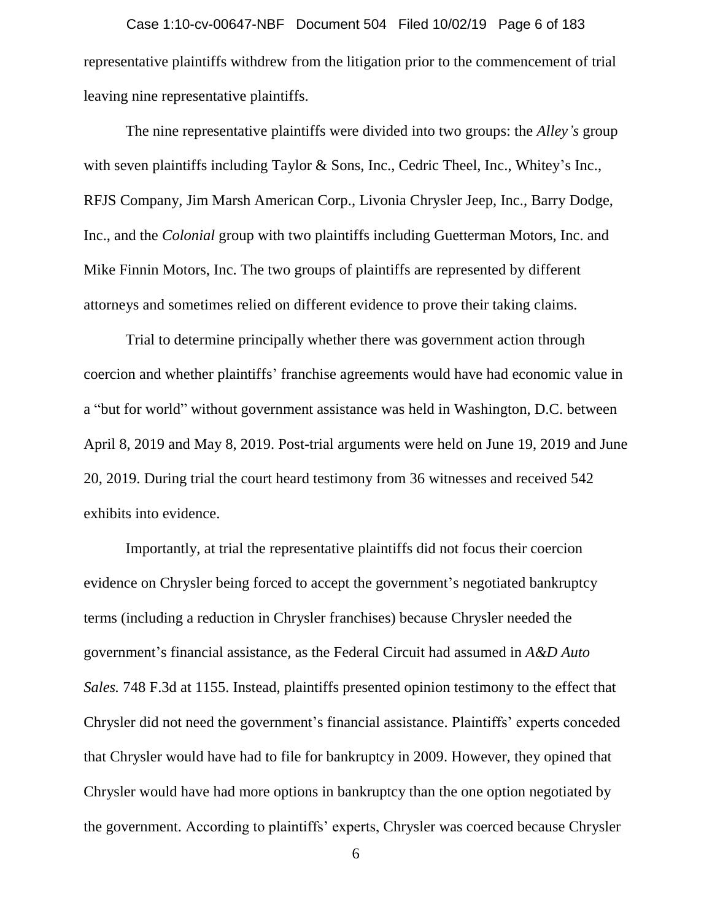representative plaintiffs withdrew from the litigation prior to the commencement of trial leaving nine representative plaintiffs. Case 1:10-cv-00647-NBF Document 504 Filed 10/02/19 Page 6 of 183

The nine representative plaintiffs were divided into two groups: the *Alley's* group with seven plaintiffs including Taylor & Sons, Inc., Cedric Theel, Inc., Whitey's Inc., RFJS Company, Jim Marsh American Corp., Livonia Chrysler Jeep, Inc., Barry Dodge, Inc., and the *Colonial* group with two plaintiffs including Guetterman Motors, Inc. and Mike Finnin Motors, Inc. The two groups of plaintiffs are represented by different attorneys and sometimes relied on different evidence to prove their taking claims.

Trial to determine principally whether there was government action through coercion and whether plaintiffs' franchise agreements would have had economic value in a "but for world" without government assistance was held in Washington, D.C. between April 8, 2019 and May 8, 2019. Post-trial arguments were held on June 19, 2019 and June 20, 2019. During trial the court heard testimony from 36 witnesses and received 542 exhibits into evidence.

Importantly, at trial the representative plaintiffs did not focus their coercion evidence on Chrysler being forced to accept the government's negotiated bankruptcy terms (including a reduction in Chrysler franchises) because Chrysler needed the government's financial assistance, as the Federal Circuit had assumed in *A&D Auto Sales.* 748 F.3d at 1155. Instead, plaintiffs presented opinion testimony to the effect that Chrysler did not need the government's financial assistance. Plaintiffs' experts conceded that Chrysler would have had to file for bankruptcy in 2009. However, they opined that Chrysler would have had more options in bankruptcy than the one option negotiated by the government. According to plaintiffs' experts, Chrysler was coerced because Chrysler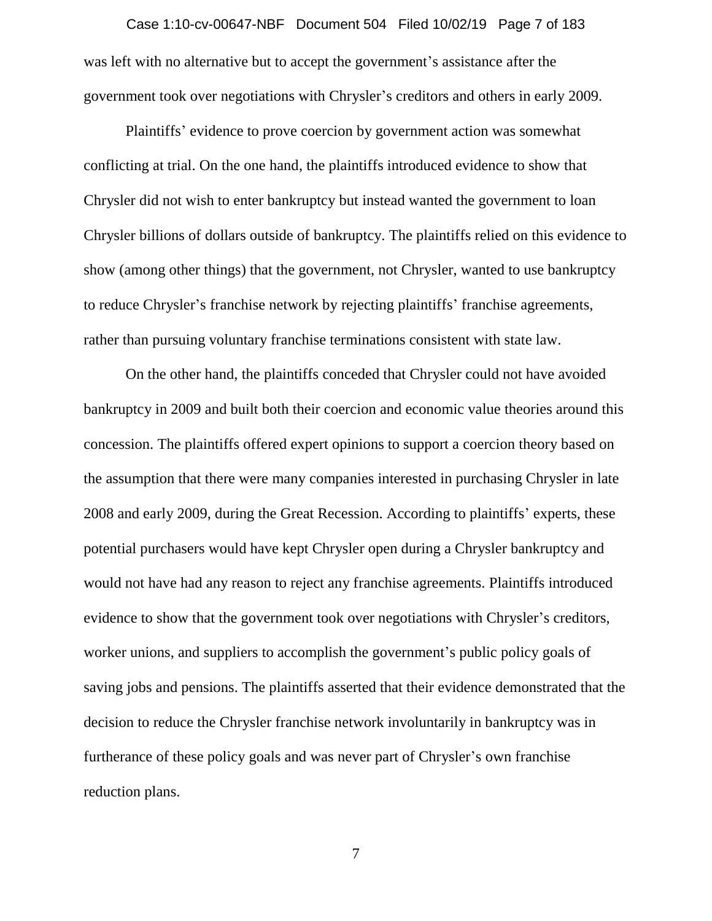# was left with no alternative but to accept the government's assistance after the Case 1:10-cv-00647-NBF Document 504 Filed 10/02/19 Page 7 of 183

government took over negotiations with Chrysler's creditors and others in early 2009.

Plaintiffs' evidence to prove coercion by government action was somewhat conflicting at trial. On the one hand, the plaintiffs introduced evidence to show that Chrysler did not wish to enter bankruptcy but instead wanted the government to loan Chrysler billions of dollars outside of bankruptcy. The plaintiffs relied on this evidence to show (among other things) that the government, not Chrysler, wanted to use bankruptcy to reduce Chrysler's franchise network by rejecting plaintiffs' franchise agreements, rather than pursuing voluntary franchise terminations consistent with state law.

On the other hand, the plaintiffs conceded that Chrysler could not have avoided bankruptcy in 2009 and built both their coercion and economic value theories around this concession. The plaintiffs offered expert opinions to support a coercion theory based on the assumption that there were many companies interested in purchasing Chrysler in late 2008 and early 2009, during the Great Recession. According to plaintiffs' experts, these potential purchasers would have kept Chrysler open during a Chrysler bankruptcy and would not have had any reason to reject any franchise agreements. Plaintiffs introduced evidence to show that the government took over negotiations with Chrysler's creditors, worker unions, and suppliers to accomplish the government's public policy goals of saving jobs and pensions. The plaintiffs asserted that their evidence demonstrated that the decision to reduce the Chrysler franchise network involuntarily in bankruptcy was in furtherance of these policy goals and was never part of Chrysler's own franchise reduction plans.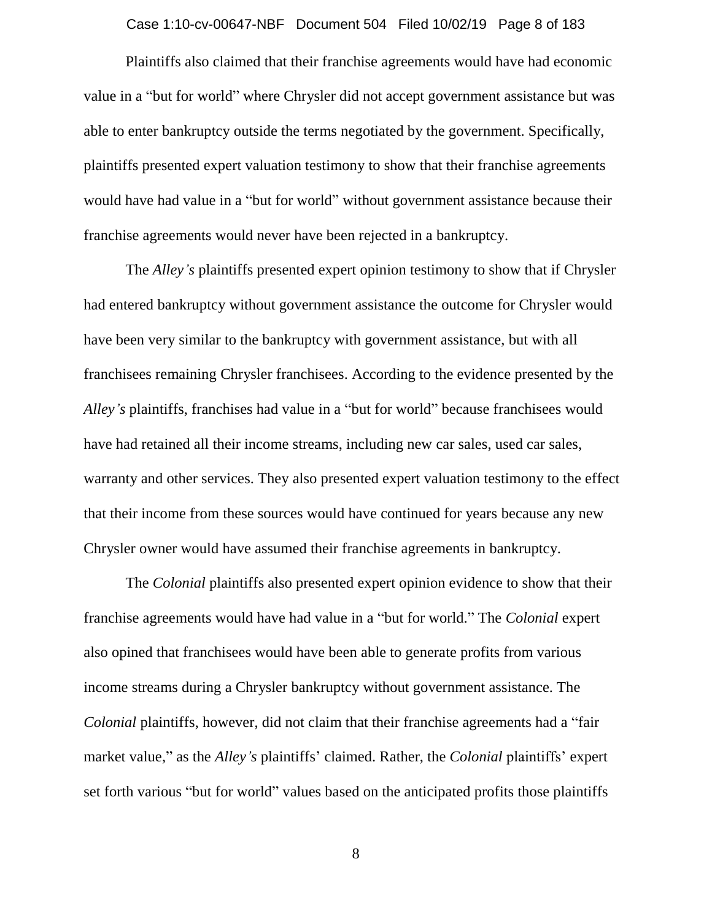#### Case 1:10-cv-00647-NBF Document 504 Filed 10/02/19 Page 8 of 183

Plaintiffs also claimed that their franchise agreements would have had economic value in a "but for world" where Chrysler did not accept government assistance but was able to enter bankruptcy outside the terms negotiated by the government. Specifically, plaintiffs presented expert valuation testimony to show that their franchise agreements would have had value in a "but for world" without government assistance because their franchise agreements would never have been rejected in a bankruptcy.

The *Alley's* plaintiffs presented expert opinion testimony to show that if Chrysler had entered bankruptcy without government assistance the outcome for Chrysler would have been very similar to the bankruptcy with government assistance, but with all franchisees remaining Chrysler franchisees. According to the evidence presented by the *Alley's* plaintiffs, franchises had value in a "but for world" because franchisees would have had retained all their income streams, including new car sales, used car sales, warranty and other services. They also presented expert valuation testimony to the effect that their income from these sources would have continued for years because any new Chrysler owner would have assumed their franchise agreements in bankruptcy.

The *Colonial* plaintiffs also presented expert opinion evidence to show that their franchise agreements would have had value in a "but for world." The *Colonial* expert also opined that franchisees would have been able to generate profits from various income streams during a Chrysler bankruptcy without government assistance. The *Colonial* plaintiffs, however, did not claim that their franchise agreements had a "fair market value," as the *Alley's* plaintiffs' claimed. Rather, the *Colonial* plaintiffs' expert set forth various "but for world" values based on the anticipated profits those plaintiffs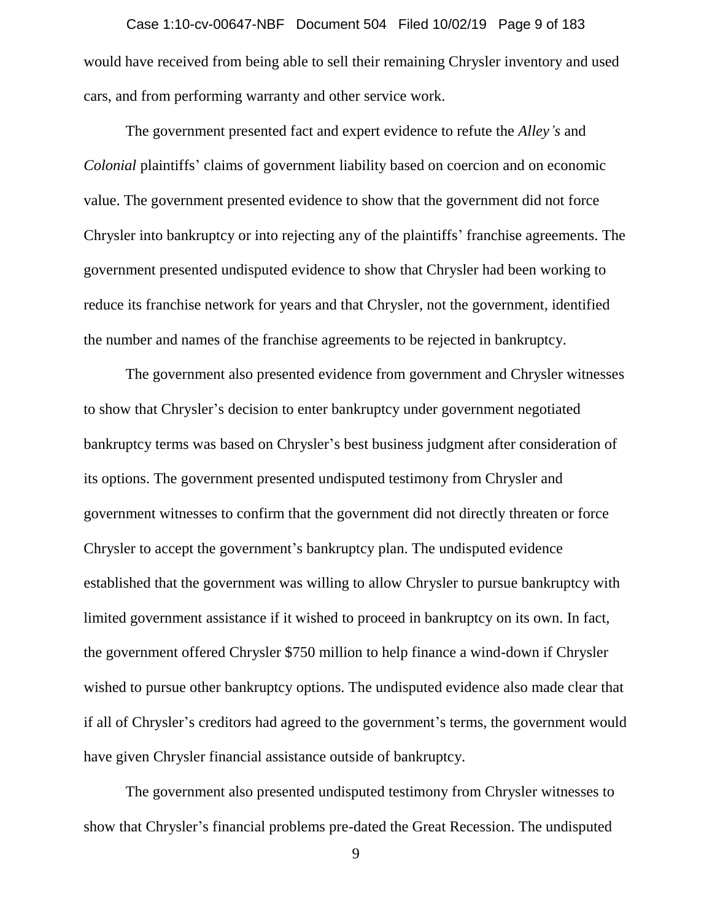would have received from being able to sell their remaining Chrysler inventory and used cars, and from performing warranty and other service work. Case 1:10-cv-00647-NBF Document 504 Filed 10/02/19 Page 9 of 183

The government presented fact and expert evidence to refute the *Alley's* and *Colonial* plaintiffs' claims of government liability based on coercion and on economic value. The government presented evidence to show that the government did not force Chrysler into bankruptcy or into rejecting any of the plaintiffs' franchise agreements. The government presented undisputed evidence to show that Chrysler had been working to reduce its franchise network for years and that Chrysler, not the government, identified the number and names of the franchise agreements to be rejected in bankruptcy.

The government also presented evidence from government and Chrysler witnesses to show that Chrysler's decision to enter bankruptcy under government negotiated bankruptcy terms was based on Chrysler's best business judgment after consideration of its options. The government presented undisputed testimony from Chrysler and government witnesses to confirm that the government did not directly threaten or force Chrysler to accept the government's bankruptcy plan. The undisputed evidence established that the government was willing to allow Chrysler to pursue bankruptcy with limited government assistance if it wished to proceed in bankruptcy on its own. In fact, the government offered Chrysler \$750 million to help finance a wind-down if Chrysler wished to pursue other bankruptcy options. The undisputed evidence also made clear that if all of Chrysler's creditors had agreed to the government's terms, the government would have given Chrysler financial assistance outside of bankruptcy.

The government also presented undisputed testimony from Chrysler witnesses to show that Chrysler's financial problems pre-dated the Great Recession. The undisputed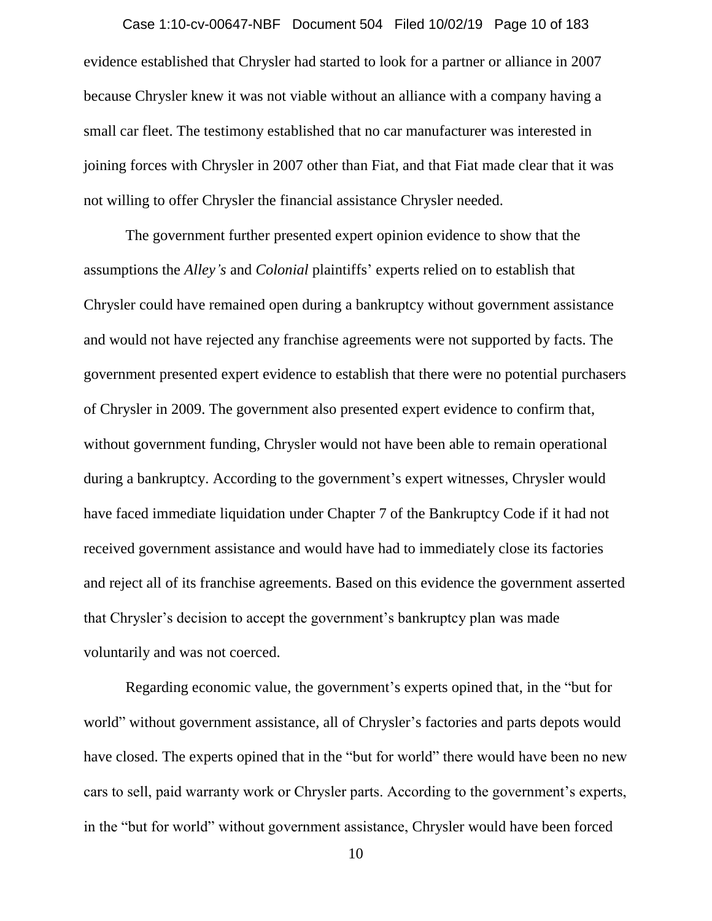evidence established that Chrysler had started to look for a partner or alliance in 2007 because Chrysler knew it was not viable without an alliance with a company having a small car fleet. The testimony established that no car manufacturer was interested in joining forces with Chrysler in 2007 other than Fiat, and that Fiat made clear that it was not willing to offer Chrysler the financial assistance Chrysler needed. Case 1:10-cv-00647-NBF Document 504 Filed 10/02/19 Page 10 of 183

The government further presented expert opinion evidence to show that the assumptions the *Alley's* and *Colonial* plaintiffs' experts relied on to establish that Chrysler could have remained open during a bankruptcy without government assistance and would not have rejected any franchise agreements were not supported by facts. The government presented expert evidence to establish that there were no potential purchasers of Chrysler in 2009. The government also presented expert evidence to confirm that, without government funding, Chrysler would not have been able to remain operational during a bankruptcy. According to the government's expert witnesses, Chrysler would have faced immediate liquidation under Chapter 7 of the Bankruptcy Code if it had not received government assistance and would have had to immediately close its factories and reject all of its franchise agreements. Based on this evidence the government asserted that Chrysler's decision to accept the government's bankruptcy plan was made voluntarily and was not coerced.

Regarding economic value, the government's experts opined that, in the "but for world" without government assistance, all of Chrysler's factories and parts depots would have closed. The experts opined that in the "but for world" there would have been no new cars to sell, paid warranty work or Chrysler parts. According to the government's experts, in the "but for world" without government assistance, Chrysler would have been forced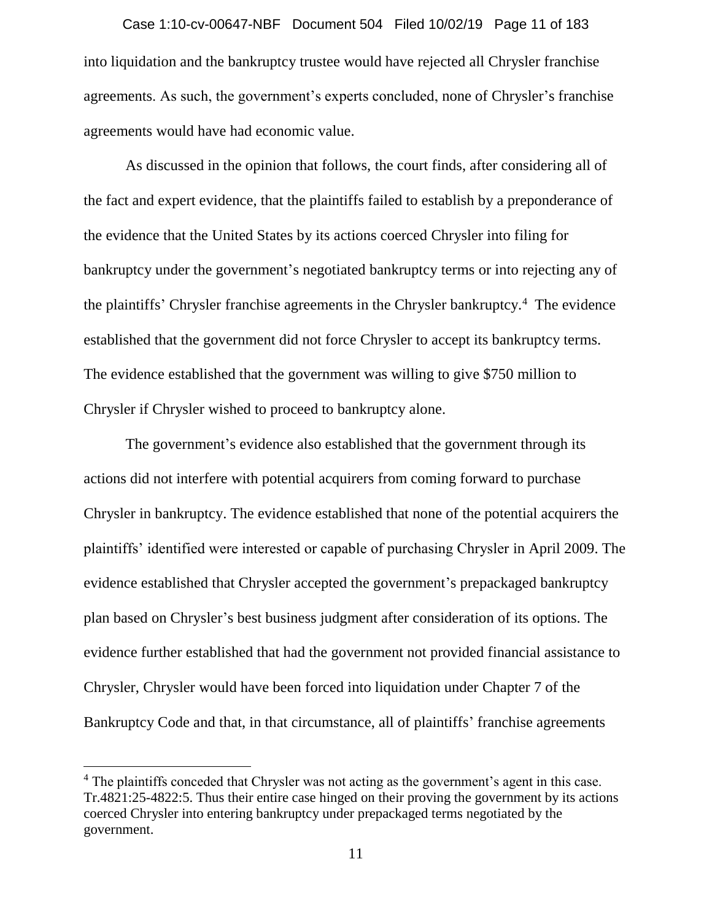into liquidation and the bankruptcy trustee would have rejected all Chrysler franchise agreements. As such, the government's experts concluded, none of Chrysler's franchise agreements would have had economic value. Case 1:10-cv-00647-NBF Document 504 Filed 10/02/19 Page 11 of 183

As discussed in the opinion that follows, the court finds, after considering all of the fact and expert evidence, that the plaintiffs failed to establish by a preponderance of the evidence that the United States by its actions coerced Chrysler into filing for bankruptcy under the government's negotiated bankruptcy terms or into rejecting any of the plaintiffs' Chrysler franchise agreements in the Chrysler bankruptcy.<sup>4</sup> The evidence established that the government did not force Chrysler to accept its bankruptcy terms. The evidence established that the government was willing to give \$750 million to Chrysler if Chrysler wished to proceed to bankruptcy alone.

The government's evidence also established that the government through its actions did not interfere with potential acquirers from coming forward to purchase Chrysler in bankruptcy. The evidence established that none of the potential acquirers the plaintiffs' identified were interested or capable of purchasing Chrysler in April 2009. The evidence established that Chrysler accepted the government's prepackaged bankruptcy plan based on Chrysler's best business judgment after consideration of its options. The evidence further established that had the government not provided financial assistance to Chrysler, Chrysler would have been forced into liquidation under Chapter 7 of the Bankruptcy Code and that, in that circumstance, all of plaintiffs' franchise agreements

 $\overline{a}$ 

<sup>&</sup>lt;sup>4</sup> The plaintiffs conceded that Chrysler was not acting as the government's agent in this case. Tr.4821:25-4822:5. Thus their entire case hinged on their proving the government by its actions coerced Chrysler into entering bankruptcy under prepackaged terms negotiated by the government.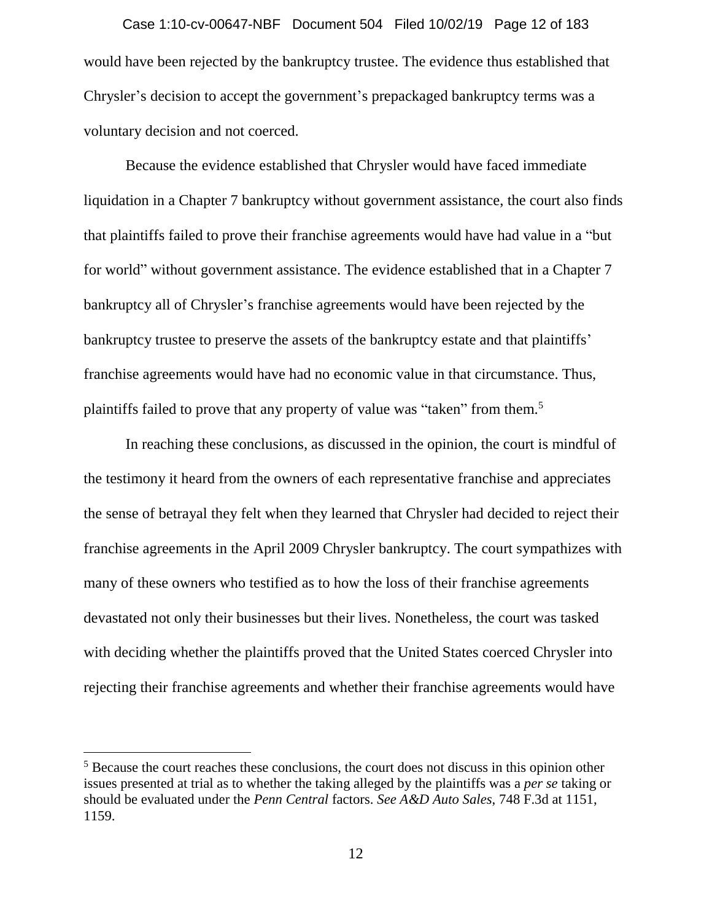would have been rejected by the bankruptcy trustee. The evidence thus established that Chrysler's decision to accept the government's prepackaged bankruptcy terms was a voluntary decision and not coerced. Case 1:10-cv-00647-NBF Document 504 Filed 10/02/19 Page 12 of 183

Because the evidence established that Chrysler would have faced immediate liquidation in a Chapter 7 bankruptcy without government assistance, the court also finds that plaintiffs failed to prove their franchise agreements would have had value in a "but for world" without government assistance. The evidence established that in a Chapter 7 bankruptcy all of Chrysler's franchise agreements would have been rejected by the bankruptcy trustee to preserve the assets of the bankruptcy estate and that plaintiffs' franchise agreements would have had no economic value in that circumstance. Thus, plaintiffs failed to prove that any property of value was "taken" from them.<sup>5</sup>

In reaching these conclusions, as discussed in the opinion, the court is mindful of the testimony it heard from the owners of each representative franchise and appreciates the sense of betrayal they felt when they learned that Chrysler had decided to reject their franchise agreements in the April 2009 Chrysler bankruptcy. The court sympathizes with many of these owners who testified as to how the loss of their franchise agreements devastated not only their businesses but their lives. Nonetheless, the court was tasked with deciding whether the plaintiffs proved that the United States coerced Chrysler into rejecting their franchise agreements and whether their franchise agreements would have

 $\overline{a}$ 

<sup>&</sup>lt;sup>5</sup> Because the court reaches these conclusions, the court does not discuss in this opinion other issues presented at trial as to whether the taking alleged by the plaintiffs was a *per se* taking or should be evaluated under the *Penn Central* factors. *See A&D Auto Sales*, 748 F.3d at 1151, 1159.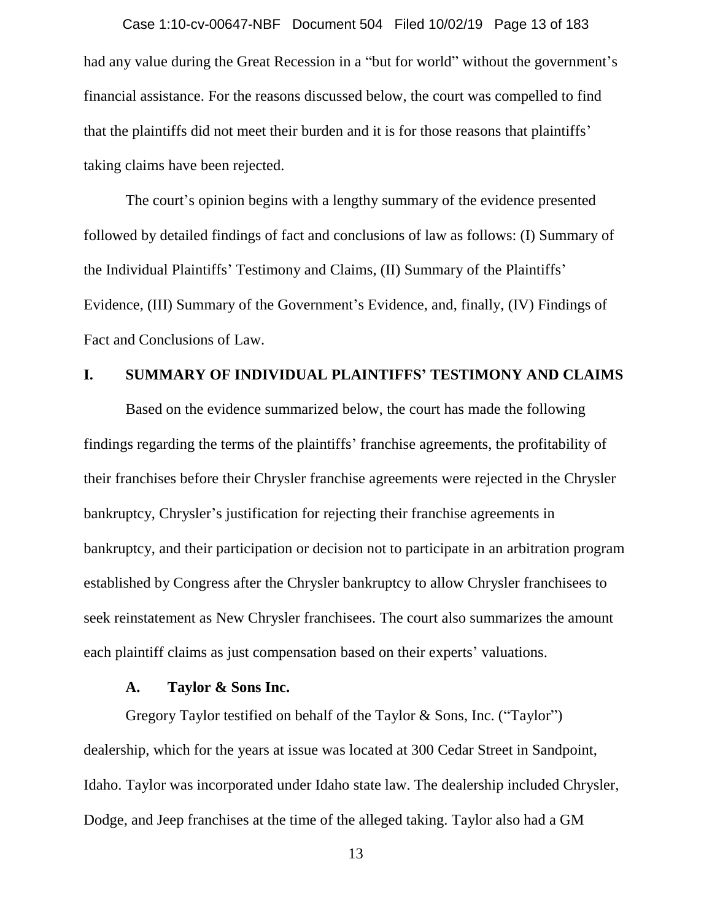had any value during the Great Recession in a "but for world" without the government's financial assistance. For the reasons discussed below, the court was compelled to find that the plaintiffs did not meet their burden and it is for those reasons that plaintiffs' taking claims have been rejected. Case 1:10-cv-00647-NBF Document 504 Filed 10/02/19 Page 13 of 183

The court's opinion begins with a lengthy summary of the evidence presented followed by detailed findings of fact and conclusions of law as follows: (I) Summary of the Individual Plaintiffs' Testimony and Claims, (II) Summary of the Plaintiffs' Evidence, (III) Summary of the Government's Evidence, and, finally, (IV) Findings of Fact and Conclusions of Law.

## **I. SUMMARY OF INDIVIDUAL PLAINTIFFS' TESTIMONY AND CLAIMS**

Based on the evidence summarized below, the court has made the following findings regarding the terms of the plaintiffs' franchise agreements, the profitability of their franchises before their Chrysler franchise agreements were rejected in the Chrysler bankruptcy, Chrysler's justification for rejecting their franchise agreements in bankruptcy, and their participation or decision not to participate in an arbitration program established by Congress after the Chrysler bankruptcy to allow Chrysler franchisees to seek reinstatement as New Chrysler franchisees. The court also summarizes the amount each plaintiff claims as just compensation based on their experts' valuations.

#### **A. Taylor & Sons Inc.**

Gregory Taylor testified on behalf of the Taylor & Sons, Inc. ("Taylor") dealership, which for the years at issue was located at 300 Cedar Street in Sandpoint, Idaho. Taylor was incorporated under Idaho state law. The dealership included Chrysler, Dodge, and Jeep franchises at the time of the alleged taking. Taylor also had a GM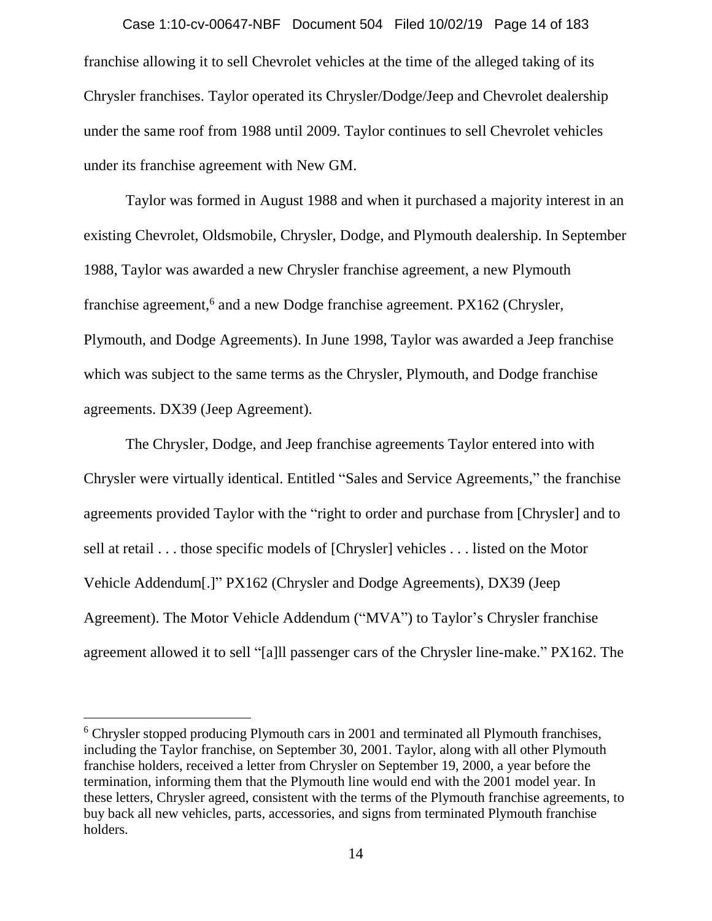franchise allowing it to sell Chevrolet vehicles at the time of the alleged taking of its Chrysler franchises. Taylor operated its Chrysler/Dodge/Jeep and Chevrolet dealership under the same roof from 1988 until 2009. Taylor continues to sell Chevrolet vehicles under its franchise agreement with New GM. Case 1:10-cv-00647-NBF Document 504 Filed 10/02/19 Page 14 of 183

Taylor was formed in August 1988 and when it purchased a majority interest in an existing Chevrolet, Oldsmobile, Chrysler, Dodge, and Plymouth dealership. In September 1988, Taylor was awarded a new Chrysler franchise agreement, a new Plymouth franchise agreement,<sup>6</sup> and a new Dodge franchise agreement. PX162 (Chrysler, Plymouth, and Dodge Agreements). In June 1998, Taylor was awarded a Jeep franchise which was subject to the same terms as the Chrysler, Plymouth, and Dodge franchise agreements. DX39 (Jeep Agreement).

The Chrysler, Dodge, and Jeep franchise agreements Taylor entered into with Chrysler were virtually identical. Entitled "Sales and Service Agreements," the franchise agreements provided Taylor with the "right to order and purchase from [Chrysler] and to sell at retail . . . those specific models of [Chrysler] vehicles . . . listed on the Motor Vehicle Addendum[.]" PX162 (Chrysler and Dodge Agreements), DX39 (Jeep Agreement). The Motor Vehicle Addendum ("MVA") to Taylor's Chrysler franchise agreement allowed it to sell "[a]ll passenger cars of the Chrysler line-make." PX162. The

<sup>&</sup>lt;sup>6</sup> Chrysler stopped producing Plymouth cars in 2001 and terminated all Plymouth franchises, including the Taylor franchise, on September 30, 2001. Taylor, along with all other Plymouth franchise holders, received a letter from Chrysler on September 19, 2000, a year before the termination, informing them that the Plymouth line would end with the 2001 model year. In these letters, Chrysler agreed, consistent with the terms of the Plymouth franchise agreements, to buy back all new vehicles, parts, accessories, and signs from terminated Plymouth franchise holders.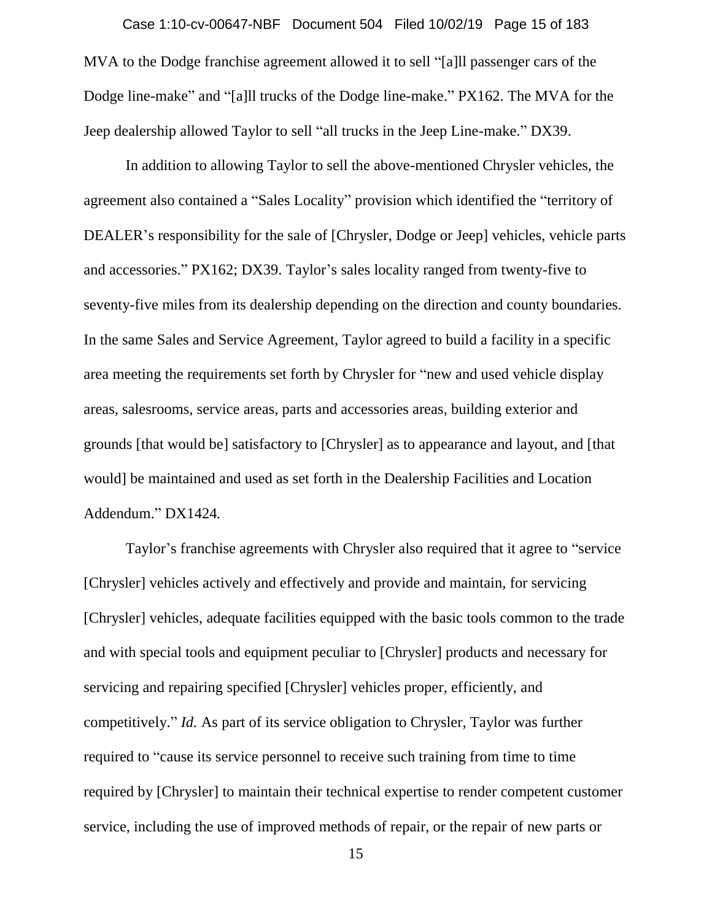MVA to the Dodge franchise agreement allowed it to sell "[a]ll passenger cars of the Dodge line-make" and "[a]ll trucks of the Dodge line-make." PX162. The MVA for the Jeep dealership allowed Taylor to sell "all trucks in the Jeep Line-make." DX39. Case 1:10-cv-00647-NBF Document 504 Filed 10/02/19 Page 15 of 183

In addition to allowing Taylor to sell the above-mentioned Chrysler vehicles, the agreement also contained a "Sales Locality" provision which identified the "territory of DEALER's responsibility for the sale of [Chrysler, Dodge or Jeep] vehicles, vehicle parts and accessories." PX162; DX39. Taylor's sales locality ranged from twenty-five to seventy-five miles from its dealership depending on the direction and county boundaries. In the same Sales and Service Agreement, Taylor agreed to build a facility in a specific area meeting the requirements set forth by Chrysler for "new and used vehicle display areas, salesrooms, service areas, parts and accessories areas, building exterior and grounds [that would be] satisfactory to [Chrysler] as to appearance and layout, and [that would] be maintained and used as set forth in the Dealership Facilities and Location Addendum." DX1424*.*

Taylor's franchise agreements with Chrysler also required that it agree to "service [Chrysler] vehicles actively and effectively and provide and maintain, for servicing [Chrysler] vehicles, adequate facilities equipped with the basic tools common to the trade and with special tools and equipment peculiar to [Chrysler] products and necessary for servicing and repairing specified [Chrysler] vehicles proper, efficiently, and competitively." *Id.* As part of its service obligation to Chrysler, Taylor was further required to "cause its service personnel to receive such training from time to time required by [Chrysler] to maintain their technical expertise to render competent customer service, including the use of improved methods of repair, or the repair of new parts or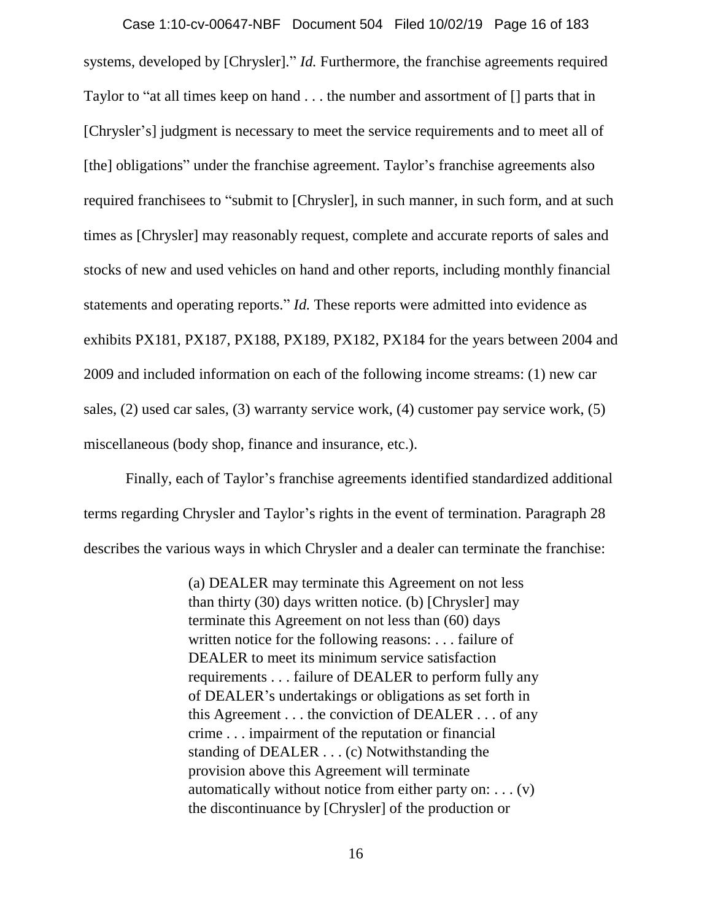systems, developed by [Chrysler]." *Id.* Furthermore, the franchise agreements required Taylor to "at all times keep on hand . . . the number and assortment of [] parts that in [Chrysler's] judgment is necessary to meet the service requirements and to meet all of [the] obligations" under the franchise agreement. Taylor's franchise agreements also required franchisees to "submit to [Chrysler], in such manner, in such form, and at such times as [Chrysler] may reasonably request, complete and accurate reports of sales and stocks of new and used vehicles on hand and other reports, including monthly financial statements and operating reports." *Id.* These reports were admitted into evidence as exhibits PX181, PX187, PX188, PX189, PX182, PX184 for the years between 2004 and 2009 and included information on each of the following income streams: (1) new car sales, (2) used car sales, (3) warranty service work, (4) customer pay service work, (5) miscellaneous (body shop, finance and insurance, etc.). Case 1:10-cv-00647-NBF Document 504 Filed 10/02/19 Page 16 of 183

Finally, each of Taylor's franchise agreements identified standardized additional terms regarding Chrysler and Taylor's rights in the event of termination. Paragraph 28 describes the various ways in which Chrysler and a dealer can terminate the franchise:

> (a) DEALER may terminate this Agreement on not less than thirty (30) days written notice. (b) [Chrysler] may terminate this Agreement on not less than (60) days written notice for the following reasons: . . . failure of DEALER to meet its minimum service satisfaction requirements . . . failure of DEALER to perform fully any of DEALER's undertakings or obligations as set forth in this Agreement . . . the conviction of DEALER . . . of any crime . . . impairment of the reputation or financial standing of DEALER . . . (c) Notwithstanding the provision above this Agreement will terminate automatically without notice from either party on:  $\dots$  (v) the discontinuance by [Chrysler] of the production or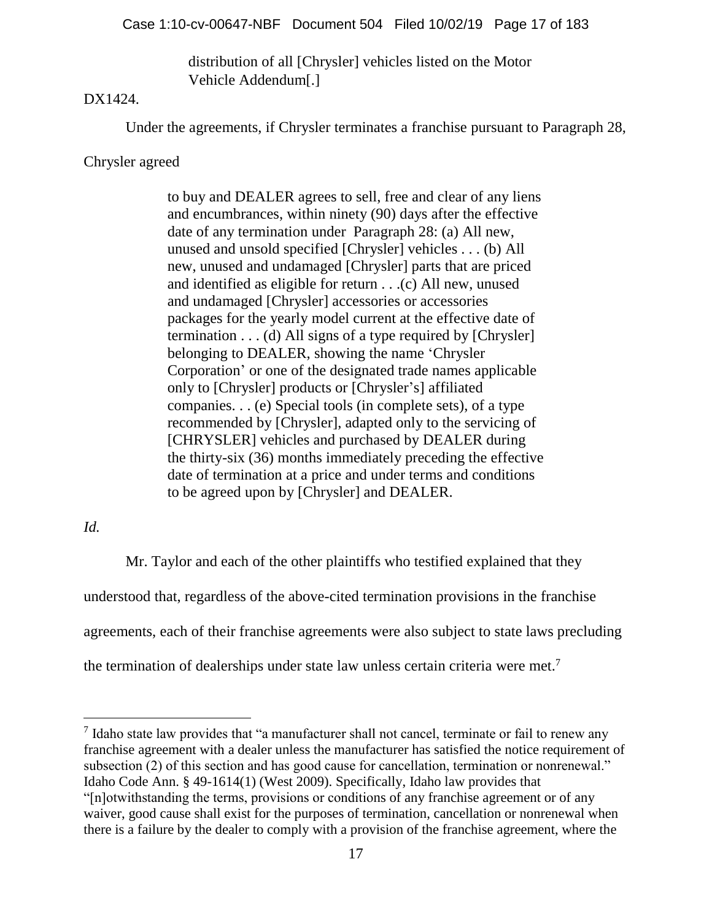distribution of all [Chrysler] vehicles listed on the Motor Vehicle Addendum[.]

# DX1424.

Under the agreements, if Chrysler terminates a franchise pursuant to Paragraph 28,

# Chrysler agreed

to buy and DEALER agrees to sell, free and clear of any liens and encumbrances, within ninety (90) days after the effective date of any termination under Paragraph 28: (a) All new, unused and unsold specified [Chrysler] vehicles . . . (b) All new, unused and undamaged [Chrysler] parts that are priced and identified as eligible for return . . .(c) All new, unused and undamaged [Chrysler] accessories or accessories packages for the yearly model current at the effective date of termination . . . (d) All signs of a type required by [Chrysler] belonging to DEALER, showing the name 'Chrysler Corporation' or one of the designated trade names applicable only to [Chrysler] products or [Chrysler's] affiliated companies. . . (e) Special tools (in complete sets), of a type recommended by [Chrysler], adapted only to the servicing of [CHRYSLER] vehicles and purchased by DEALER during the thirty-six (36) months immediately preceding the effective date of termination at a price and under terms and conditions to be agreed upon by [Chrysler] and DEALER.

# *Id.*

Mr. Taylor and each of the other plaintiffs who testified explained that they understood that, regardless of the above-cited termination provisions in the franchise agreements, each of their franchise agreements were also subject to state laws precluding the termination of dealerships under state law unless certain criteria were met.<sup>7</sup>

<sup>7</sup> Idaho state law provides that "a manufacturer shall not cancel, terminate or fail to renew any franchise agreement with a dealer unless the manufacturer has satisfied the notice requirement of subsection (2) of this section and has good cause for cancellation, termination or nonrenewal." Idaho Code Ann. § 49-1614(1) (West 2009). Specifically, Idaho law provides that "[n]otwithstanding the terms, provisions or conditions of any franchise agreement or of any

waiver, good cause shall exist for the purposes of termination, cancellation or nonrenewal when there is a failure by the dealer to comply with a provision of the franchise agreement, where the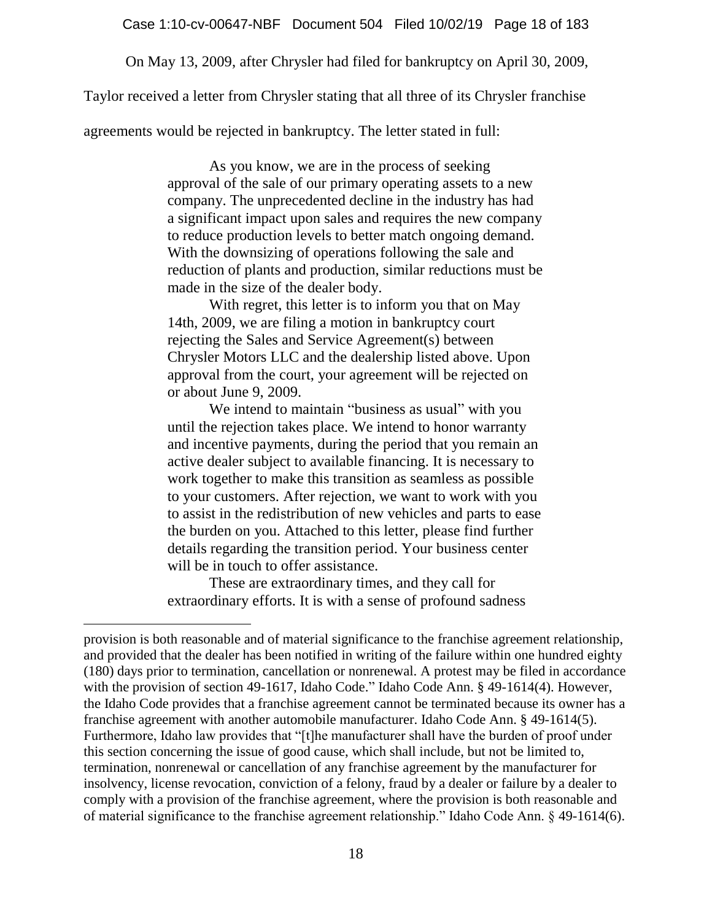On May 13, 2009, after Chrysler had filed for bankruptcy on April 30, 2009,

Taylor received a letter from Chrysler stating that all three of its Chrysler franchise

agreements would be rejected in bankruptcy. The letter stated in full:

As you know, we are in the process of seeking approval of the sale of our primary operating assets to a new company. The unprecedented decline in the industry has had a significant impact upon sales and requires the new company to reduce production levels to better match ongoing demand. With the downsizing of operations following the sale and reduction of plants and production, similar reductions must be made in the size of the dealer body.

With regret, this letter is to inform you that on May 14th, 2009, we are filing a motion in bankruptcy court rejecting the Sales and Service Agreement(s) between Chrysler Motors LLC and the dealership listed above. Upon approval from the court, your agreement will be rejected on or about June 9, 2009.

We intend to maintain "business as usual" with you until the rejection takes place. We intend to honor warranty and incentive payments, during the period that you remain an active dealer subject to available financing. It is necessary to work together to make this transition as seamless as possible to your customers. After rejection, we want to work with you to assist in the redistribution of new vehicles and parts to ease the burden on you. Attached to this letter, please find further details regarding the transition period. Your business center will be in touch to offer assistance.

These are extraordinary times, and they call for extraordinary efforts. It is with a sense of profound sadness

 $\overline{a}$ 

provision is both reasonable and of material significance to the franchise agreement relationship, and provided that the dealer has been notified in writing of the failure within one hundred eighty (180) days prior to termination, cancellation or nonrenewal. A protest may be filed in accordance with the provision of section 49-1617, Idaho Code." Idaho Code Ann. § 49-1614(4). However, the Idaho Code provides that a franchise agreement cannot be terminated because its owner has a franchise agreement with another automobile manufacturer. Idaho Code Ann. § 49-1614(5). Furthermore, Idaho law provides that "[t]he manufacturer shall have the burden of proof under this section concerning the issue of good cause, which shall include, but not be limited to, termination, nonrenewal or cancellation of any franchise agreement by the manufacturer for insolvency, license revocation, conviction of a felony, fraud by a dealer or failure by a dealer to comply with a provision of the franchise agreement, where the provision is both reasonable and of material significance to the franchise agreement relationship." Idaho Code Ann. § 49-1614(6).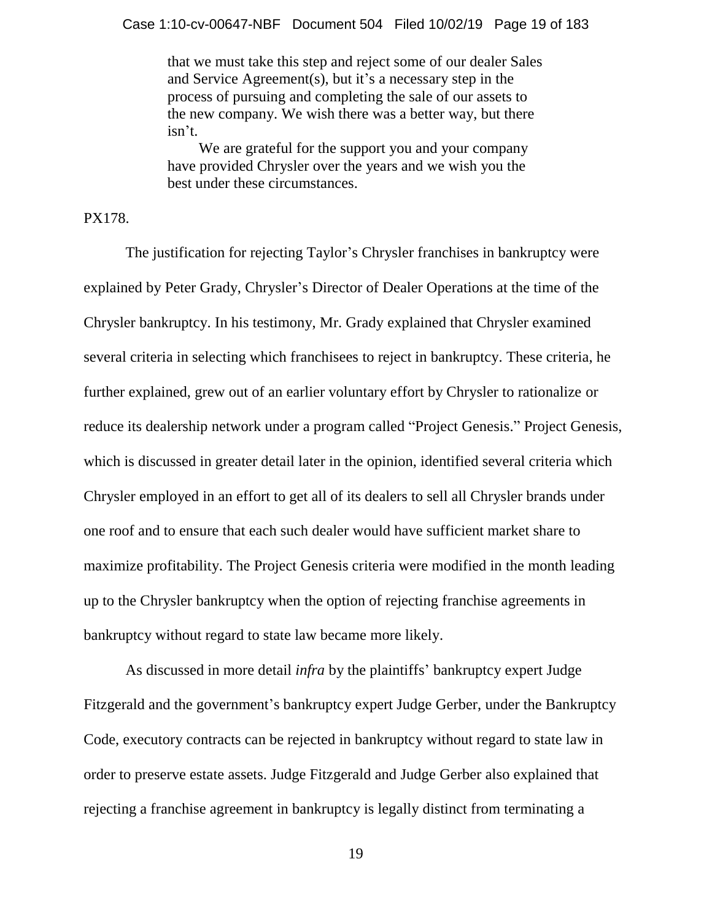that we must take this step and reject some of our dealer Sales and Service Agreement(s), but it's a necessary step in the process of pursuing and completing the sale of our assets to the new company. We wish there was a better way, but there isn't.

We are grateful for the support you and your company have provided Chrysler over the years and we wish you the best under these circumstances.

PX178.

The justification for rejecting Taylor's Chrysler franchises in bankruptcy were explained by Peter Grady, Chrysler's Director of Dealer Operations at the time of the Chrysler bankruptcy. In his testimony, Mr. Grady explained that Chrysler examined several criteria in selecting which franchisees to reject in bankruptcy. These criteria, he further explained, grew out of an earlier voluntary effort by Chrysler to rationalize or reduce its dealership network under a program called "Project Genesis." Project Genesis, which is discussed in greater detail later in the opinion, identified several criteria which Chrysler employed in an effort to get all of its dealers to sell all Chrysler brands under one roof and to ensure that each such dealer would have sufficient market share to maximize profitability. The Project Genesis criteria were modified in the month leading up to the Chrysler bankruptcy when the option of rejecting franchise agreements in bankruptcy without regard to state law became more likely.

As discussed in more detail *infra* by the plaintiffs' bankruptcy expert Judge Fitzgerald and the government's bankruptcy expert Judge Gerber, under the Bankruptcy Code, executory contracts can be rejected in bankruptcy without regard to state law in order to preserve estate assets. Judge Fitzgerald and Judge Gerber also explained that rejecting a franchise agreement in bankruptcy is legally distinct from terminating a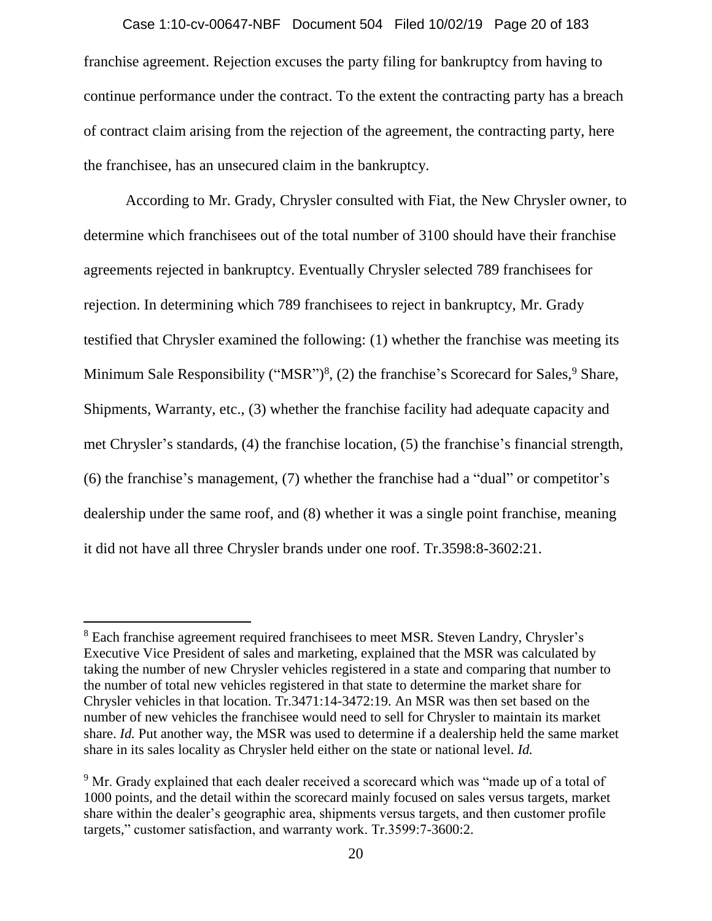franchise agreement. Rejection excuses the party filing for bankruptcy from having to continue performance under the contract. To the extent the contracting party has a breach of contract claim arising from the rejection of the agreement, the contracting party, here the franchisee, has an unsecured claim in the bankruptcy. Case 1:10-cv-00647-NBF Document 504 Filed 10/02/19 Page 20 of 183

According to Mr. Grady, Chrysler consulted with Fiat, the New Chrysler owner, to determine which franchisees out of the total number of 3100 should have their franchise agreements rejected in bankruptcy. Eventually Chrysler selected 789 franchisees for rejection. In determining which 789 franchisees to reject in bankruptcy, Mr. Grady testified that Chrysler examined the following: (1) whether the franchise was meeting its Minimum Sale Responsibility ("MSR")<sup>8</sup>, (2) the franchise's Scorecard for Sales,  $9$  Share, Shipments, Warranty, etc., (3) whether the franchise facility had adequate capacity and met Chrysler's standards, (4) the franchise location, (5) the franchise's financial strength, (6) the franchise's management, (7) whether the franchise had a "dual" or competitor's dealership under the same roof, and (8) whether it was a single point franchise, meaning it did not have all three Chrysler brands under one roof. Tr.3598:8-3602:21.

<sup>&</sup>lt;sup>8</sup> Each franchise agreement required franchisees to meet MSR. Steven Landry, Chrysler's Executive Vice President of sales and marketing, explained that the MSR was calculated by taking the number of new Chrysler vehicles registered in a state and comparing that number to the number of total new vehicles registered in that state to determine the market share for Chrysler vehicles in that location. Tr.3471:14-3472:19. An MSR was then set based on the number of new vehicles the franchisee would need to sell for Chrysler to maintain its market share. *Id.* Put another way, the MSR was used to determine if a dealership held the same market share in its sales locality as Chrysler held either on the state or national level. *Id.* 

<sup>&</sup>lt;sup>9</sup> Mr. Grady explained that each dealer received a scorecard which was "made up of a total of 1000 points, and the detail within the scorecard mainly focused on sales versus targets, market share within the dealer's geographic area, shipments versus targets, and then customer profile targets," customer satisfaction, and warranty work. Tr.3599:7-3600:2.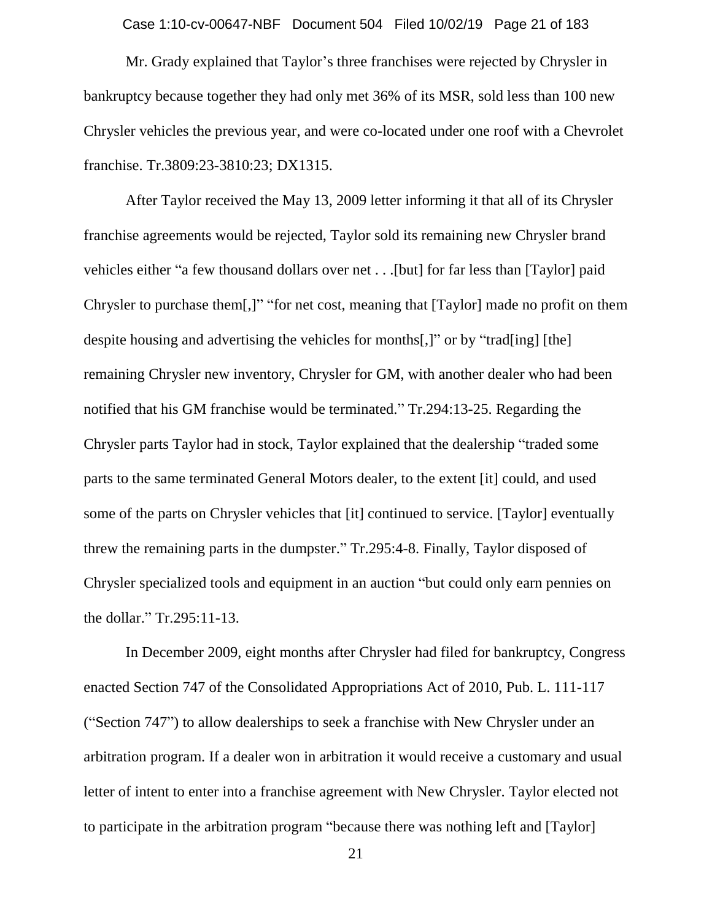Case 1:10-cv-00647-NBF Document 504 Filed 10/02/19 Page 21 of 183

Mr. Grady explained that Taylor's three franchises were rejected by Chrysler in bankruptcy because together they had only met 36% of its MSR, sold less than 100 new Chrysler vehicles the previous year, and were co-located under one roof with a Chevrolet franchise. Tr.3809:23-3810:23; DX1315.

After Taylor received the May 13, 2009 letter informing it that all of its Chrysler franchise agreements would be rejected, Taylor sold its remaining new Chrysler brand vehicles either "a few thousand dollars over net . . .[but] for far less than [Taylor] paid Chrysler to purchase them[,]" "for net cost, meaning that [Taylor] made no profit on them despite housing and advertising the vehicles for months[,]" or by "trad[ing] [the] remaining Chrysler new inventory, Chrysler for GM, with another dealer who had been notified that his GM franchise would be terminated." Tr.294:13-25. Regarding the Chrysler parts Taylor had in stock, Taylor explained that the dealership "traded some parts to the same terminated General Motors dealer, to the extent [it] could, and used some of the parts on Chrysler vehicles that [it] continued to service. [Taylor] eventually threw the remaining parts in the dumpster." Tr.295:4-8. Finally, Taylor disposed of Chrysler specialized tools and equipment in an auction "but could only earn pennies on the dollar." Tr.295:11-13.

In December 2009, eight months after Chrysler had filed for bankruptcy, Congress enacted Section 747 of the Consolidated Appropriations Act of 2010, Pub. L. 111-117 ("Section 747") to allow dealerships to seek a franchise with New Chrysler under an arbitration program. If a dealer won in arbitration it would receive a customary and usual letter of intent to enter into a franchise agreement with New Chrysler. Taylor elected not to participate in the arbitration program "because there was nothing left and [Taylor]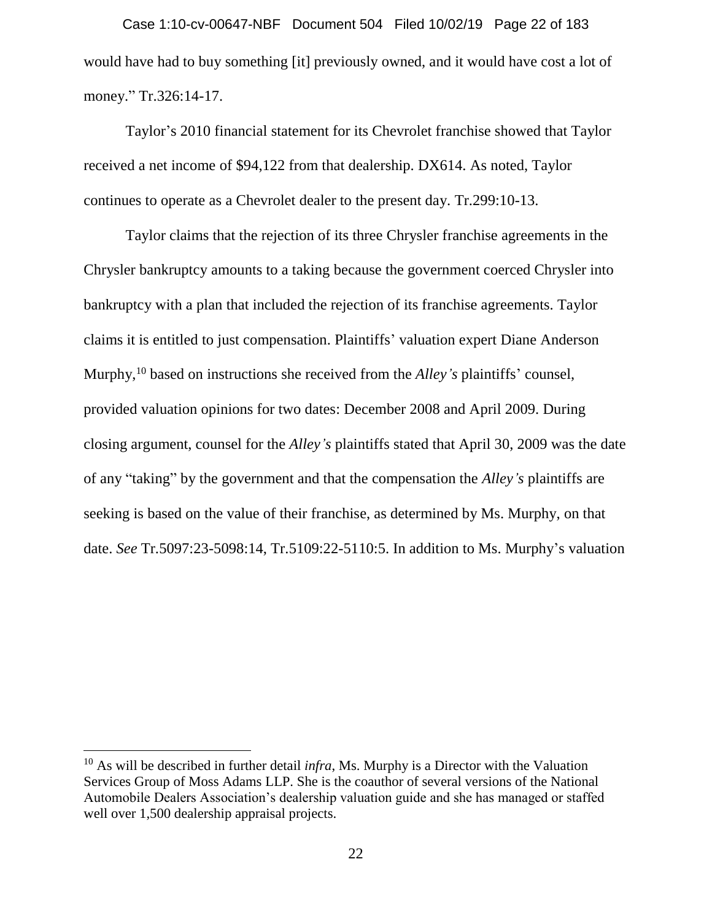would have had to buy something [it] previously owned, and it would have cost a lot of money." Tr.326:14-17. Case 1:10-cv-00647-NBF Document 504 Filed 10/02/19 Page 22 of 183

Taylor's 2010 financial statement for its Chevrolet franchise showed that Taylor received a net income of \$94,122 from that dealership. DX614. As noted, Taylor continues to operate as a Chevrolet dealer to the present day. Tr.299:10-13.

Taylor claims that the rejection of its three Chrysler franchise agreements in the Chrysler bankruptcy amounts to a taking because the government coerced Chrysler into bankruptcy with a plan that included the rejection of its franchise agreements. Taylor claims it is entitled to just compensation. Plaintiffs' valuation expert Diane Anderson Murphy,<sup>10</sup> based on instructions she received from the *Alley's* plaintiffs' counsel, provided valuation opinions for two dates: December 2008 and April 2009. During closing argument, counsel for the *Alley's* plaintiffs stated that April 30, 2009 was the date of any "taking" by the government and that the compensation the *Alley's* plaintiffs are seeking is based on the value of their franchise, as determined by Ms. Murphy, on that date. *See* Tr.5097:23-5098:14, Tr.5109:22-5110:5. In addition to Ms. Murphy's valuation

 $\overline{a}$ 

<sup>10</sup> As will be described in further detail *infra*, Ms. Murphy is a Director with the Valuation Services Group of Moss Adams LLP. She is the coauthor of several versions of the National Automobile Dealers Association's dealership valuation guide and she has managed or staffed well over 1,500 dealership appraisal projects.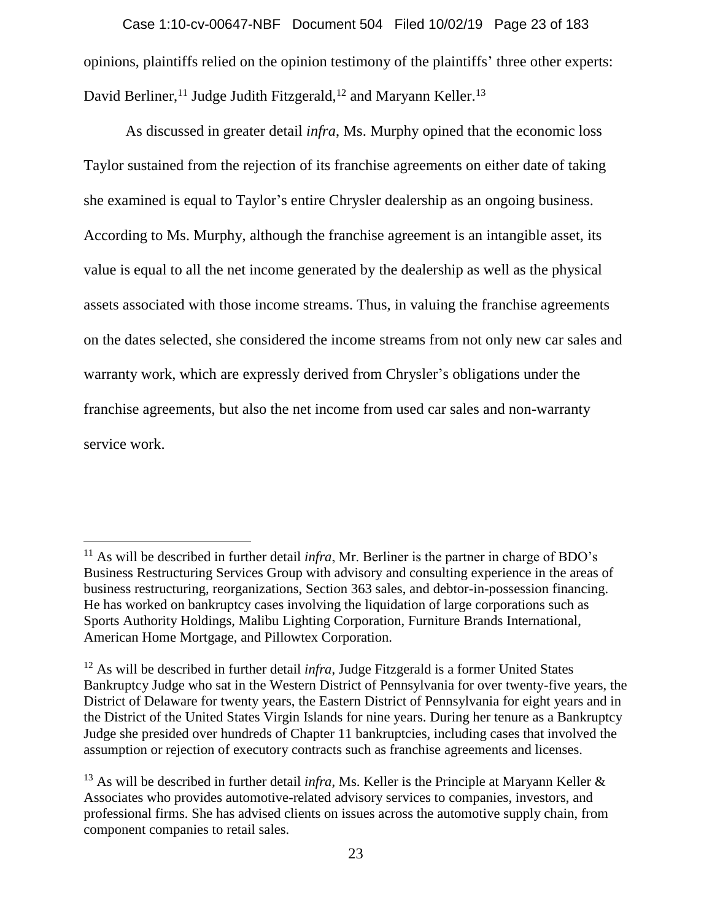opinions, plaintiffs relied on the opinion testimony of the plaintiffs' three other experts: David Berliner,<sup>11</sup> Judge Judith Fitzgerald,<sup>12</sup> and Maryann Keller.<sup>13</sup> Case 1:10-cv-00647-NBF Document 504 Filed 10/02/19 Page 23 of 183

As discussed in greater detail *infra*, Ms. Murphy opined that the economic loss Taylor sustained from the rejection of its franchise agreements on either date of taking she examined is equal to Taylor's entire Chrysler dealership as an ongoing business. According to Ms. Murphy, although the franchise agreement is an intangible asset, its value is equal to all the net income generated by the dealership as well as the physical assets associated with those income streams. Thus, in valuing the franchise agreements on the dates selected, she considered the income streams from not only new car sales and warranty work, which are expressly derived from Chrysler's obligations under the franchise agreements, but also the net income from used car sales and non-warranty service work.

<sup>&</sup>lt;sup>11</sup> As will be described in further detail *infra*, Mr. Berliner is the partner in charge of BDO's Business Restructuring Services Group with advisory and consulting experience in the areas of business restructuring, reorganizations, Section 363 sales, and debtor-in-possession financing. He has worked on bankruptcy cases involving the liquidation of large corporations such as Sports Authority Holdings, Malibu Lighting Corporation, Furniture Brands International, American Home Mortgage, and Pillowtex Corporation.

<sup>12</sup> As will be described in further detail *infra*, Judge Fitzgerald is a former United States Bankruptcy Judge who sat in the Western District of Pennsylvania for over twenty-five years, the District of Delaware for twenty years, the Eastern District of Pennsylvania for eight years and in the District of the United States Virgin Islands for nine years. During her tenure as a Bankruptcy Judge she presided over hundreds of Chapter 11 bankruptcies, including cases that involved the assumption or rejection of executory contracts such as franchise agreements and licenses.

<sup>&</sup>lt;sup>13</sup> As will be described in further detail *infra*, Ms. Keller is the Principle at Maryann Keller  $\&$ Associates who provides automotive-related advisory services to companies, investors, and professional firms. She has advised clients on issues across the automotive supply chain, from component companies to retail sales.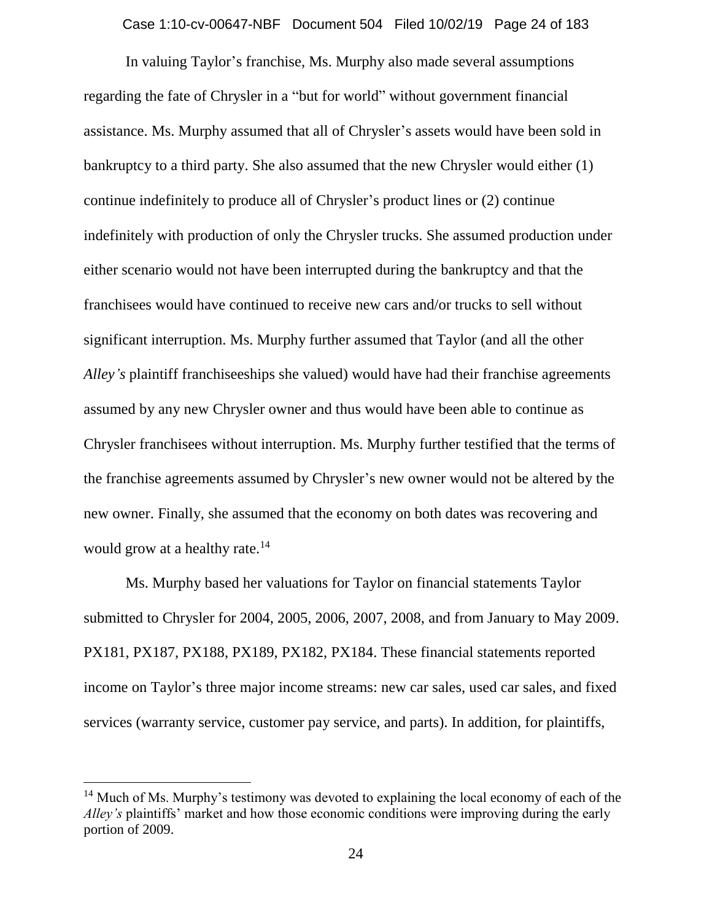Case 1:10-cv-00647-NBF Document 504 Filed 10/02/19 Page 24 of 183

In valuing Taylor's franchise, Ms. Murphy also made several assumptions regarding the fate of Chrysler in a "but for world" without government financial assistance. Ms. Murphy assumed that all of Chrysler's assets would have been sold in bankruptcy to a third party. She also assumed that the new Chrysler would either (1) continue indefinitely to produce all of Chrysler's product lines or (2) continue indefinitely with production of only the Chrysler trucks. She assumed production under either scenario would not have been interrupted during the bankruptcy and that the franchisees would have continued to receive new cars and/or trucks to sell without significant interruption. Ms. Murphy further assumed that Taylor (and all the other *Alley's* plaintiff franchiseeships she valued) would have had their franchise agreements assumed by any new Chrysler owner and thus would have been able to continue as Chrysler franchisees without interruption. Ms. Murphy further testified that the terms of the franchise agreements assumed by Chrysler's new owner would not be altered by the new owner. Finally, she assumed that the economy on both dates was recovering and would grow at a healthy rate.<sup>14</sup>

Ms. Murphy based her valuations for Taylor on financial statements Taylor submitted to Chrysler for 2004, 2005, 2006, 2007, 2008, and from January to May 2009. PX181, PX187, PX188, PX189, PX182, PX184. These financial statements reported income on Taylor's three major income streams: new car sales, used car sales, and fixed services (warranty service, customer pay service, and parts). In addition, for plaintiffs,

<sup>&</sup>lt;sup>14</sup> Much of Ms. Murphy's testimony was devoted to explaining the local economy of each of the *Alley's* plaintiffs' market and how those economic conditions were improving during the early portion of 2009.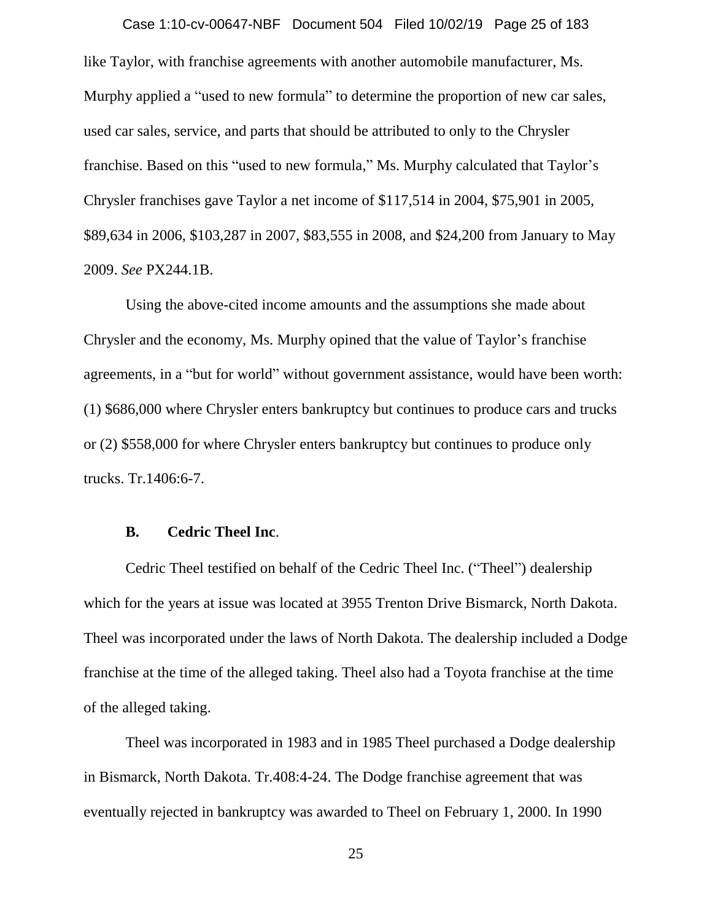like Taylor, with franchise agreements with another automobile manufacturer, Ms. Murphy applied a "used to new formula" to determine the proportion of new car sales, used car sales, service, and parts that should be attributed to only to the Chrysler franchise. Based on this "used to new formula," Ms. Murphy calculated that Taylor's Chrysler franchises gave Taylor a net income of \$117,514 in 2004, \$75,901 in 2005, \$89,634 in 2006, \$103,287 in 2007, \$83,555 in 2008, and \$24,200 from January to May 2009. *See* PX244.1B. Case 1:10-cv-00647-NBF Document 504 Filed 10/02/19 Page 25 of 183

Using the above-cited income amounts and the assumptions she made about Chrysler and the economy, Ms. Murphy opined that the value of Taylor's franchise agreements, in a "but for world" without government assistance, would have been worth: (1) \$686,000 where Chrysler enters bankruptcy but continues to produce cars and trucks or (2) \$558,000 for where Chrysler enters bankruptcy but continues to produce only trucks. Tr.1406:6-7.

#### **B. Cedric Theel Inc**.

Cedric Theel testified on behalf of the Cedric Theel Inc. ("Theel") dealership which for the years at issue was located at 3955 Trenton Drive Bismarck, North Dakota. Theel was incorporated under the laws of North Dakota. The dealership included a Dodge franchise at the time of the alleged taking. Theel also had a Toyota franchise at the time of the alleged taking.

Theel was incorporated in 1983 and in 1985 Theel purchased a Dodge dealership in Bismarck, North Dakota. Tr.408:4-24. The Dodge franchise agreement that was eventually rejected in bankruptcy was awarded to Theel on February 1, 2000. In 1990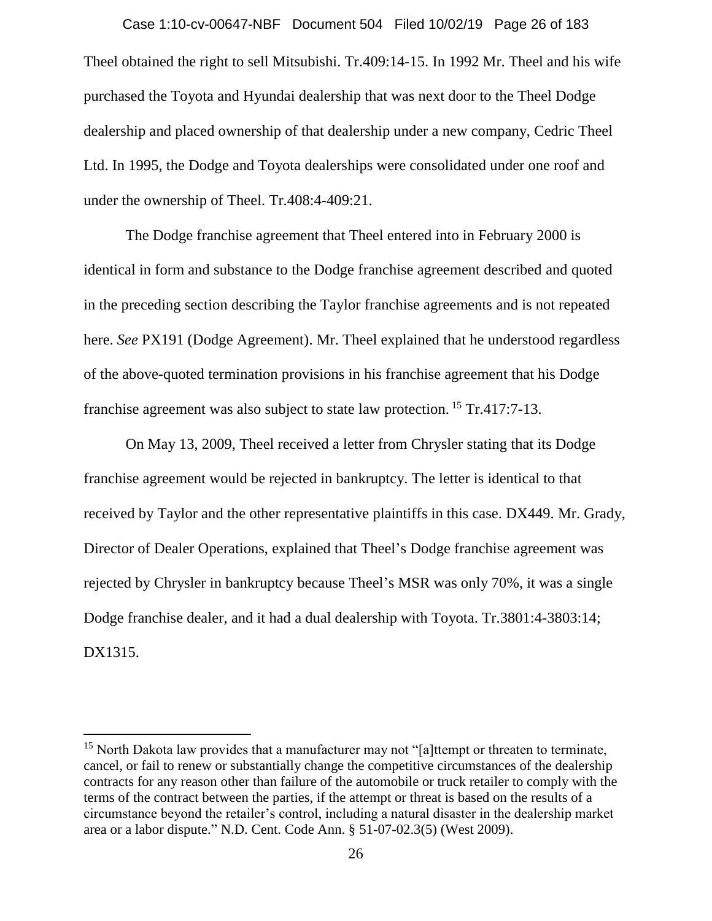Theel obtained the right to sell Mitsubishi. Tr.409:14-15. In 1992 Mr. Theel and his wife purchased the Toyota and Hyundai dealership that was next door to the Theel Dodge dealership and placed ownership of that dealership under a new company, Cedric Theel Ltd. In 1995, the Dodge and Toyota dealerships were consolidated under one roof and under the ownership of Theel. Tr.408:4-409:21. Case 1:10-cv-00647-NBF Document 504 Filed 10/02/19 Page 26 of 183

The Dodge franchise agreement that Theel entered into in February 2000 is identical in form and substance to the Dodge franchise agreement described and quoted in the preceding section describing the Taylor franchise agreements and is not repeated here. *See* PX191 (Dodge Agreement). Mr. Theel explained that he understood regardless of the above-quoted termination provisions in his franchise agreement that his Dodge franchise agreement was also subject to state law protection.<sup>15</sup> Tr.417:7-13.

On May 13, 2009, Theel received a letter from Chrysler stating that its Dodge franchise agreement would be rejected in bankruptcy. The letter is identical to that received by Taylor and the other representative plaintiffs in this case. DX449. Mr. Grady, Director of Dealer Operations, explained that Theel's Dodge franchise agreement was rejected by Chrysler in bankruptcy because Theel's MSR was only 70%, it was a single Dodge franchise dealer, and it had a dual dealership with Toyota. Tr.3801:4-3803:14; DX1315.

 $\overline{a}$ 

<sup>&</sup>lt;sup>15</sup> North Dakota law provides that a manufacturer may not "[a]ttempt or threaten to terminate, cancel, or fail to renew or substantially change the competitive circumstances of the dealership contracts for any reason other than failure of the automobile or truck retailer to comply with the terms of the contract between the parties, if the attempt or threat is based on the results of a circumstance beyond the retailer's control, including a natural disaster in the dealership market area or a labor dispute." N.D. Cent. Code Ann. § 51-07-02.3(5) (West 2009).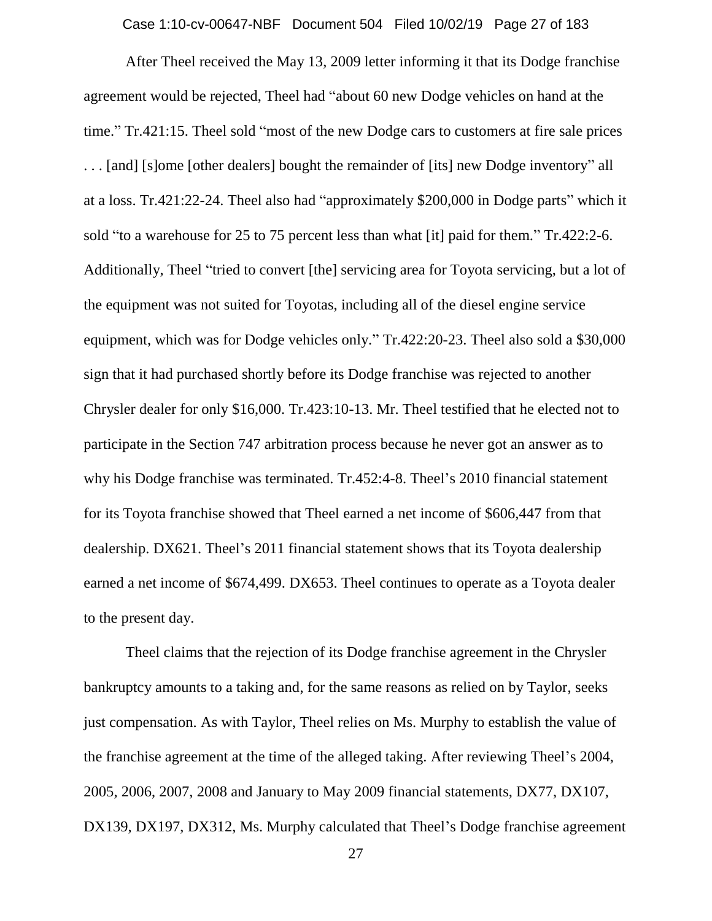Case 1:10-cv-00647-NBF Document 504 Filed 10/02/19 Page 27 of 183

After Theel received the May 13, 2009 letter informing it that its Dodge franchise agreement would be rejected, Theel had "about 60 new Dodge vehicles on hand at the time." Tr.421:15. Theel sold "most of the new Dodge cars to customers at fire sale prices . . . [and] [s]ome [other dealers] bought the remainder of [its] new Dodge inventory" all at a loss. Tr.421:22-24. Theel also had "approximately \$200,000 in Dodge parts" which it sold "to a warehouse for 25 to 75 percent less than what [it] paid for them." Tr.422:2-6. Additionally, Theel "tried to convert [the] servicing area for Toyota servicing, but a lot of the equipment was not suited for Toyotas, including all of the diesel engine service equipment, which was for Dodge vehicles only." Tr.422:20-23. Theel also sold a \$30,000 sign that it had purchased shortly before its Dodge franchise was rejected to another Chrysler dealer for only \$16,000. Tr.423:10-13. Mr. Theel testified that he elected not to participate in the Section 747 arbitration process because he never got an answer as to why his Dodge franchise was terminated. Tr.452:4-8. Theel's 2010 financial statement for its Toyota franchise showed that Theel earned a net income of \$606,447 from that dealership. DX621. Theel's 2011 financial statement shows that its Toyota dealership earned a net income of \$674,499. DX653. Theel continues to operate as a Toyota dealer to the present day.

Theel claims that the rejection of its Dodge franchise agreement in the Chrysler bankruptcy amounts to a taking and, for the same reasons as relied on by Taylor, seeks just compensation. As with Taylor, Theel relies on Ms. Murphy to establish the value of the franchise agreement at the time of the alleged taking. After reviewing Theel's 2004, 2005, 2006, 2007, 2008 and January to May 2009 financial statements, DX77, DX107, DX139, DX197, DX312, Ms. Murphy calculated that Theel's Dodge franchise agreement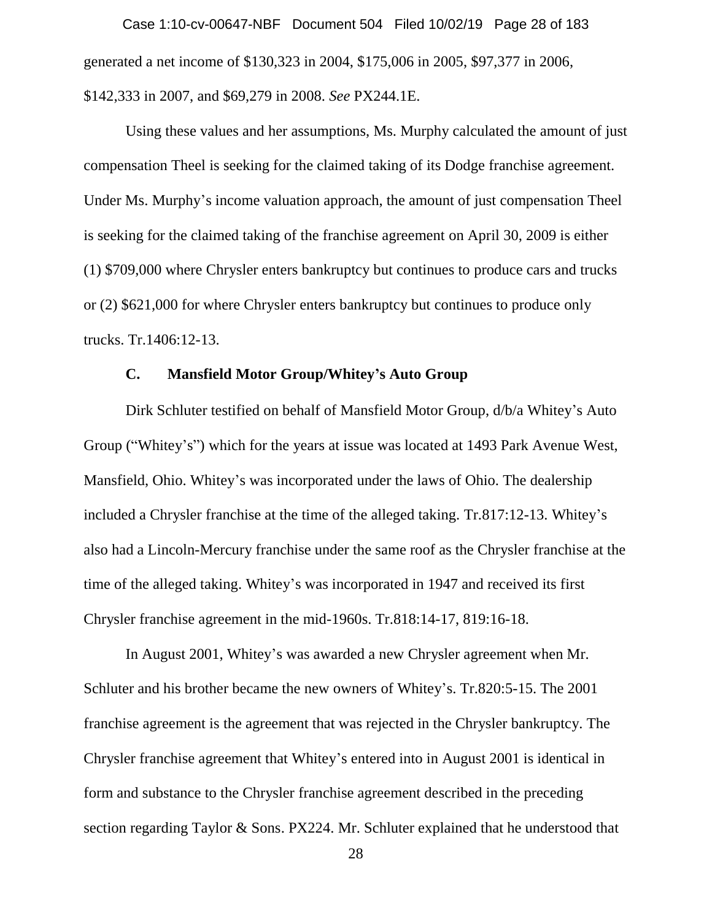generated a net income of \$130,323 in 2004, \$175,006 in 2005, \$97,377 in 2006, \$142,333 in 2007, and \$69,279 in 2008. *See* PX244.1E. Case 1:10-cv-00647-NBF Document 504 Filed 10/02/19 Page 28 of 183

Using these values and her assumptions, Ms. Murphy calculated the amount of just compensation Theel is seeking for the claimed taking of its Dodge franchise agreement. Under Ms. Murphy's income valuation approach, the amount of just compensation Theel is seeking for the claimed taking of the franchise agreement on April 30, 2009 is either (1) \$709,000 where Chrysler enters bankruptcy but continues to produce cars and trucks or (2) \$621,000 for where Chrysler enters bankruptcy but continues to produce only trucks. Tr.1406:12-13.

#### **C. Mansfield Motor Group/Whitey's Auto Group**

Dirk Schluter testified on behalf of Mansfield Motor Group, d/b/a Whitey's Auto Group ("Whitey's") which for the years at issue was located at 1493 Park Avenue West, Mansfield, Ohio. Whitey's was incorporated under the laws of Ohio. The dealership included a Chrysler franchise at the time of the alleged taking. Tr.817:12-13. Whitey's also had a Lincoln-Mercury franchise under the same roof as the Chrysler franchise at the time of the alleged taking. Whitey's was incorporated in 1947 and received its first Chrysler franchise agreement in the mid-1960s. Tr.818:14-17, 819:16-18.

In August 2001, Whitey's was awarded a new Chrysler agreement when Mr. Schluter and his brother became the new owners of Whitey's. Tr.820:5-15. The 2001 franchise agreement is the agreement that was rejected in the Chrysler bankruptcy. The Chrysler franchise agreement that Whitey's entered into in August 2001 is identical in form and substance to the Chrysler franchise agreement described in the preceding section regarding Taylor & Sons. PX224. Mr. Schluter explained that he understood that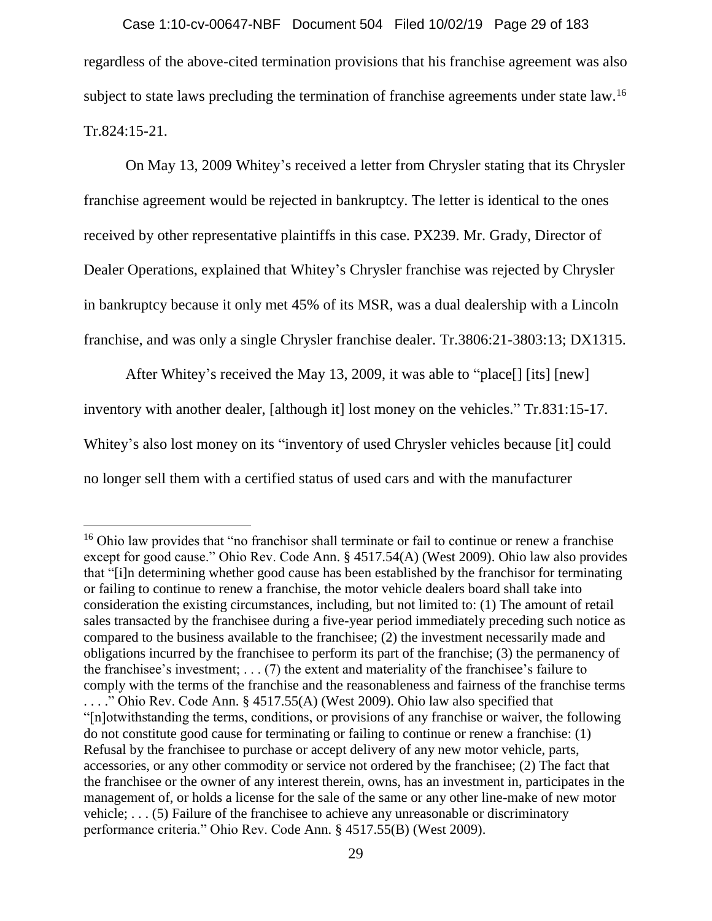regardless of the above-cited termination provisions that his franchise agreement was also subject to state laws precluding the termination of franchise agreements under state law.<sup>16</sup> Tr.824:15-21. Case 1:10-cv-00647-NBF Document 504 Filed 10/02/19 Page 29 of 183

On May 13, 2009 Whitey's received a letter from Chrysler stating that its Chrysler franchise agreement would be rejected in bankruptcy. The letter is identical to the ones received by other representative plaintiffs in this case. PX239. Mr. Grady, Director of Dealer Operations, explained that Whitey's Chrysler franchise was rejected by Chrysler in bankruptcy because it only met 45% of its MSR, was a dual dealership with a Lincoln franchise, and was only a single Chrysler franchise dealer. Tr.3806:21-3803:13; DX1315.

After Whitey's received the May 13, 2009, it was able to "place[] [its] [new] inventory with another dealer, [although it] lost money on the vehicles." Tr.831:15-17. Whitey's also lost money on its "inventory of used Chrysler vehicles because [it] could no longer sell them with a certified status of used cars and with the manufacturer

<sup>&</sup>lt;sup>16</sup> Ohio law provides that "no franchisor shall terminate or fail to continue or renew a franchise except for good cause." Ohio Rev. Code Ann. § 4517.54(A) (West 2009). Ohio law also provides that "[i]n determining whether good cause has been established by the franchisor for terminating or failing to continue to renew a franchise, the motor vehicle dealers board shall take into consideration the existing circumstances, including, but not limited to: (1) The amount of retail sales transacted by the franchisee during a five-year period immediately preceding such notice as compared to the business available to the franchisee; (2) the investment necessarily made and obligations incurred by the franchisee to perform its part of the franchise; (3) the permanency of the franchisee's investment; . . . (7) the extent and materiality of the franchisee's failure to comply with the terms of the franchise and the reasonableness and fairness of the franchise terms . . . ." Ohio Rev. Code Ann. § 4517.55(A) (West 2009). Ohio law also specified that "[n]otwithstanding the terms, conditions, or provisions of any franchise or waiver, the following do not constitute good cause for terminating or failing to continue or renew a franchise: (1) Refusal by the franchisee to purchase or accept delivery of any new motor vehicle, parts, accessories, or any other commodity or service not ordered by the franchisee; (2) The fact that the franchisee or the owner of any interest therein, owns, has an investment in, participates in the management of, or holds a license for the sale of the same or any other line-make of new motor vehicle; . . . (5) Failure of the franchisee to achieve any unreasonable or discriminatory performance criteria." Ohio Rev. Code Ann. § 4517.55(B) (West 2009).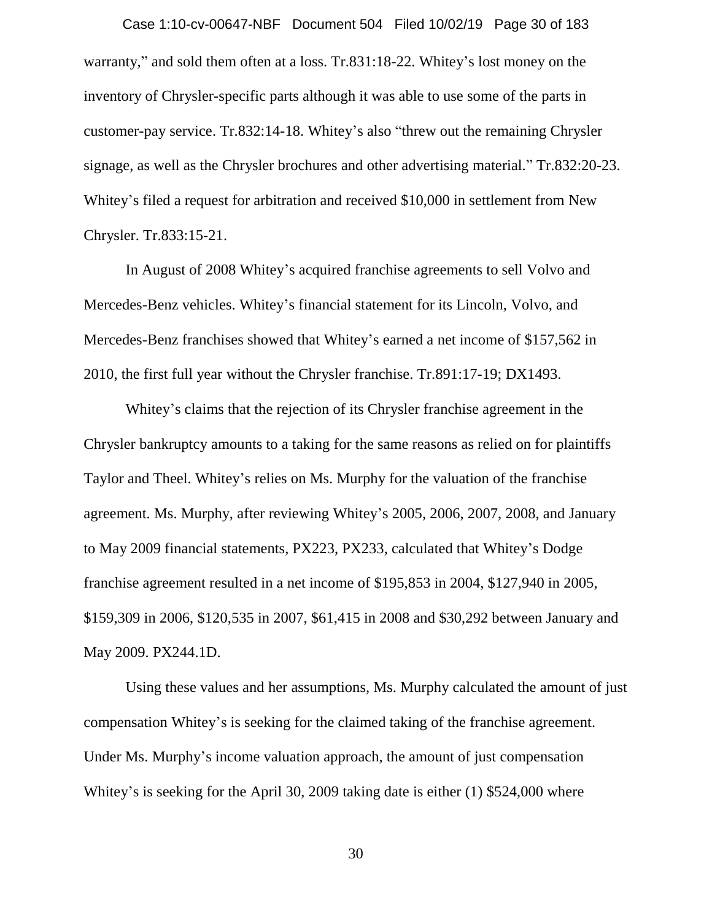warranty," and sold them often at a loss. Tr.831:18-22. Whitey's lost money on the inventory of Chrysler-specific parts although it was able to use some of the parts in customer-pay service. Tr.832:14-18. Whitey's also "threw out the remaining Chrysler signage, as well as the Chrysler brochures and other advertising material." Tr.832:20-23. Whitey's filed a request for arbitration and received \$10,000 in settlement from New Chrysler. Tr.833:15-21. Case 1:10-cv-00647-NBF Document 504 Filed 10/02/19 Page 30 of 183

In August of 2008 Whitey's acquired franchise agreements to sell Volvo and Mercedes-Benz vehicles. Whitey's financial statement for its Lincoln, Volvo, and Mercedes-Benz franchises showed that Whitey's earned a net income of \$157,562 in 2010, the first full year without the Chrysler franchise. Tr.891:17-19; DX1493.

Whitey's claims that the rejection of its Chrysler franchise agreement in the Chrysler bankruptcy amounts to a taking for the same reasons as relied on for plaintiffs Taylor and Theel. Whitey's relies on Ms. Murphy for the valuation of the franchise agreement. Ms. Murphy, after reviewing Whitey's 2005, 2006, 2007, 2008, and January to May 2009 financial statements, PX223, PX233, calculated that Whitey's Dodge franchise agreement resulted in a net income of \$195,853 in 2004, \$127,940 in 2005, \$159,309 in 2006, \$120,535 in 2007, \$61,415 in 2008 and \$30,292 between January and May 2009. PX244.1D.

Using these values and her assumptions, Ms. Murphy calculated the amount of just compensation Whitey's is seeking for the claimed taking of the franchise agreement. Under Ms. Murphy's income valuation approach, the amount of just compensation Whitey's is seeking for the April 30, 2009 taking date is either (1) \$524,000 where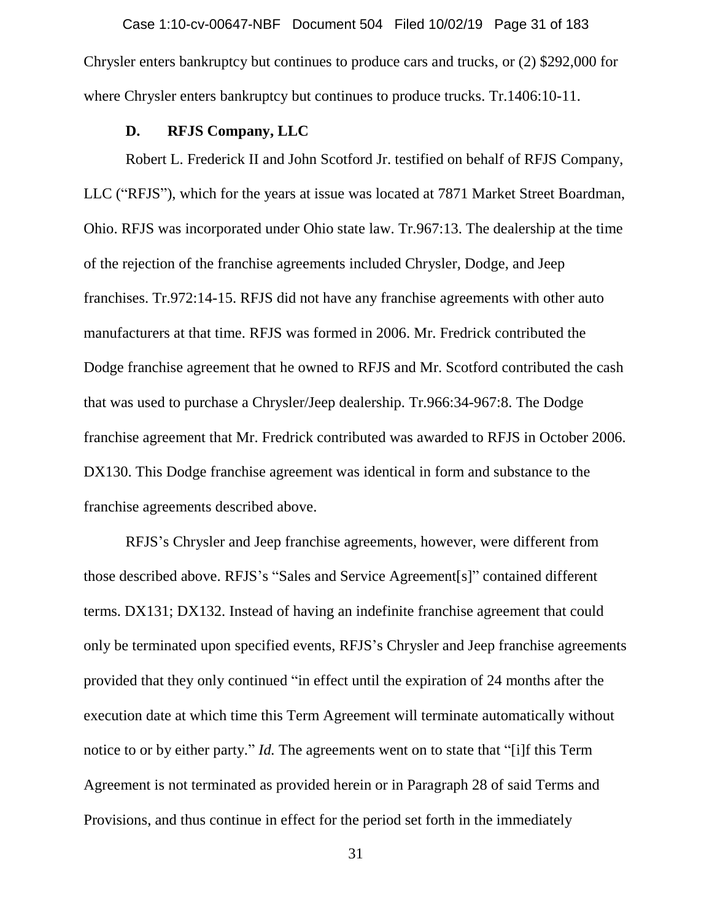Chrysler enters bankruptcy but continues to produce cars and trucks, or (2) \$292,000 for where Chrysler enters bankruptcy but continues to produce trucks. Tr.1406:10-11. Case 1:10-cv-00647-NBF Document 504 Filed 10/02/19 Page 31 of 183

#### **D. RFJS Company, LLC**

Robert L. Frederick II and John Scotford Jr. testified on behalf of RFJS Company, LLC ("RFJS"), which for the years at issue was located at 7871 Market Street Boardman, Ohio. RFJS was incorporated under Ohio state law. Tr.967:13. The dealership at the time of the rejection of the franchise agreements included Chrysler, Dodge, and Jeep franchises. Tr.972:14-15. RFJS did not have any franchise agreements with other auto manufacturers at that time. RFJS was formed in 2006. Mr. Fredrick contributed the Dodge franchise agreement that he owned to RFJS and Mr. Scotford contributed the cash that was used to purchase a Chrysler/Jeep dealership. Tr.966:34-967:8. The Dodge franchise agreement that Mr. Fredrick contributed was awarded to RFJS in October 2006. DX130. This Dodge franchise agreement was identical in form and substance to the franchise agreements described above.

RFJS's Chrysler and Jeep franchise agreements, however, were different from those described above. RFJS's "Sales and Service Agreement[s]" contained different terms. DX131; DX132. Instead of having an indefinite franchise agreement that could only be terminated upon specified events, RFJS's Chrysler and Jeep franchise agreements provided that they only continued "in effect until the expiration of 24 months after the execution date at which time this Term Agreement will terminate automatically without notice to or by either party." *Id*. The agreements went on to state that "[i]f this Term Agreement is not terminated as provided herein or in Paragraph 28 of said Terms and Provisions, and thus continue in effect for the period set forth in the immediately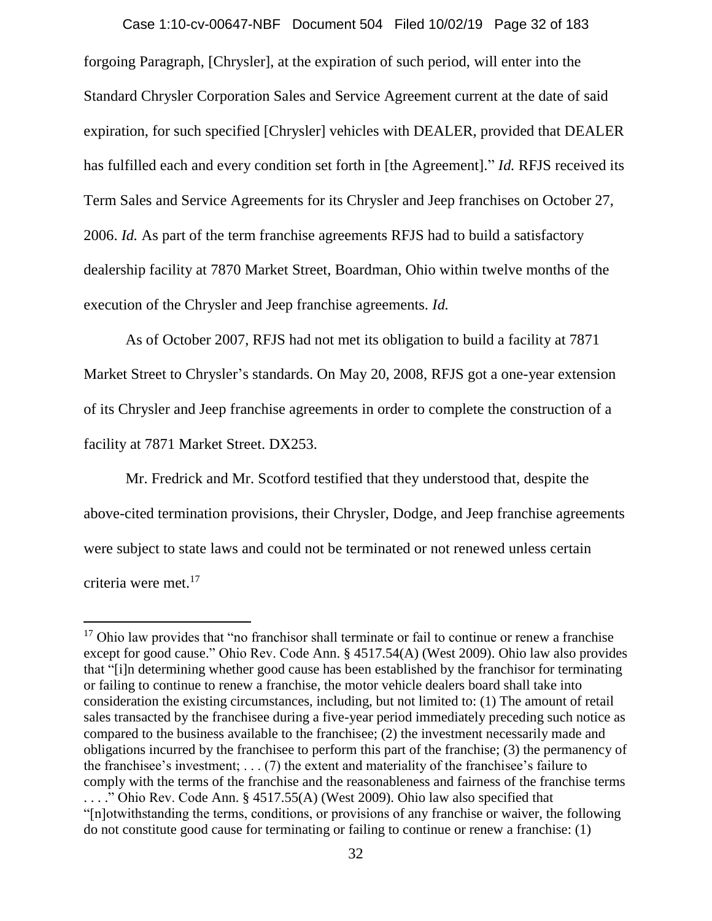forgoing Paragraph, [Chrysler], at the expiration of such period, will enter into the Standard Chrysler Corporation Sales and Service Agreement current at the date of said expiration, for such specified [Chrysler] vehicles with DEALER, provided that DEALER has fulfilled each and every condition set forth in [the Agreement]." *Id.* RFJS received its Term Sales and Service Agreements for its Chrysler and Jeep franchises on October 27, 2006. *Id.* As part of the term franchise agreements RFJS had to build a satisfactory dealership facility at 7870 Market Street, Boardman, Ohio within twelve months of the execution of the Chrysler and Jeep franchise agreements. *Id.*  Case 1:10-cv-00647-NBF Document 504 Filed 10/02/19 Page 32 of 183

As of October 2007, RFJS had not met its obligation to build a facility at 7871 Market Street to Chrysler's standards. On May 20, 2008, RFJS got a one-year extension of its Chrysler and Jeep franchise agreements in order to complete the construction of a facility at 7871 Market Street. DX253.

Mr. Fredrick and Mr. Scotford testified that they understood that, despite the above-cited termination provisions, their Chrysler, Dodge, and Jeep franchise agreements were subject to state laws and could not be terminated or not renewed unless certain criteria were met.<sup>17</sup>

 $17$  Ohio law provides that "no franchisor shall terminate or fail to continue or renew a franchise except for good cause." Ohio Rev. Code Ann. § 4517.54(A) (West 2009). Ohio law also provides that "[i]n determining whether good cause has been established by the franchisor for terminating or failing to continue to renew a franchise, the motor vehicle dealers board shall take into consideration the existing circumstances, including, but not limited to: (1) The amount of retail sales transacted by the franchisee during a five-year period immediately preceding such notice as compared to the business available to the franchisee; (2) the investment necessarily made and obligations incurred by the franchisee to perform this part of the franchise; (3) the permanency of the franchisee's investment; . . . (7) the extent and materiality of the franchisee's failure to comply with the terms of the franchise and the reasonableness and fairness of the franchise terms . . . ." Ohio Rev. Code Ann. § 4517.55(A) (West 2009). Ohio law also specified that "[n]otwithstanding the terms, conditions, or provisions of any franchise or waiver, the following do not constitute good cause for terminating or failing to continue or renew a franchise: (1)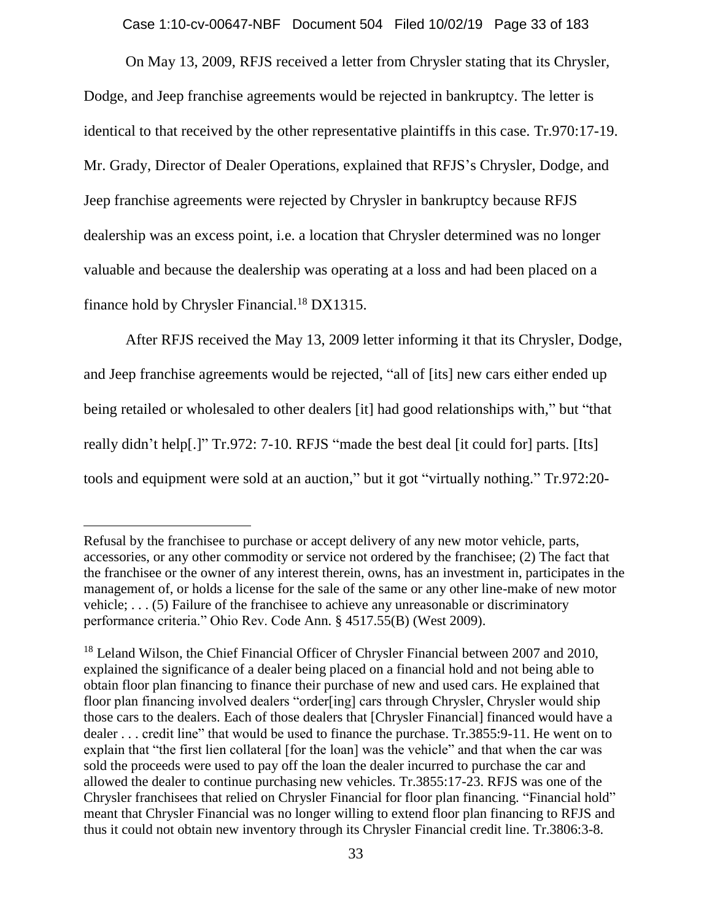Case 1:10-cv-00647-NBF Document 504 Filed 10/02/19 Page 33 of 183

On May 13, 2009, RFJS received a letter from Chrysler stating that its Chrysler, Dodge, and Jeep franchise agreements would be rejected in bankruptcy. The letter is identical to that received by the other representative plaintiffs in this case. Tr.970:17-19. Mr. Grady, Director of Dealer Operations, explained that RFJS's Chrysler, Dodge, and Jeep franchise agreements were rejected by Chrysler in bankruptcy because RFJS dealership was an excess point, i.e. a location that Chrysler determined was no longer valuable and because the dealership was operating at a loss and had been placed on a finance hold by Chrysler Financial.<sup>18</sup> DX1315.

After RFJS received the May 13, 2009 letter informing it that its Chrysler, Dodge, and Jeep franchise agreements would be rejected, "all of [its] new cars either ended up being retailed or wholesaled to other dealers [it] had good relationships with," but "that really didn't help[.]" Tr.972: 7-10. RFJS "made the best deal [it could for] parts. [Its] tools and equipment were sold at an auction," but it got "virtually nothing." Tr.972:20-

Refusal by the franchisee to purchase or accept delivery of any new motor vehicle, parts, accessories, or any other commodity or service not ordered by the franchisee; (2) The fact that the franchisee or the owner of any interest therein, owns, has an investment in, participates in the management of, or holds a license for the sale of the same or any other line-make of new motor vehicle; . . . (5) Failure of the franchisee to achieve any unreasonable or discriminatory performance criteria." Ohio Rev. Code Ann. § 4517.55(B) (West 2009).

<sup>&</sup>lt;sup>18</sup> Leland Wilson, the Chief Financial Officer of Chrysler Financial between 2007 and 2010, explained the significance of a dealer being placed on a financial hold and not being able to obtain floor plan financing to finance their purchase of new and used cars. He explained that floor plan financing involved dealers "order[ing] cars through Chrysler, Chrysler would ship those cars to the dealers. Each of those dealers that [Chrysler Financial] financed would have a dealer . . . credit line" that would be used to finance the purchase. Tr.3855:9-11. He went on to explain that "the first lien collateral [for the loan] was the vehicle" and that when the car was sold the proceeds were used to pay off the loan the dealer incurred to purchase the car and allowed the dealer to continue purchasing new vehicles. Tr.3855:17-23. RFJS was one of the Chrysler franchisees that relied on Chrysler Financial for floor plan financing. "Financial hold" meant that Chrysler Financial was no longer willing to extend floor plan financing to RFJS and thus it could not obtain new inventory through its Chrysler Financial credit line. Tr.3806:3-8.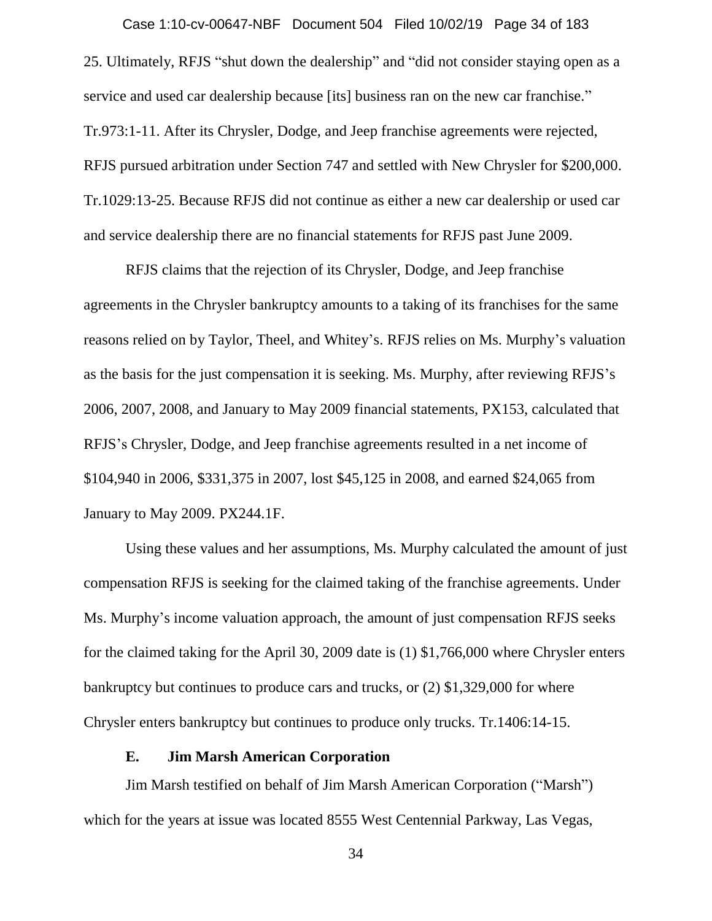25. Ultimately, RFJS "shut down the dealership" and "did not consider staying open as a service and used car dealership because [its] business ran on the new car franchise." Tr.973:1-11. After its Chrysler, Dodge, and Jeep franchise agreements were rejected, RFJS pursued arbitration under Section 747 and settled with New Chrysler for \$200,000. Tr.1029:13-25. Because RFJS did not continue as either a new car dealership or used car and service dealership there are no financial statements for RFJS past June 2009. Case 1:10-cv-00647-NBF Document 504 Filed 10/02/19 Page 34 of 183

RFJS claims that the rejection of its Chrysler, Dodge, and Jeep franchise agreements in the Chrysler bankruptcy amounts to a taking of its franchises for the same reasons relied on by Taylor, Theel, and Whitey's. RFJS relies on Ms. Murphy's valuation as the basis for the just compensation it is seeking. Ms. Murphy, after reviewing RFJS's 2006, 2007, 2008, and January to May 2009 financial statements, PX153, calculated that RFJS's Chrysler, Dodge, and Jeep franchise agreements resulted in a net income of \$104,940 in 2006, \$331,375 in 2007, lost \$45,125 in 2008, and earned \$24,065 from January to May 2009. PX244.1F.

Using these values and her assumptions, Ms. Murphy calculated the amount of just compensation RFJS is seeking for the claimed taking of the franchise agreements. Under Ms. Murphy's income valuation approach, the amount of just compensation RFJS seeks for the claimed taking for the April 30, 2009 date is (1) \$1,766,000 where Chrysler enters bankruptcy but continues to produce cars and trucks, or (2) \$1,329,000 for where Chrysler enters bankruptcy but continues to produce only trucks. Tr.1406:14-15.

#### **E. Jim Marsh American Corporation**

Jim Marsh testified on behalf of Jim Marsh American Corporation ("Marsh") which for the years at issue was located 8555 West Centennial Parkway, Las Vegas,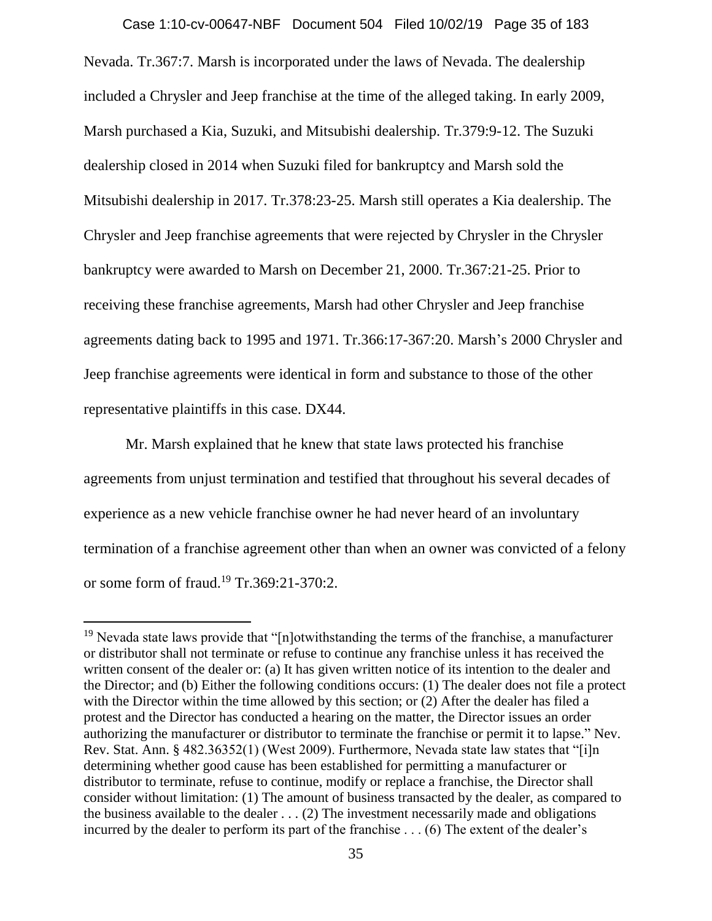Nevada. Tr.367:7. Marsh is incorporated under the laws of Nevada. The dealership included a Chrysler and Jeep franchise at the time of the alleged taking. In early 2009, Marsh purchased a Kia, Suzuki, and Mitsubishi dealership. Tr.379:9-12. The Suzuki dealership closed in 2014 when Suzuki filed for bankruptcy and Marsh sold the Mitsubishi dealership in 2017. Tr.378:23-25. Marsh still operates a Kia dealership. The Chrysler and Jeep franchise agreements that were rejected by Chrysler in the Chrysler bankruptcy were awarded to Marsh on December 21, 2000. Tr.367:21-25. Prior to receiving these franchise agreements, Marsh had other Chrysler and Jeep franchise agreements dating back to 1995 and 1971. Tr.366:17-367:20. Marsh's 2000 Chrysler and Jeep franchise agreements were identical in form and substance to those of the other representative plaintiffs in this case. DX44. Case 1:10-cv-00647-NBF Document 504 Filed 10/02/19 Page 35 of 183

Mr. Marsh explained that he knew that state laws protected his franchise agreements from unjust termination and testified that throughout his several decades of experience as a new vehicle franchise owner he had never heard of an involuntary termination of a franchise agreement other than when an owner was convicted of a felony or some form of fraud.<sup>19</sup> Tr.369:21-370:2.

<sup>&</sup>lt;sup>19</sup> Nevada state laws provide that " $[n]$ otwithstanding the terms of the franchise, a manufacturer or distributor shall not terminate or refuse to continue any franchise unless it has received the written consent of the dealer or: (a) It has given written notice of its intention to the dealer and the Director; and (b) Either the following conditions occurs: (1) The dealer does not file a protect with the Director within the time allowed by this section; or (2) After the dealer has filed a protest and the Director has conducted a hearing on the matter, the Director issues an order authorizing the manufacturer or distributor to terminate the franchise or permit it to lapse." Nev. Rev. Stat. Ann. § 482.36352(1) (West 2009). Furthermore, Nevada state law states that "[i]n determining whether good cause has been established for permitting a manufacturer or distributor to terminate, refuse to continue, modify or replace a franchise, the Director shall consider without limitation: (1) The amount of business transacted by the dealer, as compared to the business available to the dealer  $\dots$  (2) The investment necessarily made and obligations incurred by the dealer to perform its part of the franchise . . . (6) The extent of the dealer's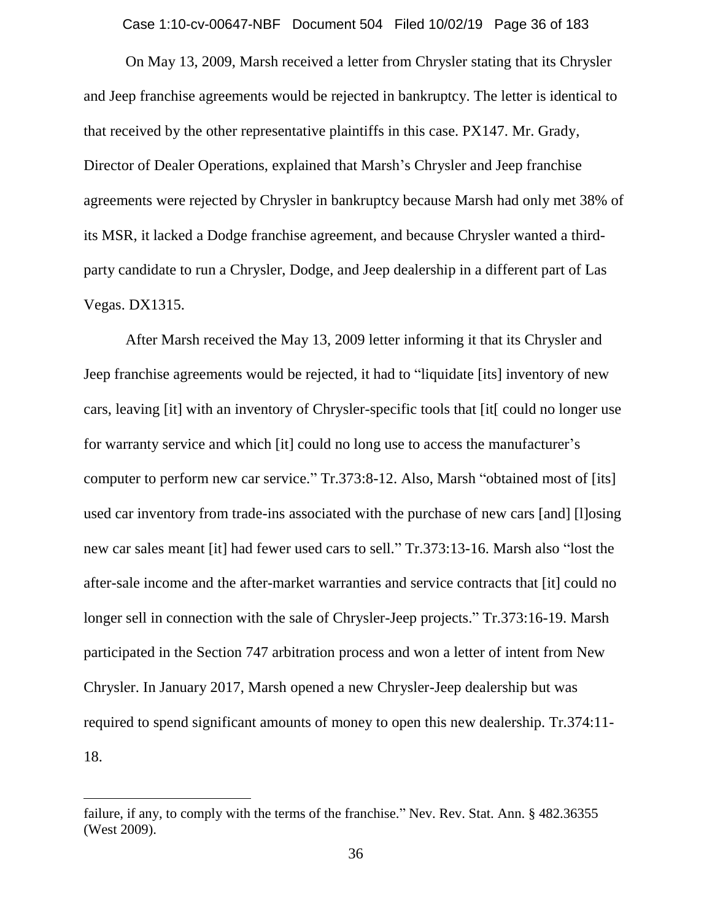Case 1:10-cv-00647-NBF Document 504 Filed 10/02/19 Page 36 of 183

On May 13, 2009, Marsh received a letter from Chrysler stating that its Chrysler and Jeep franchise agreements would be rejected in bankruptcy. The letter is identical to that received by the other representative plaintiffs in this case. PX147. Mr. Grady, Director of Dealer Operations, explained that Marsh's Chrysler and Jeep franchise agreements were rejected by Chrysler in bankruptcy because Marsh had only met 38% of its MSR, it lacked a Dodge franchise agreement, and because Chrysler wanted a thirdparty candidate to run a Chrysler, Dodge, and Jeep dealership in a different part of Las Vegas. DX1315.

After Marsh received the May 13, 2009 letter informing it that its Chrysler and Jeep franchise agreements would be rejected, it had to "liquidate [its] inventory of new cars, leaving [it] with an inventory of Chrysler-specific tools that [it[ could no longer use for warranty service and which [it] could no long use to access the manufacturer's computer to perform new car service." Tr.373:8-12. Also, Marsh "obtained most of [its] used car inventory from trade-ins associated with the purchase of new cars [and] [l]osing new car sales meant [it] had fewer used cars to sell." Tr.373:13-16. Marsh also "lost the after-sale income and the after-market warranties and service contracts that [it] could no longer sell in connection with the sale of Chrysler-Jeep projects." Tr.373:16-19. Marsh participated in the Section 747 arbitration process and won a letter of intent from New Chrysler. In January 2017, Marsh opened a new Chrysler-Jeep dealership but was required to spend significant amounts of money to open this new dealership. Tr.374:11- 18.

failure, if any, to comply with the terms of the franchise." Nev. Rev. Stat. Ann. § 482.36355 (West 2009).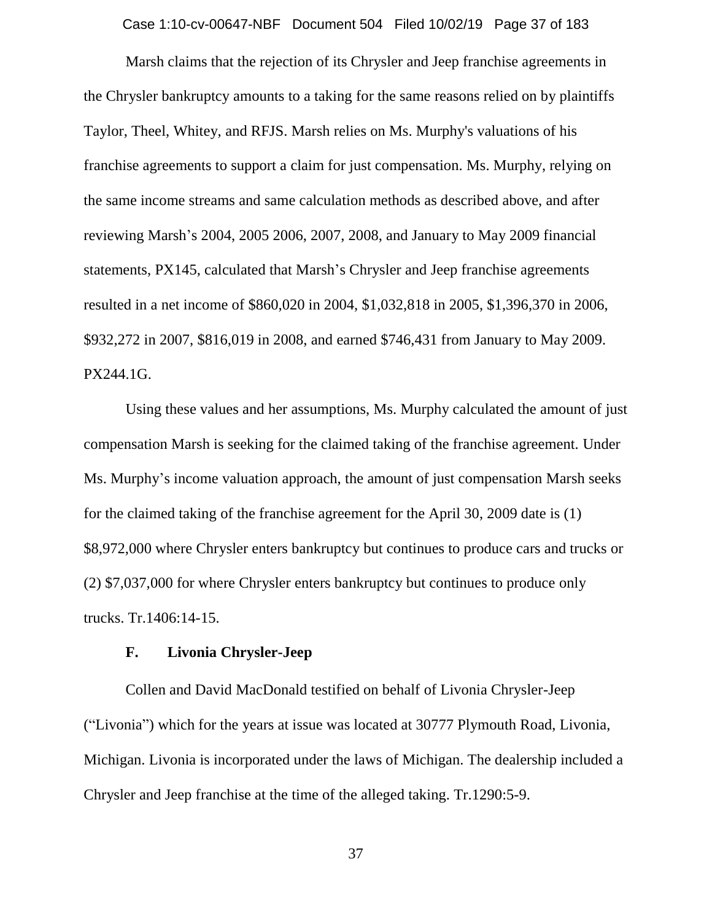Case 1:10-cv-00647-NBF Document 504 Filed 10/02/19 Page 37 of 183

Marsh claims that the rejection of its Chrysler and Jeep franchise agreements in the Chrysler bankruptcy amounts to a taking for the same reasons relied on by plaintiffs Taylor, Theel, Whitey, and RFJS. Marsh relies on Ms. Murphy's valuations of his franchise agreements to support a claim for just compensation. Ms. Murphy, relying on the same income streams and same calculation methods as described above, and after reviewing Marsh's 2004, 2005 2006, 2007, 2008, and January to May 2009 financial statements, PX145, calculated that Marsh's Chrysler and Jeep franchise agreements resulted in a net income of \$860,020 in 2004, \$1,032,818 in 2005, \$1,396,370 in 2006, \$932,272 in 2007, \$816,019 in 2008, and earned \$746,431 from January to May 2009. PX244.1G.

Using these values and her assumptions, Ms. Murphy calculated the amount of just compensation Marsh is seeking for the claimed taking of the franchise agreement. Under Ms. Murphy's income valuation approach, the amount of just compensation Marsh seeks for the claimed taking of the franchise agreement for the April 30, 2009 date is (1) \$8,972,000 where Chrysler enters bankruptcy but continues to produce cars and trucks or (2) \$7,037,000 for where Chrysler enters bankruptcy but continues to produce only trucks. Tr.1406:14-15.

## **F. Livonia Chrysler-Jeep**

Collen and David MacDonald testified on behalf of Livonia Chrysler-Jeep ("Livonia") which for the years at issue was located at 30777 Plymouth Road, Livonia, Michigan. Livonia is incorporated under the laws of Michigan. The dealership included a Chrysler and Jeep franchise at the time of the alleged taking. Tr.1290:5-9.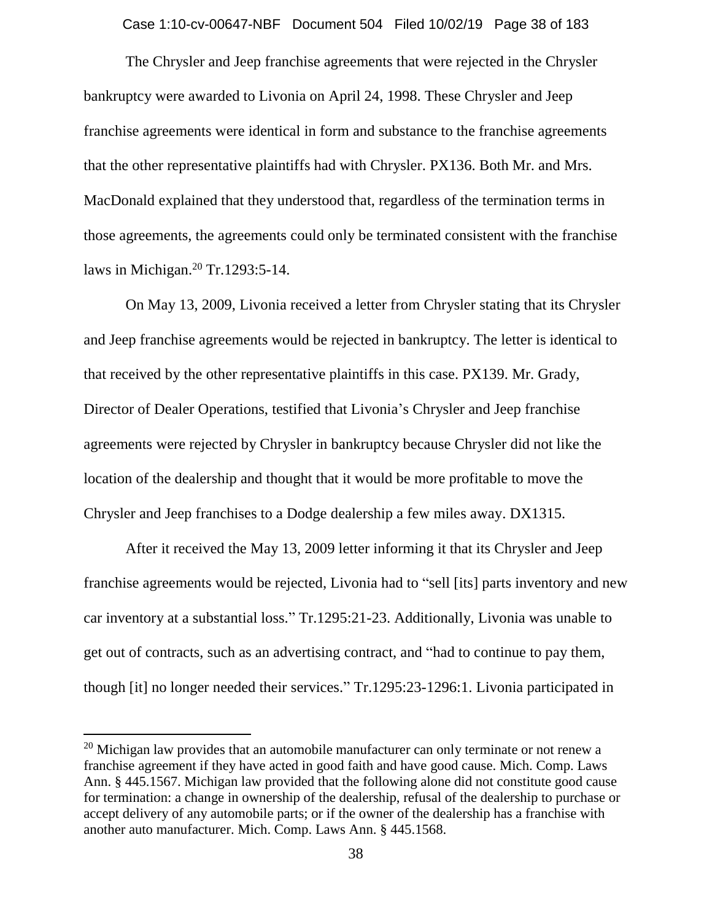Case 1:10-cv-00647-NBF Document 504 Filed 10/02/19 Page 38 of 183

The Chrysler and Jeep franchise agreements that were rejected in the Chrysler bankruptcy were awarded to Livonia on April 24, 1998. These Chrysler and Jeep franchise agreements were identical in form and substance to the franchise agreements that the other representative plaintiffs had with Chrysler. PX136. Both Mr. and Mrs. MacDonald explained that they understood that, regardless of the termination terms in those agreements, the agreements could only be terminated consistent with the franchise laws in Michigan.<sup>20</sup> Tr.1293:5-14.

On May 13, 2009, Livonia received a letter from Chrysler stating that its Chrysler and Jeep franchise agreements would be rejected in bankruptcy. The letter is identical to that received by the other representative plaintiffs in this case. PX139. Mr. Grady, Director of Dealer Operations, testified that Livonia's Chrysler and Jeep franchise agreements were rejected by Chrysler in bankruptcy because Chrysler did not like the location of the dealership and thought that it would be more profitable to move the Chrysler and Jeep franchises to a Dodge dealership a few miles away. DX1315.

After it received the May 13, 2009 letter informing it that its Chrysler and Jeep franchise agreements would be rejected, Livonia had to "sell [its] parts inventory and new car inventory at a substantial loss." Tr.1295:21-23. Additionally, Livonia was unable to get out of contracts, such as an advertising contract, and "had to continue to pay them, though [it] no longer needed their services." Tr.1295:23-1296:1. Livonia participated in

 $\overline{a}$ 

<sup>&</sup>lt;sup>20</sup> Michigan law provides that an automobile manufacturer can only terminate or not renew a franchise agreement if they have acted in good faith and have good cause. Mich. Comp. Laws Ann. § 445.1567. Michigan law provided that the following alone did not constitute good cause for termination: a change in ownership of the dealership, refusal of the dealership to purchase or accept delivery of any automobile parts; or if the owner of the dealership has a franchise with another auto manufacturer. Mich. Comp. Laws Ann. § 445.1568.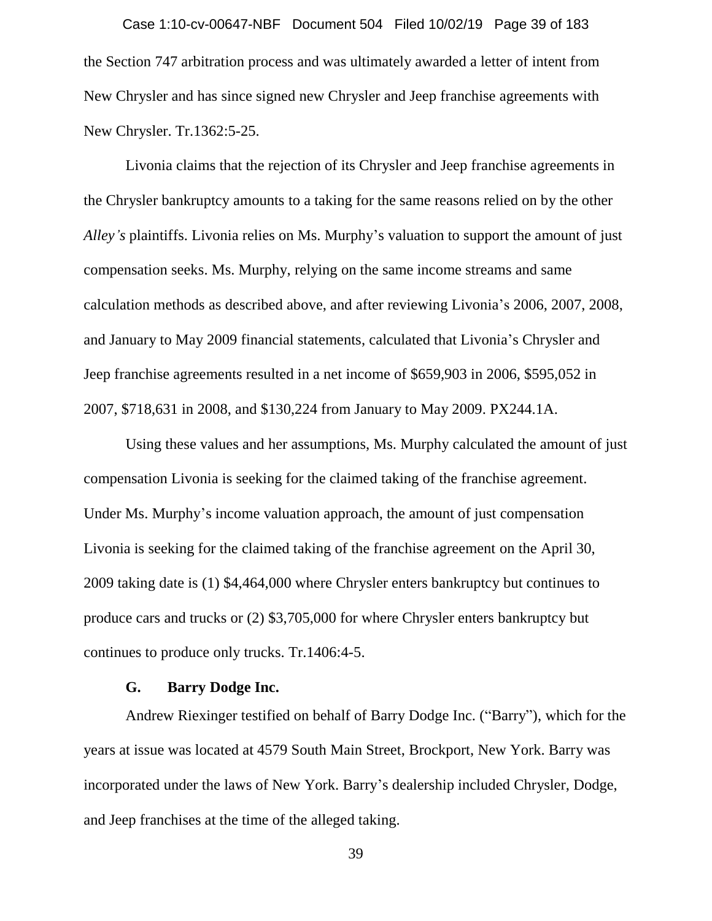the Section 747 arbitration process and was ultimately awarded a letter of intent from New Chrysler and has since signed new Chrysler and Jeep franchise agreements with New Chrysler. Tr.1362:5-25. Case 1:10-cv-00647-NBF Document 504 Filed 10/02/19 Page 39 of 183

Livonia claims that the rejection of its Chrysler and Jeep franchise agreements in the Chrysler bankruptcy amounts to a taking for the same reasons relied on by the other *Alley's* plaintiffs. Livonia relies on Ms. Murphy's valuation to support the amount of just compensation seeks. Ms. Murphy, relying on the same income streams and same calculation methods as described above, and after reviewing Livonia's 2006, 2007, 2008, and January to May 2009 financial statements, calculated that Livonia's Chrysler and Jeep franchise agreements resulted in a net income of \$659,903 in 2006, \$595,052 in 2007, \$718,631 in 2008, and \$130,224 from January to May 2009. PX244.1A.

Using these values and her assumptions, Ms. Murphy calculated the amount of just compensation Livonia is seeking for the claimed taking of the franchise agreement. Under Ms. Murphy's income valuation approach, the amount of just compensation Livonia is seeking for the claimed taking of the franchise agreement on the April 30, 2009 taking date is (1) \$4,464,000 where Chrysler enters bankruptcy but continues to produce cars and trucks or (2) \$3,705,000 for where Chrysler enters bankruptcy but continues to produce only trucks. Tr.1406:4-5.

## **G. Barry Dodge Inc.**

Andrew Riexinger testified on behalf of Barry Dodge Inc. ("Barry"), which for the years at issue was located at 4579 South Main Street, Brockport, New York. Barry was incorporated under the laws of New York. Barry's dealership included Chrysler, Dodge, and Jeep franchises at the time of the alleged taking.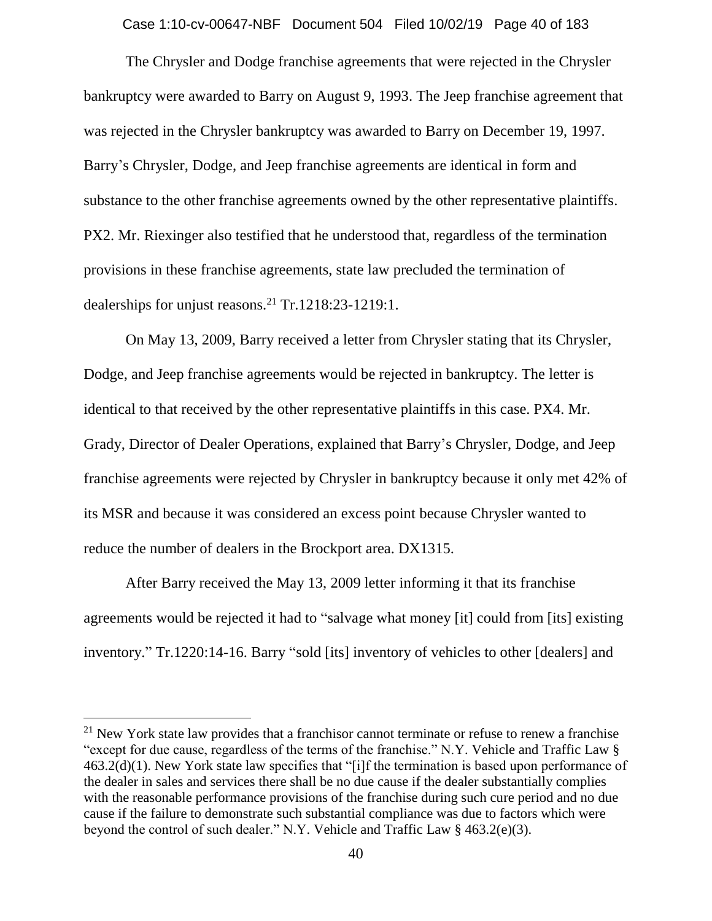Case 1:10-cv-00647-NBF Document 504 Filed 10/02/19 Page 40 of 183

The Chrysler and Dodge franchise agreements that were rejected in the Chrysler bankruptcy were awarded to Barry on August 9, 1993. The Jeep franchise agreement that was rejected in the Chrysler bankruptcy was awarded to Barry on December 19, 1997. Barry's Chrysler, Dodge, and Jeep franchise agreements are identical in form and substance to the other franchise agreements owned by the other representative plaintiffs. PX2. Mr. Riexinger also testified that he understood that, regardless of the termination provisions in these franchise agreements, state law precluded the termination of dealerships for unjust reasons.<sup>21</sup> Tr.1218:23-1219:1.

On May 13, 2009, Barry received a letter from Chrysler stating that its Chrysler, Dodge, and Jeep franchise agreements would be rejected in bankruptcy. The letter is identical to that received by the other representative plaintiffs in this case. PX4. Mr. Grady, Director of Dealer Operations, explained that Barry's Chrysler, Dodge, and Jeep franchise agreements were rejected by Chrysler in bankruptcy because it only met 42% of its MSR and because it was considered an excess point because Chrysler wanted to reduce the number of dealers in the Brockport area. DX1315.

After Barry received the May 13, 2009 letter informing it that its franchise agreements would be rejected it had to "salvage what money [it] could from [its] existing inventory." Tr.1220:14-16. Barry "sold [its] inventory of vehicles to other [dealers] and

 $21$  New York state law provides that a franchisor cannot terminate or refuse to renew a franchise "except for due cause, regardless of the terms of the franchise." N.Y. Vehicle and Traffic Law § 463.2(d)(1). New York state law specifies that "[i]f the termination is based upon performance of the dealer in sales and services there shall be no due cause if the dealer substantially complies with the reasonable performance provisions of the franchise during such cure period and no due cause if the failure to demonstrate such substantial compliance was due to factors which were beyond the control of such dealer." N.Y. Vehicle and Traffic Law § 463.2(e)(3).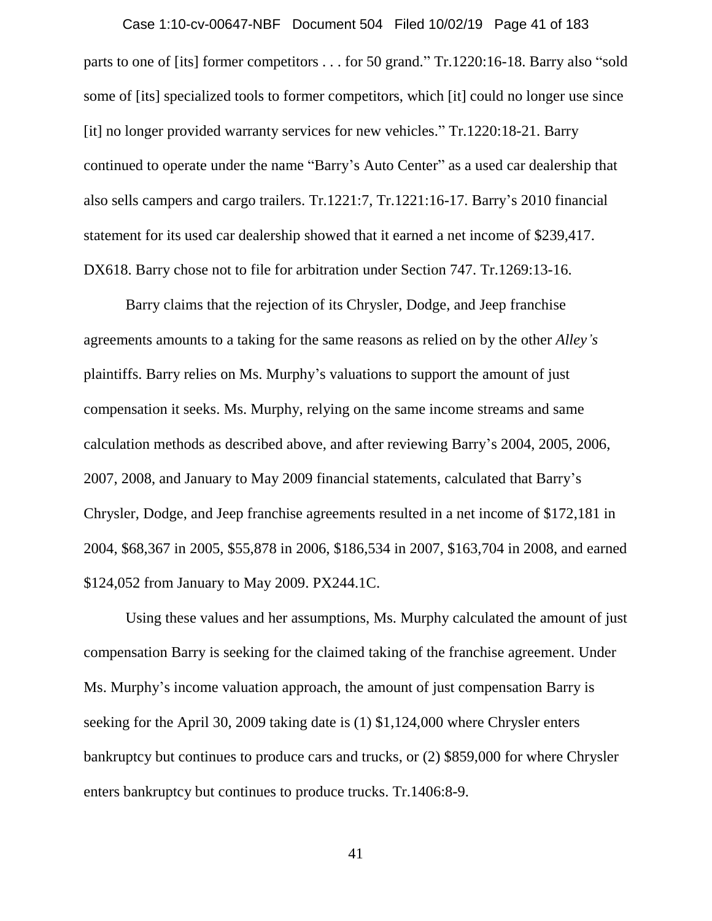parts to one of [its] former competitors . . . for 50 grand." Tr.1220:16-18. Barry also "sold some of [its] specialized tools to former competitors, which [it] could no longer use since [it] no longer provided warranty services for new vehicles." Tr.1220:18-21. Barry continued to operate under the name "Barry's Auto Center" as a used car dealership that also sells campers and cargo trailers. Tr.1221:7, Tr.1221:16-17. Barry's 2010 financial statement for its used car dealership showed that it earned a net income of \$239,417. DX618. Barry chose not to file for arbitration under Section 747. Tr.1269:13-16. Case 1:10-cv-00647-NBF Document 504 Filed 10/02/19 Page 41 of 183

Barry claims that the rejection of its Chrysler, Dodge, and Jeep franchise agreements amounts to a taking for the same reasons as relied on by the other *Alley's*  plaintiffs. Barry relies on Ms. Murphy's valuations to support the amount of just compensation it seeks. Ms. Murphy, relying on the same income streams and same calculation methods as described above, and after reviewing Barry's 2004, 2005, 2006, 2007, 2008, and January to May 2009 financial statements, calculated that Barry's Chrysler, Dodge, and Jeep franchise agreements resulted in a net income of \$172,181 in 2004, \$68,367 in 2005, \$55,878 in 2006, \$186,534 in 2007, \$163,704 in 2008, and earned \$124,052 from January to May 2009. PX244.1C.

Using these values and her assumptions, Ms. Murphy calculated the amount of just compensation Barry is seeking for the claimed taking of the franchise agreement. Under Ms. Murphy's income valuation approach, the amount of just compensation Barry is seeking for the April 30, 2009 taking date is (1) \$1,124,000 where Chrysler enters bankruptcy but continues to produce cars and trucks, or (2) \$859,000 for where Chrysler enters bankruptcy but continues to produce trucks. Tr.1406:8-9.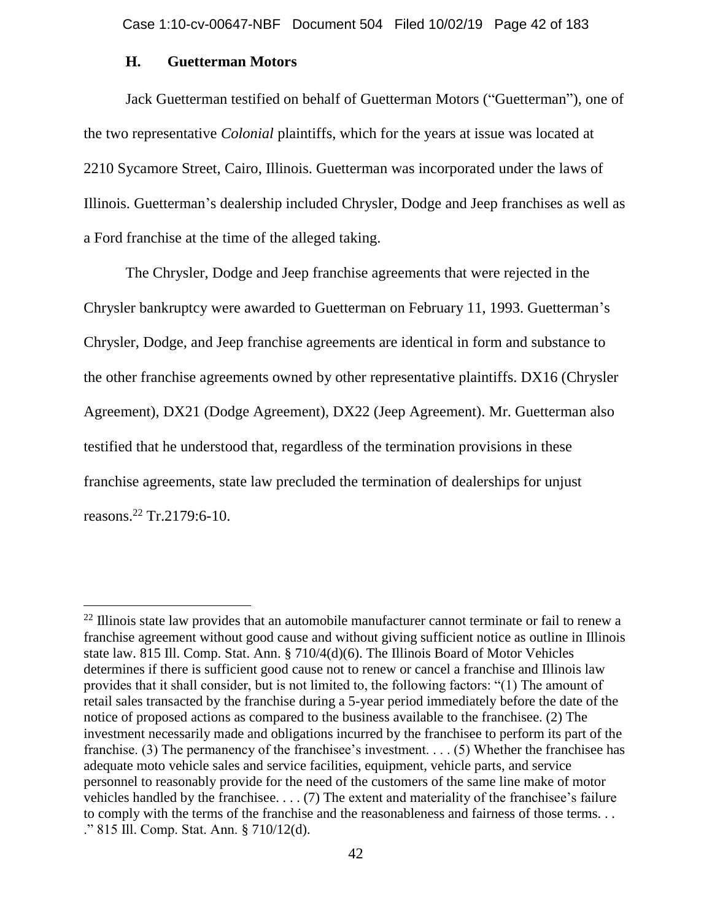Case 1:10-cv-00647-NBF Document 504 Filed 10/02/19 Page 42 of 183

# **H. Guetterman Motors**

Jack Guetterman testified on behalf of Guetterman Motors ("Guetterman"), one of the two representative *Colonial* plaintiffs, which for the years at issue was located at 2210 Sycamore Street, Cairo, Illinois. Guetterman was incorporated under the laws of Illinois. Guetterman's dealership included Chrysler, Dodge and Jeep franchises as well as a Ford franchise at the time of the alleged taking.

The Chrysler, Dodge and Jeep franchise agreements that were rejected in the Chrysler bankruptcy were awarded to Guetterman on February 11, 1993. Guetterman's Chrysler, Dodge, and Jeep franchise agreements are identical in form and substance to the other franchise agreements owned by other representative plaintiffs. DX16 (Chrysler Agreement), DX21 (Dodge Agreement), DX22 (Jeep Agreement). Mr. Guetterman also testified that he understood that, regardless of the termination provisions in these franchise agreements, state law precluded the termination of dealerships for unjust reasons.<sup>22</sup> Tr.2179:6-10.

 $^{22}$  Illinois state law provides that an automobile manufacturer cannot terminate or fail to renew a franchise agreement without good cause and without giving sufficient notice as outline in Illinois state law. 815 Ill. Comp. Stat. Ann. § 710/4(d)(6). The Illinois Board of Motor Vehicles determines if there is sufficient good cause not to renew or cancel a franchise and Illinois law provides that it shall consider, but is not limited to, the following factors: "(1) The amount of retail sales transacted by the franchise during a 5-year period immediately before the date of the notice of proposed actions as compared to the business available to the franchisee. (2) The investment necessarily made and obligations incurred by the franchisee to perform its part of the franchise. (3) The permanency of the franchisee's investment. . . . (5) Whether the franchisee has adequate moto vehicle sales and service facilities, equipment, vehicle parts, and service personnel to reasonably provide for the need of the customers of the same line make of motor vehicles handled by the franchisee. . . . (7) The extent and materiality of the franchisee's failure to comply with the terms of the franchise and the reasonableness and fairness of those terms. . . ." 815 Ill. Comp. Stat. Ann. § 710/12(d).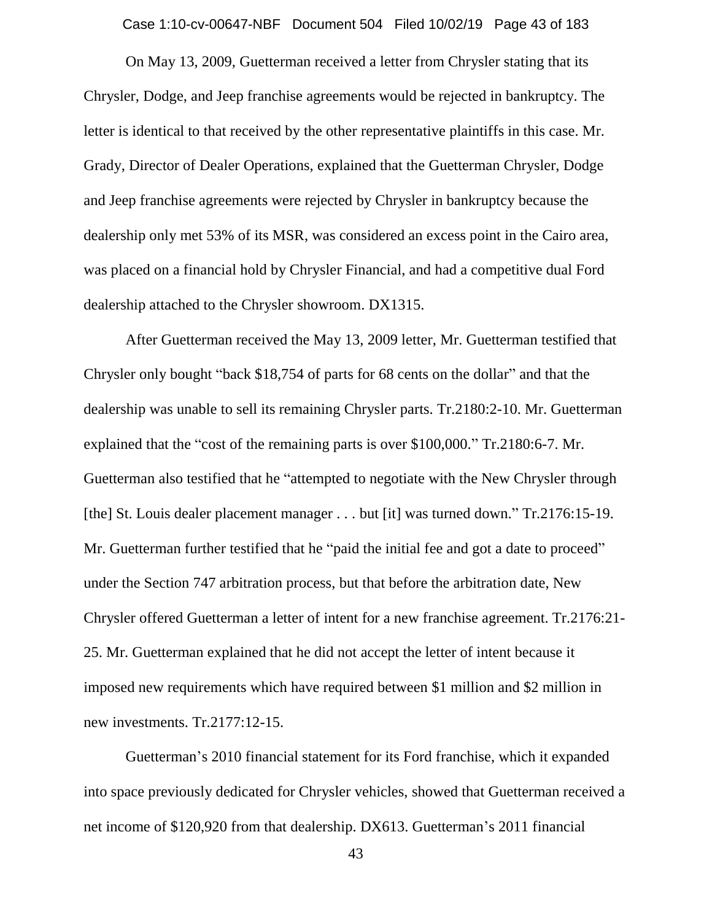Case 1:10-cv-00647-NBF Document 504 Filed 10/02/19 Page 43 of 183

On May 13, 2009, Guetterman received a letter from Chrysler stating that its Chrysler, Dodge, and Jeep franchise agreements would be rejected in bankruptcy. The letter is identical to that received by the other representative plaintiffs in this case. Mr. Grady, Director of Dealer Operations, explained that the Guetterman Chrysler, Dodge and Jeep franchise agreements were rejected by Chrysler in bankruptcy because the dealership only met 53% of its MSR, was considered an excess point in the Cairo area, was placed on a financial hold by Chrysler Financial, and had a competitive dual Ford dealership attached to the Chrysler showroom. DX1315.

After Guetterman received the May 13, 2009 letter, Mr. Guetterman testified that Chrysler only bought "back \$18,754 of parts for 68 cents on the dollar" and that the dealership was unable to sell its remaining Chrysler parts. Tr.2180:2-10. Mr. Guetterman explained that the "cost of the remaining parts is over \$100,000." Tr.2180:6-7. Mr. Guetterman also testified that he "attempted to negotiate with the New Chrysler through [the] St. Louis dealer placement manager . . . but [it] was turned down." Tr.2176:15-19. Mr. Guetterman further testified that he "paid the initial fee and got a date to proceed" under the Section 747 arbitration process, but that before the arbitration date, New Chrysler offered Guetterman a letter of intent for a new franchise agreement. Tr.2176:21- 25. Mr. Guetterman explained that he did not accept the letter of intent because it imposed new requirements which have required between \$1 million and \$2 million in new investments. Tr.2177:12-15.

Guetterman's 2010 financial statement for its Ford franchise, which it expanded into space previously dedicated for Chrysler vehicles, showed that Guetterman received a net income of \$120,920 from that dealership. DX613. Guetterman's 2011 financial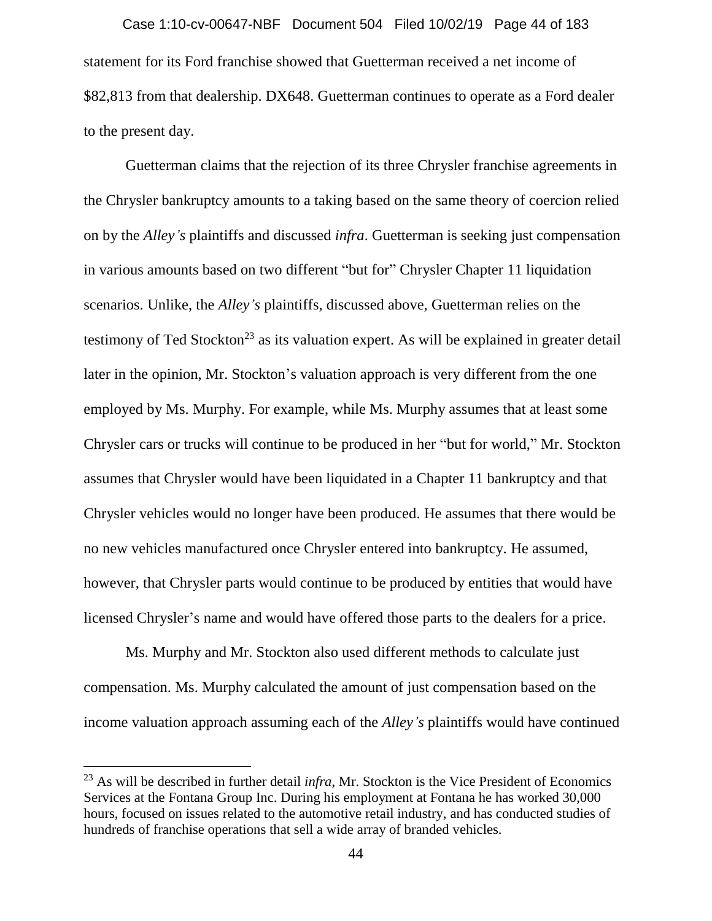statement for its Ford franchise showed that Guetterman received a net income of \$82,813 from that dealership. DX648. Guetterman continues to operate as a Ford dealer to the present day. Case 1:10-cv-00647-NBF Document 504 Filed 10/02/19 Page 44 of 183

Guetterman claims that the rejection of its three Chrysler franchise agreements in the Chrysler bankruptcy amounts to a taking based on the same theory of coercion relied on by the *Alley's* plaintiffs and discussed *infra*. Guetterman is seeking just compensation in various amounts based on two different "but for" Chrysler Chapter 11 liquidation scenarios. Unlike, the *Alley's* plaintiffs, discussed above, Guetterman relies on the testimony of Ted Stockton<sup>23</sup> as its valuation expert. As will be explained in greater detail later in the opinion, Mr. Stockton's valuation approach is very different from the one employed by Ms. Murphy. For example, while Ms. Murphy assumes that at least some Chrysler cars or trucks will continue to be produced in her "but for world," Mr. Stockton assumes that Chrysler would have been liquidated in a Chapter 11 bankruptcy and that Chrysler vehicles would no longer have been produced. He assumes that there would be no new vehicles manufactured once Chrysler entered into bankruptcy. He assumed, however, that Chrysler parts would continue to be produced by entities that would have licensed Chrysler's name and would have offered those parts to the dealers for a price.

Ms. Murphy and Mr. Stockton also used different methods to calculate just compensation. Ms. Murphy calculated the amount of just compensation based on the income valuation approach assuming each of the *Alley's* plaintiffs would have continued

 $\overline{a}$ 

<sup>23</sup> As will be described in further detail *infra*, Mr. Stockton is the Vice President of Economics Services at the Fontana Group Inc. During his employment at Fontana he has worked 30,000 hours, focused on issues related to the automotive retail industry, and has conducted studies of hundreds of franchise operations that sell a wide array of branded vehicles.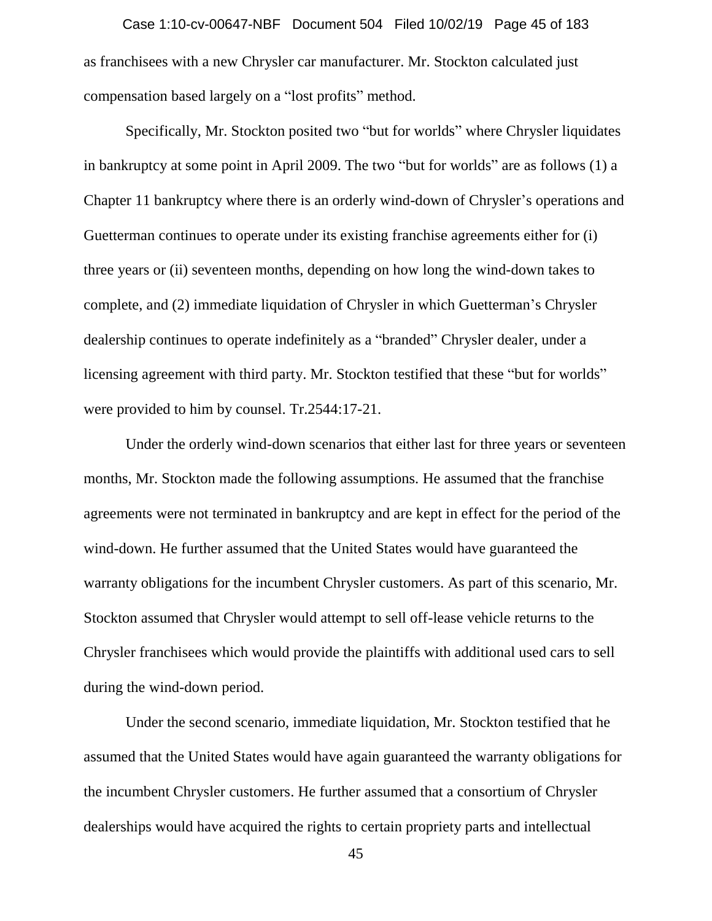as franchisees with a new Chrysler car manufacturer. Mr. Stockton calculated just compensation based largely on a "lost profits" method. Case 1:10-cv-00647-NBF Document 504 Filed 10/02/19 Page 45 of 183

Specifically, Mr. Stockton posited two "but for worlds" where Chrysler liquidates in bankruptcy at some point in April 2009. The two "but for worlds" are as follows (1) a Chapter 11 bankruptcy where there is an orderly wind-down of Chrysler's operations and Guetterman continues to operate under its existing franchise agreements either for (i) three years or (ii) seventeen months, depending on how long the wind-down takes to complete, and (2) immediate liquidation of Chrysler in which Guetterman's Chrysler dealership continues to operate indefinitely as a "branded" Chrysler dealer, under a licensing agreement with third party. Mr. Stockton testified that these "but for worlds" were provided to him by counsel. Tr.2544:17-21.

Under the orderly wind-down scenarios that either last for three years or seventeen months, Mr. Stockton made the following assumptions. He assumed that the franchise agreements were not terminated in bankruptcy and are kept in effect for the period of the wind-down. He further assumed that the United States would have guaranteed the warranty obligations for the incumbent Chrysler customers. As part of this scenario, Mr. Stockton assumed that Chrysler would attempt to sell off-lease vehicle returns to the Chrysler franchisees which would provide the plaintiffs with additional used cars to sell during the wind-down period.

Under the second scenario, immediate liquidation, Mr. Stockton testified that he assumed that the United States would have again guaranteed the warranty obligations for the incumbent Chrysler customers. He further assumed that a consortium of Chrysler dealerships would have acquired the rights to certain propriety parts and intellectual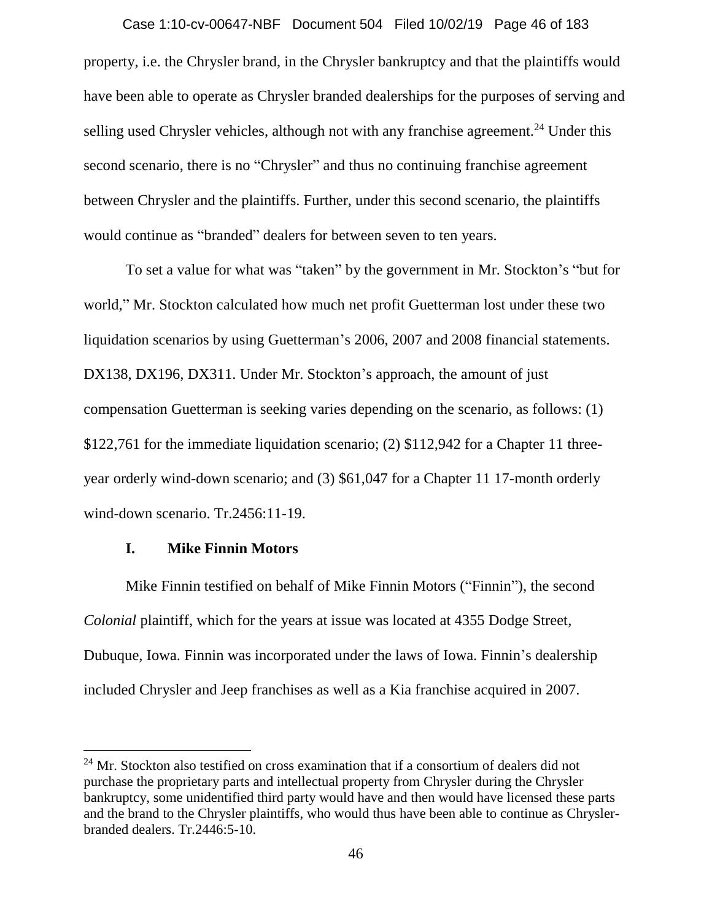property, i.e. the Chrysler brand, in the Chrysler bankruptcy and that the plaintiffs would have been able to operate as Chrysler branded dealerships for the purposes of serving and selling used Chrysler vehicles, although not with any franchise agreement.<sup>24</sup> Under this second scenario, there is no "Chrysler" and thus no continuing franchise agreement between Chrysler and the plaintiffs. Further, under this second scenario, the plaintiffs would continue as "branded" dealers for between seven to ten years. Case 1:10-cv-00647-NBF Document 504 Filed 10/02/19 Page 46 of 183

To set a value for what was "taken" by the government in Mr. Stockton's "but for world," Mr. Stockton calculated how much net profit Guetterman lost under these two liquidation scenarios by using Guetterman's 2006, 2007 and 2008 financial statements. DX138, DX196, DX311. Under Mr. Stockton's approach, the amount of just compensation Guetterman is seeking varies depending on the scenario, as follows: (1) \$122,761 for the immediate liquidation scenario; (2) \$112,942 for a Chapter 11 threeyear orderly wind-down scenario; and (3) \$61,047 for a Chapter 11 17-month orderly wind-down scenario. Tr.2456:11-19.

## **I. Mike Finnin Motors**

 $\overline{a}$ 

Mike Finnin testified on behalf of Mike Finnin Motors ("Finnin"), the second *Colonial* plaintiff, which for the years at issue was located at 4355 Dodge Street, Dubuque, Iowa. Finnin was incorporated under the laws of Iowa. Finnin's dealership included Chrysler and Jeep franchises as well as a Kia franchise acquired in 2007.

 $24$  Mr. Stockton also testified on cross examination that if a consortium of dealers did not purchase the proprietary parts and intellectual property from Chrysler during the Chrysler bankruptcy, some unidentified third party would have and then would have licensed these parts and the brand to the Chrysler plaintiffs, who would thus have been able to continue as Chryslerbranded dealers. Tr.2446:5-10.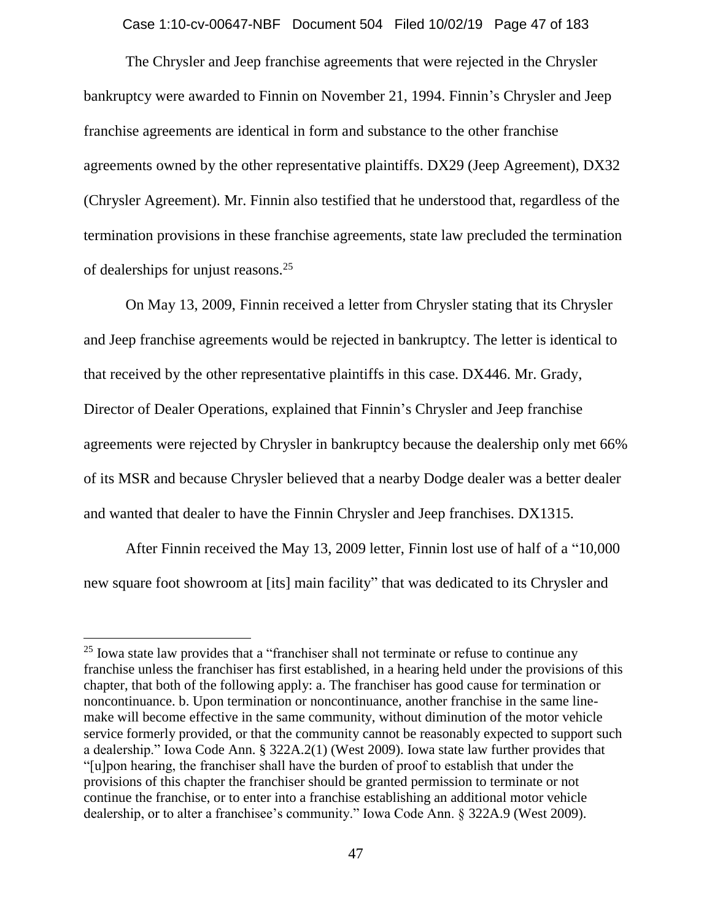Case 1:10-cv-00647-NBF Document 504 Filed 10/02/19 Page 47 of 183

The Chrysler and Jeep franchise agreements that were rejected in the Chrysler bankruptcy were awarded to Finnin on November 21, 1994. Finnin's Chrysler and Jeep franchise agreements are identical in form and substance to the other franchise agreements owned by the other representative plaintiffs. DX29 (Jeep Agreement), DX32 (Chrysler Agreement). Mr. Finnin also testified that he understood that, regardless of the termination provisions in these franchise agreements, state law precluded the termination of dealerships for unjust reasons.<sup>25</sup>

On May 13, 2009, Finnin received a letter from Chrysler stating that its Chrysler and Jeep franchise agreements would be rejected in bankruptcy. The letter is identical to that received by the other representative plaintiffs in this case. DX446. Mr. Grady, Director of Dealer Operations, explained that Finnin's Chrysler and Jeep franchise agreements were rejected by Chrysler in bankruptcy because the dealership only met 66% of its MSR and because Chrysler believed that a nearby Dodge dealer was a better dealer and wanted that dealer to have the Finnin Chrysler and Jeep franchises. DX1315.

After Finnin received the May 13, 2009 letter, Finnin lost use of half of a "10,000 new square foot showroom at [its] main facility" that was dedicated to its Chrysler and

 $\overline{a}$ 

 $25$  Iowa state law provides that a "franchiser shall not terminate or refuse to continue any franchise unless the franchiser has first established, in a hearing held under the provisions of this chapter, that both of the following apply: a. The franchiser has good cause for termination or noncontinuance. b. Upon termination or noncontinuance, another franchise in the same linemake will become effective in the same community, without diminution of the motor vehicle service formerly provided, or that the community cannot be reasonably expected to support such a dealership." Iowa Code Ann. § 322A.2(1) (West 2009). Iowa state law further provides that "[u]pon hearing, the franchiser shall have the burden of proof to establish that under the provisions of this chapter the franchiser should be granted permission to terminate or not continue the franchise, or to enter into a franchise establishing an additional motor vehicle dealership, or to alter a franchisee's community." Iowa Code Ann. § 322A.9 (West 2009).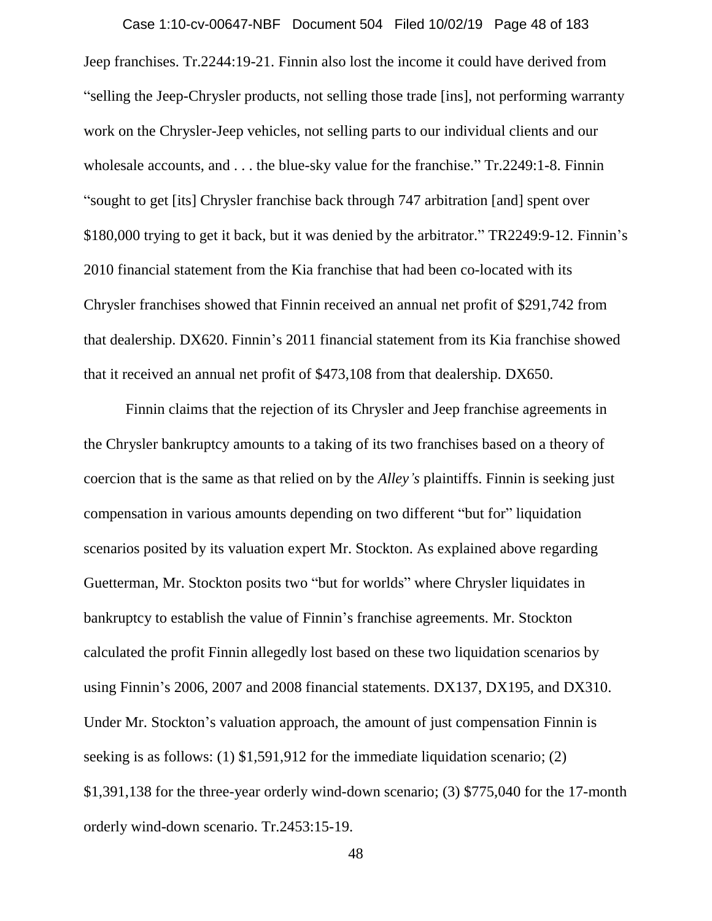Jeep franchises. Tr.2244:19-21. Finnin also lost the income it could have derived from "selling the Jeep-Chrysler products, not selling those trade [ins], not performing warranty work on the Chrysler-Jeep vehicles, not selling parts to our individual clients and our wholesale accounts, and . . . the blue-sky value for the franchise." Tr.2249:1-8. Finnin "sought to get [its] Chrysler franchise back through 747 arbitration [and] spent over \$180,000 trying to get it back, but it was denied by the arbitrator." TR2249:9-12. Finnin's 2010 financial statement from the Kia franchise that had been co-located with its Chrysler franchises showed that Finnin received an annual net profit of \$291,742 from that dealership. DX620. Finnin's 2011 financial statement from its Kia franchise showed that it received an annual net profit of \$473,108 from that dealership. DX650. Case 1:10-cv-00647-NBF Document 504 Filed 10/02/19 Page 48 of 183

Finnin claims that the rejection of its Chrysler and Jeep franchise agreements in the Chrysler bankruptcy amounts to a taking of its two franchises based on a theory of coercion that is the same as that relied on by the *Alley's* plaintiffs. Finnin is seeking just compensation in various amounts depending on two different "but for" liquidation scenarios posited by its valuation expert Mr. Stockton. As explained above regarding Guetterman, Mr. Stockton posits two "but for worlds" where Chrysler liquidates in bankruptcy to establish the value of Finnin's franchise agreements. Mr. Stockton calculated the profit Finnin allegedly lost based on these two liquidation scenarios by using Finnin's 2006, 2007 and 2008 financial statements. DX137, DX195, and DX310. Under Mr. Stockton's valuation approach, the amount of just compensation Finnin is seeking is as follows: (1) \$1,591,912 for the immediate liquidation scenario; (2) \$1,391,138 for the three-year orderly wind-down scenario; (3) \$775,040 for the 17-month orderly wind-down scenario. Tr.2453:15-19.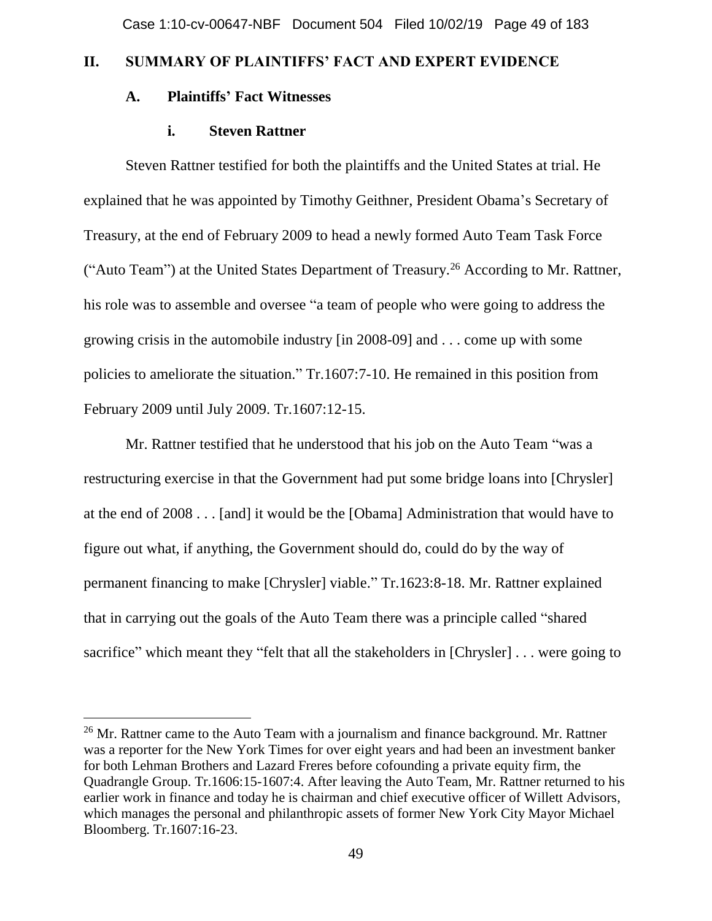# **II. SUMMARY OF PLAINTIFFS' FACT AND EXPERT EVIDENCE**

# **A. Plaintiffs' Fact Witnesses**

## **i. Steven Rattner**

Steven Rattner testified for both the plaintiffs and the United States at trial. He explained that he was appointed by Timothy Geithner, President Obama's Secretary of Treasury, at the end of February 2009 to head a newly formed Auto Team Task Force ("Auto Team") at the United States Department of Treasury.<sup>26</sup> According to Mr. Rattner, his role was to assemble and oversee "a team of people who were going to address the growing crisis in the automobile industry [in 2008-09] and . . . come up with some policies to ameliorate the situation." Tr.1607:7-10. He remained in this position from February 2009 until July 2009. Tr.1607:12-15.

Mr. Rattner testified that he understood that his job on the Auto Team "was a restructuring exercise in that the Government had put some bridge loans into [Chrysler] at the end of 2008 . . . [and] it would be the [Obama] Administration that would have to figure out what, if anything, the Government should do, could do by the way of permanent financing to make [Chrysler] viable." Tr.1623:8-18. Mr. Rattner explained that in carrying out the goals of the Auto Team there was a principle called "shared sacrifice" which meant they "felt that all the stakeholders in [Chrysler] ... were going to

<sup>&</sup>lt;sup>26</sup> Mr. Rattner came to the Auto Team with a journalism and finance background. Mr. Rattner was a reporter for the New York Times for over eight years and had been an investment banker for both Lehman Brothers and Lazard Freres before cofounding a private equity firm, the Quadrangle Group. Tr.1606:15-1607:4. After leaving the Auto Team, Mr. Rattner returned to his earlier work in finance and today he is chairman and chief executive officer of Willett Advisors, which manages the personal and philanthropic assets of former New York City Mayor Michael Bloomberg. Tr.1607:16-23.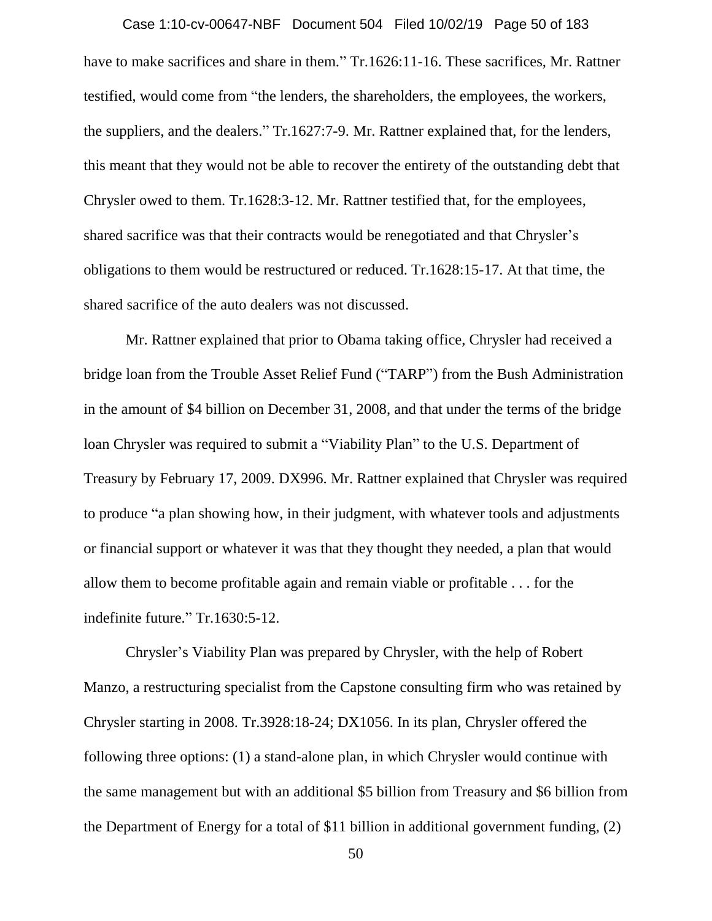have to make sacrifices and share in them." Tr.1626:11-16. These sacrifices, Mr. Rattner testified, would come from "the lenders, the shareholders, the employees, the workers, the suppliers, and the dealers." Tr.1627:7-9. Mr. Rattner explained that, for the lenders, this meant that they would not be able to recover the entirety of the outstanding debt that Chrysler owed to them. Tr.1628:3-12. Mr. Rattner testified that, for the employees, shared sacrifice was that their contracts would be renegotiated and that Chrysler's obligations to them would be restructured or reduced. Tr.1628:15-17. At that time, the shared sacrifice of the auto dealers was not discussed. Case 1:10-cv-00647-NBF Document 504 Filed 10/02/19 Page 50 of 183

Mr. Rattner explained that prior to Obama taking office, Chrysler had received a bridge loan from the Trouble Asset Relief Fund ("TARP") from the Bush Administration in the amount of \$4 billion on December 31, 2008, and that under the terms of the bridge loan Chrysler was required to submit a "Viability Plan" to the U.S. Department of Treasury by February 17, 2009. DX996. Mr. Rattner explained that Chrysler was required to produce "a plan showing how, in their judgment, with whatever tools and adjustments or financial support or whatever it was that they thought they needed, a plan that would allow them to become profitable again and remain viable or profitable . . . for the indefinite future." Tr.1630:5-12.

Chrysler's Viability Plan was prepared by Chrysler, with the help of Robert Manzo, a restructuring specialist from the Capstone consulting firm who was retained by Chrysler starting in 2008. Tr.3928:18-24; DX1056. In its plan, Chrysler offered the following three options: (1) a stand-alone plan, in which Chrysler would continue with the same management but with an additional \$5 billion from Treasury and \$6 billion from the Department of Energy for a total of \$11 billion in additional government funding, (2)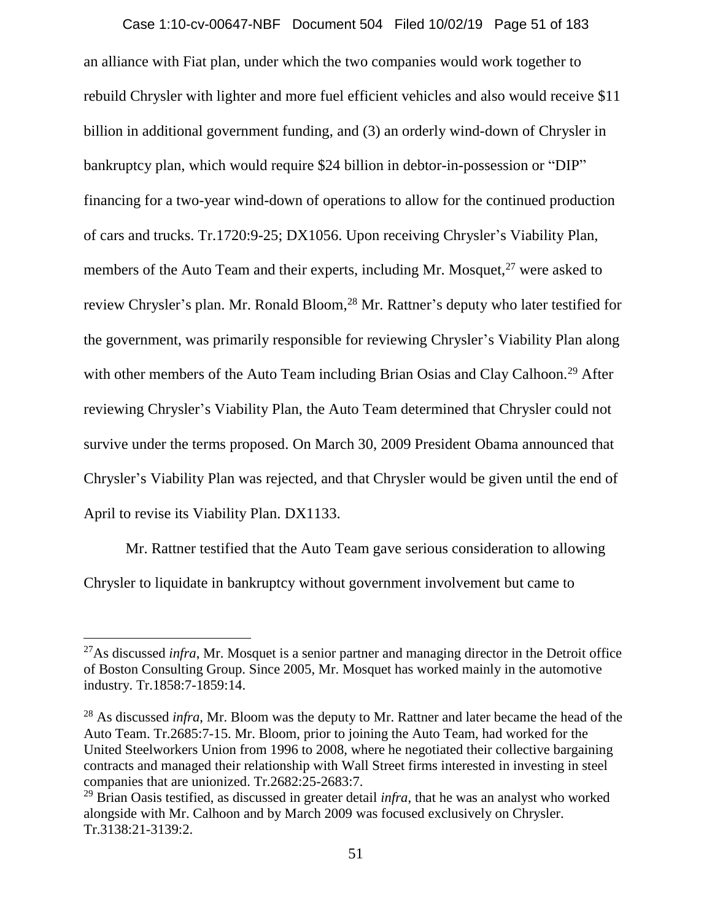an alliance with Fiat plan, under which the two companies would work together to rebuild Chrysler with lighter and more fuel efficient vehicles and also would receive \$11 billion in additional government funding, and (3) an orderly wind-down of Chrysler in bankruptcy plan, which would require \$24 billion in debtor-in-possession or "DIP" financing for a two-year wind-down of operations to allow for the continued production of cars and trucks. Tr.1720:9-25; DX1056. Upon receiving Chrysler's Viability Plan, members of the Auto Team and their experts, including Mr. Mosquet,  $27$  were asked to review Chrysler's plan. Mr. Ronald Bloom,<sup>28</sup> Mr. Rattner's deputy who later testified for the government, was primarily responsible for reviewing Chrysler's Viability Plan along with other members of the Auto Team including Brian Osias and Clay Calhoon.<sup>29</sup> After reviewing Chrysler's Viability Plan, the Auto Team determined that Chrysler could not survive under the terms proposed. On March 30, 2009 President Obama announced that Chrysler's Viability Plan was rejected, and that Chrysler would be given until the end of April to revise its Viability Plan. DX1133. Case 1:10-cv-00647-NBF Document 504 Filed 10/02/19 Page 51 of 183

Mr. Rattner testified that the Auto Team gave serious consideration to allowing Chrysler to liquidate in bankruptcy without government involvement but came to

 $\overline{a}$ 

<sup>27</sup>As discussed *infra*, Mr. Mosquet is a senior partner and managing director in the Detroit office of Boston Consulting Group. Since 2005, Mr. Mosquet has worked mainly in the automotive industry. Tr.1858:7-1859:14.

<sup>&</sup>lt;sup>28</sup> As discussed *infra*, Mr. Bloom was the deputy to Mr. Rattner and later became the head of the Auto Team. Tr.2685:7-15. Mr. Bloom, prior to joining the Auto Team, had worked for the United Steelworkers Union from 1996 to 2008, where he negotiated their collective bargaining contracts and managed their relationship with Wall Street firms interested in investing in steel companies that are unionized. Tr.2682:25-2683:7.

<sup>29</sup> Brian Oasis testified, as discussed in greater detail *infra*, that he was an analyst who worked alongside with Mr. Calhoon and by March 2009 was focused exclusively on Chrysler. Tr.3138:21-3139:2.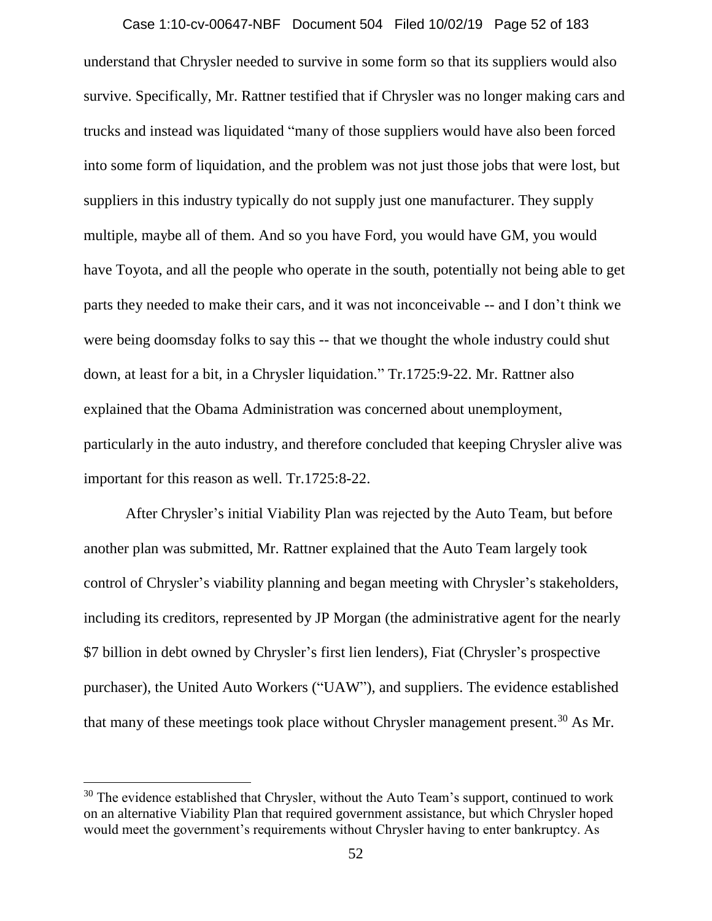#### Case 1:10-cv-00647-NBF Document 504 Filed 10/02/19 Page 52 of 183

understand that Chrysler needed to survive in some form so that its suppliers would also survive. Specifically, Mr. Rattner testified that if Chrysler was no longer making cars and trucks and instead was liquidated "many of those suppliers would have also been forced into some form of liquidation, and the problem was not just those jobs that were lost, but suppliers in this industry typically do not supply just one manufacturer. They supply multiple, maybe all of them. And so you have Ford, you would have GM, you would have Toyota, and all the people who operate in the south, potentially not being able to get parts they needed to make their cars, and it was not inconceivable -- and I don't think we were being doomsday folks to say this -- that we thought the whole industry could shut down, at least for a bit, in a Chrysler liquidation." Tr.1725:9-22. Mr. Rattner also explained that the Obama Administration was concerned about unemployment, particularly in the auto industry, and therefore concluded that keeping Chrysler alive was important for this reason as well. Tr.1725:8-22.

After Chrysler's initial Viability Plan was rejected by the Auto Team, but before another plan was submitted, Mr. Rattner explained that the Auto Team largely took control of Chrysler's viability planning and began meeting with Chrysler's stakeholders, including its creditors, represented by JP Morgan (the administrative agent for the nearly \$7 billion in debt owned by Chrysler's first lien lenders), Fiat (Chrysler's prospective purchaser), the United Auto Workers ("UAW"), and suppliers. The evidence established that many of these meetings took place without Chrysler management present.<sup>30</sup> As Mr.

 $30$  The evidence established that Chrysler, without the Auto Team's support, continued to work on an alternative Viability Plan that required government assistance, but which Chrysler hoped would meet the government's requirements without Chrysler having to enter bankruptcy. As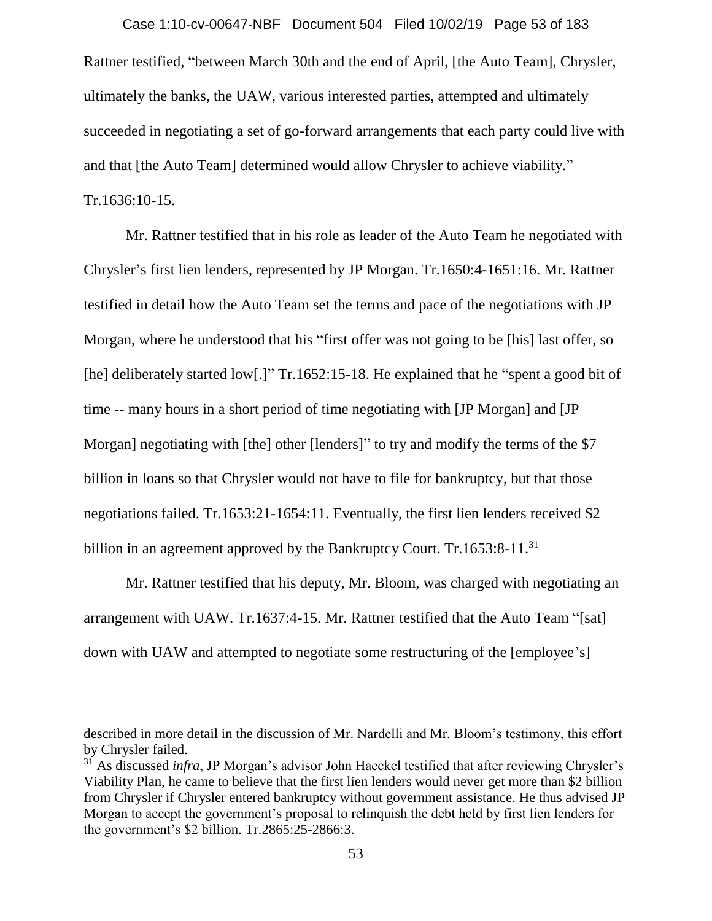Rattner testified, "between March 30th and the end of April, [the Auto Team], Chrysler, ultimately the banks, the UAW, various interested parties, attempted and ultimately succeeded in negotiating a set of go-forward arrangements that each party could live with and that [the Auto Team] determined would allow Chrysler to achieve viability." Tr.1636:10-15. Case 1:10-cv-00647-NBF Document 504 Filed 10/02/19 Page 53 of 183

Mr. Rattner testified that in his role as leader of the Auto Team he negotiated with Chrysler's first lien lenders, represented by JP Morgan. Tr.1650:4-1651:16. Mr. Rattner testified in detail how the Auto Team set the terms and pace of the negotiations with JP Morgan, where he understood that his "first offer was not going to be [his] last offer, so [he] deliberately started low[.]" Tr.1652:15-18. He explained that he "spent a good bit of time -- many hours in a short period of time negotiating with [JP Morgan] and [JP Morgan] negotiating with [the] other [lenders]" to try and modify the terms of the \$7 billion in loans so that Chrysler would not have to file for bankruptcy, but that those negotiations failed. Tr.1653:21-1654:11. Eventually, the first lien lenders received \$2 billion in an agreement approved by the Bankruptcy Court. Tr.1653:8-11.<sup>31</sup>

Mr. Rattner testified that his deputy, Mr. Bloom, was charged with negotiating an arrangement with UAW. Tr.1637:4-15. Mr. Rattner testified that the Auto Team "[sat] down with UAW and attempted to negotiate some restructuring of the [employee's]

described in more detail in the discussion of Mr. Nardelli and Mr. Bloom's testimony, this effort by Chrysler failed.

<sup>31</sup> As discussed *infra*, JP Morgan's advisor John Haeckel testified that after reviewing Chrysler's Viability Plan, he came to believe that the first lien lenders would never get more than \$2 billion from Chrysler if Chrysler entered bankruptcy without government assistance. He thus advised JP Morgan to accept the government's proposal to relinquish the debt held by first lien lenders for the government's \$2 billion. Tr.2865:25-2866:3.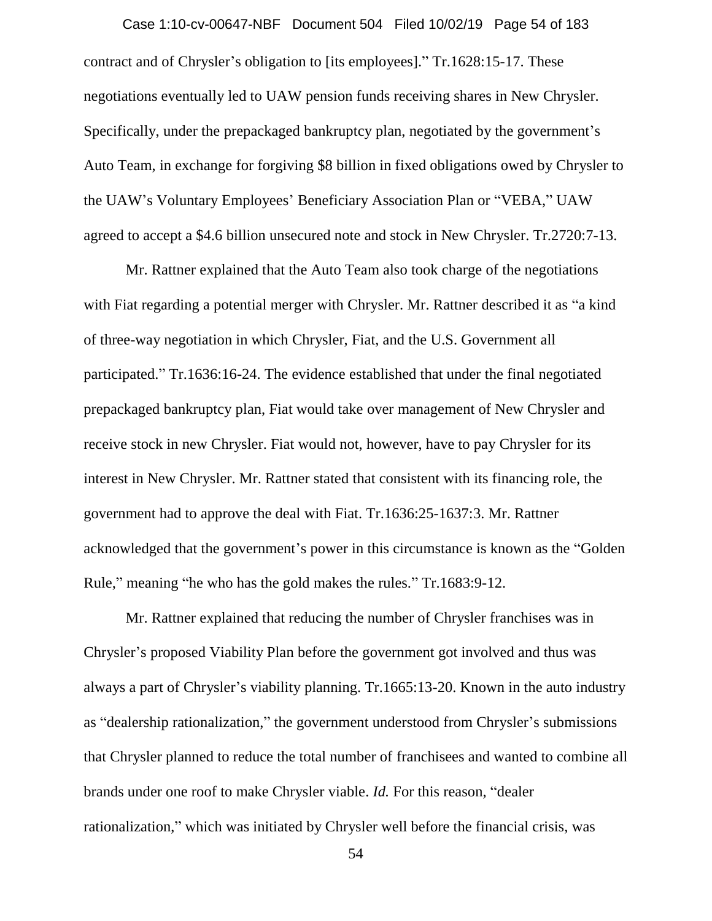contract and of Chrysler's obligation to [its employees]." Tr.1628:15-17. These negotiations eventually led to UAW pension funds receiving shares in New Chrysler. Specifically, under the prepackaged bankruptcy plan, negotiated by the government's Auto Team, in exchange for forgiving \$8 billion in fixed obligations owed by Chrysler to the UAW's Voluntary Employees' Beneficiary Association Plan or "VEBA," UAW agreed to accept a \$4.6 billion unsecured note and stock in New Chrysler. Tr.2720:7-13. Case 1:10-cv-00647-NBF Document 504 Filed 10/02/19 Page 54 of 183

Mr. Rattner explained that the Auto Team also took charge of the negotiations with Fiat regarding a potential merger with Chrysler. Mr. Rattner described it as "a kind of three-way negotiation in which Chrysler, Fiat, and the U.S. Government all participated." Tr.1636:16-24. The evidence established that under the final negotiated prepackaged bankruptcy plan, Fiat would take over management of New Chrysler and receive stock in new Chrysler. Fiat would not, however, have to pay Chrysler for its interest in New Chrysler. Mr. Rattner stated that consistent with its financing role, the government had to approve the deal with Fiat. Tr.1636:25-1637:3. Mr. Rattner acknowledged that the government's power in this circumstance is known as the "Golden Rule," meaning "he who has the gold makes the rules." Tr.1683:9-12.

Mr. Rattner explained that reducing the number of Chrysler franchises was in Chrysler's proposed Viability Plan before the government got involved and thus was always a part of Chrysler's viability planning. Tr.1665:13-20. Known in the auto industry as "dealership rationalization," the government understood from Chrysler's submissions that Chrysler planned to reduce the total number of franchisees and wanted to combine all brands under one roof to make Chrysler viable. *Id.* For this reason, "dealer rationalization," which was initiated by Chrysler well before the financial crisis, was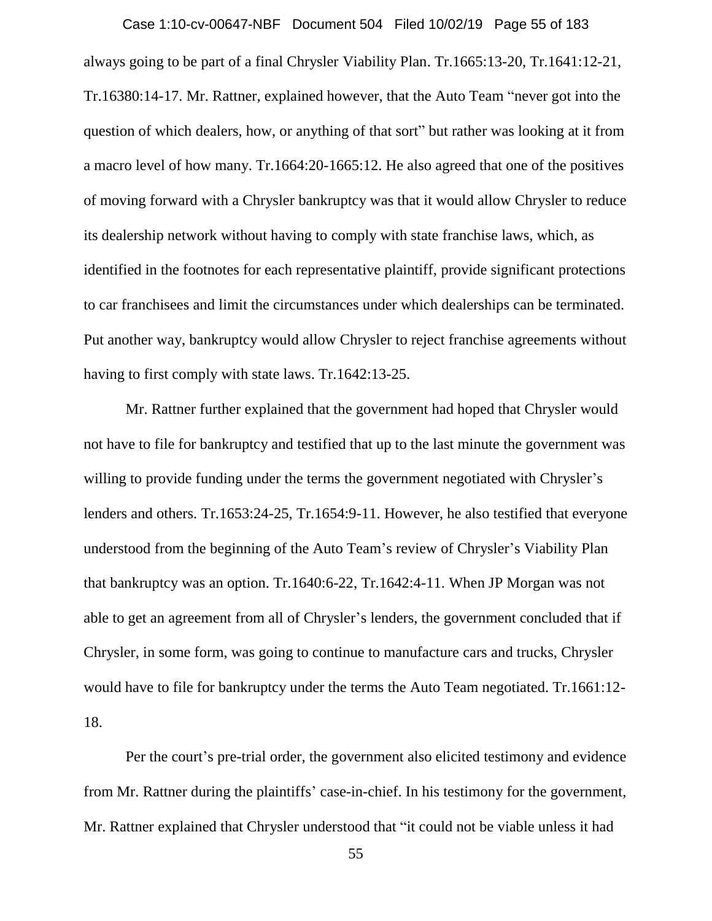always going to be part of a final Chrysler Viability Plan. Tr.1665:13-20, Tr.1641:12-21, Tr.16380:14-17. Mr. Rattner, explained however, that the Auto Team "never got into the question of which dealers, how, or anything of that sort" but rather was looking at it from a macro level of how many. Tr.1664:20-1665:12. He also agreed that one of the positives of moving forward with a Chrysler bankruptcy was that it would allow Chrysler to reduce its dealership network without having to comply with state franchise laws, which, as identified in the footnotes for each representative plaintiff, provide significant protections to car franchisees and limit the circumstances under which dealerships can be terminated. Put another way, bankruptcy would allow Chrysler to reject franchise agreements without having to first comply with state laws. Tr.1642:13-25. Case 1:10-cv-00647-NBF Document 504 Filed 10/02/19 Page 55 of 183

Mr. Rattner further explained that the government had hoped that Chrysler would not have to file for bankruptcy and testified that up to the last minute the government was willing to provide funding under the terms the government negotiated with Chrysler's lenders and others. Tr.1653:24-25, Tr.1654:9-11. However, he also testified that everyone understood from the beginning of the Auto Team's review of Chrysler's Viability Plan that bankruptcy was an option. Tr.1640:6-22, Tr.1642:4-11. When JP Morgan was not able to get an agreement from all of Chrysler's lenders, the government concluded that if Chrysler, in some form, was going to continue to manufacture cars and trucks, Chrysler would have to file for bankruptcy under the terms the Auto Team negotiated. Tr.1661:12- 18.

Per the court's pre-trial order, the government also elicited testimony and evidence from Mr. Rattner during the plaintiffs' case-in-chief. In his testimony for the government, Mr. Rattner explained that Chrysler understood that "it could not be viable unless it had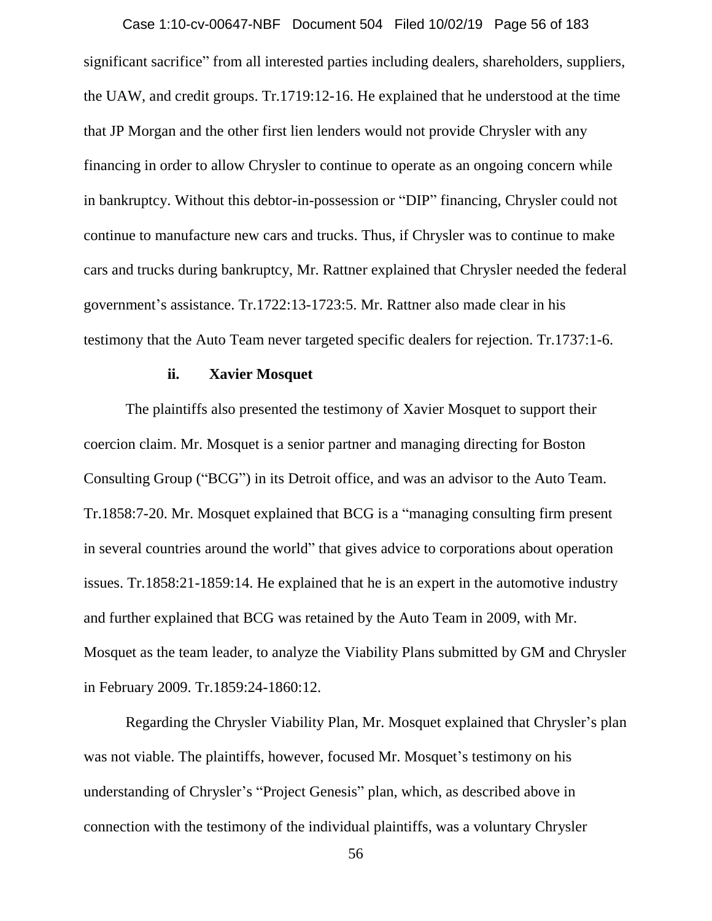significant sacrifice" from all interested parties including dealers, shareholders, suppliers, the UAW, and credit groups. Tr.1719:12-16. He explained that he understood at the time that JP Morgan and the other first lien lenders would not provide Chrysler with any financing in order to allow Chrysler to continue to operate as an ongoing concern while in bankruptcy. Without this debtor-in-possession or "DIP" financing, Chrysler could not continue to manufacture new cars and trucks. Thus, if Chrysler was to continue to make cars and trucks during bankruptcy, Mr. Rattner explained that Chrysler needed the federal government's assistance. Tr.1722:13-1723:5. Mr. Rattner also made clear in his testimony that the Auto Team never targeted specific dealers for rejection. Tr.1737:1-6. Case 1:10-cv-00647-NBF Document 504 Filed 10/02/19 Page 56 of 183

## **ii. Xavier Mosquet**

The plaintiffs also presented the testimony of Xavier Mosquet to support their coercion claim. Mr. Mosquet is a senior partner and managing directing for Boston Consulting Group ("BCG") in its Detroit office, and was an advisor to the Auto Team. Tr.1858:7-20. Mr. Mosquet explained that BCG is a "managing consulting firm present in several countries around the world" that gives advice to corporations about operation issues. Tr.1858:21-1859:14. He explained that he is an expert in the automotive industry and further explained that BCG was retained by the Auto Team in 2009, with Mr. Mosquet as the team leader, to analyze the Viability Plans submitted by GM and Chrysler in February 2009. Tr.1859:24-1860:12.

Regarding the Chrysler Viability Plan, Mr. Mosquet explained that Chrysler's plan was not viable. The plaintiffs, however, focused Mr. Mosquet's testimony on his understanding of Chrysler's "Project Genesis" plan, which, as described above in connection with the testimony of the individual plaintiffs, was a voluntary Chrysler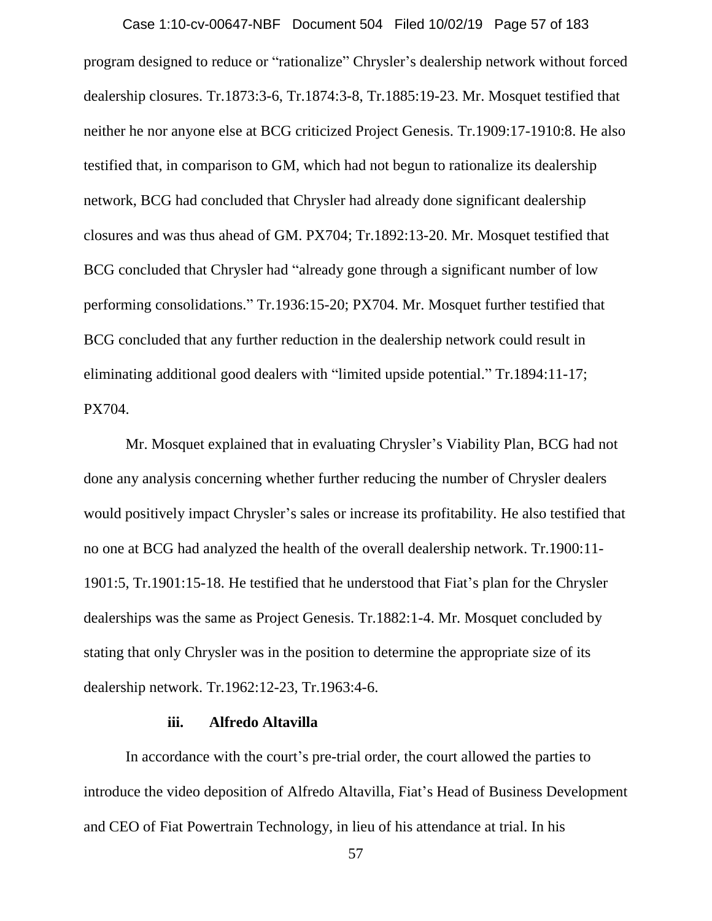program designed to reduce or "rationalize" Chrysler's dealership network without forced dealership closures. Tr.1873:3-6, Tr.1874:3-8, Tr.1885:19-23. Mr. Mosquet testified that neither he nor anyone else at BCG criticized Project Genesis. Tr.1909:17-1910:8. He also testified that, in comparison to GM, which had not begun to rationalize its dealership network, BCG had concluded that Chrysler had already done significant dealership closures and was thus ahead of GM. PX704; Tr.1892:13-20. Mr. Mosquet testified that BCG concluded that Chrysler had "already gone through a significant number of low performing consolidations." Tr.1936:15-20; PX704. Mr. Mosquet further testified that BCG concluded that any further reduction in the dealership network could result in eliminating additional good dealers with "limited upside potential." Tr.1894:11-17; PX704. Case 1:10-cv-00647-NBF Document 504 Filed 10/02/19 Page 57 of 183

Mr. Mosquet explained that in evaluating Chrysler's Viability Plan, BCG had not done any analysis concerning whether further reducing the number of Chrysler dealers would positively impact Chrysler's sales or increase its profitability. He also testified that no one at BCG had analyzed the health of the overall dealership network. Tr.1900:11- 1901:5, Tr.1901:15-18. He testified that he understood that Fiat's plan for the Chrysler dealerships was the same as Project Genesis. Tr.1882:1-4. Mr. Mosquet concluded by stating that only Chrysler was in the position to determine the appropriate size of its dealership network. Tr.1962:12-23, Tr.1963:4-6.

## **iii. Alfredo Altavilla**

In accordance with the court's pre-trial order, the court allowed the parties to introduce the video deposition of Alfredo Altavilla, Fiat's Head of Business Development and CEO of Fiat Powertrain Technology, in lieu of his attendance at trial. In his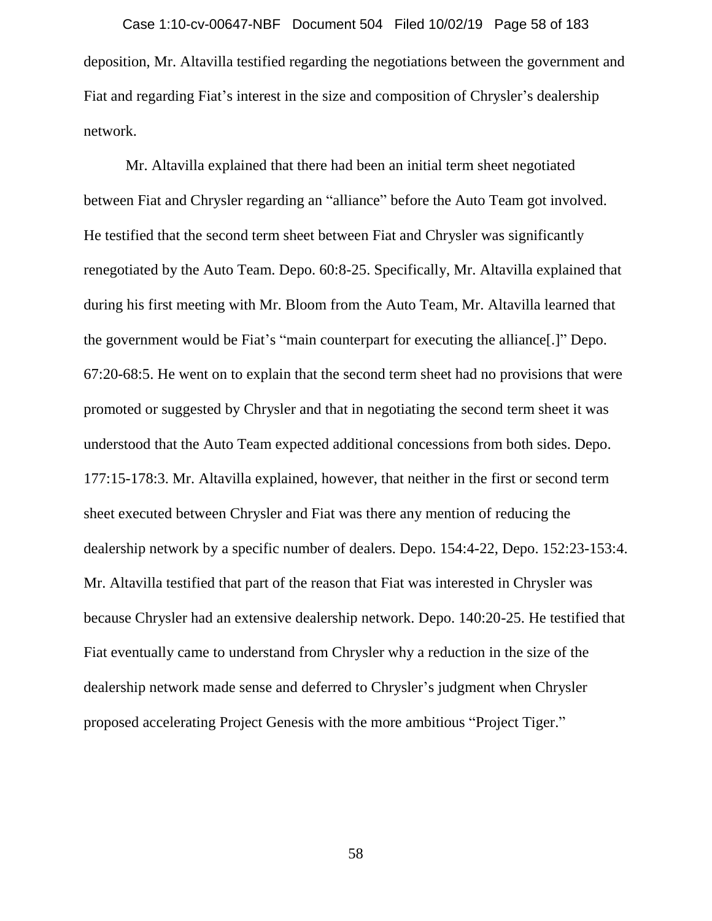deposition, Mr. Altavilla testified regarding the negotiations between the government and Fiat and regarding Fiat's interest in the size and composition of Chrysler's dealership network. Case 1:10-cv-00647-NBF Document 504 Filed 10/02/19 Page 58 of 183

Mr. Altavilla explained that there had been an initial term sheet negotiated between Fiat and Chrysler regarding an "alliance" before the Auto Team got involved. He testified that the second term sheet between Fiat and Chrysler was significantly renegotiated by the Auto Team. Depo. 60:8-25. Specifically, Mr. Altavilla explained that during his first meeting with Mr. Bloom from the Auto Team, Mr. Altavilla learned that the government would be Fiat's "main counterpart for executing the alliance[.]" Depo. 67:20-68:5. He went on to explain that the second term sheet had no provisions that were promoted or suggested by Chrysler and that in negotiating the second term sheet it was understood that the Auto Team expected additional concessions from both sides. Depo. 177:15-178:3. Mr. Altavilla explained, however, that neither in the first or second term sheet executed between Chrysler and Fiat was there any mention of reducing the dealership network by a specific number of dealers. Depo. 154:4-22, Depo. 152:23-153:4. Mr. Altavilla testified that part of the reason that Fiat was interested in Chrysler was because Chrysler had an extensive dealership network. Depo. 140:20-25. He testified that Fiat eventually came to understand from Chrysler why a reduction in the size of the dealership network made sense and deferred to Chrysler's judgment when Chrysler proposed accelerating Project Genesis with the more ambitious "Project Tiger."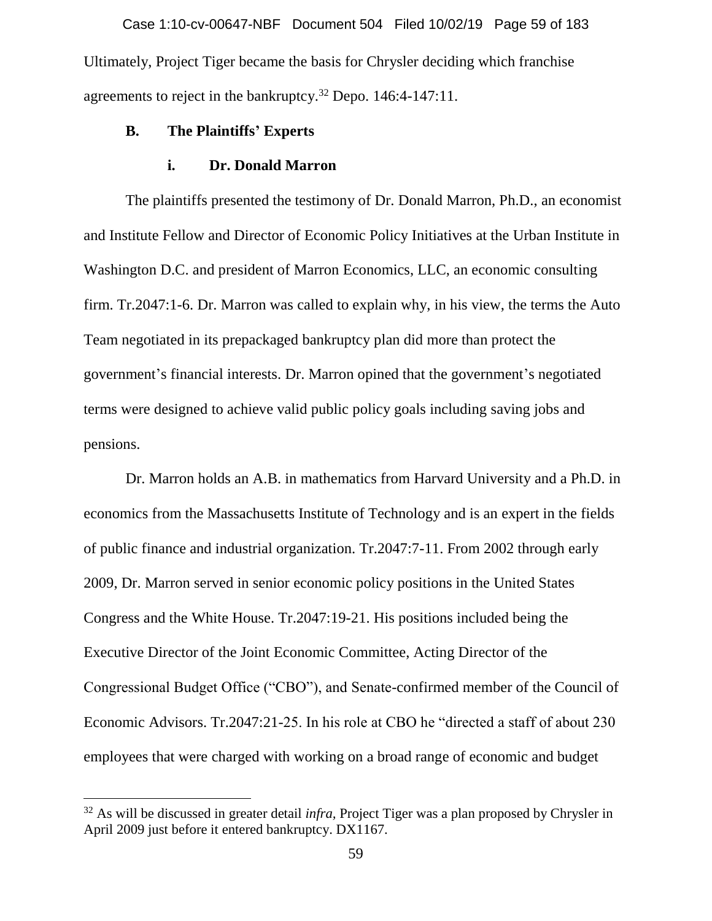Ultimately, Project Tiger became the basis for Chrysler deciding which franchise agreements to reject in the bankruptcy.<sup>32</sup> Depo. 146:4-147:11. Case 1:10-cv-00647-NBF Document 504 Filed 10/02/19 Page 59 of 183

## **B. The Plaintiffs' Experts**

## **i. Dr. Donald Marron**

The plaintiffs presented the testimony of Dr. Donald Marron, Ph.D., an economist and Institute Fellow and Director of Economic Policy Initiatives at the Urban Institute in Washington D.C. and president of Marron Economics, LLC, an economic consulting firm. Tr.2047:1-6. Dr. Marron was called to explain why, in his view, the terms the Auto Team negotiated in its prepackaged bankruptcy plan did more than protect the government's financial interests. Dr. Marron opined that the government's negotiated terms were designed to achieve valid public policy goals including saving jobs and pensions.

Dr. Marron holds an A.B. in mathematics from Harvard University and a Ph.D. in economics from the Massachusetts Institute of Technology and is an expert in the fields of public finance and industrial organization. Tr.2047:7-11. From 2002 through early 2009, Dr. Marron served in senior economic policy positions in the United States Congress and the White House. Tr.2047:19-21. His positions included being the Executive Director of the Joint Economic Committee, Acting Director of the Congressional Budget Office ("CBO"), and Senate-confirmed member of the Council of Economic Advisors. Tr.2047:21-25. In his role at CBO he "directed a staff of about 230 employees that were charged with working on a broad range of economic and budget

<sup>32</sup> As will be discussed in greater detail *infra,* Project Tiger was a plan proposed by Chrysler in April 2009 just before it entered bankruptcy. DX1167.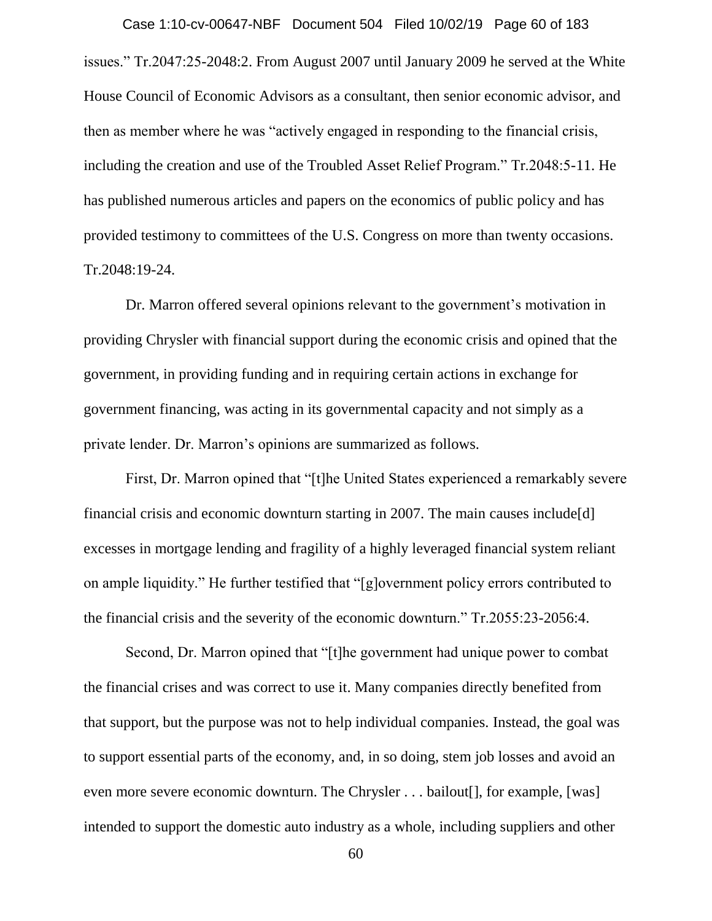issues." Tr.2047:25-2048:2. From August 2007 until January 2009 he served at the White House Council of Economic Advisors as a consultant, then senior economic advisor, and then as member where he was "actively engaged in responding to the financial crisis, including the creation and use of the Troubled Asset Relief Program." Tr.2048:5-11. He has published numerous articles and papers on the economics of public policy and has provided testimony to committees of the U.S. Congress on more than twenty occasions. Tr.2048:19-24. Case 1:10-cv-00647-NBF Document 504 Filed 10/02/19 Page 60 of 183

Dr. Marron offered several opinions relevant to the government's motivation in providing Chrysler with financial support during the economic crisis and opined that the government, in providing funding and in requiring certain actions in exchange for government financing, was acting in its governmental capacity and not simply as a private lender. Dr. Marron's opinions are summarized as follows.

First, Dr. Marron opined that "[t]he United States experienced a remarkably severe financial crisis and economic downturn starting in 2007. The main causes include[d] excesses in mortgage lending and fragility of a highly leveraged financial system reliant on ample liquidity." He further testified that "[g]overnment policy errors contributed to the financial crisis and the severity of the economic downturn." Tr.2055:23-2056:4.

Second, Dr. Marron opined that "[t]he government had unique power to combat the financial crises and was correct to use it. Many companies directly benefited from that support, but the purpose was not to help individual companies. Instead, the goal was to support essential parts of the economy, and, in so doing, stem job losses and avoid an even more severe economic downturn. The Chrysler . . . bailout[], for example, [was] intended to support the domestic auto industry as a whole, including suppliers and other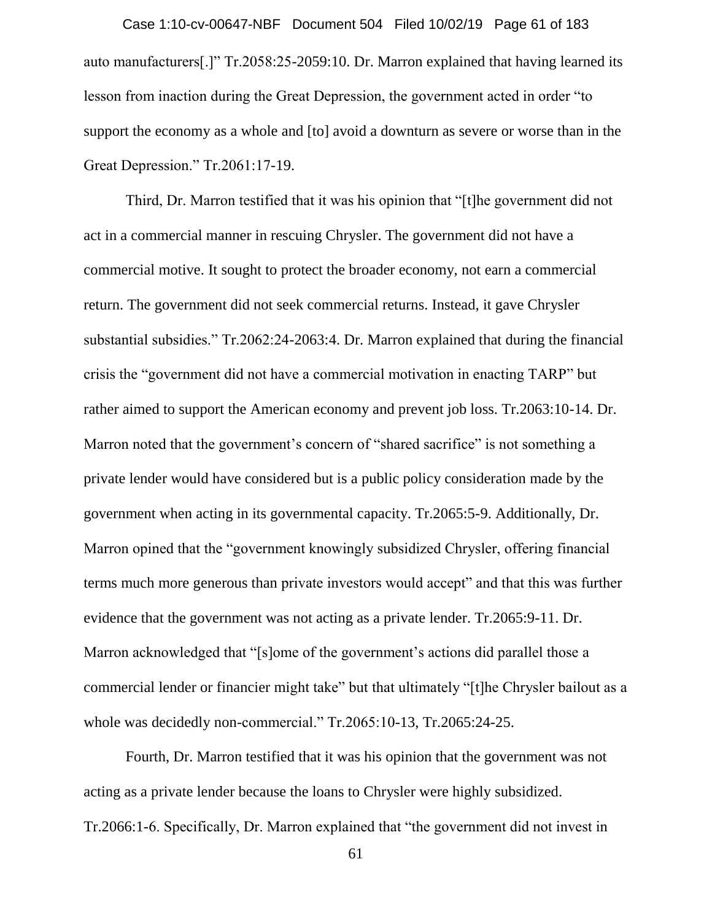auto manufacturers[.]" Tr.2058:25-2059:10. Dr. Marron explained that having learned its lesson from inaction during the Great Depression, the government acted in order "to support the economy as a whole and [to] avoid a downturn as severe or worse than in the Great Depression." Tr.2061:17-19. Case 1:10-cv-00647-NBF Document 504 Filed 10/02/19 Page 61 of 183

Third, Dr. Marron testified that it was his opinion that "[t]he government did not act in a commercial manner in rescuing Chrysler. The government did not have a commercial motive. It sought to protect the broader economy, not earn a commercial return. The government did not seek commercial returns. Instead, it gave Chrysler substantial subsidies." Tr.2062:24-2063:4. Dr. Marron explained that during the financial crisis the "government did not have a commercial motivation in enacting TARP" but rather aimed to support the American economy and prevent job loss. Tr.2063:10-14. Dr. Marron noted that the government's concern of "shared sacrifice" is not something a private lender would have considered but is a public policy consideration made by the government when acting in its governmental capacity. Tr.2065:5-9. Additionally, Dr. Marron opined that the "government knowingly subsidized Chrysler, offering financial terms much more generous than private investors would accept" and that this was further evidence that the government was not acting as a private lender. Tr.2065:9-11. Dr. Marron acknowledged that "[s]ome of the government's actions did parallel those a commercial lender or financier might take" but that ultimately "[t]he Chrysler bailout as a whole was decidedly non-commercial." Tr.2065:10-13, Tr.2065:24-25.

Fourth, Dr. Marron testified that it was his opinion that the government was not acting as a private lender because the loans to Chrysler were highly subsidized. Tr.2066:1-6. Specifically, Dr. Marron explained that "the government did not invest in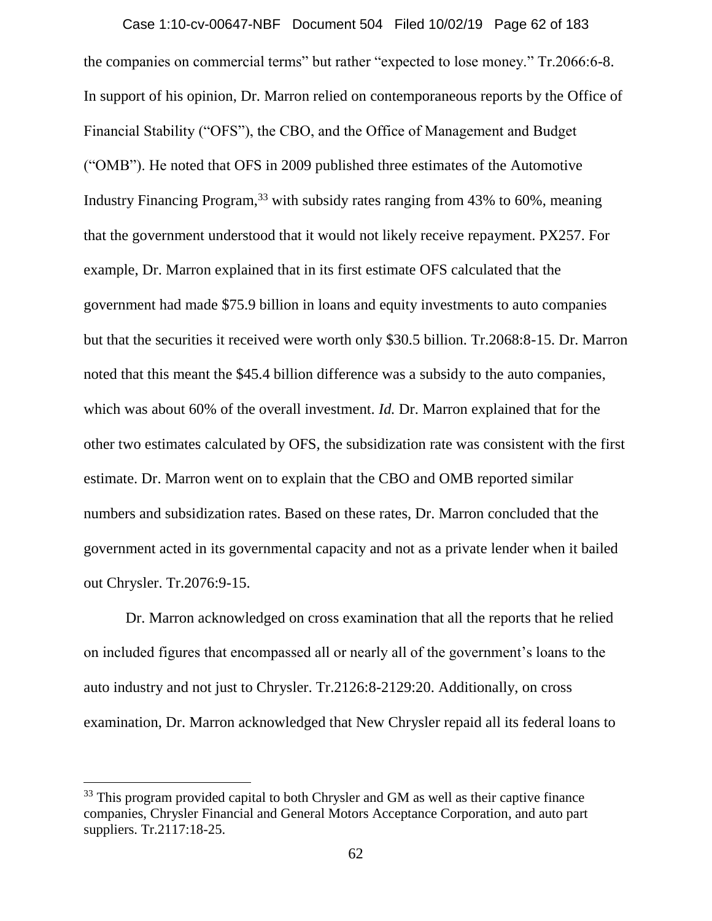the companies on commercial terms" but rather "expected to lose money." Tr.2066:6-8. In support of his opinion, Dr. Marron relied on contemporaneous reports by the Office of Financial Stability ("OFS"), the CBO, and the Office of Management and Budget ("OMB"). He noted that OFS in 2009 published three estimates of the Automotive Industry Financing Program,<sup>33</sup> with subsidy rates ranging from 43% to 60%, meaning that the government understood that it would not likely receive repayment. PX257. For example, Dr. Marron explained that in its first estimate OFS calculated that the government had made \$75.9 billion in loans and equity investments to auto companies but that the securities it received were worth only \$30.5 billion. Tr.2068:8-15. Dr. Marron noted that this meant the \$45.4 billion difference was a subsidy to the auto companies, which was about 60% of the overall investment. *Id*. Dr. Marron explained that for the other two estimates calculated by OFS, the subsidization rate was consistent with the first estimate. Dr. Marron went on to explain that the CBO and OMB reported similar numbers and subsidization rates. Based on these rates, Dr. Marron concluded that the government acted in its governmental capacity and not as a private lender when it bailed out Chrysler. Tr.2076:9-15. Case 1:10-cv-00647-NBF Document 504 Filed 10/02/19 Page 62 of 183

Dr. Marron acknowledged on cross examination that all the reports that he relied on included figures that encompassed all or nearly all of the government's loans to the auto industry and not just to Chrysler. Tr.2126:8-2129:20. Additionally, on cross examination, Dr. Marron acknowledged that New Chrysler repaid all its federal loans to

 $33$  This program provided capital to both Chrysler and GM as well as their captive finance companies, Chrysler Financial and General Motors Acceptance Corporation, and auto part suppliers. Tr.2117:18-25.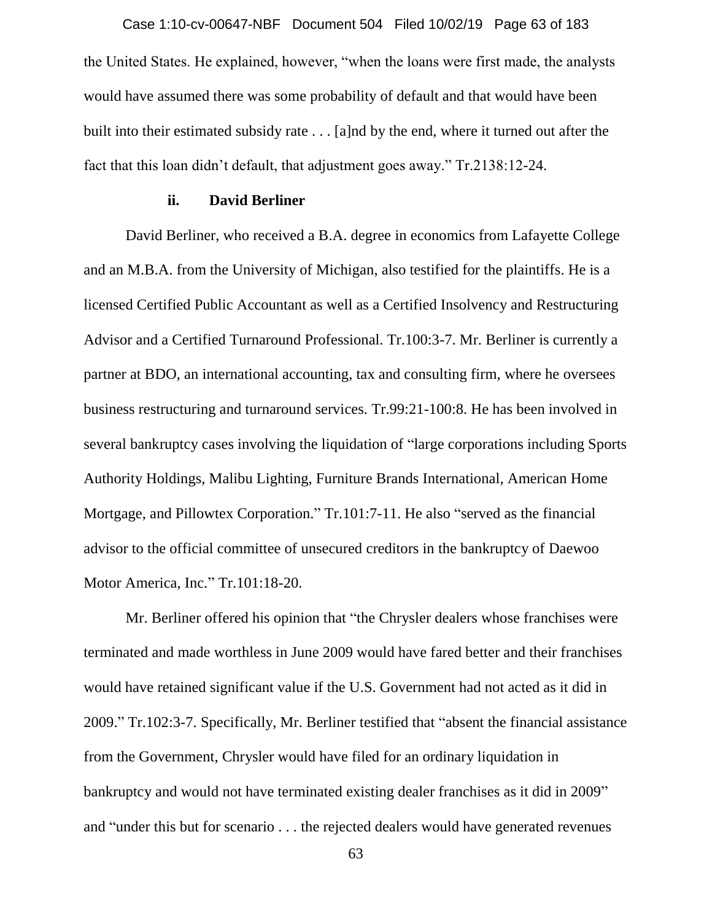the United States. He explained, however, "when the loans were first made, the analysts would have assumed there was some probability of default and that would have been built into their estimated subsidy rate . . . [a]nd by the end, where it turned out after the fact that this loan didn't default, that adjustment goes away." Tr.2138:12-24. Case 1:10-cv-00647-NBF Document 504 Filed 10/02/19 Page 63 of 183

### **ii. David Berliner**

David Berliner, who received a B.A. degree in economics from Lafayette College and an M.B.A. from the University of Michigan, also testified for the plaintiffs. He is a licensed Certified Public Accountant as well as a Certified Insolvency and Restructuring Advisor and a Certified Turnaround Professional. Tr.100:3-7. Mr. Berliner is currently a partner at BDO, an international accounting, tax and consulting firm, where he oversees business restructuring and turnaround services. Tr.99:21-100:8. He has been involved in several bankruptcy cases involving the liquidation of "large corporations including Sports Authority Holdings, Malibu Lighting, Furniture Brands International, American Home Mortgage, and Pillowtex Corporation." Tr.101:7-11. He also "served as the financial advisor to the official committee of unsecured creditors in the bankruptcy of Daewoo Motor America, Inc." Tr.101:18-20.

Mr. Berliner offered his opinion that "the Chrysler dealers whose franchises were terminated and made worthless in June 2009 would have fared better and their franchises would have retained significant value if the U.S. Government had not acted as it did in 2009." Tr.102:3-7. Specifically, Mr. Berliner testified that "absent the financial assistance from the Government, Chrysler would have filed for an ordinary liquidation in bankruptcy and would not have terminated existing dealer franchises as it did in 2009" and "under this but for scenario . . . the rejected dealers would have generated revenues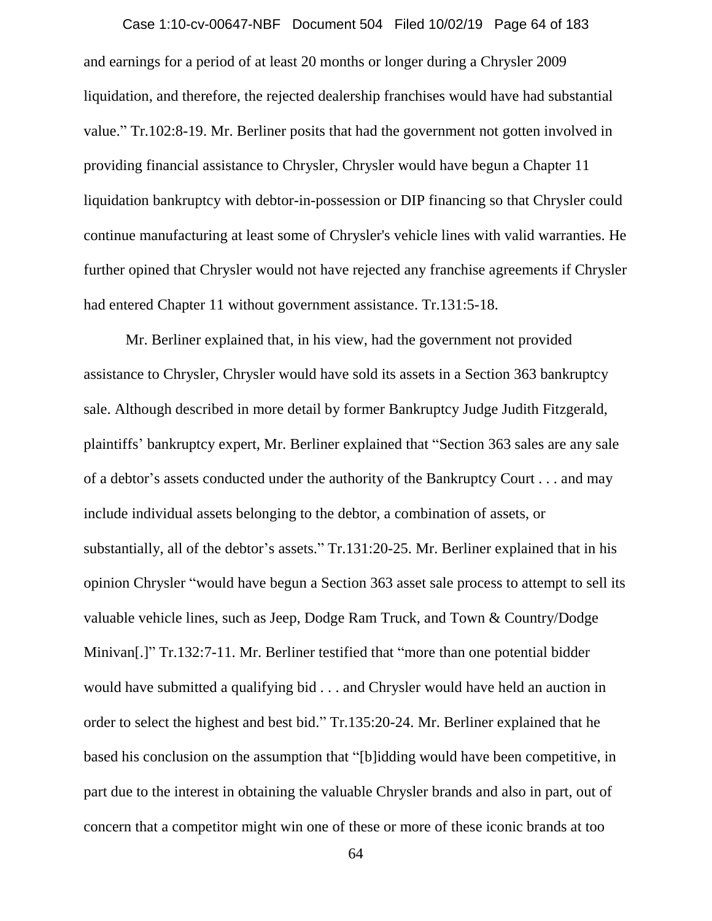and earnings for a period of at least 20 months or longer during a Chrysler 2009 liquidation, and therefore, the rejected dealership franchises would have had substantial value." Tr.102:8-19. Mr. Berliner posits that had the government not gotten involved in providing financial assistance to Chrysler, Chrysler would have begun a Chapter 11 liquidation bankruptcy with debtor-in-possession or DIP financing so that Chrysler could continue manufacturing at least some of Chrysler's vehicle lines with valid warranties. He further opined that Chrysler would not have rejected any franchise agreements if Chrysler had entered Chapter 11 without government assistance. Tr.131:5-18. Case 1:10-cv-00647-NBF Document 504 Filed 10/02/19 Page 64 of 183

Mr. Berliner explained that, in his view, had the government not provided assistance to Chrysler, Chrysler would have sold its assets in a Section 363 bankruptcy sale. Although described in more detail by former Bankruptcy Judge Judith Fitzgerald, plaintiffs' bankruptcy expert, Mr. Berliner explained that "Section 363 sales are any sale of a debtor's assets conducted under the authority of the Bankruptcy Court . . . and may include individual assets belonging to the debtor, a combination of assets, or substantially, all of the debtor's assets." Tr.131:20-25. Mr. Berliner explained that in his opinion Chrysler "would have begun a Section 363 asset sale process to attempt to sell its valuable vehicle lines, such as Jeep, Dodge Ram Truck, and Town & Country/Dodge Minivan[.]" Tr.132:7-11. Mr. Berliner testified that "more than one potential bidder would have submitted a qualifying bid . . . and Chrysler would have held an auction in order to select the highest and best bid." Tr.135:20-24. Mr. Berliner explained that he based his conclusion on the assumption that "[b]idding would have been competitive, in part due to the interest in obtaining the valuable Chrysler brands and also in part, out of concern that a competitor might win one of these or more of these iconic brands at too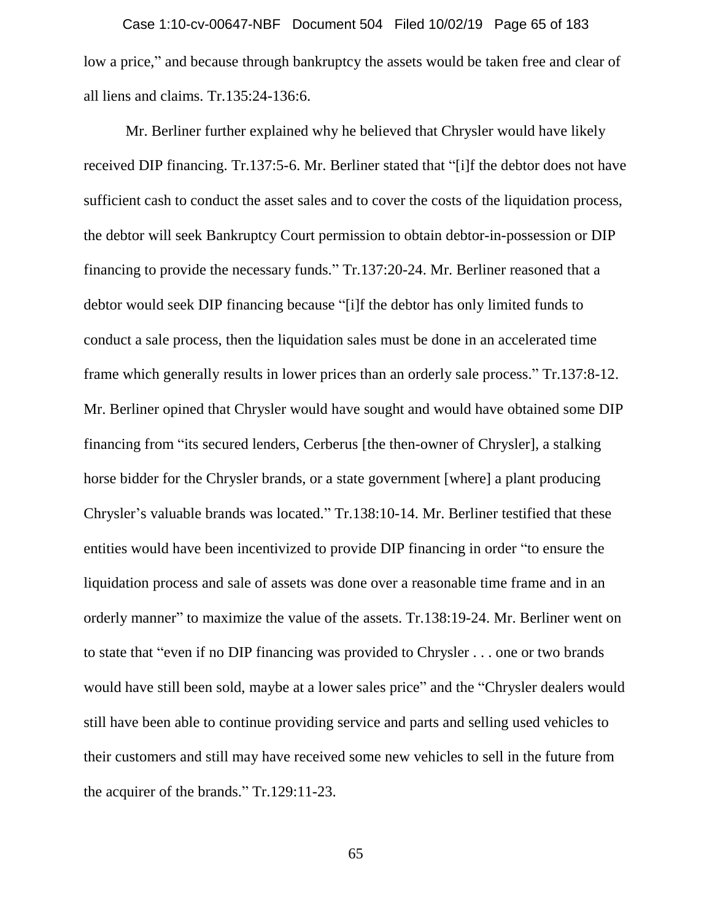low a price," and because through bankruptcy the assets would be taken free and clear of all liens and claims. Tr.135:24-136:6. Case 1:10-cv-00647-NBF Document 504 Filed 10/02/19 Page 65 of 183

Mr. Berliner further explained why he believed that Chrysler would have likely received DIP financing. Tr.137:5-6. Mr. Berliner stated that "[i]f the debtor does not have sufficient cash to conduct the asset sales and to cover the costs of the liquidation process, the debtor will seek Bankruptcy Court permission to obtain debtor-in-possession or DIP financing to provide the necessary funds." Tr.137:20-24. Mr. Berliner reasoned that a debtor would seek DIP financing because "[i]f the debtor has only limited funds to conduct a sale process, then the liquidation sales must be done in an accelerated time frame which generally results in lower prices than an orderly sale process." Tr.137:8-12. Mr. Berliner opined that Chrysler would have sought and would have obtained some DIP financing from "its secured lenders, Cerberus [the then-owner of Chrysler], a stalking horse bidder for the Chrysler brands, or a state government [where] a plant producing Chrysler's valuable brands was located." Tr.138:10-14. Mr. Berliner testified that these entities would have been incentivized to provide DIP financing in order "to ensure the liquidation process and sale of assets was done over a reasonable time frame and in an orderly manner" to maximize the value of the assets. Tr.138:19-24. Mr. Berliner went on to state that "even if no DIP financing was provided to Chrysler . . . one or two brands would have still been sold, maybe at a lower sales price" and the "Chrysler dealers would still have been able to continue providing service and parts and selling used vehicles to their customers and still may have received some new vehicles to sell in the future from the acquirer of the brands." Tr.129:11-23.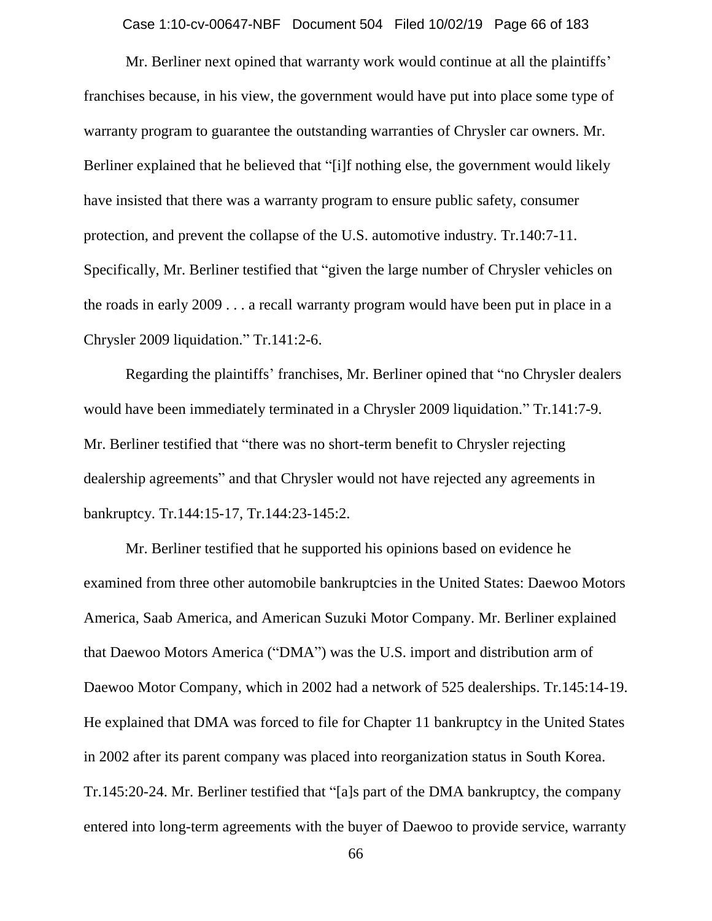Case 1:10-cv-00647-NBF Document 504 Filed 10/02/19 Page 66 of 183

Mr. Berliner next opined that warranty work would continue at all the plaintiffs' franchises because, in his view, the government would have put into place some type of warranty program to guarantee the outstanding warranties of Chrysler car owners. Mr. Berliner explained that he believed that "[i]f nothing else, the government would likely have insisted that there was a warranty program to ensure public safety, consumer protection, and prevent the collapse of the U.S. automotive industry. Tr.140:7-11. Specifically, Mr. Berliner testified that "given the large number of Chrysler vehicles on the roads in early 2009 . . . a recall warranty program would have been put in place in a Chrysler 2009 liquidation." Tr.141:2-6.

Regarding the plaintiffs' franchises, Mr. Berliner opined that "no Chrysler dealers would have been immediately terminated in a Chrysler 2009 liquidation." Tr.141:7-9. Mr. Berliner testified that "there was no short-term benefit to Chrysler rejecting dealership agreements" and that Chrysler would not have rejected any agreements in bankruptcy. Tr.144:15-17, Tr.144:23-145:2.

Mr. Berliner testified that he supported his opinions based on evidence he examined from three other automobile bankruptcies in the United States: Daewoo Motors America, Saab America, and American Suzuki Motor Company. Mr. Berliner explained that Daewoo Motors America ("DMA") was the U.S. import and distribution arm of Daewoo Motor Company, which in 2002 had a network of 525 dealerships. Tr.145:14-19. He explained that DMA was forced to file for Chapter 11 bankruptcy in the United States in 2002 after its parent company was placed into reorganization status in South Korea. Tr.145:20-24. Mr. Berliner testified that "[a]s part of the DMA bankruptcy, the company entered into long-term agreements with the buyer of Daewoo to provide service, warranty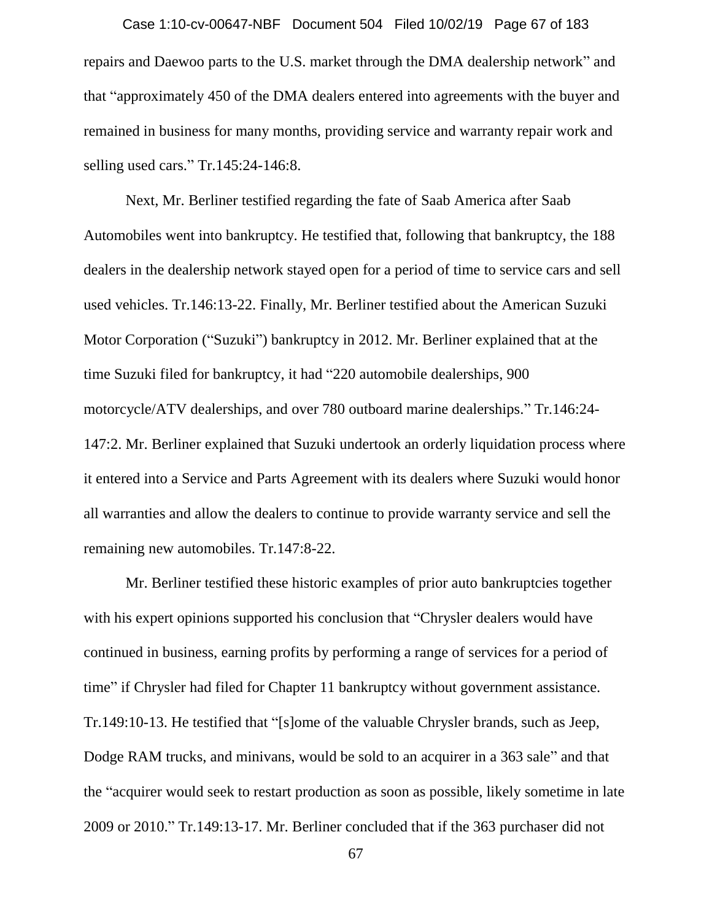repairs and Daewoo parts to the U.S. market through the DMA dealership network" and that "approximately 450 of the DMA dealers entered into agreements with the buyer and remained in business for many months, providing service and warranty repair work and selling used cars." Tr.145:24-146:8. Case 1:10-cv-00647-NBF Document 504 Filed 10/02/19 Page 67 of 183

Next, Mr. Berliner testified regarding the fate of Saab America after Saab Automobiles went into bankruptcy. He testified that, following that bankruptcy, the 188 dealers in the dealership network stayed open for a period of time to service cars and sell used vehicles. Tr.146:13-22. Finally, Mr. Berliner testified about the American Suzuki Motor Corporation ("Suzuki") bankruptcy in 2012. Mr. Berliner explained that at the time Suzuki filed for bankruptcy, it had "220 automobile dealerships, 900 motorcycle/ATV dealerships, and over 780 outboard marine dealerships." Tr.146:24- 147:2. Mr. Berliner explained that Suzuki undertook an orderly liquidation process where it entered into a Service and Parts Agreement with its dealers where Suzuki would honor all warranties and allow the dealers to continue to provide warranty service and sell the remaining new automobiles. Tr.147:8-22.

Mr. Berliner testified these historic examples of prior auto bankruptcies together with his expert opinions supported his conclusion that "Chrysler dealers would have continued in business, earning profits by performing a range of services for a period of time" if Chrysler had filed for Chapter 11 bankruptcy without government assistance. Tr.149:10-13. He testified that "[s]ome of the valuable Chrysler brands, such as Jeep, Dodge RAM trucks, and minivans, would be sold to an acquirer in a 363 sale" and that the "acquirer would seek to restart production as soon as possible, likely sometime in late 2009 or 2010." Tr.149:13-17. Mr. Berliner concluded that if the 363 purchaser did not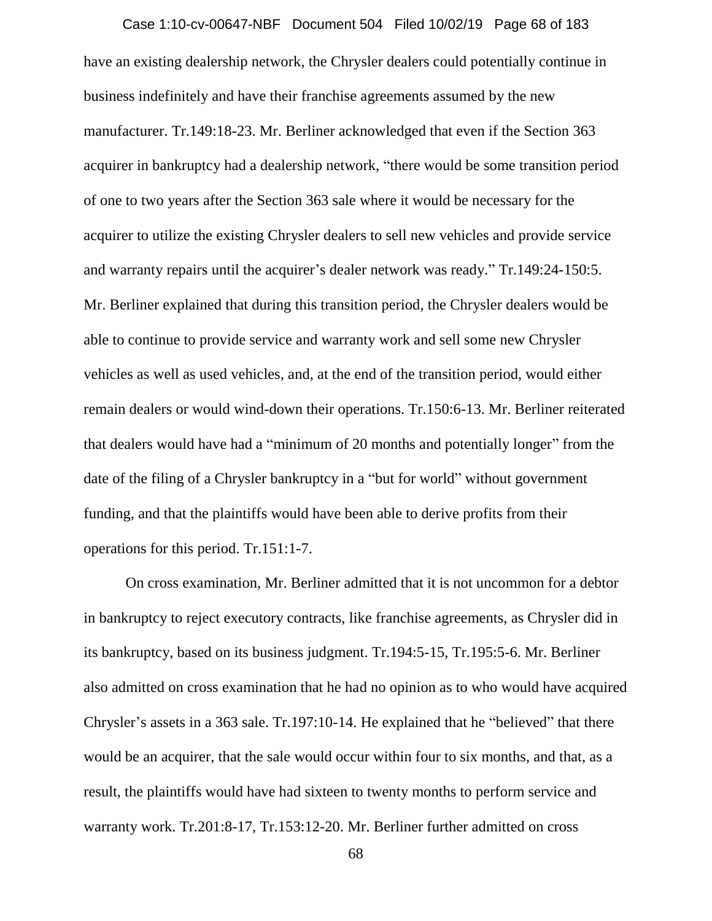have an existing dealership network, the Chrysler dealers could potentially continue in business indefinitely and have their franchise agreements assumed by the new manufacturer. Tr.149:18-23. Mr. Berliner acknowledged that even if the Section 363 acquirer in bankruptcy had a dealership network, "there would be some transition period of one to two years after the Section 363 sale where it would be necessary for the acquirer to utilize the existing Chrysler dealers to sell new vehicles and provide service and warranty repairs until the acquirer's dealer network was ready." Tr.149:24-150:5. Mr. Berliner explained that during this transition period, the Chrysler dealers would be able to continue to provide service and warranty work and sell some new Chrysler vehicles as well as used vehicles, and, at the end of the transition period, would either remain dealers or would wind-down their operations. Tr.150:6-13. Mr. Berliner reiterated that dealers would have had a "minimum of 20 months and potentially longer" from the date of the filing of a Chrysler bankruptcy in a "but for world" without government funding, and that the plaintiffs would have been able to derive profits from their operations for this period. Tr.151:1-7. Case 1:10-cv-00647-NBF Document 504 Filed 10/02/19 Page 68 of 183

On cross examination, Mr. Berliner admitted that it is not uncommon for a debtor in bankruptcy to reject executory contracts, like franchise agreements, as Chrysler did in its bankruptcy, based on its business judgment. Tr.194:5-15, Tr.195:5-6. Mr. Berliner also admitted on cross examination that he had no opinion as to who would have acquired Chrysler's assets in a 363 sale. Tr.197:10-14. He explained that he "believed" that there would be an acquirer, that the sale would occur within four to six months, and that, as a result, the plaintiffs would have had sixteen to twenty months to perform service and warranty work. Tr.201:8-17, Tr.153:12-20. Mr. Berliner further admitted on cross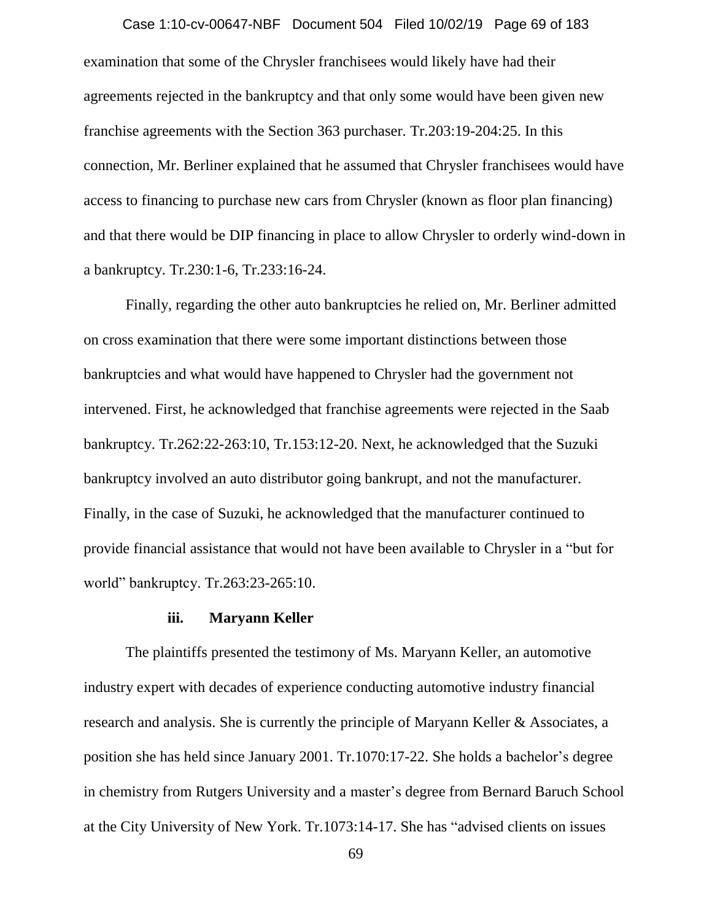examination that some of the Chrysler franchisees would likely have had their agreements rejected in the bankruptcy and that only some would have been given new franchise agreements with the Section 363 purchaser. Tr.203:19-204:25. In this connection, Mr. Berliner explained that he assumed that Chrysler franchisees would have access to financing to purchase new cars from Chrysler (known as floor plan financing) and that there would be DIP financing in place to allow Chrysler to orderly wind-down in a bankruptcy. Tr.230:1-6, Tr.233:16-24. Case 1:10-cv-00647-NBF Document 504 Filed 10/02/19 Page 69 of 183

Finally, regarding the other auto bankruptcies he relied on, Mr. Berliner admitted on cross examination that there were some important distinctions between those bankruptcies and what would have happened to Chrysler had the government not intervened. First, he acknowledged that franchise agreements were rejected in the Saab bankruptcy. Tr.262:22-263:10, Tr.153:12-20. Next, he acknowledged that the Suzuki bankruptcy involved an auto distributor going bankrupt, and not the manufacturer. Finally, in the case of Suzuki, he acknowledged that the manufacturer continued to provide financial assistance that would not have been available to Chrysler in a "but for world" bankruptcy. Tr.263:23-265:10.

#### **iii. Maryann Keller**

The plaintiffs presented the testimony of Ms. Maryann Keller, an automotive industry expert with decades of experience conducting automotive industry financial research and analysis. She is currently the principle of Maryann Keller & Associates, a position she has held since January 2001. Tr.1070:17-22. She holds a bachelor's degree in chemistry from Rutgers University and a master's degree from Bernard Baruch School at the City University of New York. Tr.1073:14-17. She has "advised clients on issues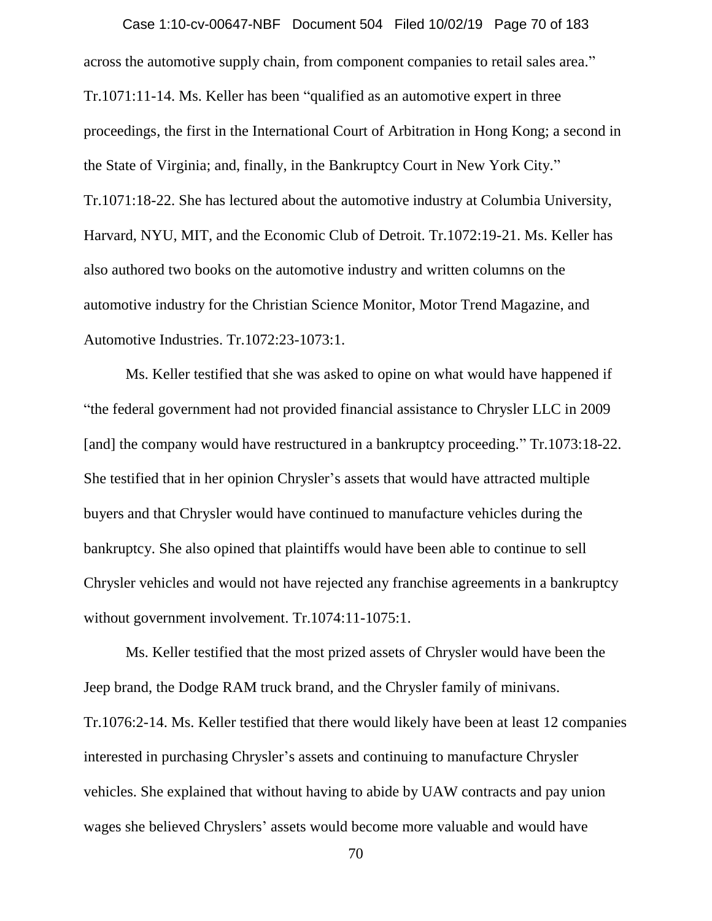across the automotive supply chain, from component companies to retail sales area." Tr.1071:11-14. Ms. Keller has been "qualified as an automotive expert in three proceedings, the first in the International Court of Arbitration in Hong Kong; a second in the State of Virginia; and, finally, in the Bankruptcy Court in New York City." Tr.1071:18-22. She has lectured about the automotive industry at Columbia University, Harvard, NYU, MIT, and the Economic Club of Detroit. Tr.1072:19-21. Ms. Keller has also authored two books on the automotive industry and written columns on the automotive industry for the Christian Science Monitor, Motor Trend Magazine, and Automotive Industries. Tr.1072:23-1073:1. Case 1:10-cv-00647-NBF Document 504 Filed 10/02/19 Page 70 of 183

Ms. Keller testified that she was asked to opine on what would have happened if "the federal government had not provided financial assistance to Chrysler LLC in 2009 [and] the company would have restructured in a bankruptcy proceeding." Tr.1073:18-22. She testified that in her opinion Chrysler's assets that would have attracted multiple buyers and that Chrysler would have continued to manufacture vehicles during the bankruptcy. She also opined that plaintiffs would have been able to continue to sell Chrysler vehicles and would not have rejected any franchise agreements in a bankruptcy without government involvement. Tr.1074:11-1075:1.

Ms. Keller testified that the most prized assets of Chrysler would have been the Jeep brand, the Dodge RAM truck brand, and the Chrysler family of minivans. Tr.1076:2-14. Ms. Keller testified that there would likely have been at least 12 companies interested in purchasing Chrysler's assets and continuing to manufacture Chrysler vehicles. She explained that without having to abide by UAW contracts and pay union wages she believed Chryslers' assets would become more valuable and would have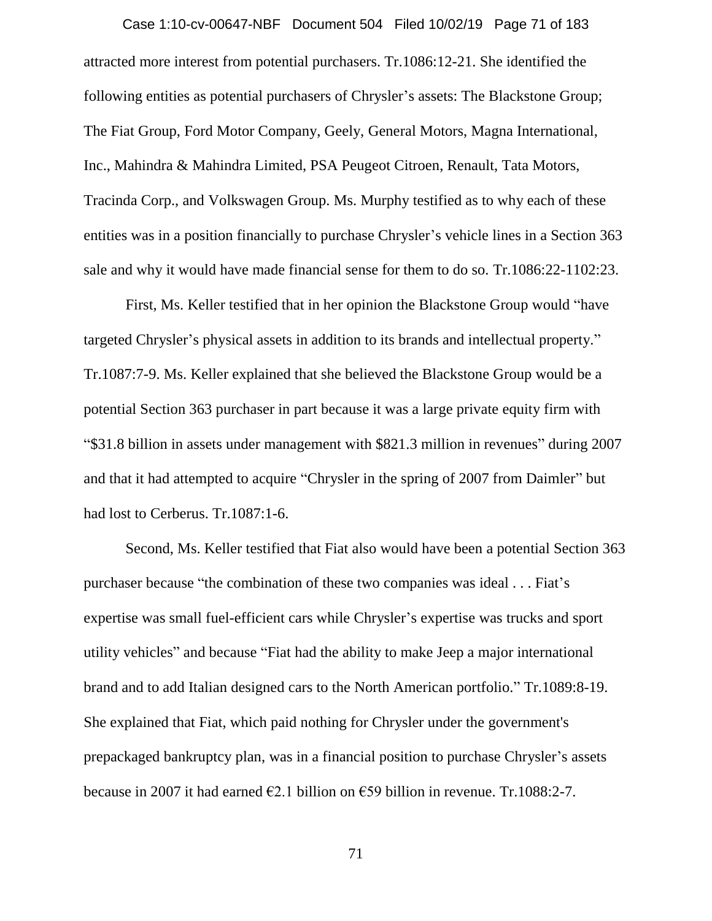attracted more interest from potential purchasers. Tr.1086:12-21. She identified the following entities as potential purchasers of Chrysler's assets: The Blackstone Group; The Fiat Group, Ford Motor Company, Geely, General Motors, Magna International, Inc., Mahindra & Mahindra Limited, PSA Peugeot Citroen, Renault, Tata Motors, Tracinda Corp., and Volkswagen Group. Ms. Murphy testified as to why each of these entities was in a position financially to purchase Chrysler's vehicle lines in a Section 363 sale and why it would have made financial sense for them to do so. Tr.1086:22-1102:23. Case 1:10-cv-00647-NBF Document 504 Filed 10/02/19 Page 71 of 183

First, Ms. Keller testified that in her opinion the Blackstone Group would "have targeted Chrysler's physical assets in addition to its brands and intellectual property." Tr.1087:7-9. Ms. Keller explained that she believed the Blackstone Group would be a potential Section 363 purchaser in part because it was a large private equity firm with "\$31.8 billion in assets under management with \$821.3 million in revenues" during 2007 and that it had attempted to acquire "Chrysler in the spring of 2007 from Daimler" but had lost to Cerberus. Tr.1087:1-6.

Second, Ms. Keller testified that Fiat also would have been a potential Section 363 purchaser because "the combination of these two companies was ideal . . . Fiat's expertise was small fuel-efficient cars while Chrysler's expertise was trucks and sport utility vehicles" and because "Fiat had the ability to make Jeep a major international brand and to add Italian designed cars to the North American portfolio." Tr.1089:8-19. She explained that Fiat, which paid nothing for Chrysler under the government's prepackaged bankruptcy plan, was in a financial position to purchase Chrysler's assets because in 2007 it had earned  $\epsilon$ 2.1 billion on  $\epsilon$ 59 billion in revenue. Tr.1088:2-7.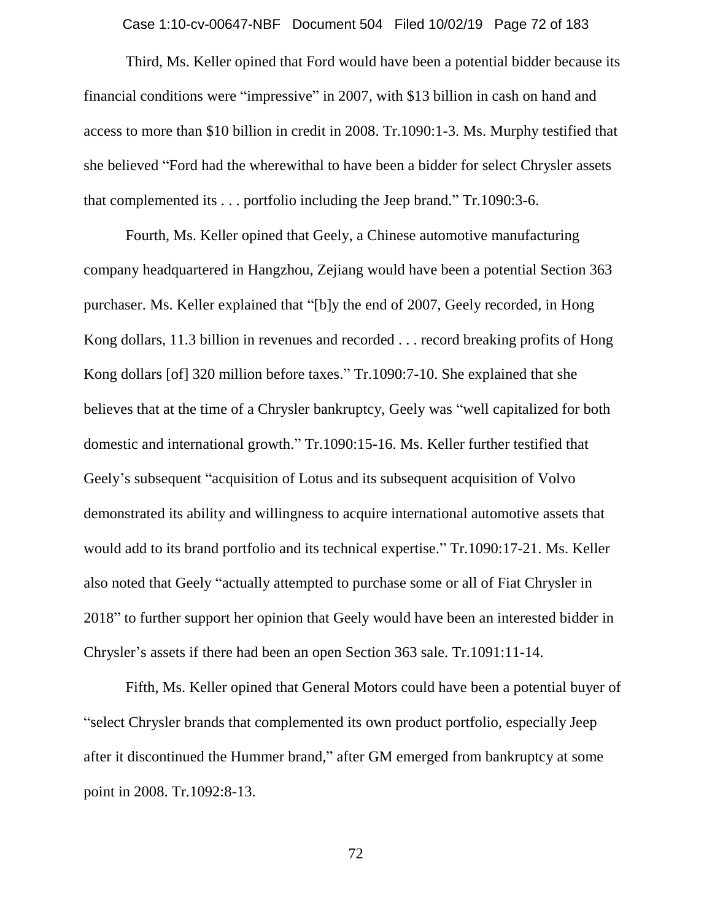Case 1:10-cv-00647-NBF Document 504 Filed 10/02/19 Page 72 of 183

Third, Ms. Keller opined that Ford would have been a potential bidder because its financial conditions were "impressive" in 2007, with \$13 billion in cash on hand and access to more than \$10 billion in credit in 2008. Tr.1090:1-3. Ms. Murphy testified that she believed "Ford had the wherewithal to have been a bidder for select Chrysler assets that complemented its . . . portfolio including the Jeep brand." Tr.1090:3-6.

Fourth, Ms. Keller opined that Geely, a Chinese automotive manufacturing company headquartered in Hangzhou, Zejiang would have been a potential Section 363 purchaser. Ms. Keller explained that "[b]y the end of 2007, Geely recorded, in Hong Kong dollars, 11.3 billion in revenues and recorded . . . record breaking profits of Hong Kong dollars [of] 320 million before taxes." Tr.1090:7-10. She explained that she believes that at the time of a Chrysler bankruptcy, Geely was "well capitalized for both domestic and international growth." Tr.1090:15-16. Ms. Keller further testified that Geely's subsequent "acquisition of Lotus and its subsequent acquisition of Volvo demonstrated its ability and willingness to acquire international automotive assets that would add to its brand portfolio and its technical expertise." Tr.1090:17-21. Ms. Keller also noted that Geely "actually attempted to purchase some or all of Fiat Chrysler in 2018" to further support her opinion that Geely would have been an interested bidder in Chrysler's assets if there had been an open Section 363 sale. Tr.1091:11-14.

Fifth, Ms. Keller opined that General Motors could have been a potential buyer of "select Chrysler brands that complemented its own product portfolio, especially Jeep after it discontinued the Hummer brand," after GM emerged from bankruptcy at some point in 2008. Tr.1092:8-13.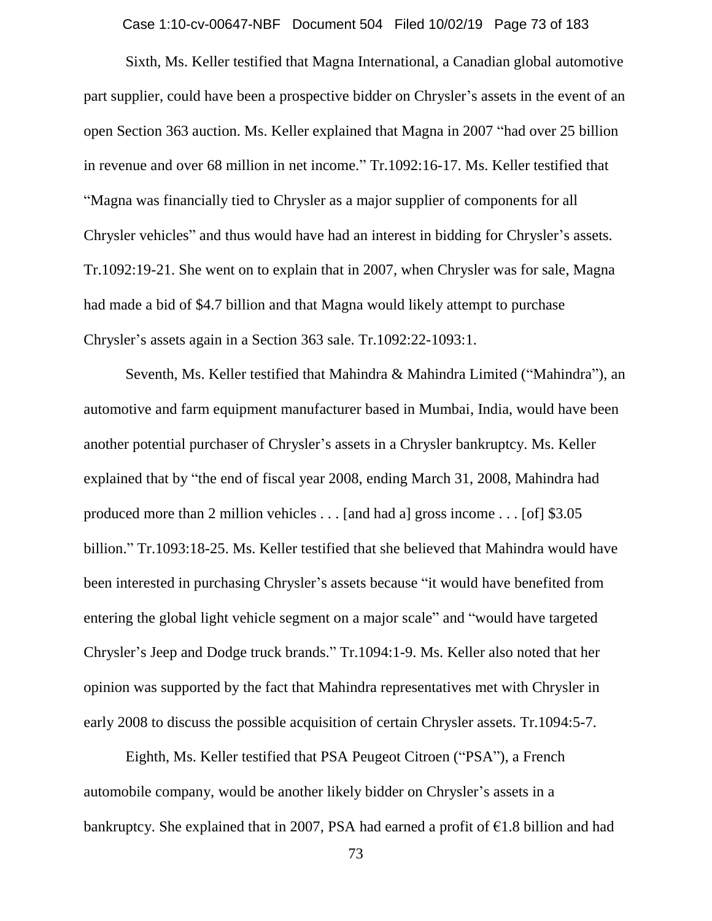Case 1:10-cv-00647-NBF Document 504 Filed 10/02/19 Page 73 of 183

Sixth, Ms. Keller testified that Magna International, a Canadian global automotive part supplier, could have been a prospective bidder on Chrysler's assets in the event of an open Section 363 auction. Ms. Keller explained that Magna in 2007 "had over 25 billion in revenue and over 68 million in net income." Tr.1092:16-17. Ms. Keller testified that "Magna was financially tied to Chrysler as a major supplier of components for all Chrysler vehicles" and thus would have had an interest in bidding for Chrysler's assets. Tr.1092:19-21. She went on to explain that in 2007, when Chrysler was for sale, Magna had made a bid of \$4.7 billion and that Magna would likely attempt to purchase Chrysler's assets again in a Section 363 sale. Tr.1092:22-1093:1.

Seventh, Ms. Keller testified that Mahindra & Mahindra Limited ("Mahindra"), an automotive and farm equipment manufacturer based in Mumbai, India, would have been another potential purchaser of Chrysler's assets in a Chrysler bankruptcy. Ms. Keller explained that by "the end of fiscal year 2008, ending March 31, 2008, Mahindra had produced more than 2 million vehicles . . . [and had a] gross income . . . [of] \$3.05 billion." Tr.1093:18-25. Ms. Keller testified that she believed that Mahindra would have been interested in purchasing Chrysler's assets because "it would have benefited from entering the global light vehicle segment on a major scale" and "would have targeted Chrysler's Jeep and Dodge truck brands." Tr.1094:1-9. Ms. Keller also noted that her opinion was supported by the fact that Mahindra representatives met with Chrysler in early 2008 to discuss the possible acquisition of certain Chrysler assets. Tr.1094:5-7.

Eighth, Ms. Keller testified that PSA Peugeot Citroen ("PSA"), a French automobile company, would be another likely bidder on Chrysler's assets in a bankruptcy. She explained that in 2007, PSA had earned a profit of  $\epsilon$ 1.8 billion and had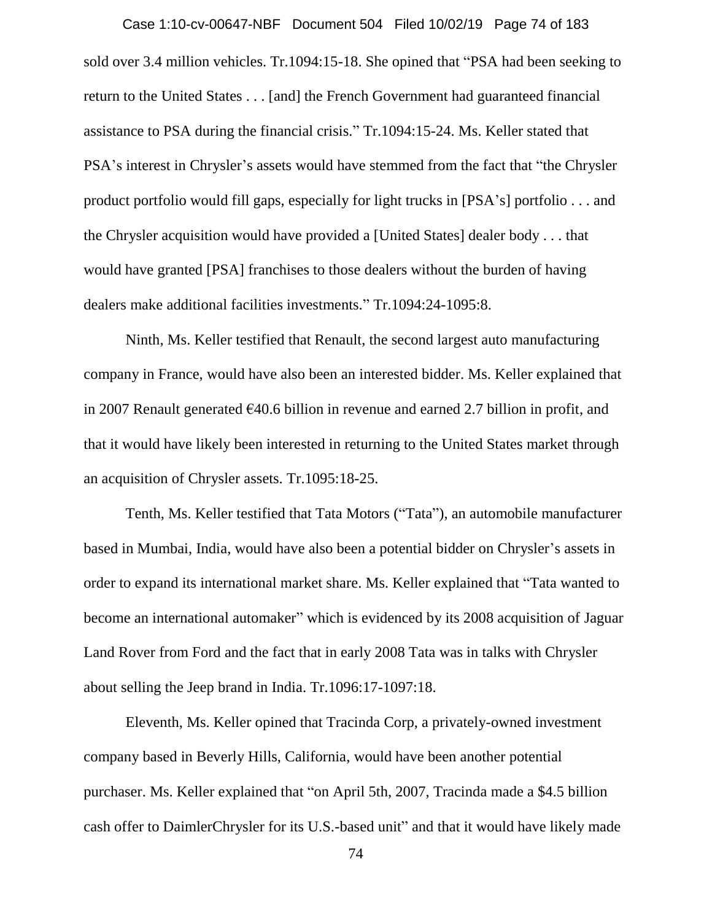sold over 3.4 million vehicles. Tr.1094:15-18. She opined that "PSA had been seeking to return to the United States . . . [and] the French Government had guaranteed financial assistance to PSA during the financial crisis." Tr.1094:15-24. Ms. Keller stated that PSA's interest in Chrysler's assets would have stemmed from the fact that "the Chrysler product portfolio would fill gaps, especially for light trucks in [PSA's] portfolio . . . and the Chrysler acquisition would have provided a [United States] dealer body . . . that would have granted [PSA] franchises to those dealers without the burden of having dealers make additional facilities investments." Tr.1094:24-1095:8. Case 1:10-cv-00647-NBF Document 504 Filed 10/02/19 Page 74 of 183

Ninth, Ms. Keller testified that Renault, the second largest auto manufacturing company in France, would have also been an interested bidder. Ms. Keller explained that in 2007 Renault generated €40.6 billion in revenue and earned 2.7 billion in profit, and that it would have likely been interested in returning to the United States market through an acquisition of Chrysler assets. Tr.1095:18-25.

Tenth, Ms. Keller testified that Tata Motors ("Tata"), an automobile manufacturer based in Mumbai, India, would have also been a potential bidder on Chrysler's assets in order to expand its international market share. Ms. Keller explained that "Tata wanted to become an international automaker" which is evidenced by its 2008 acquisition of Jaguar Land Rover from Ford and the fact that in early 2008 Tata was in talks with Chrysler about selling the Jeep brand in India. Tr.1096:17-1097:18.

Eleventh, Ms. Keller opined that Tracinda Corp, a privately-owned investment company based in Beverly Hills, California, would have been another potential purchaser. Ms. Keller explained that "on April 5th, 2007, Tracinda made a \$4.5 billion cash offer to DaimlerChrysler for its U.S.-based unit" and that it would have likely made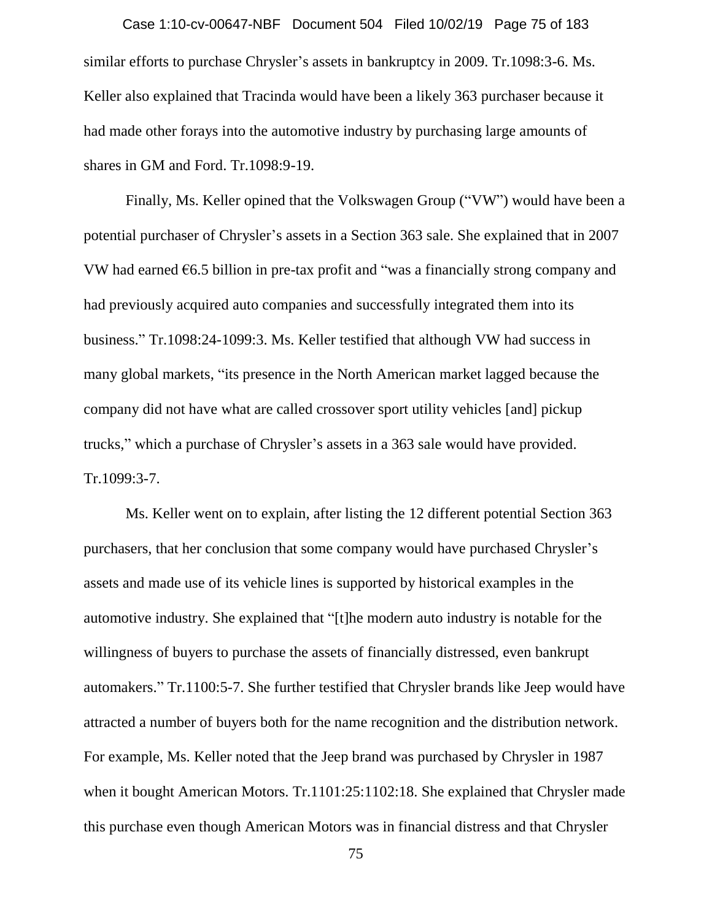similar efforts to purchase Chrysler's assets in bankruptcy in 2009. Tr.1098:3-6. Ms. Keller also explained that Tracinda would have been a likely 363 purchaser because it had made other forays into the automotive industry by purchasing large amounts of shares in GM and Ford. Tr.1098:9-19. Case 1:10-cv-00647-NBF Document 504 Filed 10/02/19 Page 75 of 183

Finally, Ms. Keller opined that the Volkswagen Group ("VW") would have been a potential purchaser of Chrysler's assets in a Section 363 sale. She explained that in 2007 VW had earned  $6.5$  billion in pre-tax profit and "was a financially strong company and had previously acquired auto companies and successfully integrated them into its business." Tr.1098:24-1099:3. Ms. Keller testified that although VW had success in many global markets, "its presence in the North American market lagged because the company did not have what are called crossover sport utility vehicles [and] pickup trucks," which a purchase of Chrysler's assets in a 363 sale would have provided. Tr.1099:3-7.

Ms. Keller went on to explain, after listing the 12 different potential Section 363 purchasers, that her conclusion that some company would have purchased Chrysler's assets and made use of its vehicle lines is supported by historical examples in the automotive industry. She explained that "[t]he modern auto industry is notable for the willingness of buyers to purchase the assets of financially distressed, even bankrupt automakers." Tr.1100:5-7. She further testified that Chrysler brands like Jeep would have attracted a number of buyers both for the name recognition and the distribution network. For example, Ms. Keller noted that the Jeep brand was purchased by Chrysler in 1987 when it bought American Motors. Tr.1101:25:1102:18. She explained that Chrysler made this purchase even though American Motors was in financial distress and that Chrysler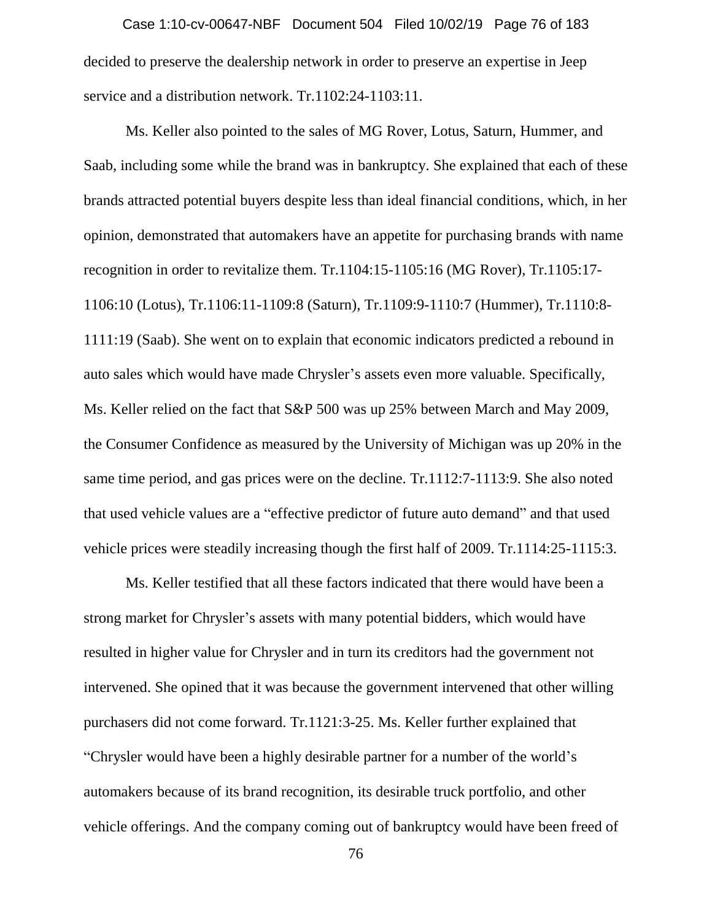decided to preserve the dealership network in order to preserve an expertise in Jeep service and a distribution network. Tr.1102:24-1103:11. Case 1:10-cv-00647-NBF Document 504 Filed 10/02/19 Page 76 of 183

Ms. Keller also pointed to the sales of MG Rover, Lotus, Saturn, Hummer, and Saab, including some while the brand was in bankruptcy. She explained that each of these brands attracted potential buyers despite less than ideal financial conditions, which, in her opinion, demonstrated that automakers have an appetite for purchasing brands with name recognition in order to revitalize them. Tr.1104:15-1105:16 (MG Rover), Tr.1105:17- 1106:10 (Lotus), Tr.1106:11-1109:8 (Saturn), Tr.1109:9-1110:7 (Hummer), Tr.1110:8- 1111:19 (Saab). She went on to explain that economic indicators predicted a rebound in auto sales which would have made Chrysler's assets even more valuable. Specifically, Ms. Keller relied on the fact that S&P 500 was up 25% between March and May 2009, the Consumer Confidence as measured by the University of Michigan was up 20% in the same time period, and gas prices were on the decline. Tr.1112:7-1113:9. She also noted that used vehicle values are a "effective predictor of future auto demand" and that used vehicle prices were steadily increasing though the first half of 2009. Tr.1114:25-1115:3.

Ms. Keller testified that all these factors indicated that there would have been a strong market for Chrysler's assets with many potential bidders, which would have resulted in higher value for Chrysler and in turn its creditors had the government not intervened. She opined that it was because the government intervened that other willing purchasers did not come forward. Tr.1121:3-25. Ms. Keller further explained that "Chrysler would have been a highly desirable partner for a number of the world's automakers because of its brand recognition, its desirable truck portfolio, and other vehicle offerings. And the company coming out of bankruptcy would have been freed of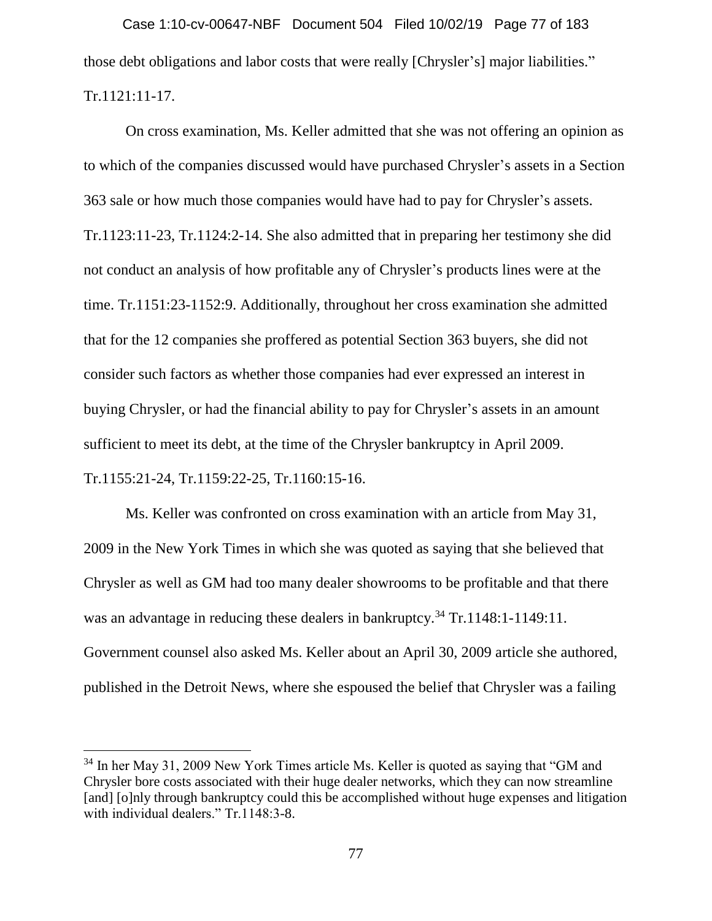those debt obligations and labor costs that were really [Chrysler's] major liabilities." Tr.1121:11-17. Case 1:10-cv-00647-NBF Document 504 Filed 10/02/19 Page 77 of 183

On cross examination, Ms. Keller admitted that she was not offering an opinion as to which of the companies discussed would have purchased Chrysler's assets in a Section 363 sale or how much those companies would have had to pay for Chrysler's assets. Tr.1123:11-23, Tr.1124:2-14. She also admitted that in preparing her testimony she did not conduct an analysis of how profitable any of Chrysler's products lines were at the time. Tr.1151:23-1152:9. Additionally, throughout her cross examination she admitted that for the 12 companies she proffered as potential Section 363 buyers, she did not consider such factors as whether those companies had ever expressed an interest in buying Chrysler, or had the financial ability to pay for Chrysler's assets in an amount sufficient to meet its debt, at the time of the Chrysler bankruptcy in April 2009. Tr.1155:21-24, Tr.1159:22-25, Tr.1160:15-16.

Ms. Keller was confronted on cross examination with an article from May 31, 2009 in the New York Times in which she was quoted as saying that she believed that Chrysler as well as GM had too many dealer showrooms to be profitable and that there was an advantage in reducing these dealers in bankruptcy.<sup>34</sup> Tr.1148:1-1149:11. Government counsel also asked Ms. Keller about an April 30, 2009 article she authored, published in the Detroit News, where she espoused the belief that Chrysler was a failing

 $\overline{a}$ 

<sup>&</sup>lt;sup>34</sup> In her May 31, 2009 New York Times article Ms. Keller is quoted as saying that "GM and Chrysler bore costs associated with their huge dealer networks, which they can now streamline [and] [o]nly through bankruptcy could this be accomplished without huge expenses and litigation with individual dealers." Tr.1148:3-8.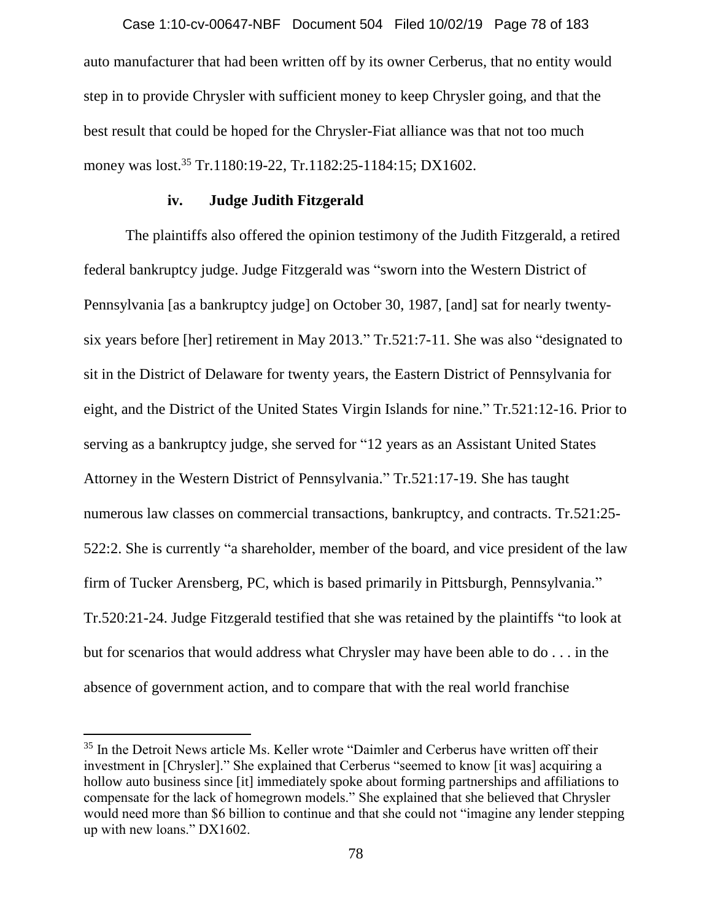auto manufacturer that had been written off by its owner Cerberus, that no entity would step in to provide Chrysler with sufficient money to keep Chrysler going, and that the best result that could be hoped for the Chrysler-Fiat alliance was that not too much money was lost.<sup>35</sup> Tr.1180:19-22, Tr.1182:25-1184:15; DX1602. Case 1:10-cv-00647-NBF Document 504 Filed 10/02/19 Page 78 of 183

### **iv. Judge Judith Fitzgerald**

The plaintiffs also offered the opinion testimony of the Judith Fitzgerald, a retired federal bankruptcy judge. Judge Fitzgerald was "sworn into the Western District of Pennsylvania [as a bankruptcy judge] on October 30, 1987, [and] sat for nearly twentysix years before [her] retirement in May 2013." Tr.521:7-11. She was also "designated to sit in the District of Delaware for twenty years, the Eastern District of Pennsylvania for eight, and the District of the United States Virgin Islands for nine." Tr.521:12-16. Prior to serving as a bankruptcy judge, she served for "12 years as an Assistant United States Attorney in the Western District of Pennsylvania." Tr.521:17-19. She has taught numerous law classes on commercial transactions, bankruptcy, and contracts. Tr.521:25- 522:2. She is currently "a shareholder, member of the board, and vice president of the law firm of Tucker Arensberg, PC, which is based primarily in Pittsburgh, Pennsylvania." Tr.520:21-24. Judge Fitzgerald testified that she was retained by the plaintiffs "to look at but for scenarios that would address what Chrysler may have been able to do . . . in the absence of government action, and to compare that with the real world franchise

 $\overline{a}$ 

<sup>&</sup>lt;sup>35</sup> In the Detroit News article Ms. Keller wrote "Daimler and Cerberus have written off their investment in [Chrysler]." She explained that Cerberus "seemed to know [it was] acquiring a hollow auto business since [it] immediately spoke about forming partnerships and affiliations to compensate for the lack of homegrown models." She explained that she believed that Chrysler would need more than \$6 billion to continue and that she could not "imagine any lender stepping up with new loans." DX1602.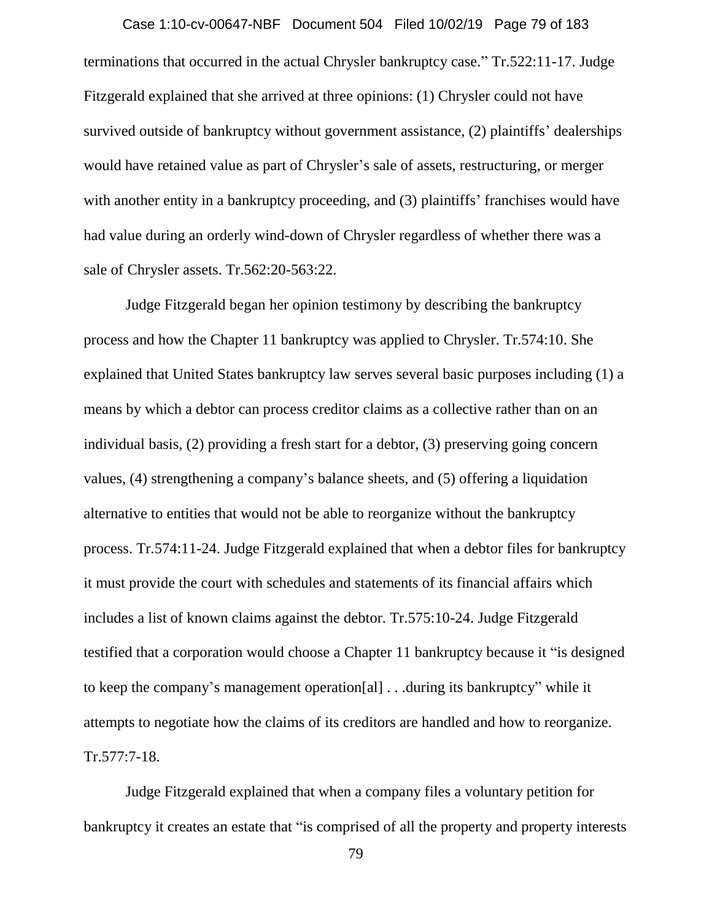terminations that occurred in the actual Chrysler bankruptcy case." Tr.522:11-17. Judge Fitzgerald explained that she arrived at three opinions: (1) Chrysler could not have survived outside of bankruptcy without government assistance, (2) plaintiffs' dealerships would have retained value as part of Chrysler's sale of assets, restructuring, or merger with another entity in a bankruptcy proceeding, and (3) plaintiffs' franchises would have had value during an orderly wind-down of Chrysler regardless of whether there was a sale of Chrysler assets. Tr.562:20-563:22. Case 1:10-cv-00647-NBF Document 504 Filed 10/02/19 Page 79 of 183

Judge Fitzgerald began her opinion testimony by describing the bankruptcy process and how the Chapter 11 bankruptcy was applied to Chrysler. Tr.574:10. She explained that United States bankruptcy law serves several basic purposes including (1) a means by which a debtor can process creditor claims as a collective rather than on an individual basis, (2) providing a fresh start for a debtor, (3) preserving going concern values, (4) strengthening a company's balance sheets, and (5) offering a liquidation alternative to entities that would not be able to reorganize without the bankruptcy process. Tr.574:11-24. Judge Fitzgerald explained that when a debtor files for bankruptcy it must provide the court with schedules and statements of its financial affairs which includes a list of known claims against the debtor. Tr.575:10-24. Judge Fitzgerald testified that a corporation would choose a Chapter 11 bankruptcy because it "is designed to keep the company's management operation[al] . . .during its bankruptcy" while it attempts to negotiate how the claims of its creditors are handled and how to reorganize. Tr.577:7-18.

Judge Fitzgerald explained that when a company files a voluntary petition for bankruptcy it creates an estate that "is comprised of all the property and property interests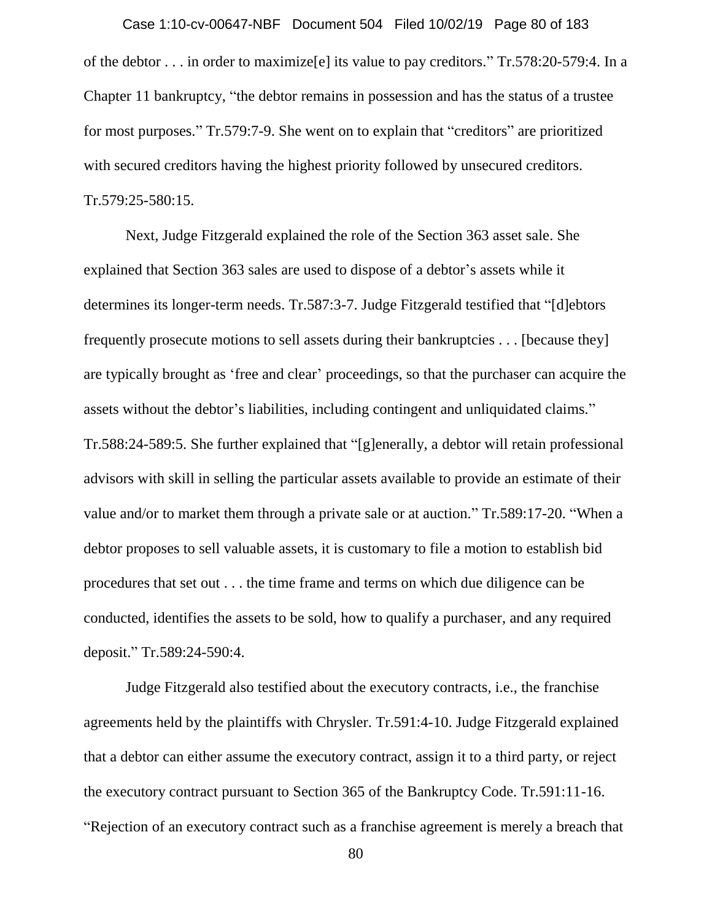of the debtor . . . in order to maximize[e] its value to pay creditors." Tr.578:20-579:4. In a Chapter 11 bankruptcy, "the debtor remains in possession and has the status of a trustee for most purposes." Tr.579:7-9. She went on to explain that "creditors" are prioritized with secured creditors having the highest priority followed by unsecured creditors. Tr.579:25-580:15. Case 1:10-cv-00647-NBF Document 504 Filed 10/02/19 Page 80 of 183

Next, Judge Fitzgerald explained the role of the Section 363 asset sale. She explained that Section 363 sales are used to dispose of a debtor's assets while it determines its longer-term needs. Tr.587:3-7. Judge Fitzgerald testified that "[d]ebtors frequently prosecute motions to sell assets during their bankruptcies . . . [because they] are typically brought as 'free and clear' proceedings, so that the purchaser can acquire the assets without the debtor's liabilities, including contingent and unliquidated claims." Tr.588:24-589:5. She further explained that "[g]enerally, a debtor will retain professional advisors with skill in selling the particular assets available to provide an estimate of their value and/or to market them through a private sale or at auction." Tr.589:17-20. "When a debtor proposes to sell valuable assets, it is customary to file a motion to establish bid procedures that set out . . . the time frame and terms on which due diligence can be conducted, identifies the assets to be sold, how to qualify a purchaser, and any required deposit." Tr.589:24-590:4.

Judge Fitzgerald also testified about the executory contracts, i.e., the franchise agreements held by the plaintiffs with Chrysler. Tr.591:4-10. Judge Fitzgerald explained that a debtor can either assume the executory contract, assign it to a third party, or reject the executory contract pursuant to Section 365 of the Bankruptcy Code. Tr.591:11-16. "Rejection of an executory contract such as a franchise agreement is merely a breach that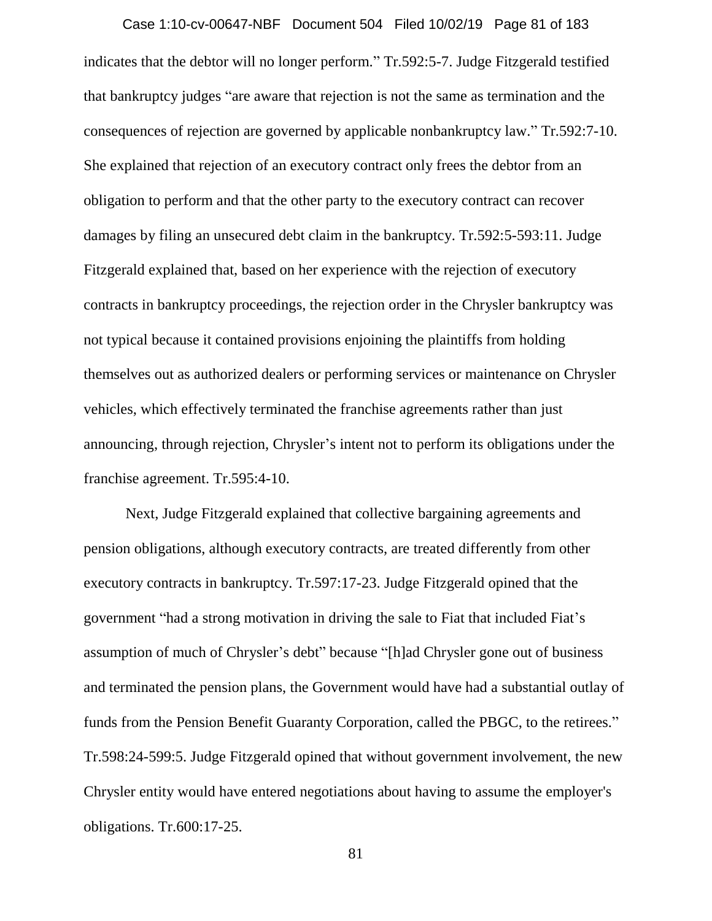indicates that the debtor will no longer perform." Tr.592:5-7. Judge Fitzgerald testified that bankruptcy judges "are aware that rejection is not the same as termination and the consequences of rejection are governed by applicable nonbankruptcy law." Tr.592:7-10. She explained that rejection of an executory contract only frees the debtor from an obligation to perform and that the other party to the executory contract can recover damages by filing an unsecured debt claim in the bankruptcy. Tr.592:5-593:11. Judge Fitzgerald explained that, based on her experience with the rejection of executory contracts in bankruptcy proceedings, the rejection order in the Chrysler bankruptcy was not typical because it contained provisions enjoining the plaintiffs from holding themselves out as authorized dealers or performing services or maintenance on Chrysler vehicles, which effectively terminated the franchise agreements rather than just announcing, through rejection, Chrysler's intent not to perform its obligations under the franchise agreement. Tr.595:4-10. Case 1:10-cv-00647-NBF Document 504 Filed 10/02/19 Page 81 of 183

Next, Judge Fitzgerald explained that collective bargaining agreements and pension obligations, although executory contracts, are treated differently from other executory contracts in bankruptcy. Tr.597:17-23. Judge Fitzgerald opined that the government "had a strong motivation in driving the sale to Fiat that included Fiat's assumption of much of Chrysler's debt" because "[h]ad Chrysler gone out of business and terminated the pension plans, the Government would have had a substantial outlay of funds from the Pension Benefit Guaranty Corporation, called the PBGC, to the retirees." Tr.598:24-599:5. Judge Fitzgerald opined that without government involvement, the new Chrysler entity would have entered negotiations about having to assume the employer's obligations. Tr.600:17-25.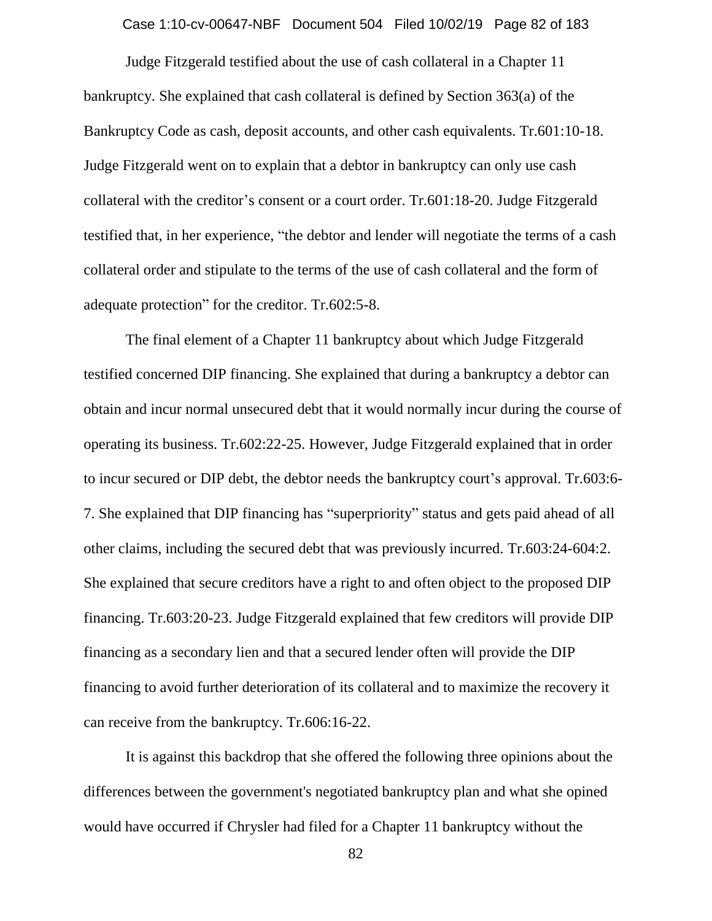Case 1:10-cv-00647-NBF Document 504 Filed 10/02/19 Page 82 of 183

Judge Fitzgerald testified about the use of cash collateral in a Chapter 11 bankruptcy. She explained that cash collateral is defined by Section 363(a) of the Bankruptcy Code as cash, deposit accounts, and other cash equivalents. Tr.601:10-18. Judge Fitzgerald went on to explain that a debtor in bankruptcy can only use cash collateral with the creditor's consent or a court order. Tr.601:18-20. Judge Fitzgerald testified that, in her experience, "the debtor and lender will negotiate the terms of a cash collateral order and stipulate to the terms of the use of cash collateral and the form of adequate protection" for the creditor. Tr.602:5-8.

The final element of a Chapter 11 bankruptcy about which Judge Fitzgerald testified concerned DIP financing. She explained that during a bankruptcy a debtor can obtain and incur normal unsecured debt that it would normally incur during the course of operating its business. Tr.602:22-25. However, Judge Fitzgerald explained that in order to incur secured or DIP debt, the debtor needs the bankruptcy court's approval. Tr.603:6- 7. She explained that DIP financing has "superpriority" status and gets paid ahead of all other claims, including the secured debt that was previously incurred. Tr.603:24-604:2. She explained that secure creditors have a right to and often object to the proposed DIP financing. Tr.603:20-23. Judge Fitzgerald explained that few creditors will provide DIP financing as a secondary lien and that a secured lender often will provide the DIP financing to avoid further deterioration of its collateral and to maximize the recovery it can receive from the bankruptcy. Tr.606:16-22.

It is against this backdrop that she offered the following three opinions about the differences between the government's negotiated bankruptcy plan and what she opined would have occurred if Chrysler had filed for a Chapter 11 bankruptcy without the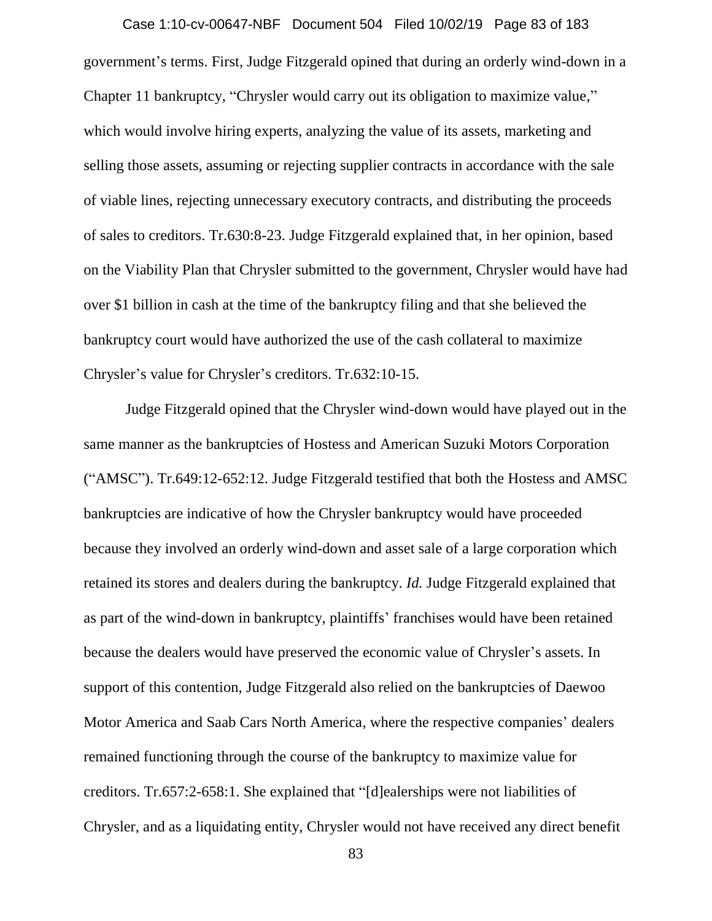government's terms. First, Judge Fitzgerald opined that during an orderly wind-down in a Chapter 11 bankruptcy, "Chrysler would carry out its obligation to maximize value," which would involve hiring experts, analyzing the value of its assets, marketing and selling those assets, assuming or rejecting supplier contracts in accordance with the sale of viable lines, rejecting unnecessary executory contracts, and distributing the proceeds of sales to creditors. Tr.630:8-23. Judge Fitzgerald explained that, in her opinion, based on the Viability Plan that Chrysler submitted to the government, Chrysler would have had over \$1 billion in cash at the time of the bankruptcy filing and that she believed the bankruptcy court would have authorized the use of the cash collateral to maximize Chrysler's value for Chrysler's creditors. Tr.632:10-15. Case 1:10-cv-00647-NBF Document 504 Filed 10/02/19 Page 83 of 183

Judge Fitzgerald opined that the Chrysler wind-down would have played out in the same manner as the bankruptcies of Hostess and American Suzuki Motors Corporation ("AMSC"). Tr.649:12-652:12. Judge Fitzgerald testified that both the Hostess and AMSC bankruptcies are indicative of how the Chrysler bankruptcy would have proceeded because they involved an orderly wind-down and asset sale of a large corporation which retained its stores and dealers during the bankruptcy. *Id.* Judge Fitzgerald explained that as part of the wind-down in bankruptcy, plaintiffs' franchises would have been retained because the dealers would have preserved the economic value of Chrysler's assets. In support of this contention, Judge Fitzgerald also relied on the bankruptcies of Daewoo Motor America and Saab Cars North America, where the respective companies' dealers remained functioning through the course of the bankruptcy to maximize value for creditors. Tr.657:2-658:1. She explained that "[d]ealerships were not liabilities of Chrysler, and as a liquidating entity, Chrysler would not have received any direct benefit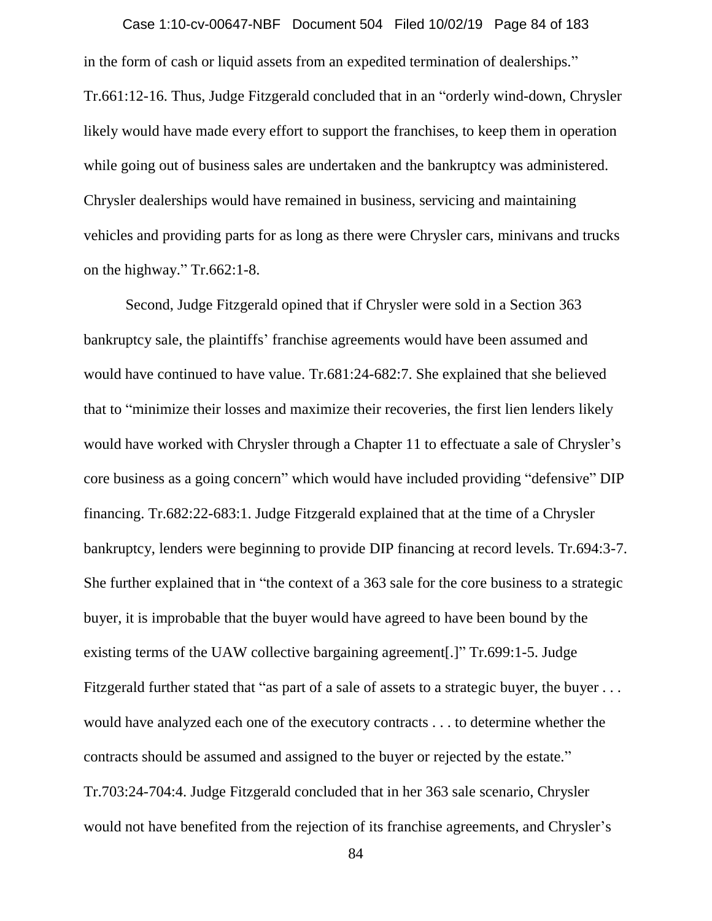in the form of cash or liquid assets from an expedited termination of dealerships." Tr.661:12-16. Thus, Judge Fitzgerald concluded that in an "orderly wind-down, Chrysler likely would have made every effort to support the franchises, to keep them in operation while going out of business sales are undertaken and the bankruptcy was administered. Chrysler dealerships would have remained in business, servicing and maintaining vehicles and providing parts for as long as there were Chrysler cars, minivans and trucks on the highway." Tr.662:1-8. Case 1:10-cv-00647-NBF Document 504 Filed 10/02/19 Page 84 of 183

Second, Judge Fitzgerald opined that if Chrysler were sold in a Section 363 bankruptcy sale, the plaintiffs' franchise agreements would have been assumed and would have continued to have value. Tr.681:24-682:7. She explained that she believed that to "minimize their losses and maximize their recoveries, the first lien lenders likely would have worked with Chrysler through a Chapter 11 to effectuate a sale of Chrysler's core business as a going concern" which would have included providing "defensive" DIP financing. Tr.682:22-683:1. Judge Fitzgerald explained that at the time of a Chrysler bankruptcy, lenders were beginning to provide DIP financing at record levels. Tr.694:3-7. She further explained that in "the context of a 363 sale for the core business to a strategic buyer, it is improbable that the buyer would have agreed to have been bound by the existing terms of the UAW collective bargaining agreement[.]" Tr.699:1-5. Judge Fitzgerald further stated that "as part of a sale of assets to a strategic buyer, the buyer . . . would have analyzed each one of the executory contracts . . . to determine whether the contracts should be assumed and assigned to the buyer or rejected by the estate." Tr.703:24-704:4. Judge Fitzgerald concluded that in her 363 sale scenario, Chrysler would not have benefited from the rejection of its franchise agreements, and Chrysler's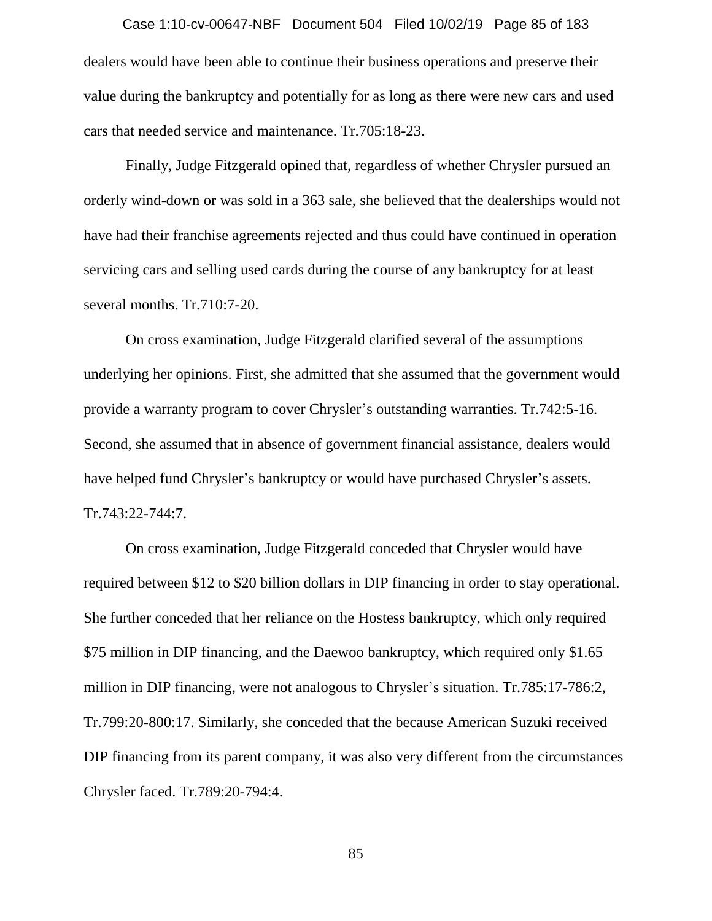dealers would have been able to continue their business operations and preserve their value during the bankruptcy and potentially for as long as there were new cars and used cars that needed service and maintenance. Tr.705:18-23. Case 1:10-cv-00647-NBF Document 504 Filed 10/02/19 Page 85 of 183

Finally, Judge Fitzgerald opined that, regardless of whether Chrysler pursued an orderly wind-down or was sold in a 363 sale, she believed that the dealerships would not have had their franchise agreements rejected and thus could have continued in operation servicing cars and selling used cards during the course of any bankruptcy for at least several months. Tr.710:7-20.

On cross examination, Judge Fitzgerald clarified several of the assumptions underlying her opinions. First, she admitted that she assumed that the government would provide a warranty program to cover Chrysler's outstanding warranties. Tr.742:5-16. Second, she assumed that in absence of government financial assistance, dealers would have helped fund Chrysler's bankruptcy or would have purchased Chrysler's assets. Tr.743:22-744:7.

On cross examination, Judge Fitzgerald conceded that Chrysler would have required between \$12 to \$20 billion dollars in DIP financing in order to stay operational. She further conceded that her reliance on the Hostess bankruptcy, which only required \$75 million in DIP financing, and the Daewoo bankruptcy, which required only \$1.65 million in DIP financing, were not analogous to Chrysler's situation. Tr.785:17-786:2, Tr.799:20-800:17. Similarly, she conceded that the because American Suzuki received DIP financing from its parent company, it was also very different from the circumstances Chrysler faced. Tr.789:20-794:4.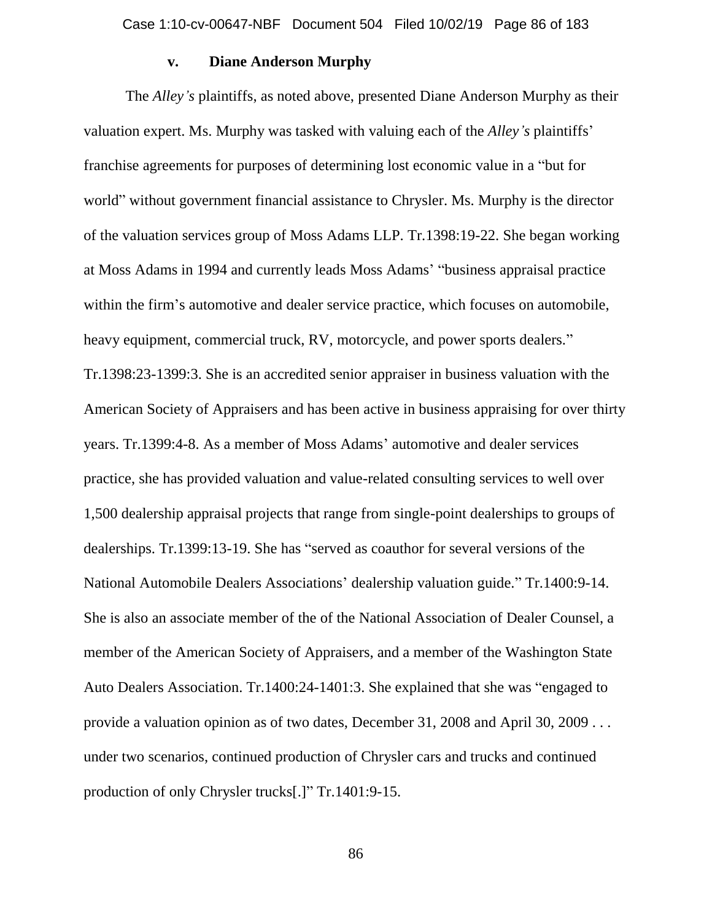# **v. Diane Anderson Murphy**

The *Alley's* plaintiffs, as noted above, presented Diane Anderson Murphy as their valuation expert. Ms. Murphy was tasked with valuing each of the *Alley's* plaintiffs' franchise agreements for purposes of determining lost economic value in a "but for world" without government financial assistance to Chrysler. Ms. Murphy is the director of the valuation services group of Moss Adams LLP. Tr.1398:19-22. She began working at Moss Adams in 1994 and currently leads Moss Adams' "business appraisal practice within the firm's automotive and dealer service practice, which focuses on automobile, heavy equipment, commercial truck, RV, motorcycle, and power sports dealers." Tr.1398:23-1399:3. She is an accredited senior appraiser in business valuation with the American Society of Appraisers and has been active in business appraising for over thirty years. Tr.1399:4-8. As a member of Moss Adams' automotive and dealer services practice, she has provided valuation and value-related consulting services to well over 1,500 dealership appraisal projects that range from single-point dealerships to groups of dealerships. Tr.1399:13-19. She has "served as coauthor for several versions of the National Automobile Dealers Associations' dealership valuation guide." Tr.1400:9-14. She is also an associate member of the of the National Association of Dealer Counsel, a member of the American Society of Appraisers, and a member of the Washington State Auto Dealers Association. Tr.1400:24-1401:3. She explained that she was "engaged to provide a valuation opinion as of two dates, December 31, 2008 and April 30, 2009 . . . under two scenarios, continued production of Chrysler cars and trucks and continued production of only Chrysler trucks[.]" Tr.1401:9-15.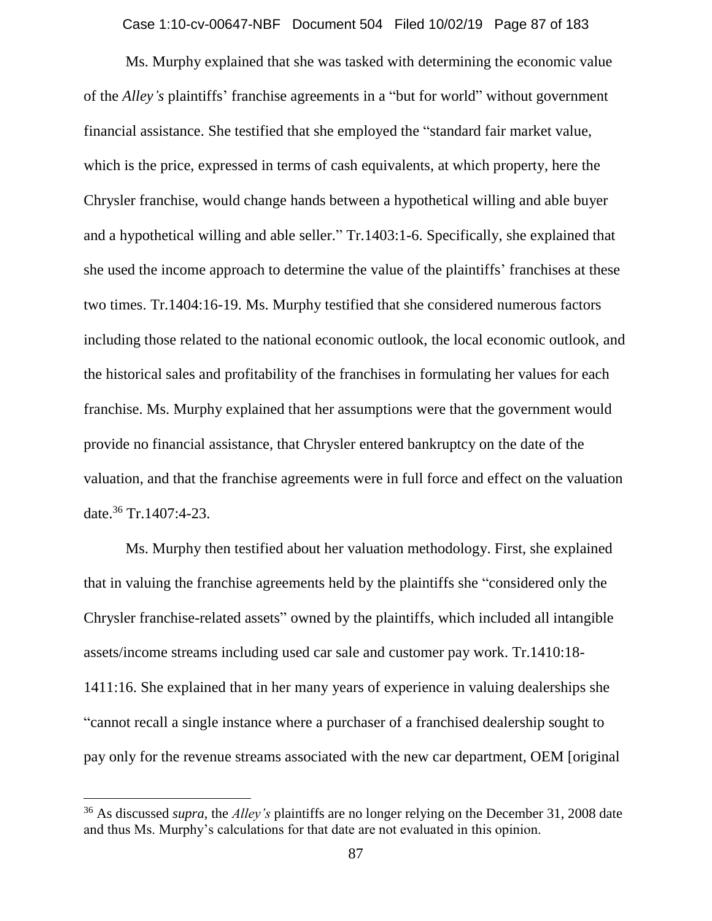Case 1:10-cv-00647-NBF Document 504 Filed 10/02/19 Page 87 of 183

Ms. Murphy explained that she was tasked with determining the economic value of the *Alley's* plaintiffs' franchise agreements in a "but for world" without government financial assistance. She testified that she employed the "standard fair market value, which is the price, expressed in terms of cash equivalents, at which property, here the Chrysler franchise, would change hands between a hypothetical willing and able buyer and a hypothetical willing and able seller." Tr.1403:1-6. Specifically, she explained that she used the income approach to determine the value of the plaintiffs' franchises at these two times. Tr.1404:16-19. Ms. Murphy testified that she considered numerous factors including those related to the national economic outlook, the local economic outlook, and the historical sales and profitability of the franchises in formulating her values for each franchise. Ms. Murphy explained that her assumptions were that the government would provide no financial assistance, that Chrysler entered bankruptcy on the date of the valuation, and that the franchise agreements were in full force and effect on the valuation date.<sup>36</sup> Tr.1407:4-23.

Ms. Murphy then testified about her valuation methodology. First, she explained that in valuing the franchise agreements held by the plaintiffs she "considered only the Chrysler franchise-related assets" owned by the plaintiffs, which included all intangible assets/income streams including used car sale and customer pay work. Tr.1410:18- 1411:16. She explained that in her many years of experience in valuing dealerships she "cannot recall a single instance where a purchaser of a franchised dealership sought to pay only for the revenue streams associated with the new car department, OEM [original

<sup>36</sup> As discussed *supra*, the *Alley's* plaintiffs are no longer relying on the December 31, 2008 date and thus Ms. Murphy's calculations for that date are not evaluated in this opinion.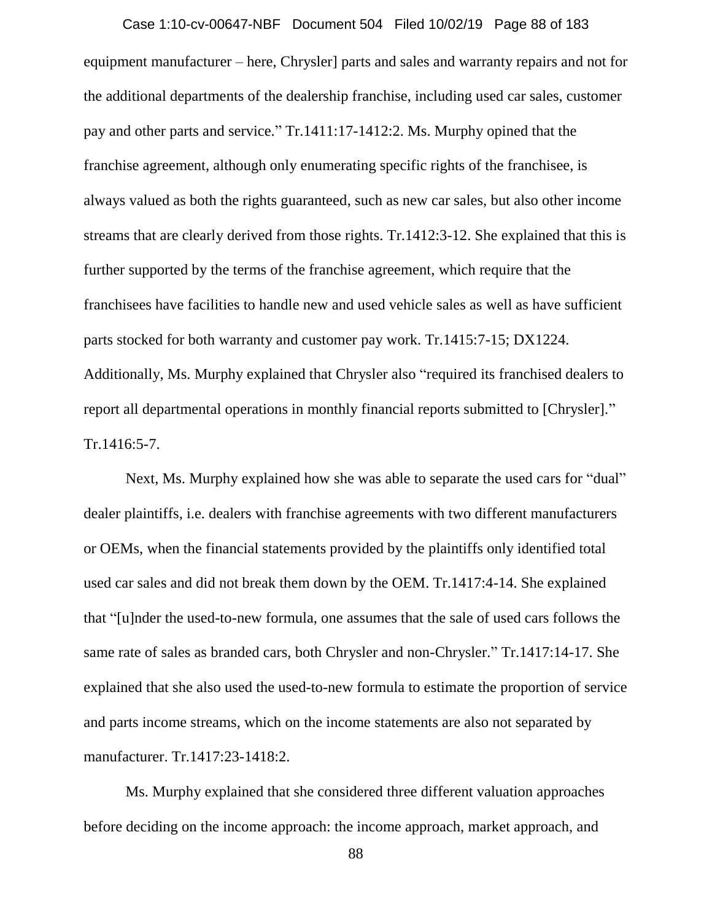# Case 1:10-cv-00647-NBF Document 504 Filed 10/02/19 Page 88 of 183

equipment manufacturer – here, Chrysler] parts and sales and warranty repairs and not for the additional departments of the dealership franchise, including used car sales, customer pay and other parts and service." Tr.1411:17-1412:2. Ms. Murphy opined that the franchise agreement, although only enumerating specific rights of the franchisee, is always valued as both the rights guaranteed, such as new car sales, but also other income streams that are clearly derived from those rights. Tr.1412:3-12. She explained that this is further supported by the terms of the franchise agreement, which require that the franchisees have facilities to handle new and used vehicle sales as well as have sufficient parts stocked for both warranty and customer pay work. Tr.1415:7-15; DX1224. Additionally, Ms. Murphy explained that Chrysler also "required its franchised dealers to report all departmental operations in monthly financial reports submitted to [Chrysler]." Tr.1416:5-7.

Next, Ms. Murphy explained how she was able to separate the used cars for "dual" dealer plaintiffs, i.e. dealers with franchise agreements with two different manufacturers or OEMs, when the financial statements provided by the plaintiffs only identified total used car sales and did not break them down by the OEM. Tr.1417:4-14. She explained that "[u]nder the used-to-new formula, one assumes that the sale of used cars follows the same rate of sales as branded cars, both Chrysler and non-Chrysler." Tr.1417:14-17. She explained that she also used the used-to-new formula to estimate the proportion of service and parts income streams, which on the income statements are also not separated by manufacturer. Tr.1417:23-1418:2.

Ms. Murphy explained that she considered three different valuation approaches before deciding on the income approach: the income approach, market approach, and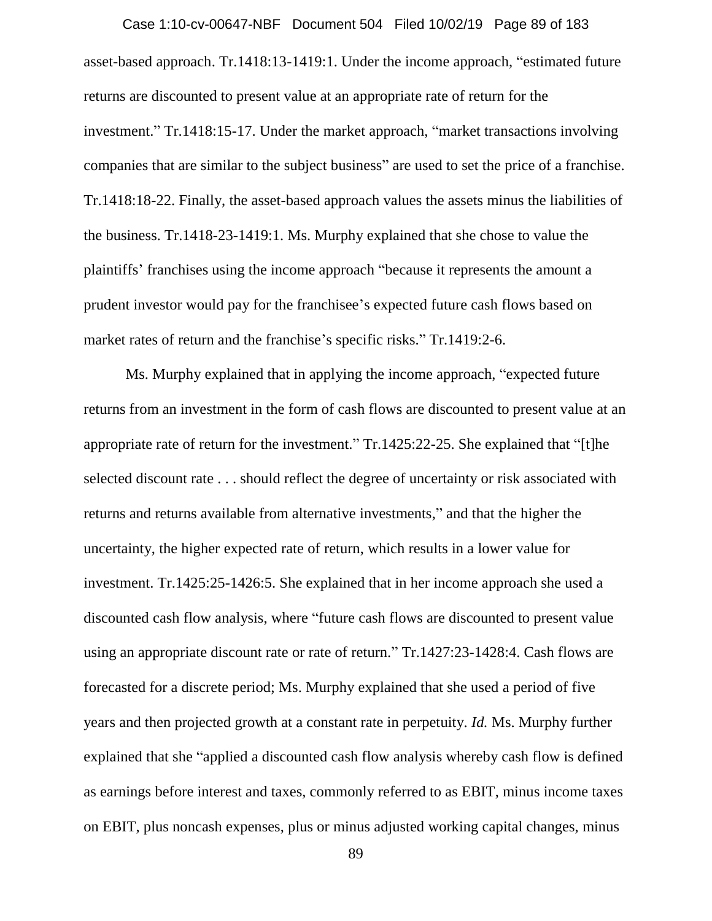asset-based approach. Tr.1418:13-1419:1. Under the income approach, "estimated future returns are discounted to present value at an appropriate rate of return for the investment." Tr.1418:15-17. Under the market approach, "market transactions involving companies that are similar to the subject business" are used to set the price of a franchise. Tr.1418:18-22. Finally, the asset-based approach values the assets minus the liabilities of the business. Tr.1418-23-1419:1. Ms. Murphy explained that she chose to value the plaintiffs' franchises using the income approach "because it represents the amount a prudent investor would pay for the franchisee's expected future cash flows based on market rates of return and the franchise's specific risks." Tr.1419:2-6. Case 1:10-cv-00647-NBF Document 504 Filed 10/02/19 Page 89 of 183

Ms. Murphy explained that in applying the income approach, "expected future returns from an investment in the form of cash flows are discounted to present value at an appropriate rate of return for the investment." Tr.1425:22-25. She explained that "[t]he selected discount rate . . . should reflect the degree of uncertainty or risk associated with returns and returns available from alternative investments," and that the higher the uncertainty, the higher expected rate of return, which results in a lower value for investment. Tr.1425:25-1426:5. She explained that in her income approach she used a discounted cash flow analysis, where "future cash flows are discounted to present value using an appropriate discount rate or rate of return." Tr.1427:23-1428:4. Cash flows are forecasted for a discrete period; Ms. Murphy explained that she used a period of five years and then projected growth at a constant rate in perpetuity. *Id.* Ms. Murphy further explained that she "applied a discounted cash flow analysis whereby cash flow is defined as earnings before interest and taxes, commonly referred to as EBIT, minus income taxes on EBIT, plus noncash expenses, plus or minus adjusted working capital changes, minus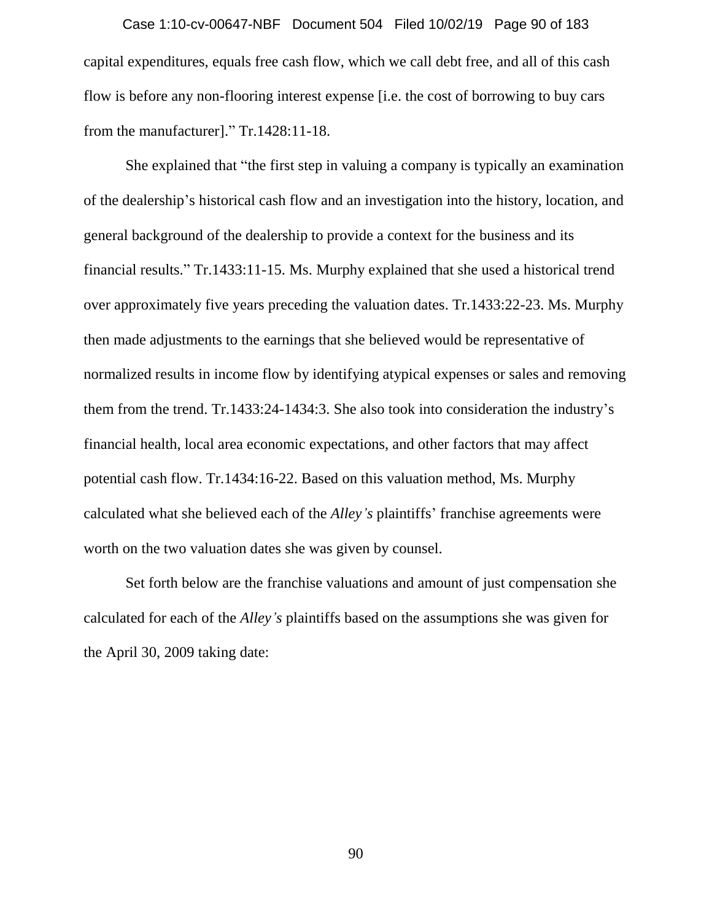capital expenditures, equals free cash flow, which we call debt free, and all of this cash flow is before any non-flooring interest expense [i.e. the cost of borrowing to buy cars from the manufacturer]." Tr.1428:11-18. Case 1:10-cv-00647-NBF Document 504 Filed 10/02/19 Page 90 of 183

She explained that "the first step in valuing a company is typically an examination of the dealership's historical cash flow and an investigation into the history, location, and general background of the dealership to provide a context for the business and its financial results." Tr.1433:11-15. Ms. Murphy explained that she used a historical trend over approximately five years preceding the valuation dates. Tr.1433:22-23. Ms. Murphy then made adjustments to the earnings that she believed would be representative of normalized results in income flow by identifying atypical expenses or sales and removing them from the trend. Tr.1433:24-1434:3. She also took into consideration the industry's financial health, local area economic expectations, and other factors that may affect potential cash flow. Tr.1434:16-22. Based on this valuation method, Ms. Murphy calculated what she believed each of the *Alley's* plaintiffs' franchise agreements were worth on the two valuation dates she was given by counsel.

Set forth below are the franchise valuations and amount of just compensation she calculated for each of the *Alley's* plaintiffs based on the assumptions she was given for the April 30, 2009 taking date: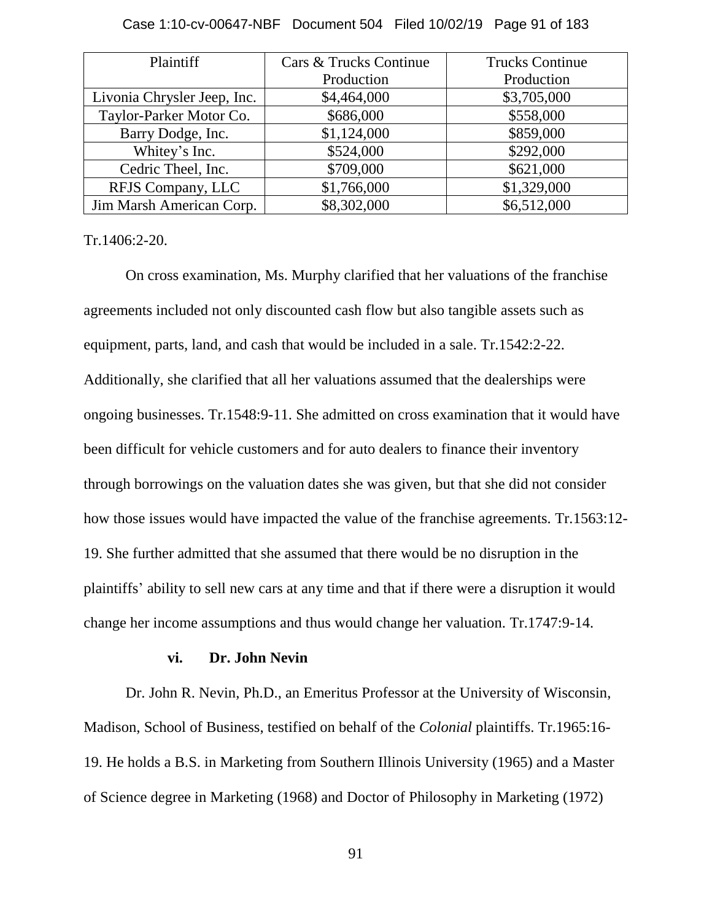| Plaintiff                   | Cars & Trucks Continue | <b>Trucks Continue</b> |
|-----------------------------|------------------------|------------------------|
|                             | Production             | Production             |
| Livonia Chrysler Jeep, Inc. | \$4,464,000            | \$3,705,000            |
| Taylor-Parker Motor Co.     | \$686,000              | \$558,000              |
| Barry Dodge, Inc.           | \$1,124,000            | \$859,000              |
| Whitey's Inc.               | \$524,000              | \$292,000              |
| Cedric Theel, Inc.          | \$709,000              | \$621,000              |
| RFJS Company, LLC           | \$1,766,000            | \$1,329,000            |
| Jim Marsh American Corp.    | \$8,302,000            | \$6,512,000            |

Case 1:10-cv-00647-NBF Document 504 Filed 10/02/19 Page 91 of 183

Tr.1406:2-20.

On cross examination, Ms. Murphy clarified that her valuations of the franchise agreements included not only discounted cash flow but also tangible assets such as equipment, parts, land, and cash that would be included in a sale. Tr.1542:2-22. Additionally, she clarified that all her valuations assumed that the dealerships were ongoing businesses. Tr.1548:9-11. She admitted on cross examination that it would have been difficult for vehicle customers and for auto dealers to finance their inventory through borrowings on the valuation dates she was given, but that she did not consider how those issues would have impacted the value of the franchise agreements. Tr.1563:12- 19. She further admitted that she assumed that there would be no disruption in the plaintiffs' ability to sell new cars at any time and that if there were a disruption it would change her income assumptions and thus would change her valuation. Tr.1747:9-14.

#### **vi. Dr. John Nevin**

Dr. John R. Nevin, Ph.D., an Emeritus Professor at the University of Wisconsin, Madison, School of Business, testified on behalf of the *Colonial* plaintiffs. Tr.1965:16- 19. He holds a B.S. in Marketing from Southern Illinois University (1965) and a Master of Science degree in Marketing (1968) and Doctor of Philosophy in Marketing (1972)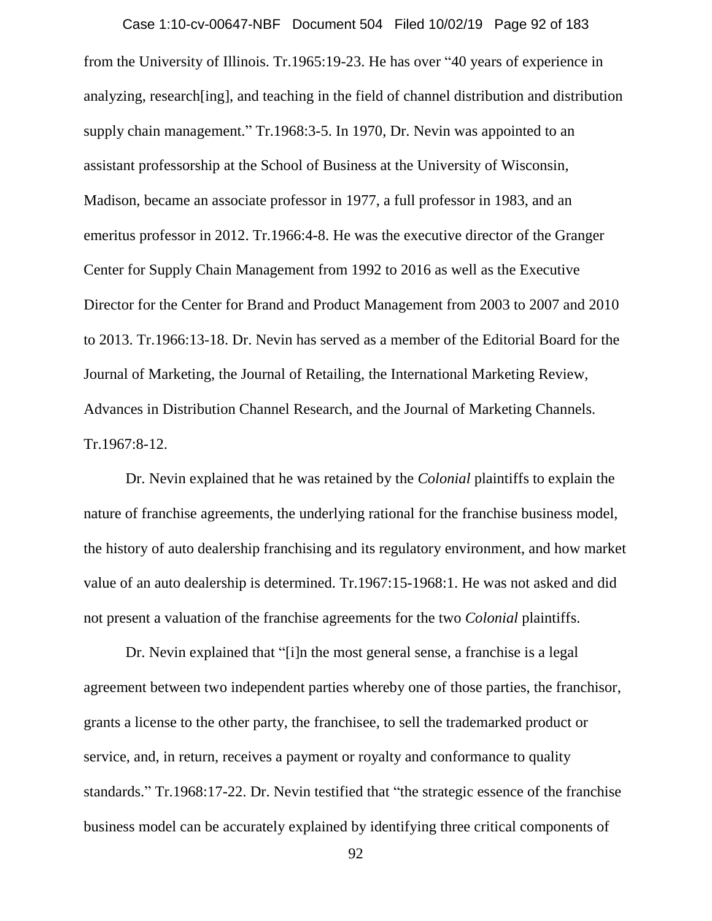from the University of Illinois. Tr.1965:19-23. He has over "40 years of experience in analyzing, research[ing], and teaching in the field of channel distribution and distribution supply chain management." Tr.1968:3-5. In 1970, Dr. Nevin was appointed to an assistant professorship at the School of Business at the University of Wisconsin, Madison, became an associate professor in 1977, a full professor in 1983, and an emeritus professor in 2012. Tr.1966:4-8. He was the executive director of the Granger Center for Supply Chain Management from 1992 to 2016 as well as the Executive Director for the Center for Brand and Product Management from 2003 to 2007 and 2010 to 2013. Tr.1966:13-18. Dr. Nevin has served as a member of the Editorial Board for the Journal of Marketing, the Journal of Retailing, the International Marketing Review, Advances in Distribution Channel Research, and the Journal of Marketing Channels. Tr.1967:8-12. Case 1:10-cv-00647-NBF Document 504 Filed 10/02/19 Page 92 of 183

Dr. Nevin explained that he was retained by the *Colonial* plaintiffs to explain the nature of franchise agreements, the underlying rational for the franchise business model, the history of auto dealership franchising and its regulatory environment, and how market value of an auto dealership is determined. Tr.1967:15-1968:1. He was not asked and did not present a valuation of the franchise agreements for the two *Colonial* plaintiffs.

Dr. Nevin explained that "[i]n the most general sense, a franchise is a legal agreement between two independent parties whereby one of those parties, the franchisor, grants a license to the other party, the franchisee, to sell the trademarked product or service, and, in return, receives a payment or royalty and conformance to quality standards." Tr.1968:17-22. Dr. Nevin testified that "the strategic essence of the franchise business model can be accurately explained by identifying three critical components of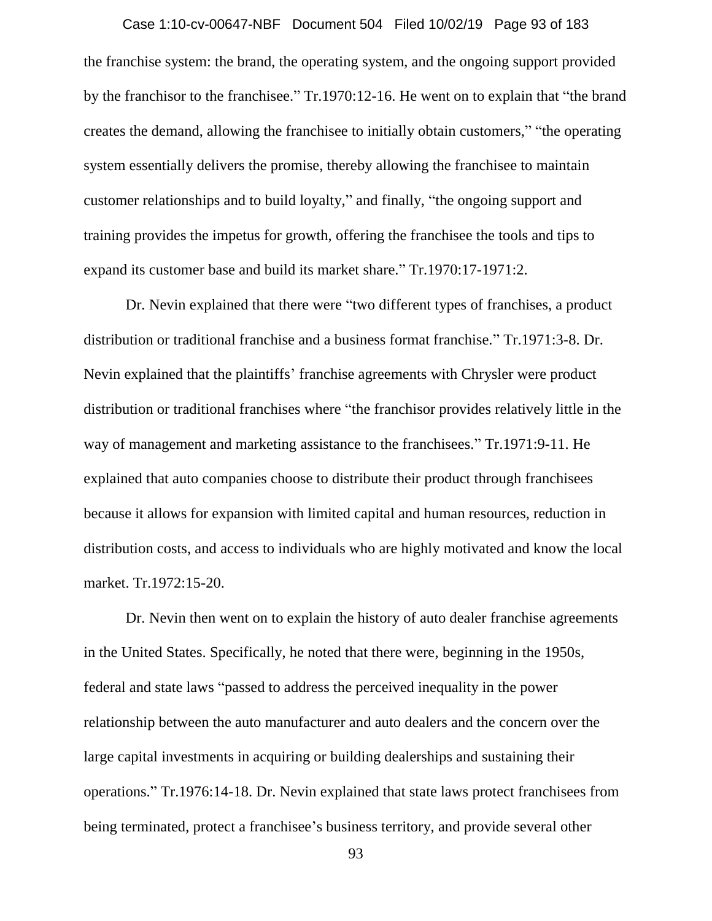# Case 1:10-cv-00647-NBF Document 504 Filed 10/02/19 Page 93 of 183

the franchise system: the brand, the operating system, and the ongoing support provided by the franchisor to the franchisee." Tr.1970:12-16. He went on to explain that "the brand creates the demand, allowing the franchisee to initially obtain customers," "the operating system essentially delivers the promise, thereby allowing the franchisee to maintain customer relationships and to build loyalty," and finally, "the ongoing support and training provides the impetus for growth, offering the franchisee the tools and tips to expand its customer base and build its market share." Tr.1970:17-1971:2.

Dr. Nevin explained that there were "two different types of franchises, a product distribution or traditional franchise and a business format franchise." Tr.1971:3-8. Dr. Nevin explained that the plaintiffs' franchise agreements with Chrysler were product distribution or traditional franchises where "the franchisor provides relatively little in the way of management and marketing assistance to the franchisees." Tr.1971:9-11. He explained that auto companies choose to distribute their product through franchisees because it allows for expansion with limited capital and human resources, reduction in distribution costs, and access to individuals who are highly motivated and know the local market. Tr.1972:15-20.

Dr. Nevin then went on to explain the history of auto dealer franchise agreements in the United States. Specifically, he noted that there were, beginning in the 1950s, federal and state laws "passed to address the perceived inequality in the power relationship between the auto manufacturer and auto dealers and the concern over the large capital investments in acquiring or building dealerships and sustaining their operations." Tr.1976:14-18. Dr. Nevin explained that state laws protect franchisees from being terminated, protect a franchisee's business territory, and provide several other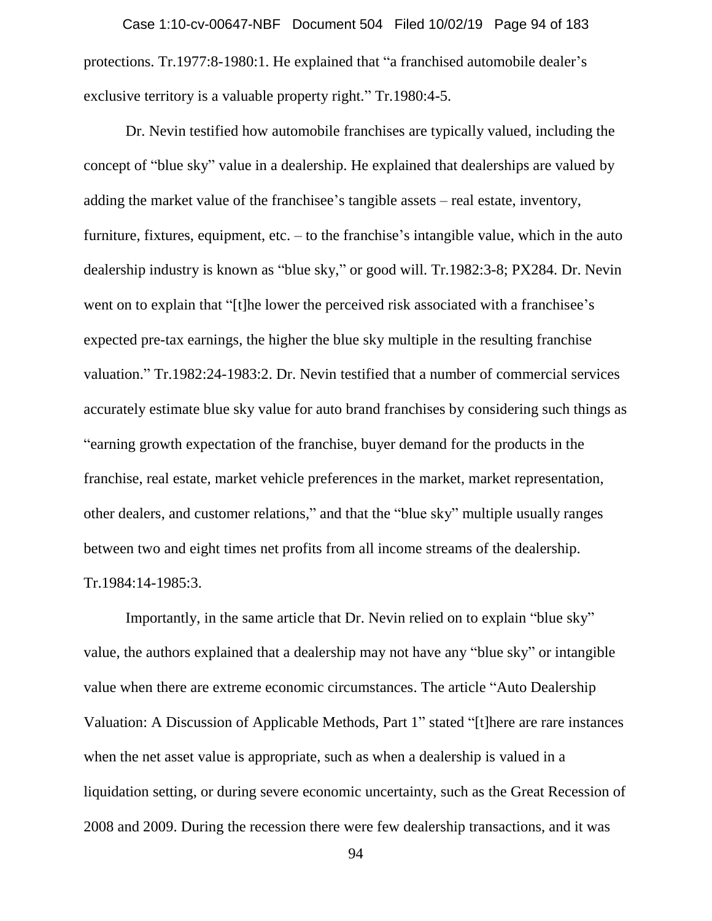protections. Tr.1977:8-1980:1. He explained that "a franchised automobile dealer's exclusive territory is a valuable property right." Tr.1980:4-5. Case 1:10-cv-00647-NBF Document 504 Filed 10/02/19 Page 94 of 183

Dr. Nevin testified how automobile franchises are typically valued, including the concept of "blue sky" value in a dealership. He explained that dealerships are valued by adding the market value of the franchisee's tangible assets – real estate, inventory, furniture, fixtures, equipment, etc. – to the franchise's intangible value, which in the auto dealership industry is known as "blue sky," or good will. Tr.1982:3-8; PX284. Dr. Nevin went on to explain that "[t]he lower the perceived risk associated with a franchisee's expected pre-tax earnings, the higher the blue sky multiple in the resulting franchise valuation." Tr.1982:24-1983:2. Dr. Nevin testified that a number of commercial services accurately estimate blue sky value for auto brand franchises by considering such things as "earning growth expectation of the franchise, buyer demand for the products in the franchise, real estate, market vehicle preferences in the market, market representation, other dealers, and customer relations," and that the "blue sky" multiple usually ranges between two and eight times net profits from all income streams of the dealership. Tr.1984:14-1985:3.

Importantly, in the same article that Dr. Nevin relied on to explain "blue sky" value, the authors explained that a dealership may not have any "blue sky" or intangible value when there are extreme economic circumstances. The article "Auto Dealership Valuation: A Discussion of Applicable Methods, Part 1" stated "[t]here are rare instances when the net asset value is appropriate, such as when a dealership is valued in a liquidation setting, or during severe economic uncertainty, such as the Great Recession of 2008 and 2009. During the recession there were few dealership transactions, and it was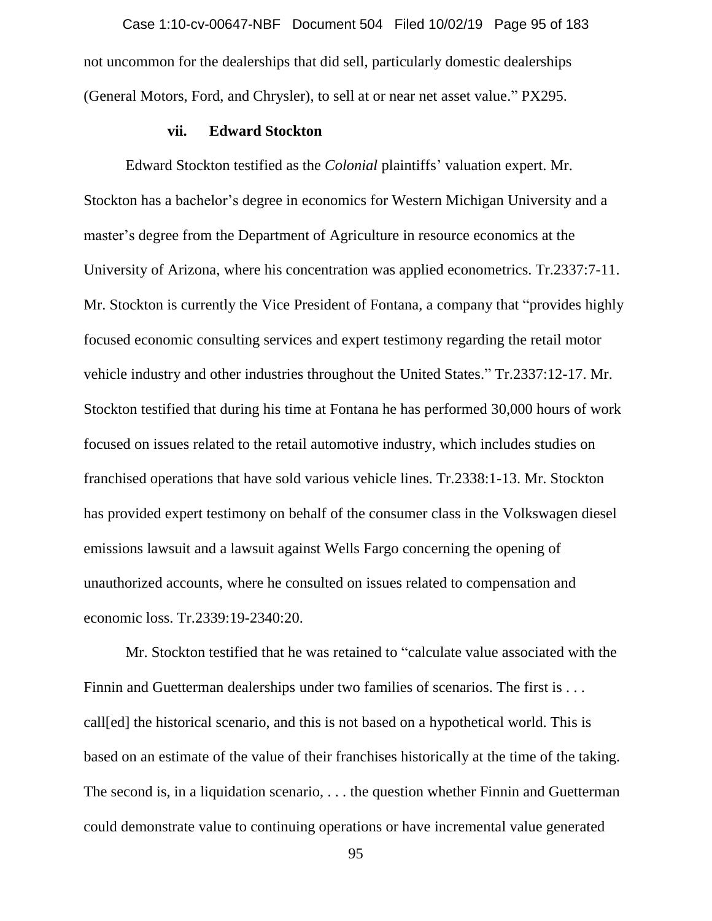not uncommon for the dealerships that did sell, particularly domestic dealerships (General Motors, Ford, and Chrysler), to sell at or near net asset value." PX295. Case 1:10-cv-00647-NBF Document 504 Filed 10/02/19 Page 95 of 183

### **vii. Edward Stockton**

Edward Stockton testified as the *Colonial* plaintiffs' valuation expert. Mr. Stockton has a bachelor's degree in economics for Western Michigan University and a master's degree from the Department of Agriculture in resource economics at the University of Arizona, where his concentration was applied econometrics. Tr.2337:7-11. Mr. Stockton is currently the Vice President of Fontana, a company that "provides highly focused economic consulting services and expert testimony regarding the retail motor vehicle industry and other industries throughout the United States." Tr.2337:12-17. Mr. Stockton testified that during his time at Fontana he has performed 30,000 hours of work focused on issues related to the retail automotive industry, which includes studies on franchised operations that have sold various vehicle lines. Tr.2338:1-13. Mr. Stockton has provided expert testimony on behalf of the consumer class in the Volkswagen diesel emissions lawsuit and a lawsuit against Wells Fargo concerning the opening of unauthorized accounts, where he consulted on issues related to compensation and economic loss. Tr.2339:19-2340:20.

Mr. Stockton testified that he was retained to "calculate value associated with the Finnin and Guetterman dealerships under two families of scenarios. The first is . . . call[ed] the historical scenario, and this is not based on a hypothetical world. This is based on an estimate of the value of their franchises historically at the time of the taking. The second is, in a liquidation scenario, . . . the question whether Finnin and Guetterman could demonstrate value to continuing operations or have incremental value generated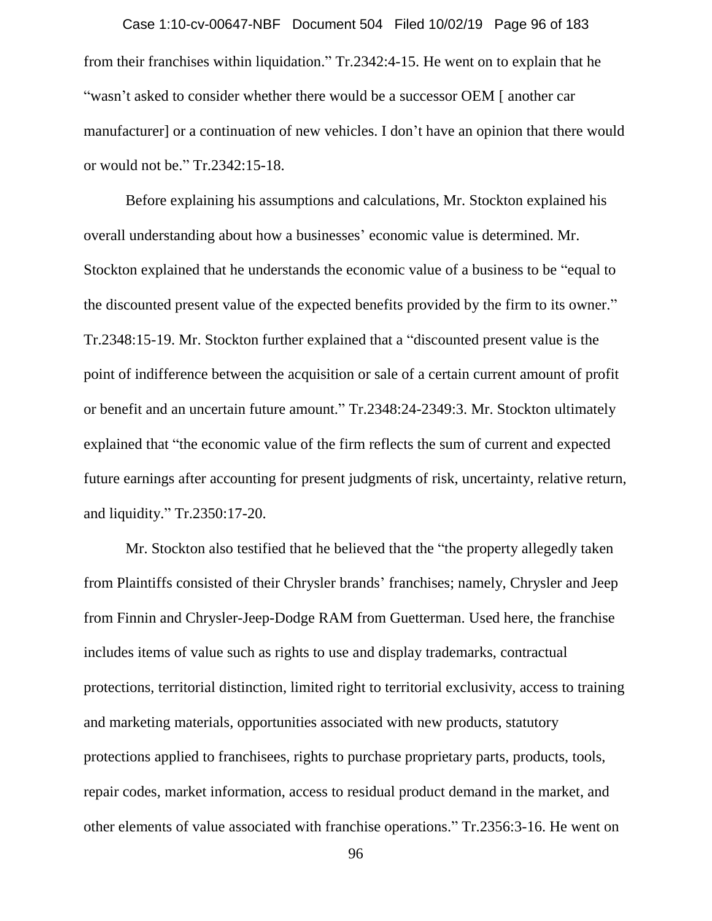from their franchises within liquidation." Tr.2342:4-15. He went on to explain that he "wasn't asked to consider whether there would be a successor OEM [ another car manufacturer] or a continuation of new vehicles. I don't have an opinion that there would or would not be." Tr.2342:15-18. Case 1:10-cv-00647-NBF Document 504 Filed 10/02/19 Page 96 of 183

Before explaining his assumptions and calculations, Mr. Stockton explained his overall understanding about how a businesses' economic value is determined. Mr. Stockton explained that he understands the economic value of a business to be "equal to the discounted present value of the expected benefits provided by the firm to its owner." Tr.2348:15-19. Mr. Stockton further explained that a "discounted present value is the point of indifference between the acquisition or sale of a certain current amount of profit or benefit and an uncertain future amount." Tr.2348:24-2349:3. Mr. Stockton ultimately explained that "the economic value of the firm reflects the sum of current and expected future earnings after accounting for present judgments of risk, uncertainty, relative return, and liquidity." Tr.2350:17-20.

Mr. Stockton also testified that he believed that the "the property allegedly taken from Plaintiffs consisted of their Chrysler brands' franchises; namely, Chrysler and Jeep from Finnin and Chrysler-Jeep-Dodge RAM from Guetterman. Used here, the franchise includes items of value such as rights to use and display trademarks, contractual protections, territorial distinction, limited right to territorial exclusivity, access to training and marketing materials, opportunities associated with new products, statutory protections applied to franchisees, rights to purchase proprietary parts, products, tools, repair codes, market information, access to residual product demand in the market, and other elements of value associated with franchise operations." Tr.2356:3-16. He went on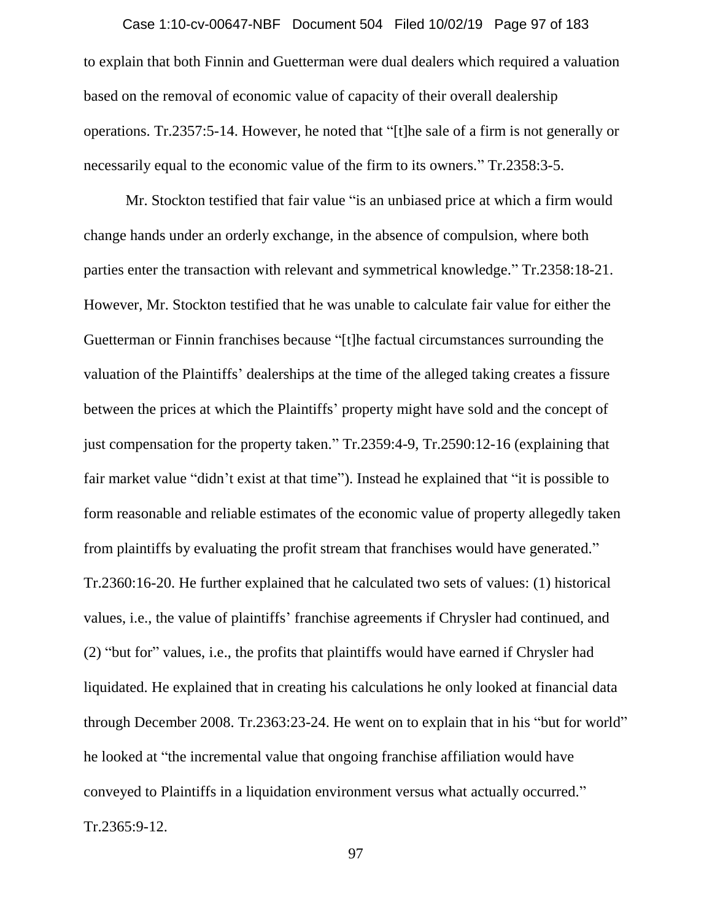to explain that both Finnin and Guetterman were dual dealers which required a valuation based on the removal of economic value of capacity of their overall dealership operations. Tr.2357:5-14. However, he noted that "[t]he sale of a firm is not generally or necessarily equal to the economic value of the firm to its owners." Tr.2358:3-5. Case 1:10-cv-00647-NBF Document 504 Filed 10/02/19 Page 97 of 183

Mr. Stockton testified that fair value "is an unbiased price at which a firm would change hands under an orderly exchange, in the absence of compulsion, where both parties enter the transaction with relevant and symmetrical knowledge." Tr.2358:18-21. However, Mr. Stockton testified that he was unable to calculate fair value for either the Guetterman or Finnin franchises because "[t]he factual circumstances surrounding the valuation of the Plaintiffs' dealerships at the time of the alleged taking creates a fissure between the prices at which the Plaintiffs' property might have sold and the concept of just compensation for the property taken." Tr.2359:4-9, Tr.2590:12-16 (explaining that fair market value "didn't exist at that time"). Instead he explained that "it is possible to form reasonable and reliable estimates of the economic value of property allegedly taken from plaintiffs by evaluating the profit stream that franchises would have generated." Tr.2360:16-20. He further explained that he calculated two sets of values: (1) historical values, i.e., the value of plaintiffs' franchise agreements if Chrysler had continued, and (2) "but for" values, i.e., the profits that plaintiffs would have earned if Chrysler had liquidated. He explained that in creating his calculations he only looked at financial data through December 2008. Tr.2363:23-24. He went on to explain that in his "but for world" he looked at "the incremental value that ongoing franchise affiliation would have conveyed to Plaintiffs in a liquidation environment versus what actually occurred." Tr.2365:9-12.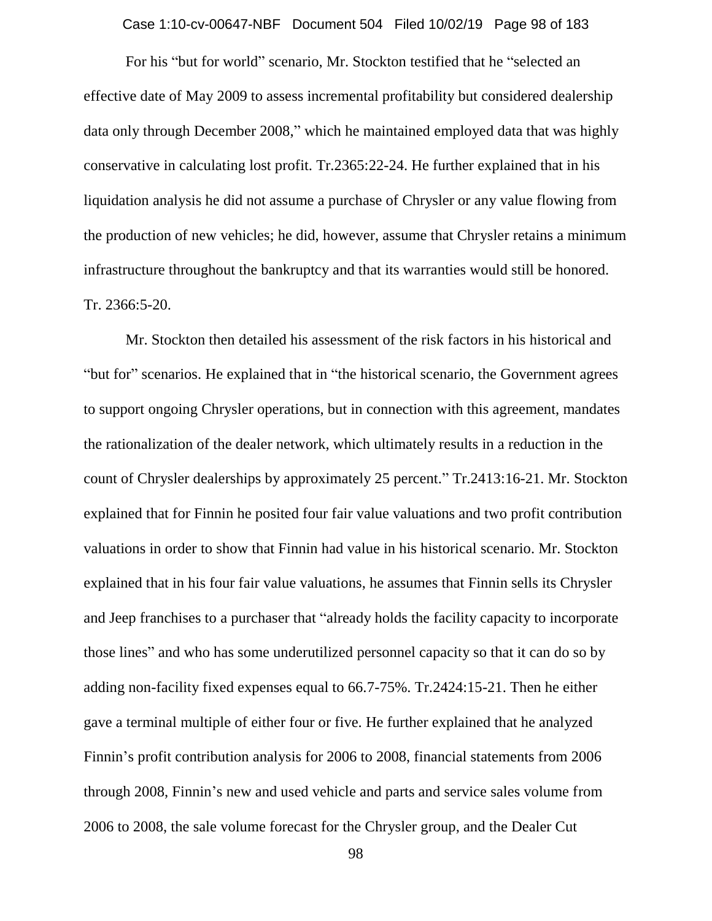Case 1:10-cv-00647-NBF Document 504 Filed 10/02/19 Page 98 of 183

For his "but for world" scenario, Mr. Stockton testified that he "selected an effective date of May 2009 to assess incremental profitability but considered dealership data only through December 2008," which he maintained employed data that was highly conservative in calculating lost profit. Tr.2365:22-24. He further explained that in his liquidation analysis he did not assume a purchase of Chrysler or any value flowing from the production of new vehicles; he did, however, assume that Chrysler retains a minimum infrastructure throughout the bankruptcy and that its warranties would still be honored. Tr. 2366:5-20.

Mr. Stockton then detailed his assessment of the risk factors in his historical and "but for" scenarios. He explained that in "the historical scenario, the Government agrees to support ongoing Chrysler operations, but in connection with this agreement, mandates the rationalization of the dealer network, which ultimately results in a reduction in the count of Chrysler dealerships by approximately 25 percent." Tr.2413:16-21. Mr. Stockton explained that for Finnin he posited four fair value valuations and two profit contribution valuations in order to show that Finnin had value in his historical scenario. Mr. Stockton explained that in his four fair value valuations, he assumes that Finnin sells its Chrysler and Jeep franchises to a purchaser that "already holds the facility capacity to incorporate those lines" and who has some underutilized personnel capacity so that it can do so by adding non-facility fixed expenses equal to 66.7-75%. Tr.2424:15-21. Then he either gave a terminal multiple of either four or five. He further explained that he analyzed Finnin's profit contribution analysis for 2006 to 2008, financial statements from 2006 through 2008, Finnin's new and used vehicle and parts and service sales volume from 2006 to 2008, the sale volume forecast for the Chrysler group, and the Dealer Cut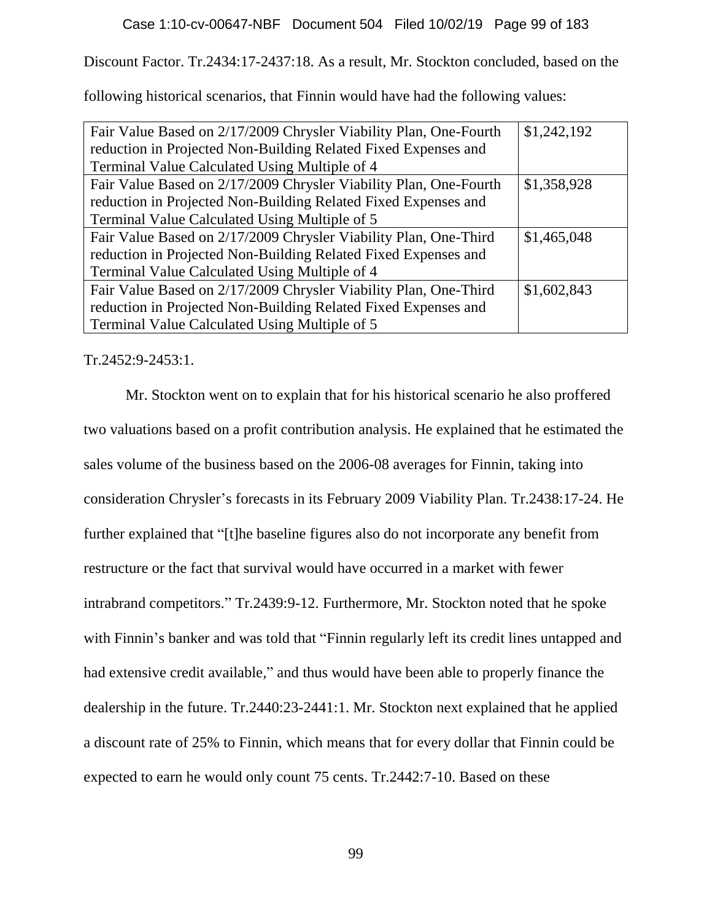Discount Factor. Tr.2434:17-2437:18. As a result, Mr. Stockton concluded, based on the

following historical scenarios, that Finnin would have had the following values:

| Fair Value Based on 2/17/2009 Chrysler Viability Plan, One-Fourth | \$1,242,192 |
|-------------------------------------------------------------------|-------------|
| reduction in Projected Non-Building Related Fixed Expenses and    |             |
| Terminal Value Calculated Using Multiple of 4                     |             |
| Fair Value Based on 2/17/2009 Chrysler Viability Plan, One-Fourth | \$1,358,928 |
| reduction in Projected Non-Building Related Fixed Expenses and    |             |
| Terminal Value Calculated Using Multiple of 5                     |             |
| Fair Value Based on 2/17/2009 Chrysler Viability Plan, One-Third  | \$1,465,048 |
| reduction in Projected Non-Building Related Fixed Expenses and    |             |
| Terminal Value Calculated Using Multiple of 4                     |             |
| Fair Value Based on 2/17/2009 Chrysler Viability Plan, One-Third  | \$1,602,843 |
| reduction in Projected Non-Building Related Fixed Expenses and    |             |
| Terminal Value Calculated Using Multiple of 5                     |             |

Tr.2452:9-2453:1.

Mr. Stockton went on to explain that for his historical scenario he also proffered two valuations based on a profit contribution analysis. He explained that he estimated the sales volume of the business based on the 2006-08 averages for Finnin, taking into consideration Chrysler's forecasts in its February 2009 Viability Plan. Tr.2438:17-24. He further explained that "[t]he baseline figures also do not incorporate any benefit from restructure or the fact that survival would have occurred in a market with fewer intrabrand competitors." Tr.2439:9-12. Furthermore, Mr. Stockton noted that he spoke with Finnin's banker and was told that "Finnin regularly left its credit lines untapped and had extensive credit available," and thus would have been able to properly finance the dealership in the future. Tr.2440:23-2441:1. Mr. Stockton next explained that he applied a discount rate of 25% to Finnin, which means that for every dollar that Finnin could be expected to earn he would only count 75 cents. Tr.2442:7-10. Based on these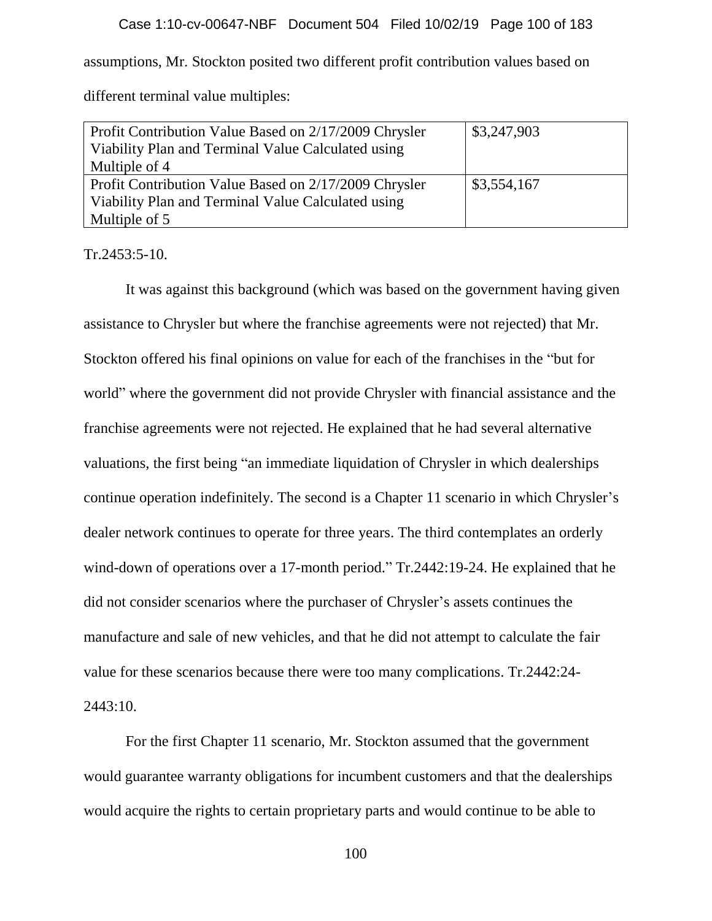# Case 1:10-cv-00647-NBF Document 504 Filed 10/02/19 Page 100 of 183

assumptions, Mr. Stockton posited two different profit contribution values based on

different terminal value multiples:

| Profit Contribution Value Based on 2/17/2009 Chrysler<br>Viability Plan and Terminal Value Calculated using<br>Multiple of 4 | \$3,247,903 |
|------------------------------------------------------------------------------------------------------------------------------|-------------|
| Profit Contribution Value Based on 2/17/2009 Chrysler                                                                        | \$3,554,167 |
| Viability Plan and Terminal Value Calculated using                                                                           |             |
| Multiple of 5                                                                                                                |             |

Tr.2453:5-10.

It was against this background (which was based on the government having given assistance to Chrysler but where the franchise agreements were not rejected) that Mr. Stockton offered his final opinions on value for each of the franchises in the "but for world" where the government did not provide Chrysler with financial assistance and the franchise agreements were not rejected. He explained that he had several alternative valuations, the first being "an immediate liquidation of Chrysler in which dealerships continue operation indefinitely. The second is a Chapter 11 scenario in which Chrysler's dealer network continues to operate for three years. The third contemplates an orderly wind-down of operations over a 17-month period." Tr.2442:19-24. He explained that he did not consider scenarios where the purchaser of Chrysler's assets continues the manufacture and sale of new vehicles, and that he did not attempt to calculate the fair value for these scenarios because there were too many complications. Tr.2442:24- 2443:10.

For the first Chapter 11 scenario, Mr. Stockton assumed that the government would guarantee warranty obligations for incumbent customers and that the dealerships would acquire the rights to certain proprietary parts and would continue to be able to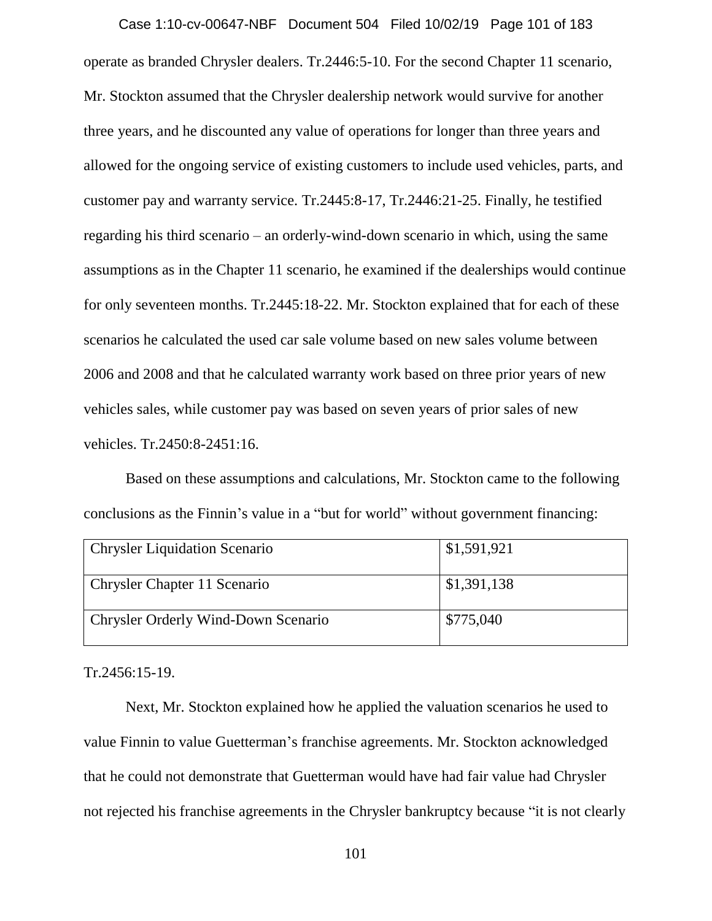operate as branded Chrysler dealers. Tr.2446:5-10. For the second Chapter 11 scenario, Mr. Stockton assumed that the Chrysler dealership network would survive for another three years, and he discounted any value of operations for longer than three years and allowed for the ongoing service of existing customers to include used vehicles, parts, and customer pay and warranty service. Tr.2445:8-17, Tr.2446:21-25. Finally, he testified regarding his third scenario – an orderly-wind-down scenario in which, using the same assumptions as in the Chapter 11 scenario, he examined if the dealerships would continue for only seventeen months. Tr.2445:18-22. Mr. Stockton explained that for each of these scenarios he calculated the used car sale volume based on new sales volume between 2006 and 2008 and that he calculated warranty work based on three prior years of new vehicles sales, while customer pay was based on seven years of prior sales of new vehicles. Tr.2450:8-2451:16. Case 1:10-cv-00647-NBF Document 504 Filed 10/02/19 Page 101 of 183

Based on these assumptions and calculations, Mr. Stockton came to the following conclusions as the Finnin's value in a "but for world" without government financing:

| <b>Chrysler Liquidation Scenario</b> | \$1,591,921 |
|--------------------------------------|-------------|
| <b>Chrysler Chapter 11 Scenario</b>  | \$1,391,138 |
| Chrysler Orderly Wind-Down Scenario  | \$775,040   |

Tr.2456:15-19.

Next, Mr. Stockton explained how he applied the valuation scenarios he used to value Finnin to value Guetterman's franchise agreements. Mr. Stockton acknowledged that he could not demonstrate that Guetterman would have had fair value had Chrysler not rejected his franchise agreements in the Chrysler bankruptcy because "it is not clearly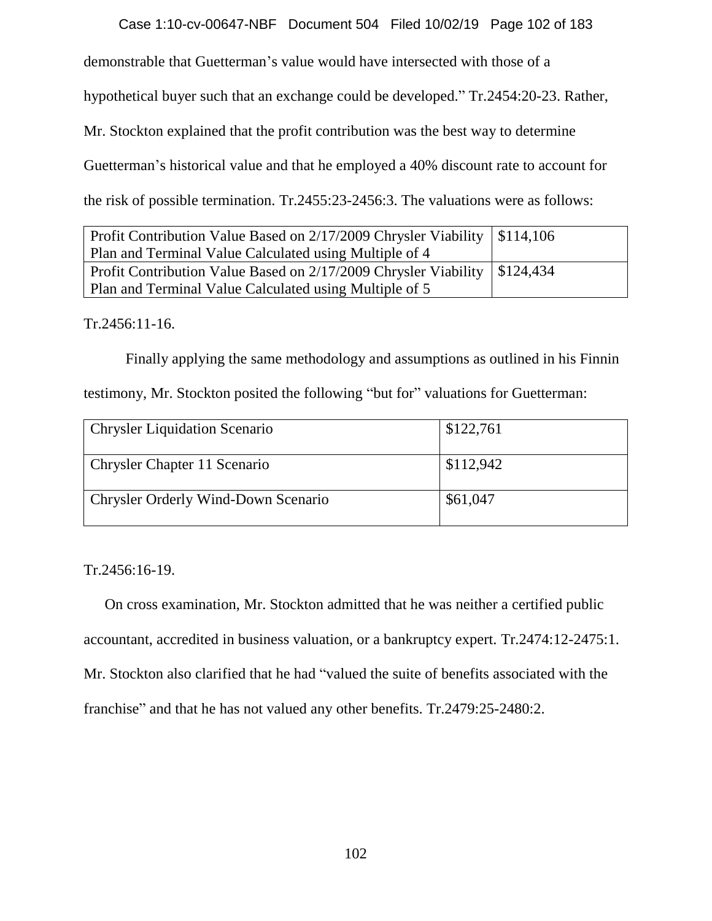Case 1:10-cv-00647-NBF Document 504 Filed 10/02/19 Page 102 of 183

demonstrable that Guetterman's value would have intersected with those of a

hypothetical buyer such that an exchange could be developed." Tr.2454:20-23. Rather,

Mr. Stockton explained that the profit contribution was the best way to determine

Guetterman's historical value and that he employed a 40% discount rate to account for

the risk of possible termination. Tr.2455:23-2456:3. The valuations were as follows:

| Profit Contribution Value Based on 2/17/2009 Chrysler Viability   \$114,106 |  |
|-----------------------------------------------------------------------------|--|
| Plan and Terminal Value Calculated using Multiple of 4                      |  |
| Profit Contribution Value Based on 2/17/2009 Chrysler Viability   \$124,434 |  |
| Plan and Terminal Value Calculated using Multiple of 5                      |  |

Tr.2456:11-16.

Finally applying the same methodology and assumptions as outlined in his Finnin testimony, Mr. Stockton posited the following "but for" valuations for Guetterman:

| <b>Chrysler Liquidation Scenario</b> | \$122,761 |
|--------------------------------------|-----------|
| Chrysler Chapter 11 Scenario         | \$112,942 |
| Chrysler Orderly Wind-Down Scenario  | \$61,047  |

Tr.2456:16-19.

On cross examination, Mr. Stockton admitted that he was neither a certified public accountant, accredited in business valuation, or a bankruptcy expert. Tr.2474:12-2475:1. Mr. Stockton also clarified that he had "valued the suite of benefits associated with the franchise" and that he has not valued any other benefits. Tr.2479:25-2480:2.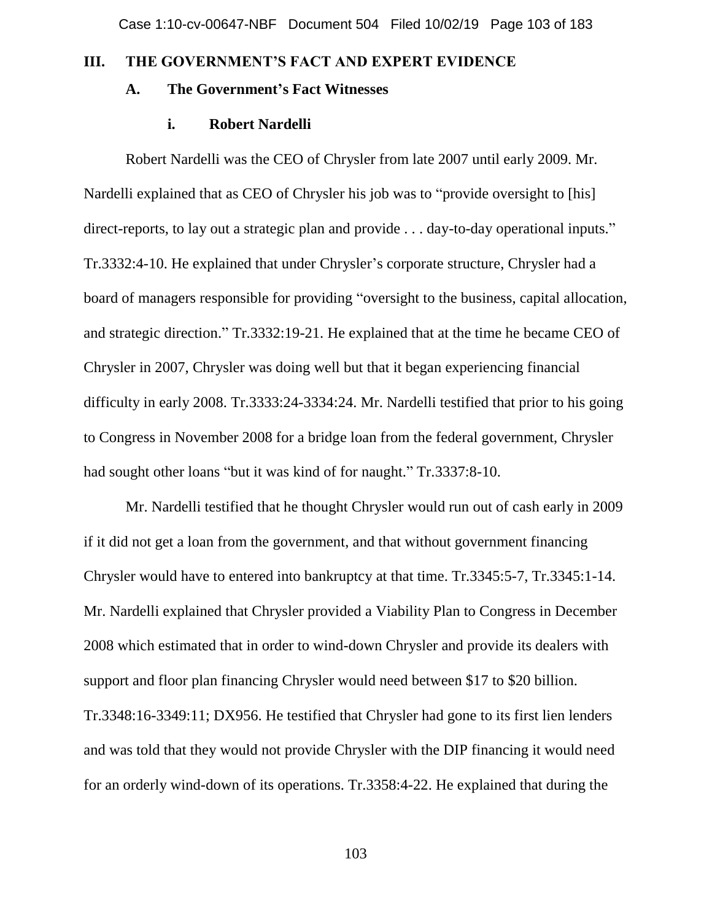# **III. THE GOVERNMENT'S FACT AND EXPERT EVIDENCE**

# **A. The Government's Fact Witnesses**

### **i. Robert Nardelli**

Robert Nardelli was the CEO of Chrysler from late 2007 until early 2009. Mr. Nardelli explained that as CEO of Chrysler his job was to "provide oversight to [his] direct-reports, to lay out a strategic plan and provide . . . day-to-day operational inputs." Tr.3332:4-10. He explained that under Chrysler's corporate structure, Chrysler had a board of managers responsible for providing "oversight to the business, capital allocation, and strategic direction." Tr.3332:19-21. He explained that at the time he became CEO of Chrysler in 2007, Chrysler was doing well but that it began experiencing financial difficulty in early 2008. Tr.3333:24-3334:24. Mr. Nardelli testified that prior to his going to Congress in November 2008 for a bridge loan from the federal government, Chrysler had sought other loans "but it was kind of for naught." Tr.3337:8-10.

Mr. Nardelli testified that he thought Chrysler would run out of cash early in 2009 if it did not get a loan from the government, and that without government financing Chrysler would have to entered into bankruptcy at that time. Tr.3345:5-7, Tr.3345:1-14. Mr. Nardelli explained that Chrysler provided a Viability Plan to Congress in December 2008 which estimated that in order to wind-down Chrysler and provide its dealers with support and floor plan financing Chrysler would need between \$17 to \$20 billion. Tr.3348:16-3349:11; DX956. He testified that Chrysler had gone to its first lien lenders and was told that they would not provide Chrysler with the DIP financing it would need for an orderly wind-down of its operations. Tr.3358:4-22. He explained that during the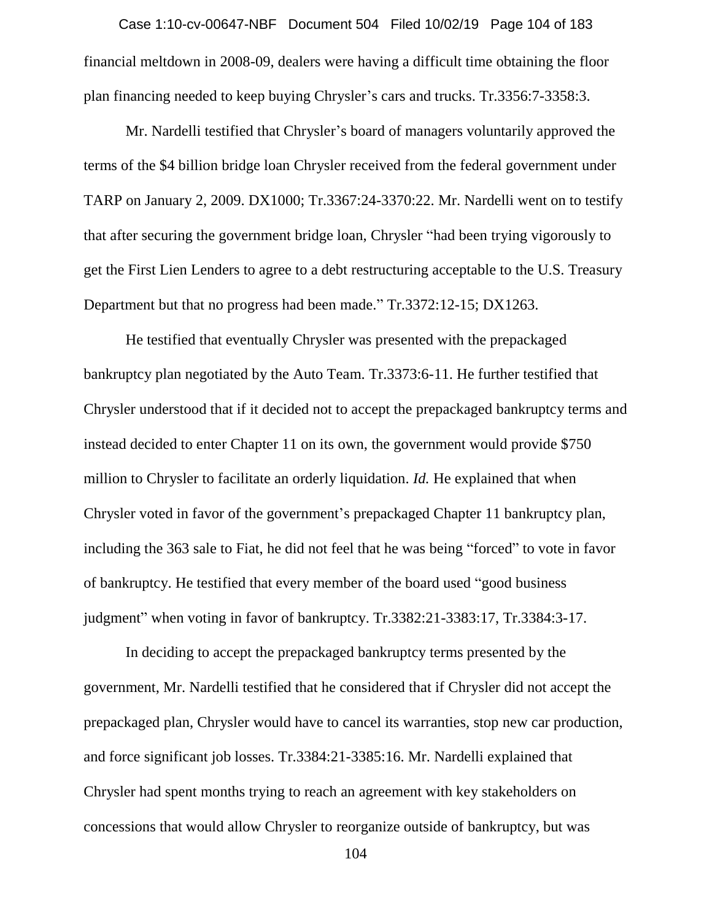financial meltdown in 2008-09, dealers were having a difficult time obtaining the floor plan financing needed to keep buying Chrysler's cars and trucks. Tr.3356:7-3358:3. Case 1:10-cv-00647-NBF Document 504 Filed 10/02/19 Page 104 of 183

Mr. Nardelli testified that Chrysler's board of managers voluntarily approved the terms of the \$4 billion bridge loan Chrysler received from the federal government under TARP on January 2, 2009. DX1000; Tr.3367:24-3370:22. Mr. Nardelli went on to testify that after securing the government bridge loan, Chrysler "had been trying vigorously to get the First Lien Lenders to agree to a debt restructuring acceptable to the U.S. Treasury Department but that no progress had been made." Tr.3372:12-15; DX1263.

He testified that eventually Chrysler was presented with the prepackaged bankruptcy plan negotiated by the Auto Team. Tr.3373:6-11. He further testified that Chrysler understood that if it decided not to accept the prepackaged bankruptcy terms and instead decided to enter Chapter 11 on its own, the government would provide \$750 million to Chrysler to facilitate an orderly liquidation. *Id.* He explained that when Chrysler voted in favor of the government's prepackaged Chapter 11 bankruptcy plan, including the 363 sale to Fiat, he did not feel that he was being "forced" to vote in favor of bankruptcy. He testified that every member of the board used "good business judgment" when voting in favor of bankruptcy. Tr.3382:21-3383:17, Tr.3384:3-17.

In deciding to accept the prepackaged bankruptcy terms presented by the government, Mr. Nardelli testified that he considered that if Chrysler did not accept the prepackaged plan, Chrysler would have to cancel its warranties, stop new car production, and force significant job losses. Tr.3384:21-3385:16. Mr. Nardelli explained that Chrysler had spent months trying to reach an agreement with key stakeholders on concessions that would allow Chrysler to reorganize outside of bankruptcy, but was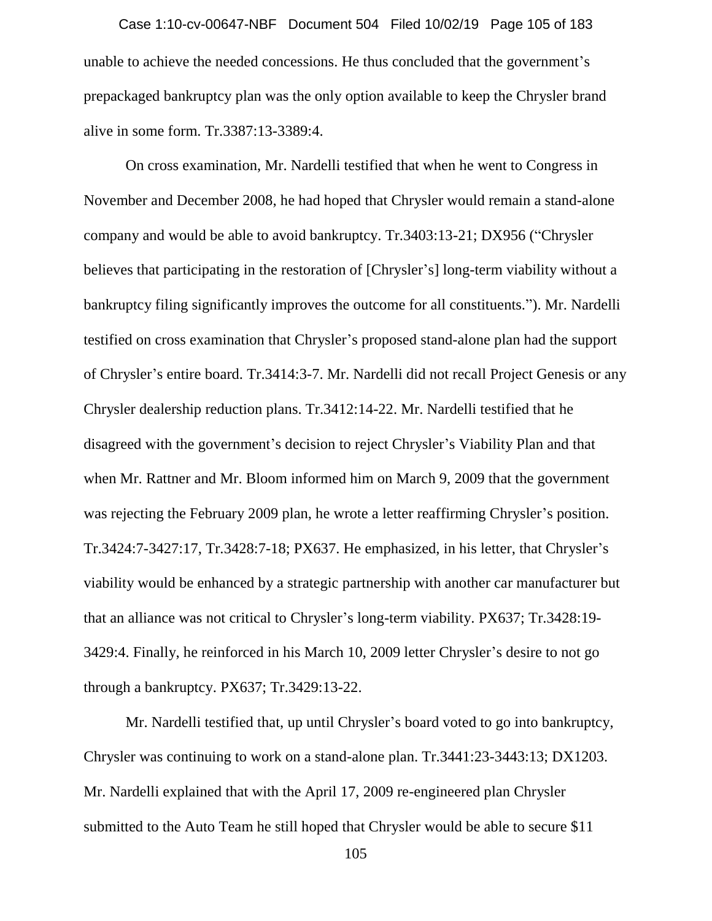unable to achieve the needed concessions. He thus concluded that the government's prepackaged bankruptcy plan was the only option available to keep the Chrysler brand alive in some form. Tr.3387:13-3389:4. Case 1:10-cv-00647-NBF Document 504 Filed 10/02/19 Page 105 of 183

On cross examination, Mr. Nardelli testified that when he went to Congress in November and December 2008, he had hoped that Chrysler would remain a stand-alone company and would be able to avoid bankruptcy. Tr.3403:13-21; DX956 ("Chrysler believes that participating in the restoration of [Chrysler's] long-term viability without a bankruptcy filing significantly improves the outcome for all constituents."). Mr. Nardelli testified on cross examination that Chrysler's proposed stand-alone plan had the support of Chrysler's entire board. Tr.3414:3-7. Mr. Nardelli did not recall Project Genesis or any Chrysler dealership reduction plans. Tr.3412:14-22. Mr. Nardelli testified that he disagreed with the government's decision to reject Chrysler's Viability Plan and that when Mr. Rattner and Mr. Bloom informed him on March 9, 2009 that the government was rejecting the February 2009 plan, he wrote a letter reaffirming Chrysler's position. Tr.3424:7-3427:17, Tr.3428:7-18; PX637. He emphasized, in his letter, that Chrysler's viability would be enhanced by a strategic partnership with another car manufacturer but that an alliance was not critical to Chrysler's long-term viability. PX637; Tr.3428:19- 3429:4. Finally, he reinforced in his March 10, 2009 letter Chrysler's desire to not go through a bankruptcy. PX637; Tr.3429:13-22.

Mr. Nardelli testified that, up until Chrysler's board voted to go into bankruptcy, Chrysler was continuing to work on a stand-alone plan. Tr.3441:23-3443:13; DX1203. Mr. Nardelli explained that with the April 17, 2009 re-engineered plan Chrysler submitted to the Auto Team he still hoped that Chrysler would be able to secure \$11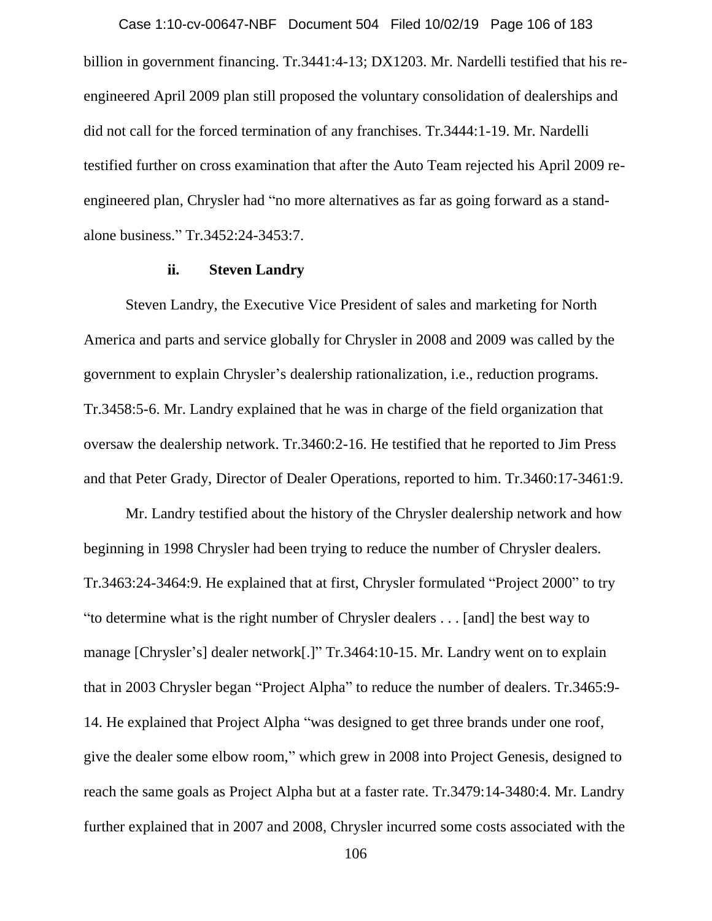billion in government financing. Tr.3441:4-13; DX1203. Mr. Nardelli testified that his reengineered April 2009 plan still proposed the voluntary consolidation of dealerships and did not call for the forced termination of any franchises. Tr.3444:1-19. Mr. Nardelli testified further on cross examination that after the Auto Team rejected his April 2009 reengineered plan, Chrysler had "no more alternatives as far as going forward as a standalone business." Tr.3452:24-3453:7. Case 1:10-cv-00647-NBF Document 504 Filed 10/02/19 Page 106 of 183

### **ii. Steven Landry**

Steven Landry, the Executive Vice President of sales and marketing for North America and parts and service globally for Chrysler in 2008 and 2009 was called by the government to explain Chrysler's dealership rationalization, i.e., reduction programs. Tr.3458:5-6. Mr. Landry explained that he was in charge of the field organization that oversaw the dealership network. Tr.3460:2-16. He testified that he reported to Jim Press and that Peter Grady, Director of Dealer Operations, reported to him. Tr.3460:17-3461:9.

Mr. Landry testified about the history of the Chrysler dealership network and how beginning in 1998 Chrysler had been trying to reduce the number of Chrysler dealers. Tr.3463:24-3464:9. He explained that at first, Chrysler formulated "Project 2000" to try "to determine what is the right number of Chrysler dealers . . . [and] the best way to manage [Chrysler's] dealer network[.]" Tr.3464:10-15. Mr. Landry went on to explain that in 2003 Chrysler began "Project Alpha" to reduce the number of dealers. Tr.3465:9- 14. He explained that Project Alpha "was designed to get three brands under one roof, give the dealer some elbow room," which grew in 2008 into Project Genesis, designed to reach the same goals as Project Alpha but at a faster rate. Tr.3479:14-3480:4. Mr. Landry further explained that in 2007 and 2008, Chrysler incurred some costs associated with the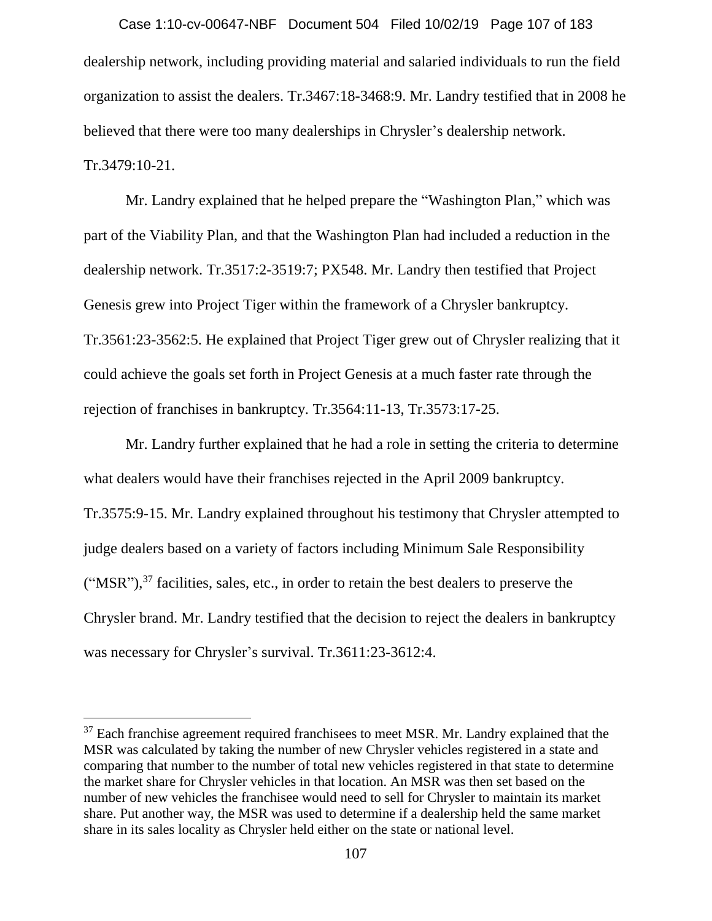dealership network, including providing material and salaried individuals to run the field organization to assist the dealers. Tr.3467:18-3468:9. Mr. Landry testified that in 2008 he believed that there were too many dealerships in Chrysler's dealership network. Tr.3479:10-21. Case 1:10-cv-00647-NBF Document 504 Filed 10/02/19 Page 107 of 183

Mr. Landry explained that he helped prepare the "Washington Plan," which was part of the Viability Plan, and that the Washington Plan had included a reduction in the dealership network. Tr.3517:2-3519:7; PX548. Mr. Landry then testified that Project Genesis grew into Project Tiger within the framework of a Chrysler bankruptcy. Tr.3561:23-3562:5. He explained that Project Tiger grew out of Chrysler realizing that it could achieve the goals set forth in Project Genesis at a much faster rate through the rejection of franchises in bankruptcy. Tr.3564:11-13, Tr.3573:17-25.

Mr. Landry further explained that he had a role in setting the criteria to determine what dealers would have their franchises rejected in the April 2009 bankruptcy. Tr.3575:9-15. Mr. Landry explained throughout his testimony that Chrysler attempted to judge dealers based on a variety of factors including Minimum Sale Responsibility  $("MSR"),<sup>37</sup>$  facilities, sales, etc., in order to retain the best dealers to preserve the Chrysler brand. Mr. Landry testified that the decision to reject the dealers in bankruptcy was necessary for Chrysler's survival. Tr.3611:23-3612:4.

 $37$  Each franchise agreement required franchisees to meet MSR. Mr. Landry explained that the MSR was calculated by taking the number of new Chrysler vehicles registered in a state and comparing that number to the number of total new vehicles registered in that state to determine the market share for Chrysler vehicles in that location. An MSR was then set based on the number of new vehicles the franchisee would need to sell for Chrysler to maintain its market share. Put another way, the MSR was used to determine if a dealership held the same market share in its sales locality as Chrysler held either on the state or national level.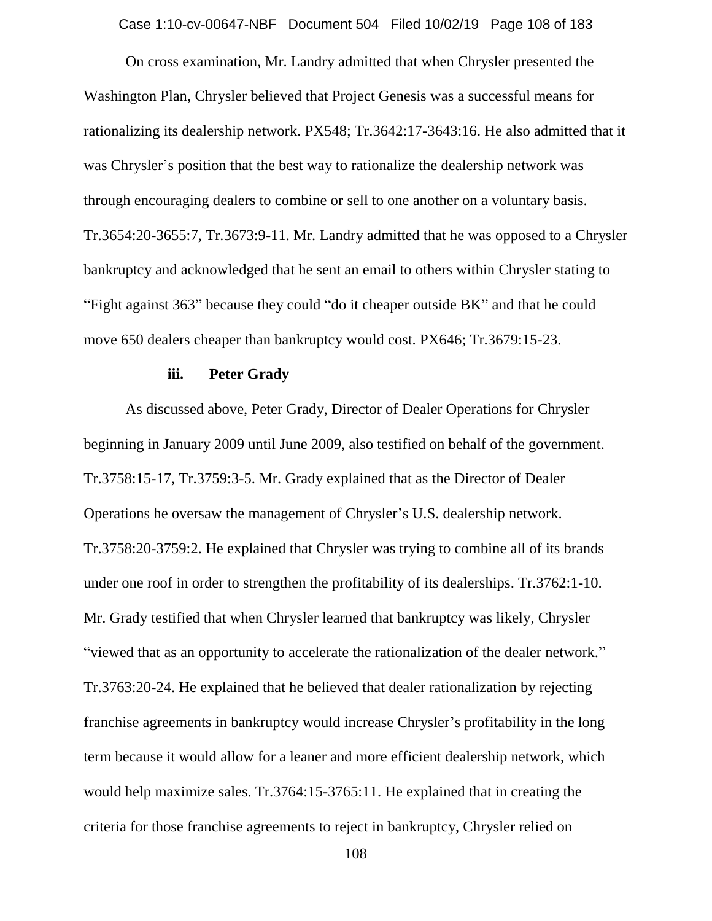Case 1:10-cv-00647-NBF Document 504 Filed 10/02/19 Page 108 of 183

On cross examination, Mr. Landry admitted that when Chrysler presented the Washington Plan, Chrysler believed that Project Genesis was a successful means for rationalizing its dealership network. PX548; Tr.3642:17-3643:16. He also admitted that it was Chrysler's position that the best way to rationalize the dealership network was through encouraging dealers to combine or sell to one another on a voluntary basis. Tr.3654:20-3655:7, Tr.3673:9-11. Mr. Landry admitted that he was opposed to a Chrysler bankruptcy and acknowledged that he sent an email to others within Chrysler stating to "Fight against 363" because they could "do it cheaper outside BK" and that he could move 650 dealers cheaper than bankruptcy would cost. PX646; Tr.3679:15-23.

#### **iii. Peter Grady**

As discussed above, Peter Grady, Director of Dealer Operations for Chrysler beginning in January 2009 until June 2009, also testified on behalf of the government. Tr.3758:15-17, Tr.3759:3-5. Mr. Grady explained that as the Director of Dealer Operations he oversaw the management of Chrysler's U.S. dealership network. Tr.3758:20-3759:2. He explained that Chrysler was trying to combine all of its brands under one roof in order to strengthen the profitability of its dealerships. Tr.3762:1-10. Mr. Grady testified that when Chrysler learned that bankruptcy was likely, Chrysler "viewed that as an opportunity to accelerate the rationalization of the dealer network." Tr.3763:20-24. He explained that he believed that dealer rationalization by rejecting franchise agreements in bankruptcy would increase Chrysler's profitability in the long term because it would allow for a leaner and more efficient dealership network, which would help maximize sales. Tr.3764:15-3765:11. He explained that in creating the criteria for those franchise agreements to reject in bankruptcy, Chrysler relied on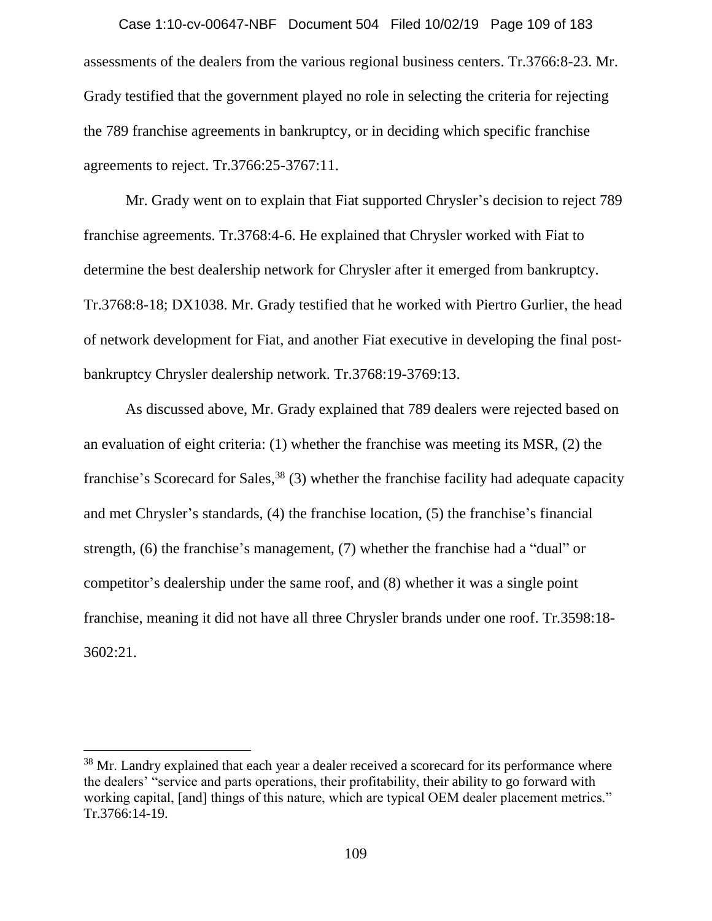assessments of the dealers from the various regional business centers. Tr.3766:8-23. Mr. Grady testified that the government played no role in selecting the criteria for rejecting the 789 franchise agreements in bankruptcy, or in deciding which specific franchise agreements to reject. Tr.3766:25-3767:11. Case 1:10-cv-00647-NBF Document 504 Filed 10/02/19 Page 109 of 183

Mr. Grady went on to explain that Fiat supported Chrysler's decision to reject 789 franchise agreements. Tr.3768:4-6. He explained that Chrysler worked with Fiat to determine the best dealership network for Chrysler after it emerged from bankruptcy. Tr.3768:8-18; DX1038. Mr. Grady testified that he worked with Piertro Gurlier, the head of network development for Fiat, and another Fiat executive in developing the final postbankruptcy Chrysler dealership network. Tr.3768:19-3769:13.

As discussed above, Mr. Grady explained that 789 dealers were rejected based on an evaluation of eight criteria: (1) whether the franchise was meeting its MSR, (2) the franchise's Scorecard for Sales,<sup>38</sup> (3) whether the franchise facility had adequate capacity and met Chrysler's standards, (4) the franchise location, (5) the franchise's financial strength, (6) the franchise's management, (7) whether the franchise had a "dual" or competitor's dealership under the same roof, and (8) whether it was a single point franchise, meaning it did not have all three Chrysler brands under one roof. Tr.3598:18- 3602:21.

 $\overline{a}$ 

<sup>&</sup>lt;sup>38</sup> Mr. Landry explained that each year a dealer received a scorecard for its performance where the dealers' "service and parts operations, their profitability, their ability to go forward with working capital, [and] things of this nature, which are typical OEM dealer placement metrics." Tr.3766:14-19.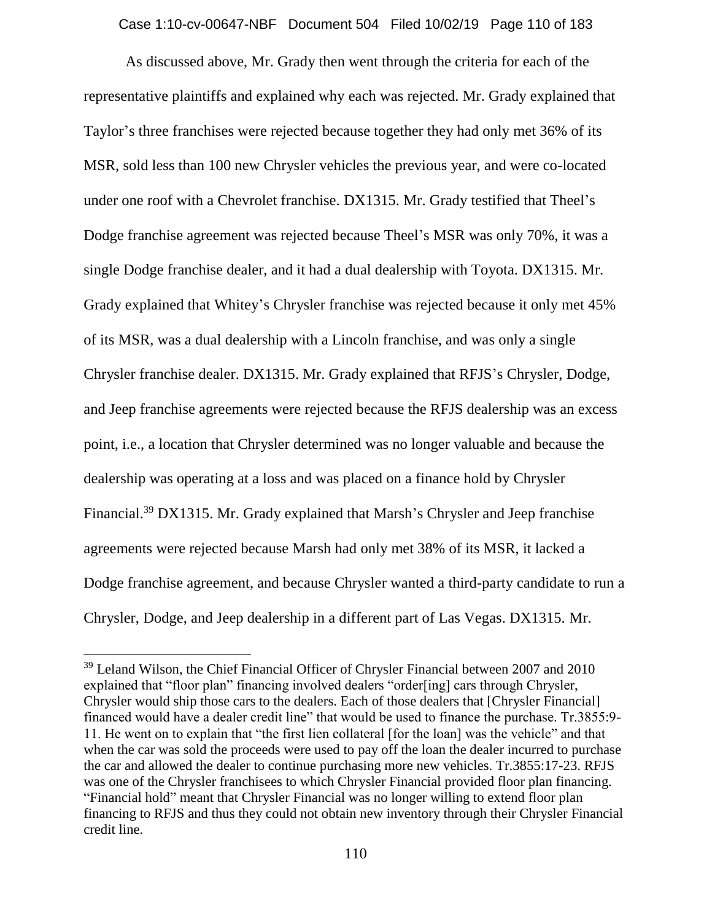Case 1:10-cv-00647-NBF Document 504 Filed 10/02/19 Page 110 of 183

As discussed above, Mr. Grady then went through the criteria for each of the representative plaintiffs and explained why each was rejected. Mr. Grady explained that Taylor's three franchises were rejected because together they had only met 36% of its MSR, sold less than 100 new Chrysler vehicles the previous year, and were co-located under one roof with a Chevrolet franchise. DX1315. Mr. Grady testified that Theel's Dodge franchise agreement was rejected because Theel's MSR was only 70%, it was a single Dodge franchise dealer, and it had a dual dealership with Toyota. DX1315. Mr. Grady explained that Whitey's Chrysler franchise was rejected because it only met 45% of its MSR, was a dual dealership with a Lincoln franchise, and was only a single Chrysler franchise dealer. DX1315. Mr. Grady explained that RFJS's Chrysler, Dodge, and Jeep franchise agreements were rejected because the RFJS dealership was an excess point, i.e., a location that Chrysler determined was no longer valuable and because the dealership was operating at a loss and was placed on a finance hold by Chrysler Financial.<sup>39</sup> DX1315. Mr. Grady explained that Marsh's Chrysler and Jeep franchise agreements were rejected because Marsh had only met 38% of its MSR, it lacked a Dodge franchise agreement, and because Chrysler wanted a third-party candidate to run a Chrysler, Dodge, and Jeep dealership in a different part of Las Vegas. DX1315. Mr.

 $\overline{a}$ 

<sup>&</sup>lt;sup>39</sup> Leland Wilson, the Chief Financial Officer of Chrysler Financial between 2007 and 2010 explained that "floor plan" financing involved dealers "order[ing] cars through Chrysler, Chrysler would ship those cars to the dealers. Each of those dealers that [Chrysler Financial] financed would have a dealer credit line" that would be used to finance the purchase. Tr.3855:9- 11. He went on to explain that "the first lien collateral [for the loan] was the vehicle" and that when the car was sold the proceeds were used to pay off the loan the dealer incurred to purchase the car and allowed the dealer to continue purchasing more new vehicles. Tr.3855:17-23. RFJS was one of the Chrysler franchisees to which Chrysler Financial provided floor plan financing. "Financial hold" meant that Chrysler Financial was no longer willing to extend floor plan financing to RFJS and thus they could not obtain new inventory through their Chrysler Financial credit line.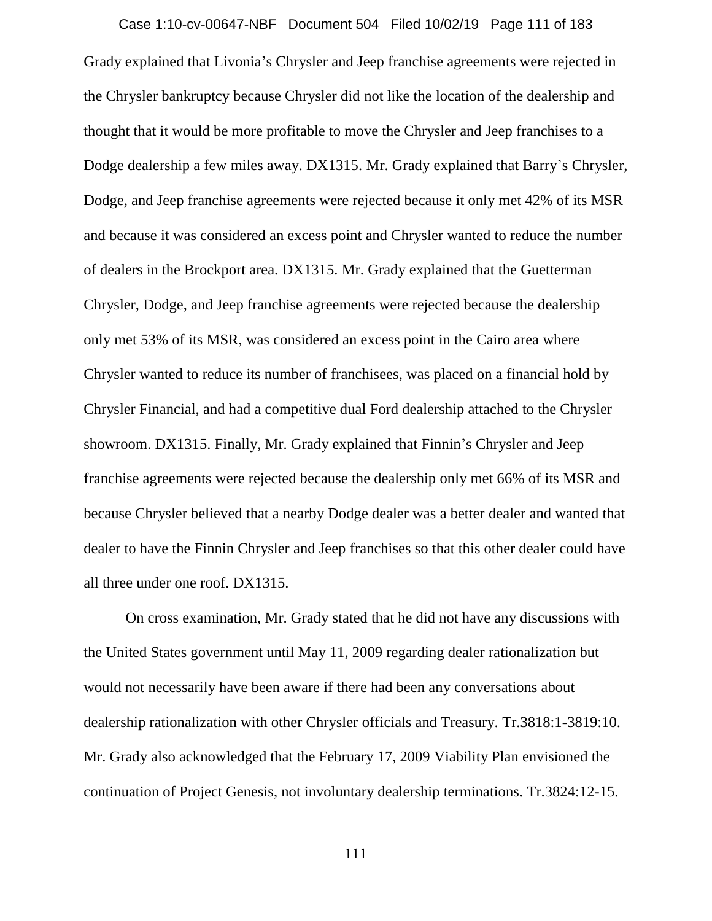# Case 1:10-cv-00647-NBF Document 504 Filed 10/02/19 Page 111 of 183

Grady explained that Livonia's Chrysler and Jeep franchise agreements were rejected in the Chrysler bankruptcy because Chrysler did not like the location of the dealership and thought that it would be more profitable to move the Chrysler and Jeep franchises to a Dodge dealership a few miles away. DX1315. Mr. Grady explained that Barry's Chrysler, Dodge, and Jeep franchise agreements were rejected because it only met 42% of its MSR and because it was considered an excess point and Chrysler wanted to reduce the number of dealers in the Brockport area. DX1315. Mr. Grady explained that the Guetterman Chrysler, Dodge, and Jeep franchise agreements were rejected because the dealership only met 53% of its MSR, was considered an excess point in the Cairo area where Chrysler wanted to reduce its number of franchisees, was placed on a financial hold by Chrysler Financial, and had a competitive dual Ford dealership attached to the Chrysler showroom. DX1315. Finally, Mr. Grady explained that Finnin's Chrysler and Jeep franchise agreements were rejected because the dealership only met 66% of its MSR and because Chrysler believed that a nearby Dodge dealer was a better dealer and wanted that dealer to have the Finnin Chrysler and Jeep franchises so that this other dealer could have all three under one roof. DX1315.

On cross examination, Mr. Grady stated that he did not have any discussions with the United States government until May 11, 2009 regarding dealer rationalization but would not necessarily have been aware if there had been any conversations about dealership rationalization with other Chrysler officials and Treasury. Tr.3818:1-3819:10. Mr. Grady also acknowledged that the February 17, 2009 Viability Plan envisioned the continuation of Project Genesis, not involuntary dealership terminations. Tr.3824:12-15.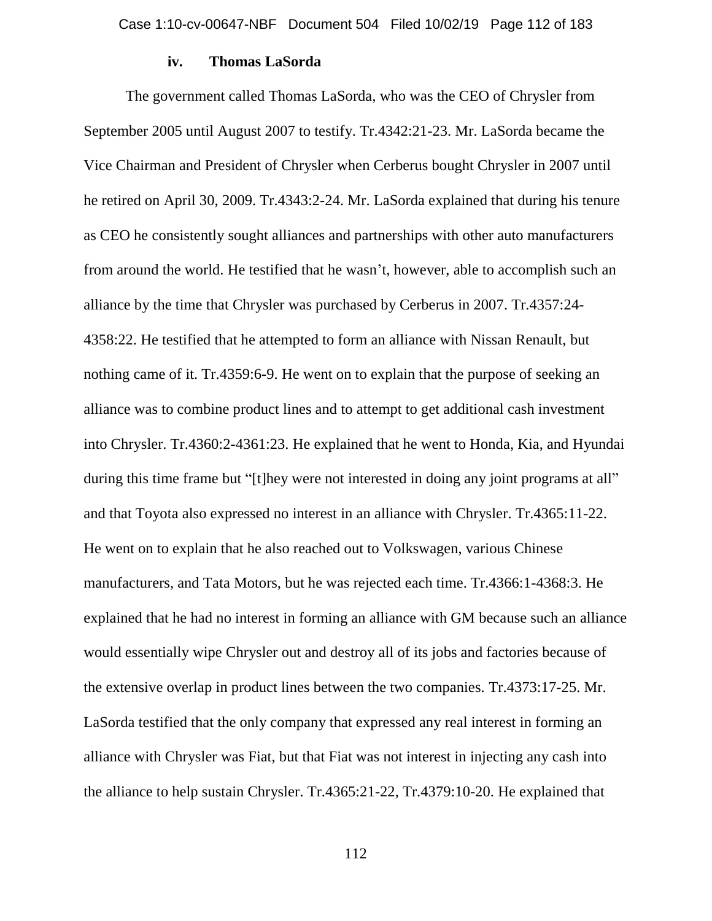# **iv. Thomas LaSorda**

The government called Thomas LaSorda, who was the CEO of Chrysler from September 2005 until August 2007 to testify. Tr.4342:21-23. Mr. LaSorda became the Vice Chairman and President of Chrysler when Cerberus bought Chrysler in 2007 until he retired on April 30, 2009. Tr.4343:2-24. Mr. LaSorda explained that during his tenure as CEO he consistently sought alliances and partnerships with other auto manufacturers from around the world. He testified that he wasn't, however, able to accomplish such an alliance by the time that Chrysler was purchased by Cerberus in 2007. Tr.4357:24- 4358:22. He testified that he attempted to form an alliance with Nissan Renault, but nothing came of it. Tr.4359:6-9. He went on to explain that the purpose of seeking an alliance was to combine product lines and to attempt to get additional cash investment into Chrysler. Tr.4360:2-4361:23. He explained that he went to Honda, Kia, and Hyundai during this time frame but "[t]hey were not interested in doing any joint programs at all" and that Toyota also expressed no interest in an alliance with Chrysler. Tr.4365:11-22. He went on to explain that he also reached out to Volkswagen, various Chinese manufacturers, and Tata Motors, but he was rejected each time. Tr.4366:1-4368:3. He explained that he had no interest in forming an alliance with GM because such an alliance would essentially wipe Chrysler out and destroy all of its jobs and factories because of the extensive overlap in product lines between the two companies. Tr.4373:17-25. Mr. LaSorda testified that the only company that expressed any real interest in forming an alliance with Chrysler was Fiat, but that Fiat was not interest in injecting any cash into the alliance to help sustain Chrysler. Tr.4365:21-22, Tr.4379:10-20. He explained that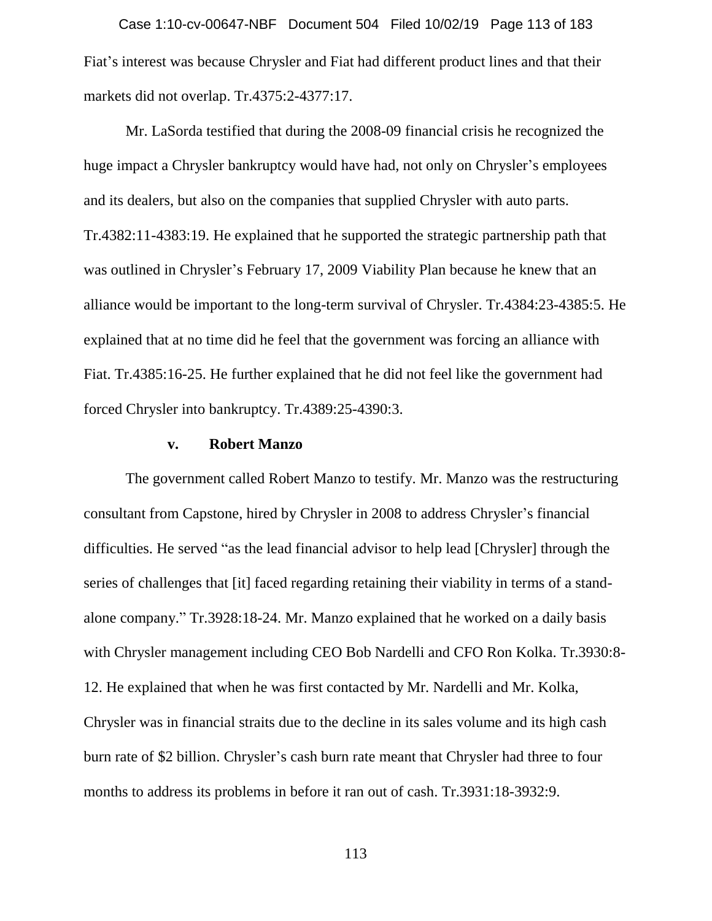Fiat's interest was because Chrysler and Fiat had different product lines and that their markets did not overlap. Tr.4375:2-4377:17. Case 1:10-cv-00647-NBF Document 504 Filed 10/02/19 Page 113 of 183

Mr. LaSorda testified that during the 2008-09 financial crisis he recognized the huge impact a Chrysler bankruptcy would have had, not only on Chrysler's employees and its dealers, but also on the companies that supplied Chrysler with auto parts. Tr.4382:11-4383:19. He explained that he supported the strategic partnership path that was outlined in Chrysler's February 17, 2009 Viability Plan because he knew that an alliance would be important to the long-term survival of Chrysler. Tr.4384:23-4385:5. He explained that at no time did he feel that the government was forcing an alliance with Fiat. Tr.4385:16-25. He further explained that he did not feel like the government had forced Chrysler into bankruptcy. Tr.4389:25-4390:3.

# **v. Robert Manzo**

The government called Robert Manzo to testify. Mr. Manzo was the restructuring consultant from Capstone, hired by Chrysler in 2008 to address Chrysler's financial difficulties. He served "as the lead financial advisor to help lead [Chrysler] through the series of challenges that [it] faced regarding retaining their viability in terms of a standalone company." Tr.3928:18-24. Mr. Manzo explained that he worked on a daily basis with Chrysler management including CEO Bob Nardelli and CFO Ron Kolka. Tr.3930:8- 12. He explained that when he was first contacted by Mr. Nardelli and Mr. Kolka, Chrysler was in financial straits due to the decline in its sales volume and its high cash burn rate of \$2 billion. Chrysler's cash burn rate meant that Chrysler had three to four months to address its problems in before it ran out of cash. Tr.3931:18-3932:9.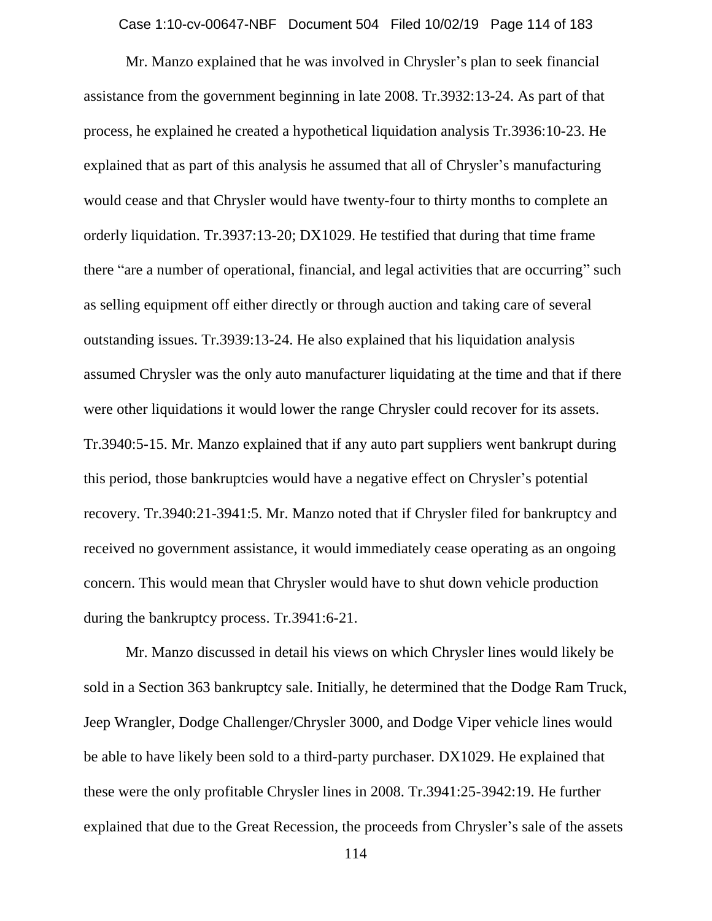Mr. Manzo explained that he was involved in Chrysler's plan to seek financial assistance from the government beginning in late 2008. Tr.3932:13-24. As part of that process, he explained he created a hypothetical liquidation analysis Tr.3936:10-23. He explained that as part of this analysis he assumed that all of Chrysler's manufacturing would cease and that Chrysler would have twenty-four to thirty months to complete an orderly liquidation. Tr.3937:13-20; DX1029. He testified that during that time frame there "are a number of operational, financial, and legal activities that are occurring" such as selling equipment off either directly or through auction and taking care of several outstanding issues. Tr.3939:13-24. He also explained that his liquidation analysis assumed Chrysler was the only auto manufacturer liquidating at the time and that if there were other liquidations it would lower the range Chrysler could recover for its assets. Tr.3940:5-15. Mr. Manzo explained that if any auto part suppliers went bankrupt during this period, those bankruptcies would have a negative effect on Chrysler's potential recovery. Tr.3940:21-3941:5. Mr. Manzo noted that if Chrysler filed for bankruptcy and received no government assistance, it would immediately cease operating as an ongoing concern. This would mean that Chrysler would have to shut down vehicle production during the bankruptcy process. Tr.3941:6-21.

Mr. Manzo discussed in detail his views on which Chrysler lines would likely be sold in a Section 363 bankruptcy sale. Initially, he determined that the Dodge Ram Truck, Jeep Wrangler, Dodge Challenger/Chrysler 3000, and Dodge Viper vehicle lines would be able to have likely been sold to a third-party purchaser. DX1029. He explained that these were the only profitable Chrysler lines in 2008. Tr.3941:25-3942:19. He further explained that due to the Great Recession, the proceeds from Chrysler's sale of the assets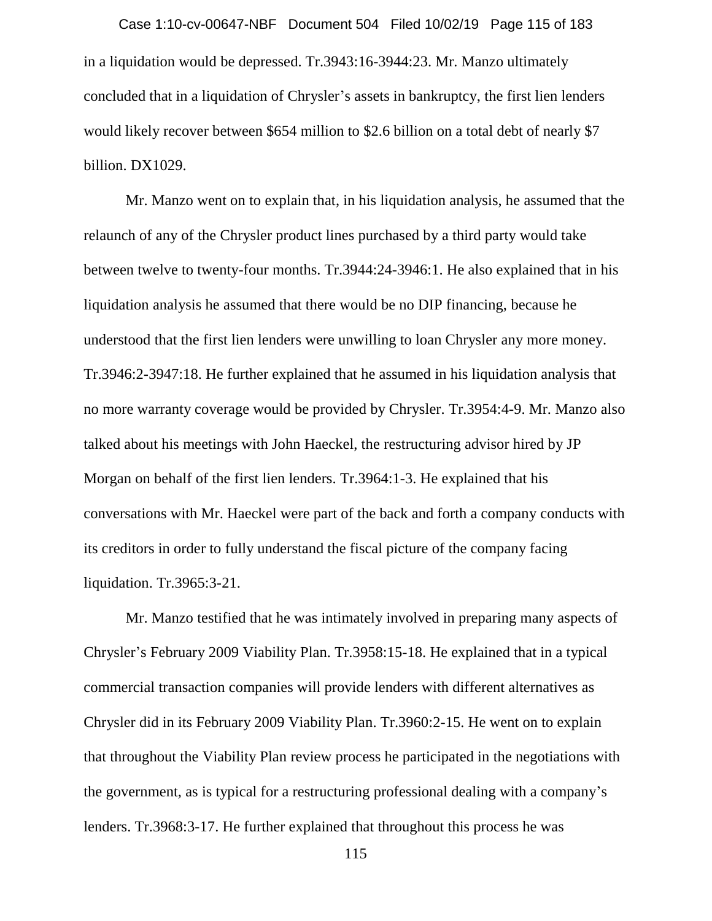in a liquidation would be depressed. Tr.3943:16-3944:23. Mr. Manzo ultimately concluded that in a liquidation of Chrysler's assets in bankruptcy, the first lien lenders would likely recover between \$654 million to \$2.6 billion on a total debt of nearly \$7 billion. DX1029. Case 1:10-cv-00647-NBF Document 504 Filed 10/02/19 Page 115 of 183

Mr. Manzo went on to explain that, in his liquidation analysis, he assumed that the relaunch of any of the Chrysler product lines purchased by a third party would take between twelve to twenty-four months. Tr.3944:24-3946:1. He also explained that in his liquidation analysis he assumed that there would be no DIP financing, because he understood that the first lien lenders were unwilling to loan Chrysler any more money. Tr.3946:2-3947:18. He further explained that he assumed in his liquidation analysis that no more warranty coverage would be provided by Chrysler. Tr.3954:4-9. Mr. Manzo also talked about his meetings with John Haeckel, the restructuring advisor hired by JP Morgan on behalf of the first lien lenders. Tr.3964:1-3. He explained that his conversations with Mr. Haeckel were part of the back and forth a company conducts with its creditors in order to fully understand the fiscal picture of the company facing liquidation. Tr.3965:3-21.

Mr. Manzo testified that he was intimately involved in preparing many aspects of Chrysler's February 2009 Viability Plan. Tr.3958:15-18. He explained that in a typical commercial transaction companies will provide lenders with different alternatives as Chrysler did in its February 2009 Viability Plan. Tr.3960:2-15. He went on to explain that throughout the Viability Plan review process he participated in the negotiations with the government, as is typical for a restructuring professional dealing with a company's lenders. Tr.3968:3-17. He further explained that throughout this process he was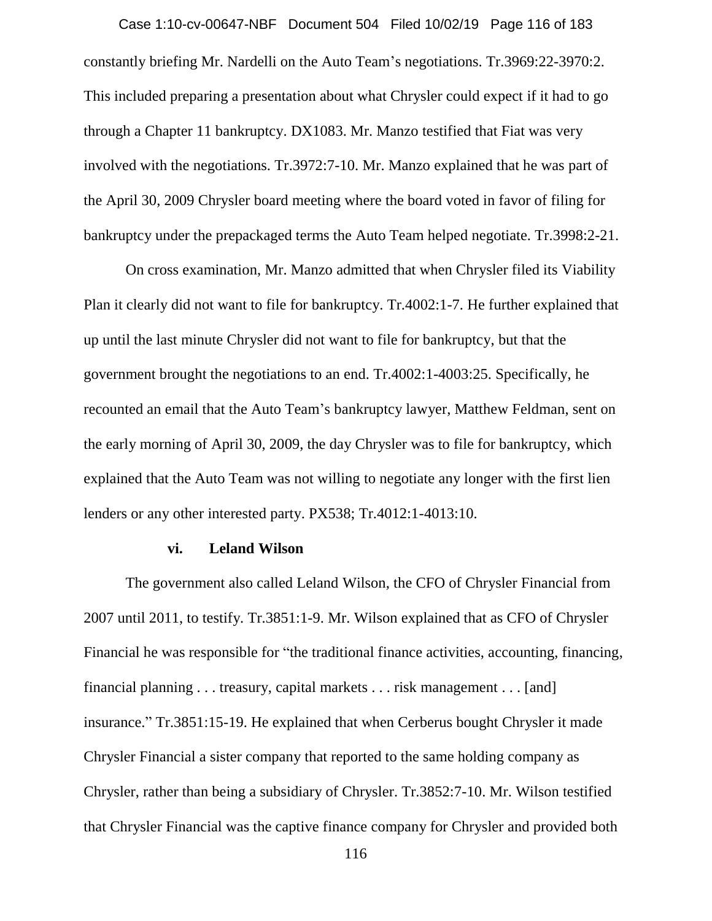constantly briefing Mr. Nardelli on the Auto Team's negotiations. Tr.3969:22-3970:2. This included preparing a presentation about what Chrysler could expect if it had to go through a Chapter 11 bankruptcy. DX1083. Mr. Manzo testified that Fiat was very involved with the negotiations. Tr.3972:7-10. Mr. Manzo explained that he was part of the April 30, 2009 Chrysler board meeting where the board voted in favor of filing for bankruptcy under the prepackaged terms the Auto Team helped negotiate. Tr.3998:2-21. Case 1:10-cv-00647-NBF Document 504 Filed 10/02/19 Page 116 of 183

On cross examination, Mr. Manzo admitted that when Chrysler filed its Viability Plan it clearly did not want to file for bankruptcy. Tr.4002:1-7. He further explained that up until the last minute Chrysler did not want to file for bankruptcy, but that the government brought the negotiations to an end. Tr.4002:1-4003:25. Specifically, he recounted an email that the Auto Team's bankruptcy lawyer, Matthew Feldman, sent on the early morning of April 30, 2009, the day Chrysler was to file for bankruptcy, which explained that the Auto Team was not willing to negotiate any longer with the first lien lenders or any other interested party. PX538; Tr.4012:1-4013:10.

#### **vi. Leland Wilson**

The government also called Leland Wilson, the CFO of Chrysler Financial from 2007 until 2011, to testify. Tr.3851:1-9. Mr. Wilson explained that as CFO of Chrysler Financial he was responsible for "the traditional finance activities, accounting, financing, financial planning . . . treasury, capital markets . . . risk management . . . [and] insurance." Tr.3851:15-19. He explained that when Cerberus bought Chrysler it made Chrysler Financial a sister company that reported to the same holding company as Chrysler, rather than being a subsidiary of Chrysler. Tr.3852:7-10. Mr. Wilson testified that Chrysler Financial was the captive finance company for Chrysler and provided both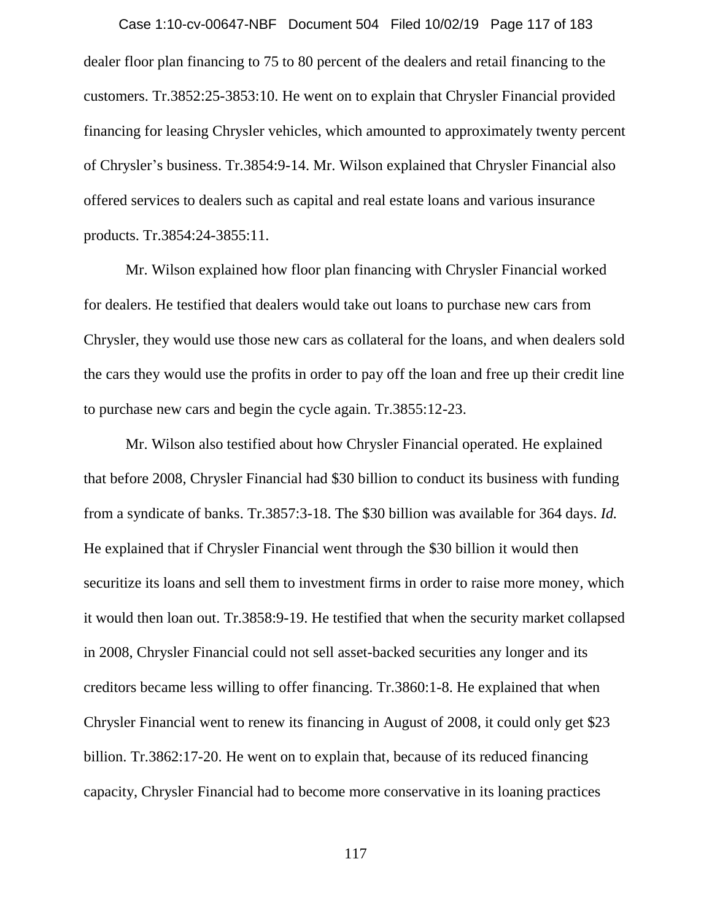dealer floor plan financing to 75 to 80 percent of the dealers and retail financing to the customers. Tr.3852:25-3853:10. He went on to explain that Chrysler Financial provided financing for leasing Chrysler vehicles, which amounted to approximately twenty percent of Chrysler's business. Tr.3854:9-14. Mr. Wilson explained that Chrysler Financial also offered services to dealers such as capital and real estate loans and various insurance products. Tr.3854:24-3855:11. Case 1:10-cv-00647-NBF Document 504 Filed 10/02/19 Page 117 of 183

Mr. Wilson explained how floor plan financing with Chrysler Financial worked for dealers. He testified that dealers would take out loans to purchase new cars from Chrysler, they would use those new cars as collateral for the loans, and when dealers sold the cars they would use the profits in order to pay off the loan and free up their credit line to purchase new cars and begin the cycle again. Tr.3855:12-23.

Mr. Wilson also testified about how Chrysler Financial operated. He explained that before 2008, Chrysler Financial had \$30 billion to conduct its business with funding from a syndicate of banks. Tr.3857:3-18. The \$30 billion was available for 364 days. *Id.*  He explained that if Chrysler Financial went through the \$30 billion it would then securitize its loans and sell them to investment firms in order to raise more money, which it would then loan out. Tr.3858:9-19. He testified that when the security market collapsed in 2008, Chrysler Financial could not sell asset-backed securities any longer and its creditors became less willing to offer financing. Tr.3860:1-8. He explained that when Chrysler Financial went to renew its financing in August of 2008, it could only get \$23 billion. Tr.3862:17-20. He went on to explain that, because of its reduced financing capacity, Chrysler Financial had to become more conservative in its loaning practices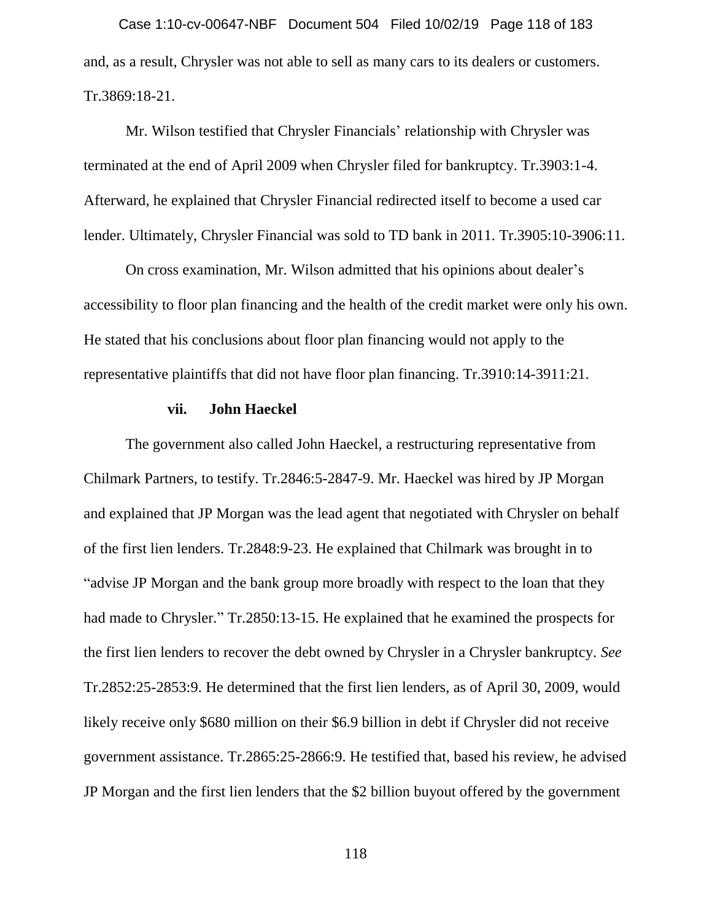and, as a result, Chrysler was not able to sell as many cars to its dealers or customers. Tr.3869:18-21. Case 1:10-cv-00647-NBF Document 504 Filed 10/02/19 Page 118 of 183

Mr. Wilson testified that Chrysler Financials' relationship with Chrysler was terminated at the end of April 2009 when Chrysler filed for bankruptcy. Tr.3903:1-4. Afterward, he explained that Chrysler Financial redirected itself to become a used car lender. Ultimately, Chrysler Financial was sold to TD bank in 2011. Tr.3905:10-3906:11.

On cross examination, Mr. Wilson admitted that his opinions about dealer's accessibility to floor plan financing and the health of the credit market were only his own. He stated that his conclusions about floor plan financing would not apply to the representative plaintiffs that did not have floor plan financing. Tr.3910:14-3911:21.

# **vii. John Haeckel**

The government also called John Haeckel, a restructuring representative from Chilmark Partners, to testify. Tr.2846:5-2847-9. Mr. Haeckel was hired by JP Morgan and explained that JP Morgan was the lead agent that negotiated with Chrysler on behalf of the first lien lenders. Tr.2848:9-23. He explained that Chilmark was brought in to "advise JP Morgan and the bank group more broadly with respect to the loan that they had made to Chrysler." Tr.2850:13-15. He explained that he examined the prospects for the first lien lenders to recover the debt owned by Chrysler in a Chrysler bankruptcy. *See*  Tr.2852:25-2853:9. He determined that the first lien lenders, as of April 30, 2009, would likely receive only \$680 million on their \$6.9 billion in debt if Chrysler did not receive government assistance. Tr.2865:25-2866:9. He testified that, based his review, he advised JP Morgan and the first lien lenders that the \$2 billion buyout offered by the government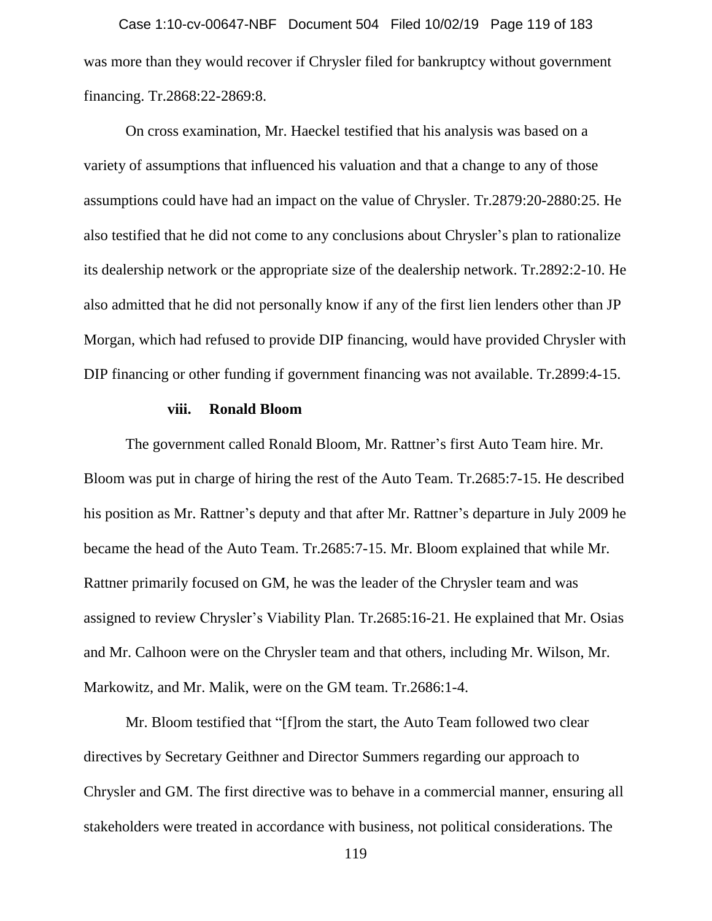was more than they would recover if Chrysler filed for bankruptcy without government financing. Tr.2868:22-2869:8. Case 1:10-cv-00647-NBF Document 504 Filed 10/02/19 Page 119 of 183

On cross examination, Mr. Haeckel testified that his analysis was based on a variety of assumptions that influenced his valuation and that a change to any of those assumptions could have had an impact on the value of Chrysler. Tr.2879:20-2880:25. He also testified that he did not come to any conclusions about Chrysler's plan to rationalize its dealership network or the appropriate size of the dealership network. Tr.2892:2-10. He also admitted that he did not personally know if any of the first lien lenders other than JP Morgan, which had refused to provide DIP financing, would have provided Chrysler with DIP financing or other funding if government financing was not available. Tr.2899:4-15.

# **viii. Ronald Bloom**

The government called Ronald Bloom, Mr. Rattner's first Auto Team hire. Mr. Bloom was put in charge of hiring the rest of the Auto Team. Tr.2685:7-15. He described his position as Mr. Rattner's deputy and that after Mr. Rattner's departure in July 2009 he became the head of the Auto Team. Tr.2685:7-15. Mr. Bloom explained that while Mr. Rattner primarily focused on GM, he was the leader of the Chrysler team and was assigned to review Chrysler's Viability Plan. Tr.2685:16-21. He explained that Mr. Osias and Mr. Calhoon were on the Chrysler team and that others, including Mr. Wilson, Mr. Markowitz, and Mr. Malik, were on the GM team. Tr.2686:1-4.

Mr. Bloom testified that "[f]rom the start, the Auto Team followed two clear directives by Secretary Geithner and Director Summers regarding our approach to Chrysler and GM. The first directive was to behave in a commercial manner, ensuring all stakeholders were treated in accordance with business, not political considerations. The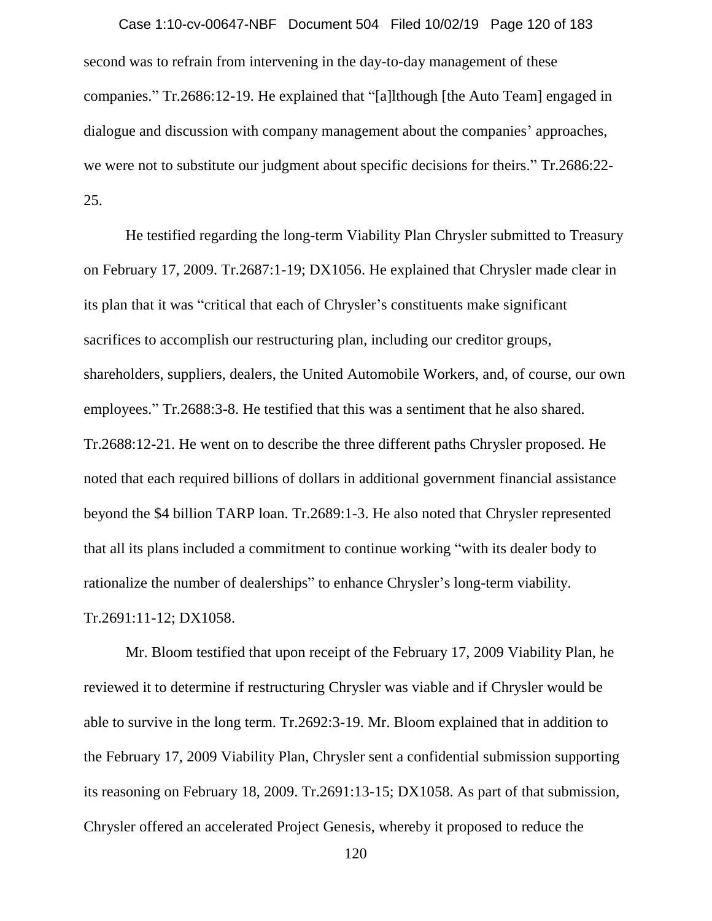second was to refrain from intervening in the day-to-day management of these companies." Tr.2686:12-19. He explained that "[a]lthough [the Auto Team] engaged in dialogue and discussion with company management about the companies' approaches, we were not to substitute our judgment about specific decisions for theirs." Tr.2686:22- 25. Case 1:10-cv-00647-NBF Document 504 Filed 10/02/19 Page 120 of 183

He testified regarding the long-term Viability Plan Chrysler submitted to Treasury on February 17, 2009. Tr.2687:1-19; DX1056. He explained that Chrysler made clear in its plan that it was "critical that each of Chrysler's constituents make significant sacrifices to accomplish our restructuring plan, including our creditor groups, shareholders, suppliers, dealers, the United Automobile Workers, and, of course, our own employees." Tr.2688:3-8. He testified that this was a sentiment that he also shared. Tr.2688:12-21. He went on to describe the three different paths Chrysler proposed. He noted that each required billions of dollars in additional government financial assistance beyond the \$4 billion TARP loan. Tr.2689:1-3. He also noted that Chrysler represented that all its plans included a commitment to continue working "with its dealer body to rationalize the number of dealerships" to enhance Chrysler's long-term viability. Tr.2691:11-12; DX1058.

Mr. Bloom testified that upon receipt of the February 17, 2009 Viability Plan, he reviewed it to determine if restructuring Chrysler was viable and if Chrysler would be able to survive in the long term. Tr.2692:3-19. Mr. Bloom explained that in addition to the February 17, 2009 Viability Plan, Chrysler sent a confidential submission supporting its reasoning on February 18, 2009. Tr.2691:13-15; DX1058. As part of that submission, Chrysler offered an accelerated Project Genesis, whereby it proposed to reduce the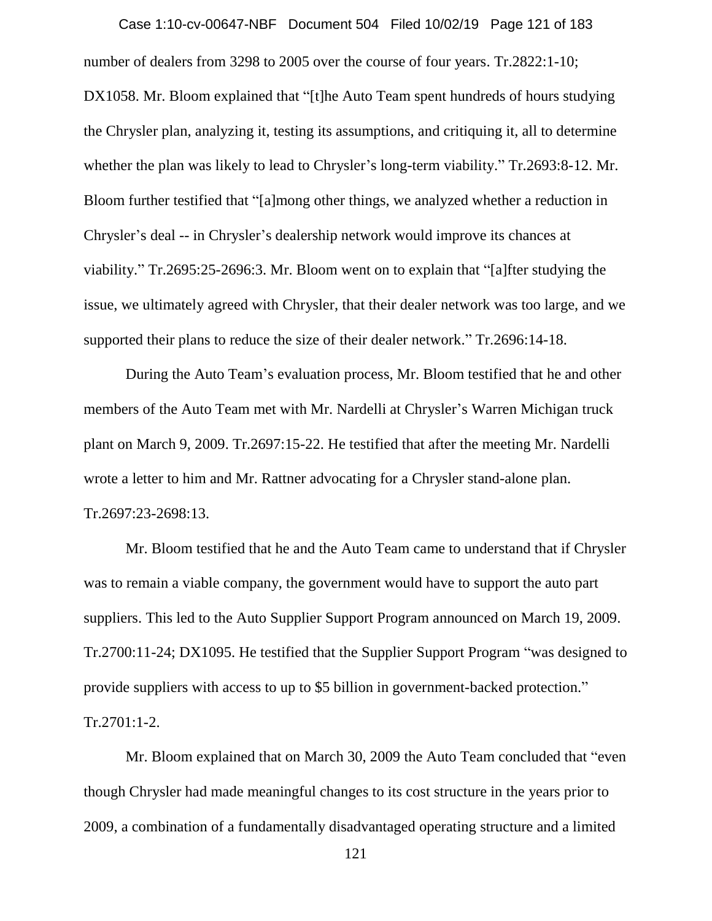number of dealers from 3298 to 2005 over the course of four years. Tr.2822:1-10; DX1058. Mr. Bloom explained that "[t]he Auto Team spent hundreds of hours studying the Chrysler plan, analyzing it, testing its assumptions, and critiquing it, all to determine whether the plan was likely to lead to Chrysler's long-term viability." Tr.2693:8-12. Mr. Bloom further testified that "[a]mong other things, we analyzed whether a reduction in Chrysler's deal -- in Chrysler's dealership network would improve its chances at viability." Tr.2695:25-2696:3. Mr. Bloom went on to explain that "[a]fter studying the issue, we ultimately agreed with Chrysler, that their dealer network was too large, and we supported their plans to reduce the size of their dealer network." Tr.2696:14-18. Case 1:10-cv-00647-NBF Document 504 Filed 10/02/19 Page 121 of 183

During the Auto Team's evaluation process, Mr. Bloom testified that he and other members of the Auto Team met with Mr. Nardelli at Chrysler's Warren Michigan truck plant on March 9, 2009. Tr.2697:15-22. He testified that after the meeting Mr. Nardelli wrote a letter to him and Mr. Rattner advocating for a Chrysler stand-alone plan. Tr.2697:23-2698:13.

Mr. Bloom testified that he and the Auto Team came to understand that if Chrysler was to remain a viable company, the government would have to support the auto part suppliers. This led to the Auto Supplier Support Program announced on March 19, 2009. Tr.2700:11-24; DX1095. He testified that the Supplier Support Program "was designed to provide suppliers with access to up to \$5 billion in government-backed protection." Tr.2701:1-2.

Mr. Bloom explained that on March 30, 2009 the Auto Team concluded that "even though Chrysler had made meaningful changes to its cost structure in the years prior to 2009, a combination of a fundamentally disadvantaged operating structure and a limited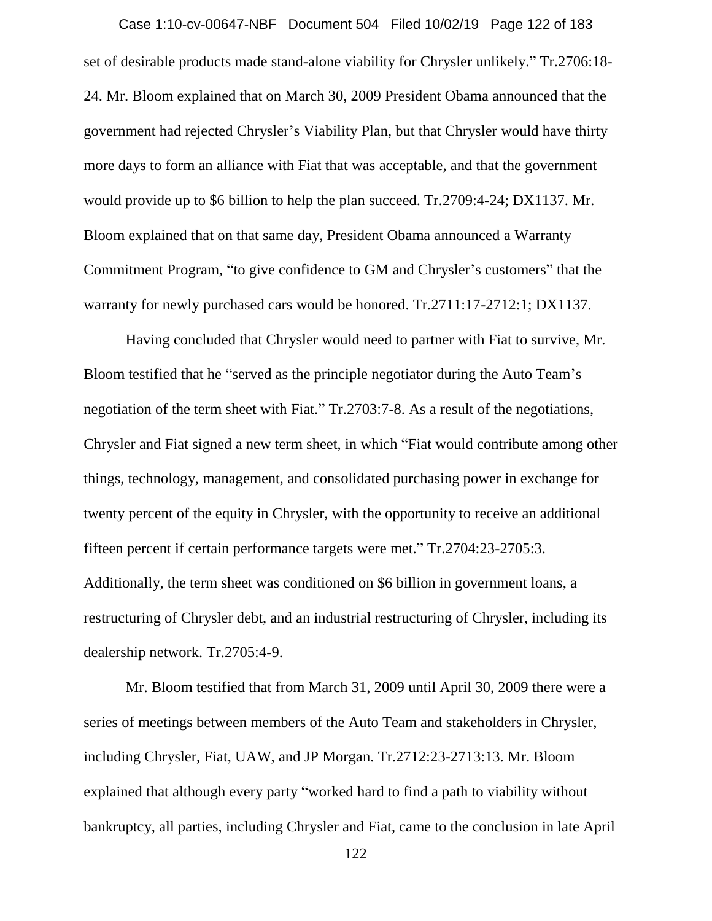set of desirable products made stand-alone viability for Chrysler unlikely." Tr.2706:18- 24. Mr. Bloom explained that on March 30, 2009 President Obama announced that the government had rejected Chrysler's Viability Plan, but that Chrysler would have thirty more days to form an alliance with Fiat that was acceptable, and that the government would provide up to \$6 billion to help the plan succeed. Tr.2709:4-24; DX1137. Mr. Bloom explained that on that same day, President Obama announced a Warranty Commitment Program, "to give confidence to GM and Chrysler's customers" that the warranty for newly purchased cars would be honored. Tr.2711:17-2712:1; DX1137. Case 1:10-cv-00647-NBF Document 504 Filed 10/02/19 Page 122 of 183

Having concluded that Chrysler would need to partner with Fiat to survive, Mr. Bloom testified that he "served as the principle negotiator during the Auto Team's negotiation of the term sheet with Fiat." Tr.2703:7-8. As a result of the negotiations, Chrysler and Fiat signed a new term sheet, in which "Fiat would contribute among other things, technology, management, and consolidated purchasing power in exchange for twenty percent of the equity in Chrysler, with the opportunity to receive an additional fifteen percent if certain performance targets were met." Tr.2704:23-2705:3. Additionally, the term sheet was conditioned on \$6 billion in government loans, a restructuring of Chrysler debt, and an industrial restructuring of Chrysler, including its dealership network. Tr.2705:4-9.

Mr. Bloom testified that from March 31, 2009 until April 30, 2009 there were a series of meetings between members of the Auto Team and stakeholders in Chrysler, including Chrysler, Fiat, UAW, and JP Morgan. Tr.2712:23-2713:13. Mr. Bloom explained that although every party "worked hard to find a path to viability without bankruptcy, all parties, including Chrysler and Fiat, came to the conclusion in late April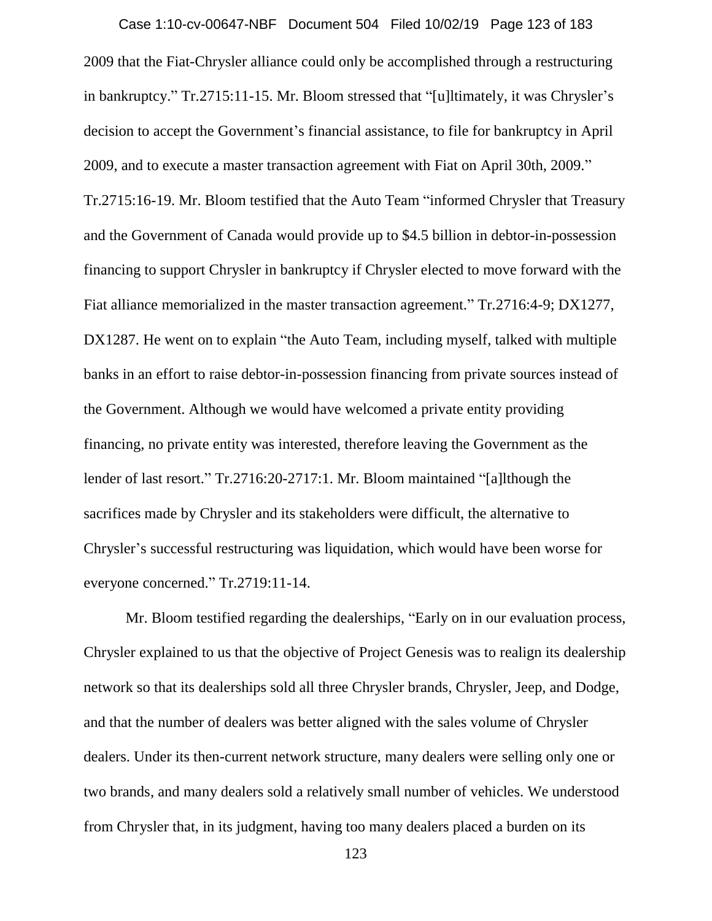2009 that the Fiat-Chrysler alliance could only be accomplished through a restructuring in bankruptcy." Tr.2715:11-15. Mr. Bloom stressed that "[u]ltimately, it was Chrysler's decision to accept the Government's financial assistance, to file for bankruptcy in April 2009, and to execute a master transaction agreement with Fiat on April 30th, 2009." Tr.2715:16-19. Mr. Bloom testified that the Auto Team "informed Chrysler that Treasury and the Government of Canada would provide up to \$4.5 billion in debtor-in-possession financing to support Chrysler in bankruptcy if Chrysler elected to move forward with the Fiat alliance memorialized in the master transaction agreement." Tr.2716:4-9; DX1277, DX1287. He went on to explain "the Auto Team, including myself, talked with multiple banks in an effort to raise debtor-in-possession financing from private sources instead of the Government. Although we would have welcomed a private entity providing financing, no private entity was interested, therefore leaving the Government as the lender of last resort." Tr.2716:20-2717:1. Mr. Bloom maintained "[a]lthough the sacrifices made by Chrysler and its stakeholders were difficult, the alternative to Chrysler's successful restructuring was liquidation, which would have been worse for everyone concerned." Tr.2719:11-14. Case 1:10-cv-00647-NBF Document 504 Filed 10/02/19 Page 123 of 183

Mr. Bloom testified regarding the dealerships, "Early on in our evaluation process, Chrysler explained to us that the objective of Project Genesis was to realign its dealership network so that its dealerships sold all three Chrysler brands, Chrysler, Jeep, and Dodge, and that the number of dealers was better aligned with the sales volume of Chrysler dealers. Under its then-current network structure, many dealers were selling only one or two brands, and many dealers sold a relatively small number of vehicles. We understood from Chrysler that, in its judgment, having too many dealers placed a burden on its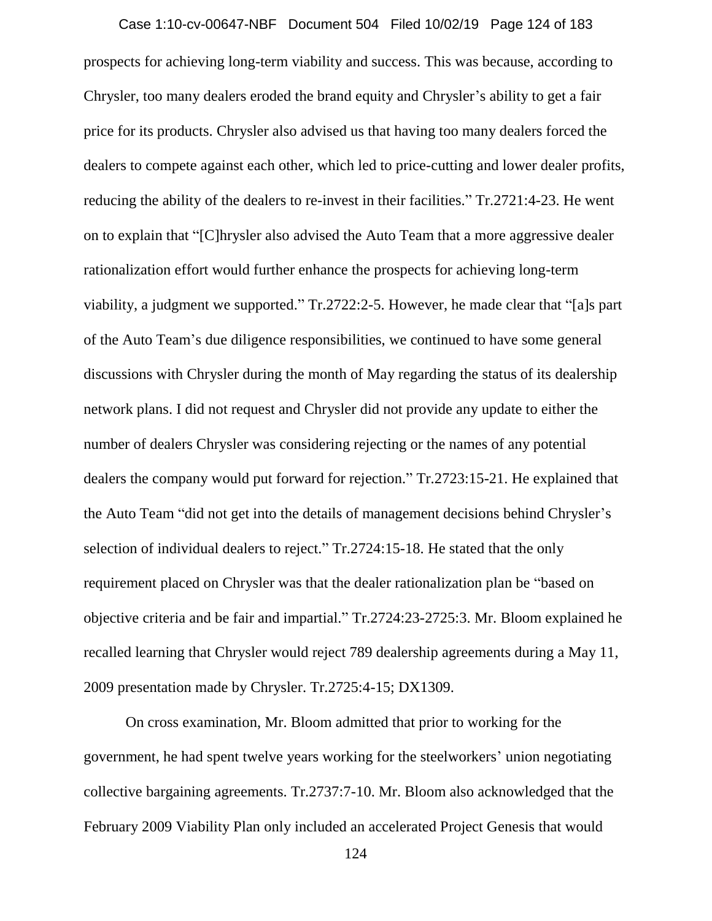prospects for achieving long-term viability and success. This was because, according to Chrysler, too many dealers eroded the brand equity and Chrysler's ability to get a fair price for its products. Chrysler also advised us that having too many dealers forced the dealers to compete against each other, which led to price-cutting and lower dealer profits, reducing the ability of the dealers to re-invest in their facilities." Tr.2721:4-23. He went on to explain that "[C]hrysler also advised the Auto Team that a more aggressive dealer rationalization effort would further enhance the prospects for achieving long-term viability, a judgment we supported." Tr.2722:2-5. However, he made clear that "[a]s part of the Auto Team's due diligence responsibilities, we continued to have some general discussions with Chrysler during the month of May regarding the status of its dealership network plans. I did not request and Chrysler did not provide any update to either the number of dealers Chrysler was considering rejecting or the names of any potential dealers the company would put forward for rejection." Tr.2723:15-21. He explained that the Auto Team "did not get into the details of management decisions behind Chrysler's selection of individual dealers to reject." Tr.2724:15-18. He stated that the only requirement placed on Chrysler was that the dealer rationalization plan be "based on objective criteria and be fair and impartial." Tr.2724:23-2725:3. Mr. Bloom explained he recalled learning that Chrysler would reject 789 dealership agreements during a May 11, 2009 presentation made by Chrysler. Tr.2725:4-15; DX1309. Case 1:10-cv-00647-NBF Document 504 Filed 10/02/19 Page 124 of 183

On cross examination, Mr. Bloom admitted that prior to working for the government, he had spent twelve years working for the steelworkers' union negotiating collective bargaining agreements. Tr.2737:7-10. Mr. Bloom also acknowledged that the February 2009 Viability Plan only included an accelerated Project Genesis that would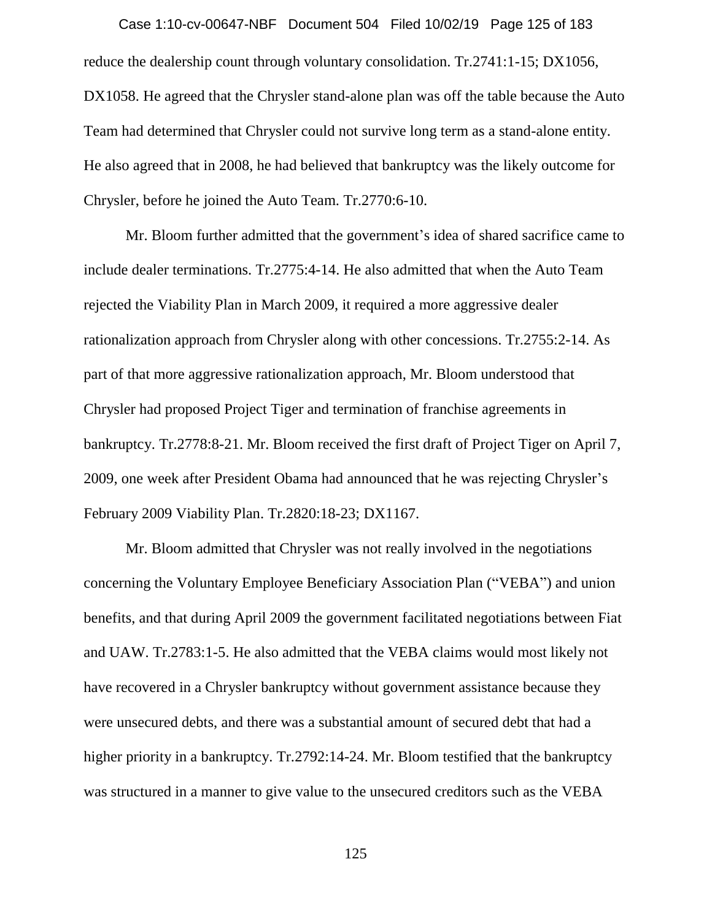reduce the dealership count through voluntary consolidation. Tr.2741:1-15; DX1056, DX1058. He agreed that the Chrysler stand-alone plan was off the table because the Auto Team had determined that Chrysler could not survive long term as a stand-alone entity. He also agreed that in 2008, he had believed that bankruptcy was the likely outcome for Chrysler, before he joined the Auto Team. Tr.2770:6-10. Case 1:10-cv-00647-NBF Document 504 Filed 10/02/19 Page 125 of 183

Mr. Bloom further admitted that the government's idea of shared sacrifice came to include dealer terminations. Tr.2775:4-14. He also admitted that when the Auto Team rejected the Viability Plan in March 2009, it required a more aggressive dealer rationalization approach from Chrysler along with other concessions. Tr.2755:2-14. As part of that more aggressive rationalization approach, Mr. Bloom understood that Chrysler had proposed Project Tiger and termination of franchise agreements in bankruptcy. Tr.2778:8-21. Mr. Bloom received the first draft of Project Tiger on April 7, 2009, one week after President Obama had announced that he was rejecting Chrysler's February 2009 Viability Plan. Tr.2820:18-23; DX1167.

Mr. Bloom admitted that Chrysler was not really involved in the negotiations concerning the Voluntary Employee Beneficiary Association Plan ("VEBA") and union benefits, and that during April 2009 the government facilitated negotiations between Fiat and UAW. Tr.2783:1-5. He also admitted that the VEBA claims would most likely not have recovered in a Chrysler bankruptcy without government assistance because they were unsecured debts, and there was a substantial amount of secured debt that had a higher priority in a bankruptcy. Tr.2792:14-24. Mr. Bloom testified that the bankruptcy was structured in a manner to give value to the unsecured creditors such as the VEBA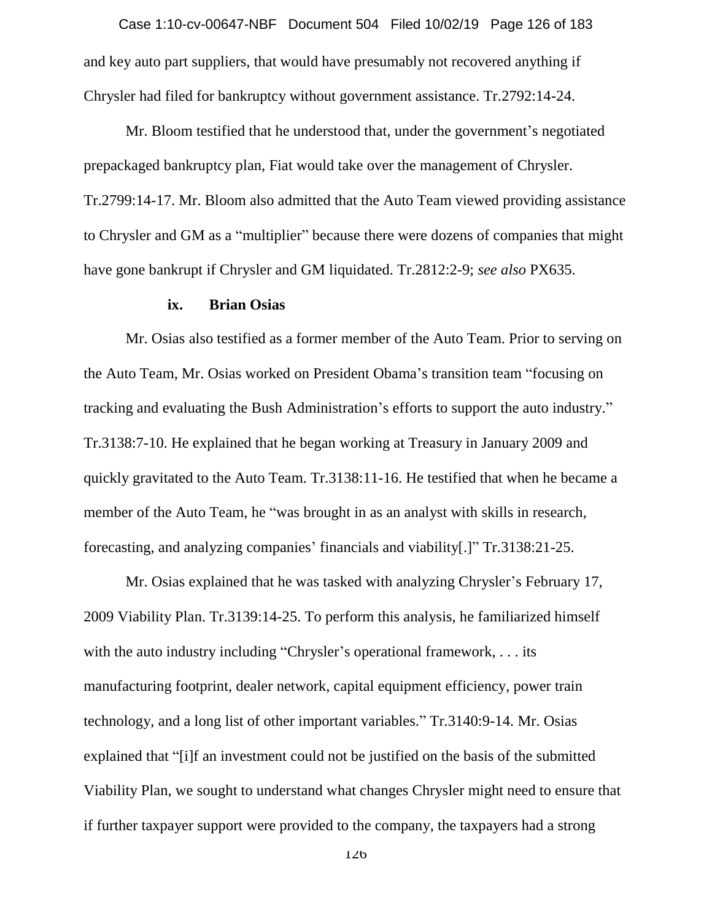and key auto part suppliers, that would have presumably not recovered anything if Chrysler had filed for bankruptcy without government assistance. Tr.2792:14-24. Case 1:10-cv-00647-NBF Document 504 Filed 10/02/19 Page 126 of 183

Mr. Bloom testified that he understood that, under the government's negotiated prepackaged bankruptcy plan, Fiat would take over the management of Chrysler. Tr.2799:14-17. Mr. Bloom also admitted that the Auto Team viewed providing assistance to Chrysler and GM as a "multiplier" because there were dozens of companies that might have gone bankrupt if Chrysler and GM liquidated. Tr.2812:2-9; *see also* PX635.

# **ix. Brian Osias**

Mr. Osias also testified as a former member of the Auto Team. Prior to serving on the Auto Team, Mr. Osias worked on President Obama's transition team "focusing on tracking and evaluating the Bush Administration's efforts to support the auto industry." Tr.3138:7-10. He explained that he began working at Treasury in January 2009 and quickly gravitated to the Auto Team. Tr.3138:11-16. He testified that when he became a member of the Auto Team, he "was brought in as an analyst with skills in research, forecasting, and analyzing companies' financials and viability[.]" Tr.3138:21-25.

Mr. Osias explained that he was tasked with analyzing Chrysler's February 17, 2009 Viability Plan. Tr.3139:14-25. To perform this analysis, he familiarized himself with the auto industry including "Chrysler's operational framework, . . . its manufacturing footprint, dealer network, capital equipment efficiency, power train technology, and a long list of other important variables." Tr.3140:9-14. Mr. Osias explained that "[i]f an investment could not be justified on the basis of the submitted Viability Plan, we sought to understand what changes Chrysler might need to ensure that if further taxpayer support were provided to the company, the taxpayers had a strong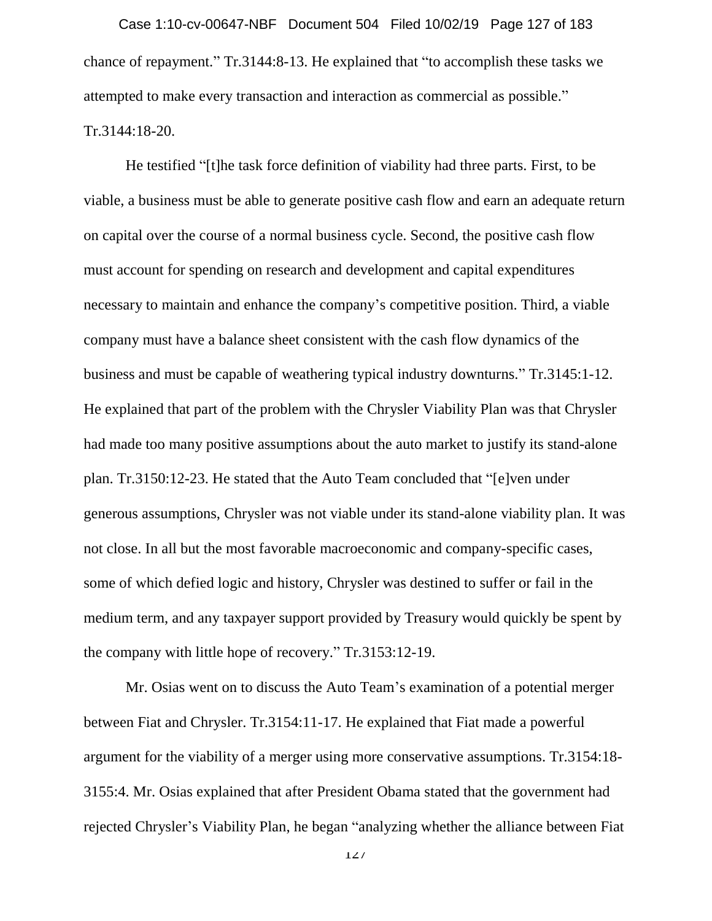chance of repayment." Tr.3144:8-13. He explained that "to accomplish these tasks we attempted to make every transaction and interaction as commercial as possible." Tr.3144:18-20. Case 1:10-cv-00647-NBF Document 504 Filed 10/02/19 Page 127 of 183

He testified "[t]he task force definition of viability had three parts. First, to be viable, a business must be able to generate positive cash flow and earn an adequate return on capital over the course of a normal business cycle. Second, the positive cash flow must account for spending on research and development and capital expenditures necessary to maintain and enhance the company's competitive position. Third, a viable company must have a balance sheet consistent with the cash flow dynamics of the business and must be capable of weathering typical industry downturns." Tr.3145:1-12. He explained that part of the problem with the Chrysler Viability Plan was that Chrysler had made too many positive assumptions about the auto market to justify its stand-alone plan. Tr.3150:12-23. He stated that the Auto Team concluded that "[e]ven under generous assumptions, Chrysler was not viable under its stand-alone viability plan. It was not close. In all but the most favorable macroeconomic and company-specific cases, some of which defied logic and history, Chrysler was destined to suffer or fail in the medium term, and any taxpayer support provided by Treasury would quickly be spent by the company with little hope of recovery." Tr.3153:12-19.

Mr. Osias went on to discuss the Auto Team's examination of a potential merger between Fiat and Chrysler. Tr.3154:11-17. He explained that Fiat made a powerful argument for the viability of a merger using more conservative assumptions. Tr.3154:18- 3155:4. Mr. Osias explained that after President Obama stated that the government had rejected Chrysler's Viability Plan, he began "analyzing whether the alliance between Fiat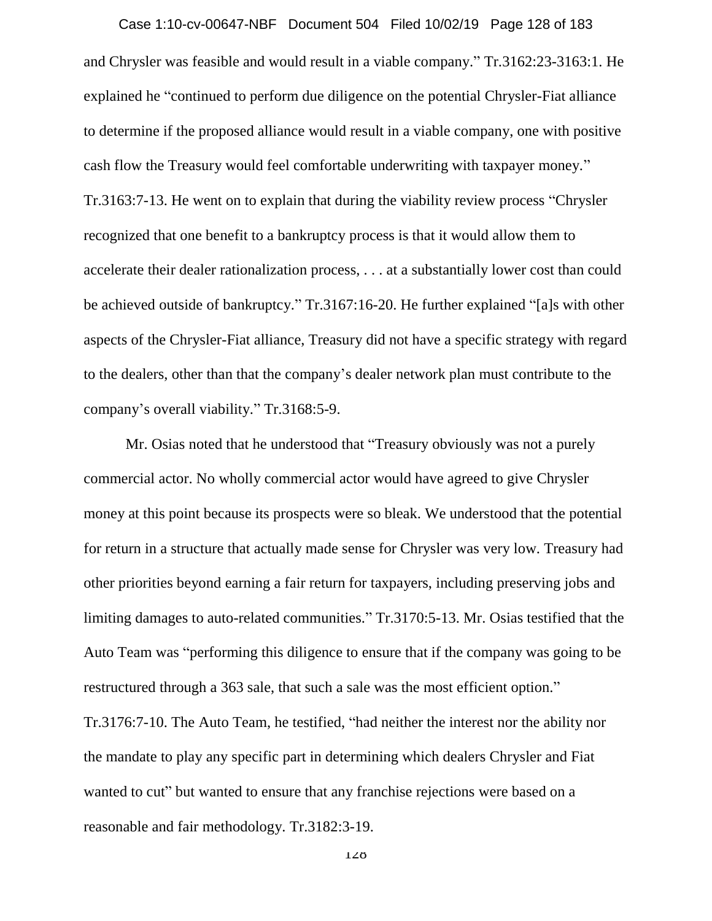and Chrysler was feasible and would result in a viable company." Tr.3162:23-3163:1. He explained he "continued to perform due diligence on the potential Chrysler-Fiat alliance to determine if the proposed alliance would result in a viable company, one with positive cash flow the Treasury would feel comfortable underwriting with taxpayer money." Tr.3163:7-13. He went on to explain that during the viability review process "Chrysler recognized that one benefit to a bankruptcy process is that it would allow them to accelerate their dealer rationalization process, . . . at a substantially lower cost than could be achieved outside of bankruptcy." Tr.3167:16-20. He further explained "[a]s with other aspects of the Chrysler-Fiat alliance, Treasury did not have a specific strategy with regard to the dealers, other than that the company's dealer network plan must contribute to the company's overall viability." Tr.3168:5-9. Case 1:10-cv-00647-NBF Document 504 Filed 10/02/19 Page 128 of 183

Mr. Osias noted that he understood that "Treasury obviously was not a purely commercial actor. No wholly commercial actor would have agreed to give Chrysler money at this point because its prospects were so bleak. We understood that the potential for return in a structure that actually made sense for Chrysler was very low. Treasury had other priorities beyond earning a fair return for taxpayers, including preserving jobs and limiting damages to auto-related communities." Tr.3170:5-13. Mr. Osias testified that the Auto Team was "performing this diligence to ensure that if the company was going to be restructured through a 363 sale, that such a sale was the most efficient option." Tr.3176:7-10. The Auto Team, he testified, "had neither the interest nor the ability nor the mandate to play any specific part in determining which dealers Chrysler and Fiat wanted to cut" but wanted to ensure that any franchise rejections were based on a reasonable and fair methodology. Tr.3182:3-19.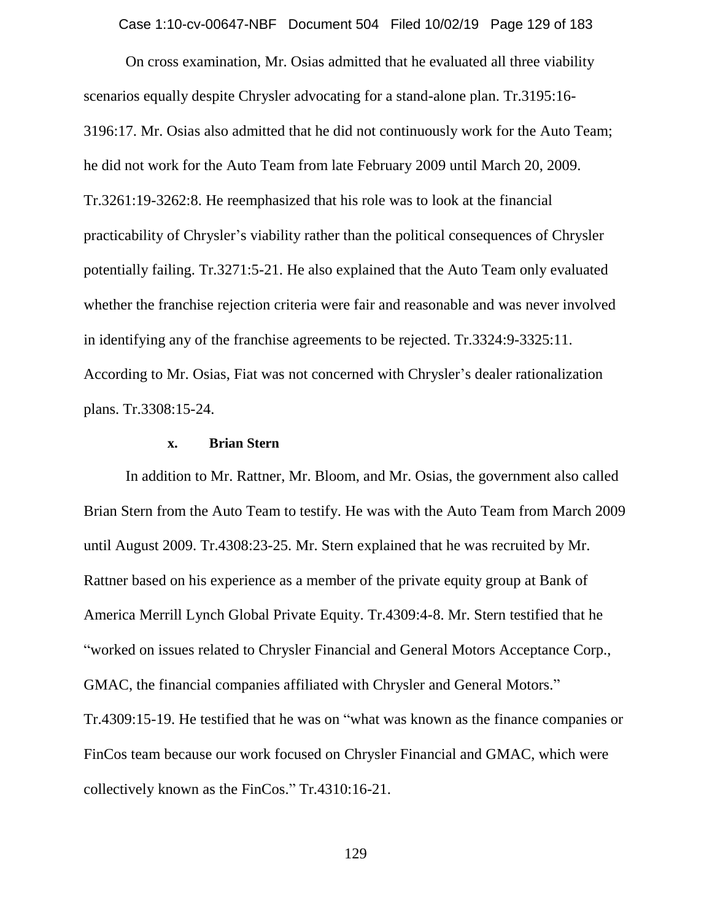Case 1:10-cv-00647-NBF Document 504 Filed 10/02/19 Page 129 of 183

On cross examination, Mr. Osias admitted that he evaluated all three viability scenarios equally despite Chrysler advocating for a stand-alone plan. Tr.3195:16- 3196:17. Mr. Osias also admitted that he did not continuously work for the Auto Team; he did not work for the Auto Team from late February 2009 until March 20, 2009. Tr.3261:19-3262:8. He reemphasized that his role was to look at the financial practicability of Chrysler's viability rather than the political consequences of Chrysler potentially failing. Tr.3271:5-21. He also explained that the Auto Team only evaluated whether the franchise rejection criteria were fair and reasonable and was never involved in identifying any of the franchise agreements to be rejected. Tr.3324:9-3325:11. According to Mr. Osias, Fiat was not concerned with Chrysler's dealer rationalization plans. Tr.3308:15-24.

# **x. Brian Stern**

In addition to Mr. Rattner, Mr. Bloom, and Mr. Osias, the government also called Brian Stern from the Auto Team to testify. He was with the Auto Team from March 2009 until August 2009. Tr.4308:23-25. Mr. Stern explained that he was recruited by Mr. Rattner based on his experience as a member of the private equity group at Bank of America Merrill Lynch Global Private Equity. Tr.4309:4-8. Mr. Stern testified that he "worked on issues related to Chrysler Financial and General Motors Acceptance Corp., GMAC, the financial companies affiliated with Chrysler and General Motors." Tr.4309:15-19. He testified that he was on "what was known as the finance companies or FinCos team because our work focused on Chrysler Financial and GMAC, which were collectively known as the FinCos." Tr.4310:16-21.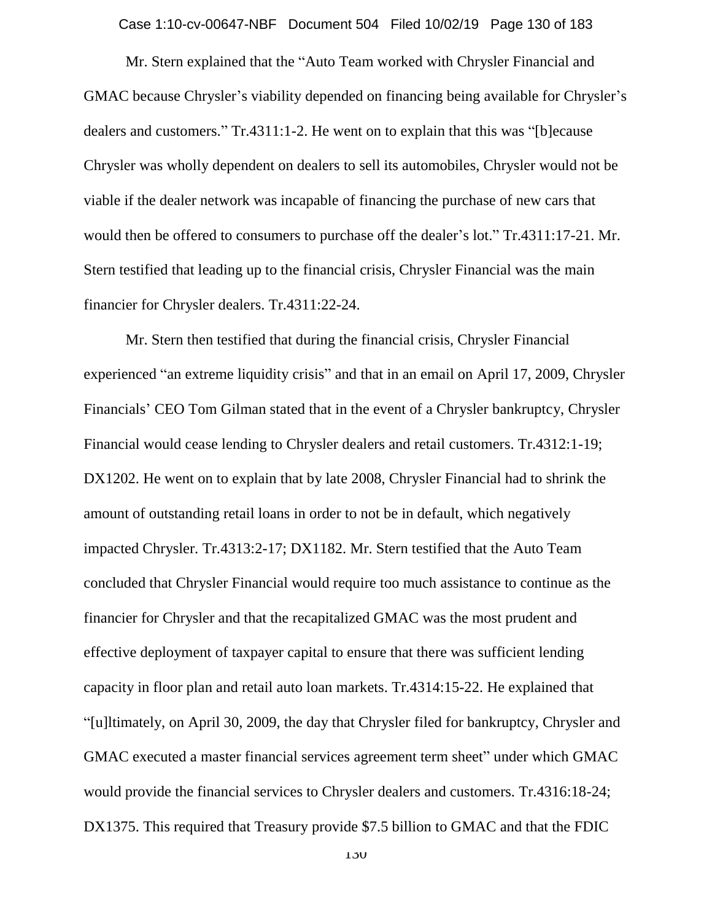Case 1:10-cv-00647-NBF Document 504 Filed 10/02/19 Page 130 of 183

Mr. Stern explained that the "Auto Team worked with Chrysler Financial and GMAC because Chrysler's viability depended on financing being available for Chrysler's dealers and customers." Tr.4311:1-2. He went on to explain that this was "[b]ecause Chrysler was wholly dependent on dealers to sell its automobiles, Chrysler would not be viable if the dealer network was incapable of financing the purchase of new cars that would then be offered to consumers to purchase off the dealer's lot." Tr.4311:17-21. Mr. Stern testified that leading up to the financial crisis, Chrysler Financial was the main financier for Chrysler dealers. Tr.4311:22-24.

Mr. Stern then testified that during the financial crisis, Chrysler Financial experienced "an extreme liquidity crisis" and that in an email on April 17, 2009, Chrysler Financials' CEO Tom Gilman stated that in the event of a Chrysler bankruptcy, Chrysler Financial would cease lending to Chrysler dealers and retail customers. Tr.4312:1-19; DX1202. He went on to explain that by late 2008, Chrysler Financial had to shrink the amount of outstanding retail loans in order to not be in default, which negatively impacted Chrysler. Tr.4313:2-17; DX1182. Mr. Stern testified that the Auto Team concluded that Chrysler Financial would require too much assistance to continue as the financier for Chrysler and that the recapitalized GMAC was the most prudent and effective deployment of taxpayer capital to ensure that there was sufficient lending capacity in floor plan and retail auto loan markets. Tr.4314:15-22. He explained that "[u]ltimately, on April 30, 2009, the day that Chrysler filed for bankruptcy, Chrysler and GMAC executed a master financial services agreement term sheet" under which GMAC would provide the financial services to Chrysler dealers and customers. Tr.4316:18-24; DX1375. This required that Treasury provide \$7.5 billion to GMAC and that the FDIC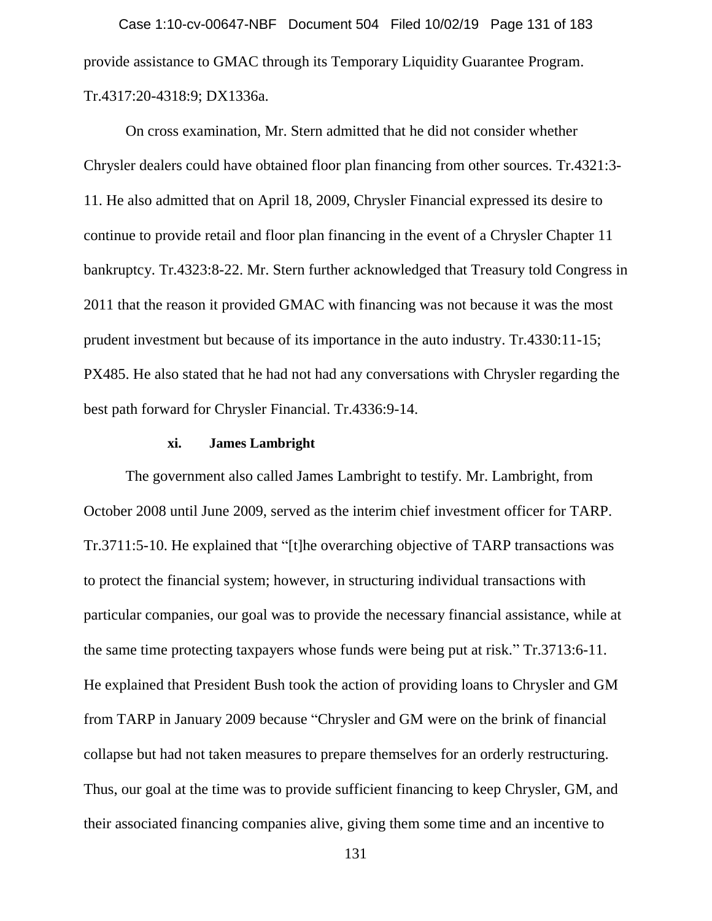provide assistance to GMAC through its Temporary Liquidity Guarantee Program. Tr.4317:20-4318:9; DX1336a. Case 1:10-cv-00647-NBF Document 504 Filed 10/02/19 Page 131 of 183

On cross examination, Mr. Stern admitted that he did not consider whether Chrysler dealers could have obtained floor plan financing from other sources. Tr.4321:3- 11. He also admitted that on April 18, 2009, Chrysler Financial expressed its desire to continue to provide retail and floor plan financing in the event of a Chrysler Chapter 11 bankruptcy. Tr.4323:8-22. Mr. Stern further acknowledged that Treasury told Congress in 2011 that the reason it provided GMAC with financing was not because it was the most prudent investment but because of its importance in the auto industry. Tr.4330:11-15; PX485. He also stated that he had not had any conversations with Chrysler regarding the best path forward for Chrysler Financial. Tr.4336:9-14.

### **xi. James Lambright**

The government also called James Lambright to testify. Mr. Lambright, from October 2008 until June 2009, served as the interim chief investment officer for TARP. Tr.3711:5-10. He explained that "[t]he overarching objective of TARP transactions was to protect the financial system; however, in structuring individual transactions with particular companies, our goal was to provide the necessary financial assistance, while at the same time protecting taxpayers whose funds were being put at risk." Tr.3713:6-11. He explained that President Bush took the action of providing loans to Chrysler and GM from TARP in January 2009 because "Chrysler and GM were on the brink of financial collapse but had not taken measures to prepare themselves for an orderly restructuring. Thus, our goal at the time was to provide sufficient financing to keep Chrysler, GM, and their associated financing companies alive, giving them some time and an incentive to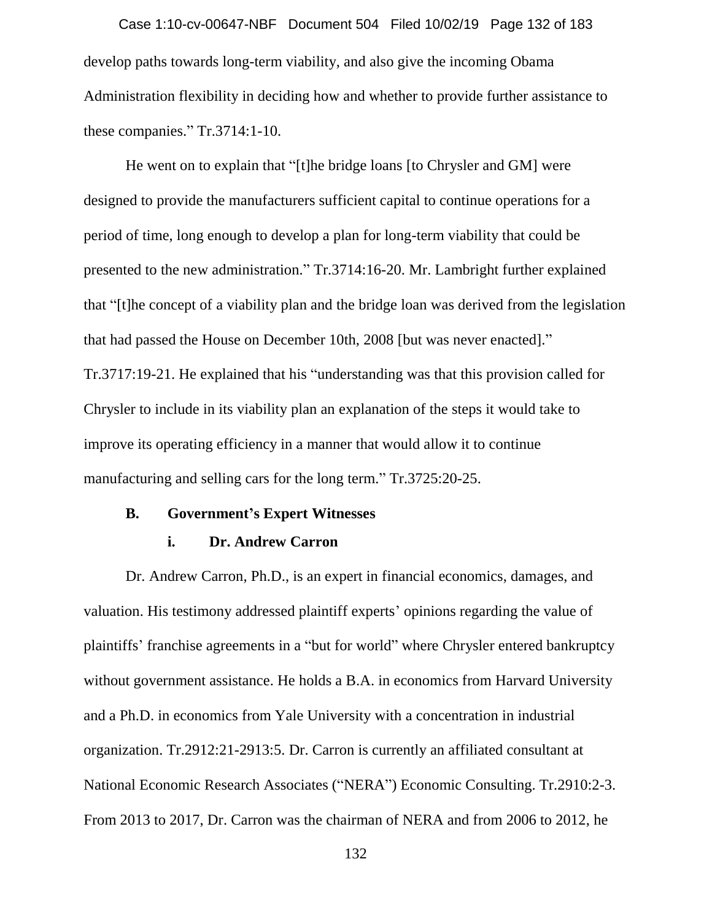develop paths towards long-term viability, and also give the incoming Obama Administration flexibility in deciding how and whether to provide further assistance to these companies." Tr.3714:1-10. Case 1:10-cv-00647-NBF Document 504 Filed 10/02/19 Page 132 of 183

He went on to explain that "[t]he bridge loans [to Chrysler and GM] were designed to provide the manufacturers sufficient capital to continue operations for a period of time, long enough to develop a plan for long-term viability that could be presented to the new administration." Tr.3714:16-20. Mr. Lambright further explained that "[t]he concept of a viability plan and the bridge loan was derived from the legislation that had passed the House on December 10th, 2008 [but was never enacted]." Tr.3717:19-21. He explained that his "understanding was that this provision called for Chrysler to include in its viability plan an explanation of the steps it would take to improve its operating efficiency in a manner that would allow it to continue manufacturing and selling cars for the long term." Tr.3725:20-25.

### **B. Government's Expert Witnesses**

#### **i. Dr. Andrew Carron**

Dr. Andrew Carron, Ph.D., is an expert in financial economics, damages, and valuation. His testimony addressed plaintiff experts' opinions regarding the value of plaintiffs' franchise agreements in a "but for world" where Chrysler entered bankruptcy without government assistance. He holds a B.A. in economics from Harvard University and a Ph.D. in economics from Yale University with a concentration in industrial organization. Tr.2912:21-2913:5. Dr. Carron is currently an affiliated consultant at National Economic Research Associates ("NERA") Economic Consulting. Tr.2910:2-3. From 2013 to 2017, Dr. Carron was the chairman of NERA and from 2006 to 2012, he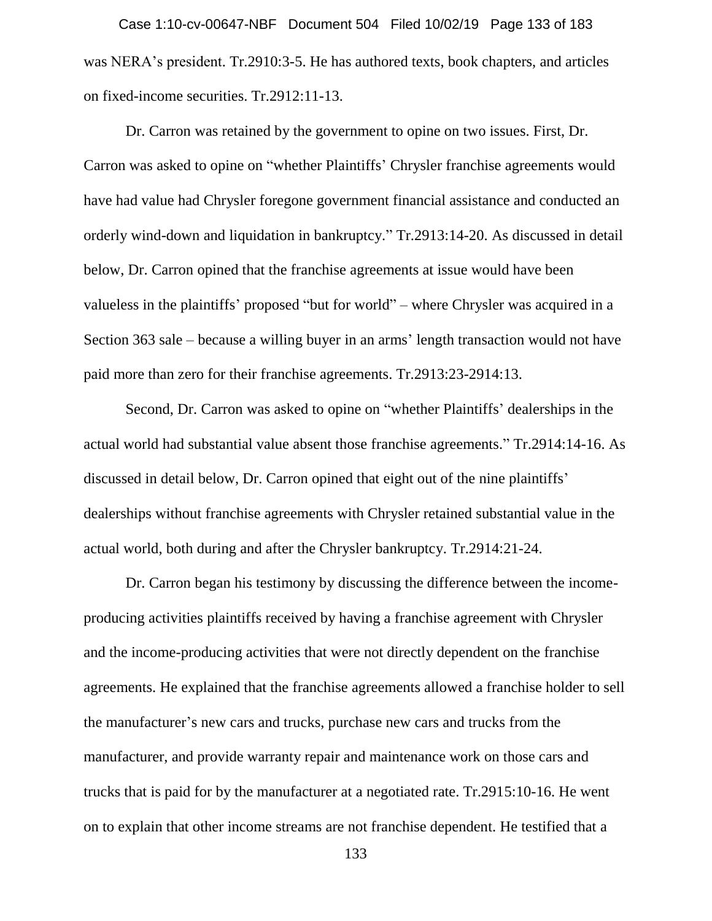was NERA's president. Tr.2910:3-5. He has authored texts, book chapters, and articles on fixed-income securities. Tr.2912:11-13. Case 1:10-cv-00647-NBF Document 504 Filed 10/02/19 Page 133 of 183

Dr. Carron was retained by the government to opine on two issues. First, Dr. Carron was asked to opine on "whether Plaintiffs' Chrysler franchise agreements would have had value had Chrysler foregone government financial assistance and conducted an orderly wind-down and liquidation in bankruptcy." Tr.2913:14-20. As discussed in detail below, Dr. Carron opined that the franchise agreements at issue would have been valueless in the plaintiffs' proposed "but for world" – where Chrysler was acquired in a Section 363 sale – because a willing buyer in an arms' length transaction would not have paid more than zero for their franchise agreements. Tr.2913:23-2914:13.

Second, Dr. Carron was asked to opine on "whether Plaintiffs' dealerships in the actual world had substantial value absent those franchise agreements." Tr.2914:14-16. As discussed in detail below, Dr. Carron opined that eight out of the nine plaintiffs' dealerships without franchise agreements with Chrysler retained substantial value in the actual world, both during and after the Chrysler bankruptcy. Tr.2914:21-24.

Dr. Carron began his testimony by discussing the difference between the incomeproducing activities plaintiffs received by having a franchise agreement with Chrysler and the income-producing activities that were not directly dependent on the franchise agreements. He explained that the franchise agreements allowed a franchise holder to sell the manufacturer's new cars and trucks, purchase new cars and trucks from the manufacturer, and provide warranty repair and maintenance work on those cars and trucks that is paid for by the manufacturer at a negotiated rate. Tr.2915:10-16. He went on to explain that other income streams are not franchise dependent. He testified that a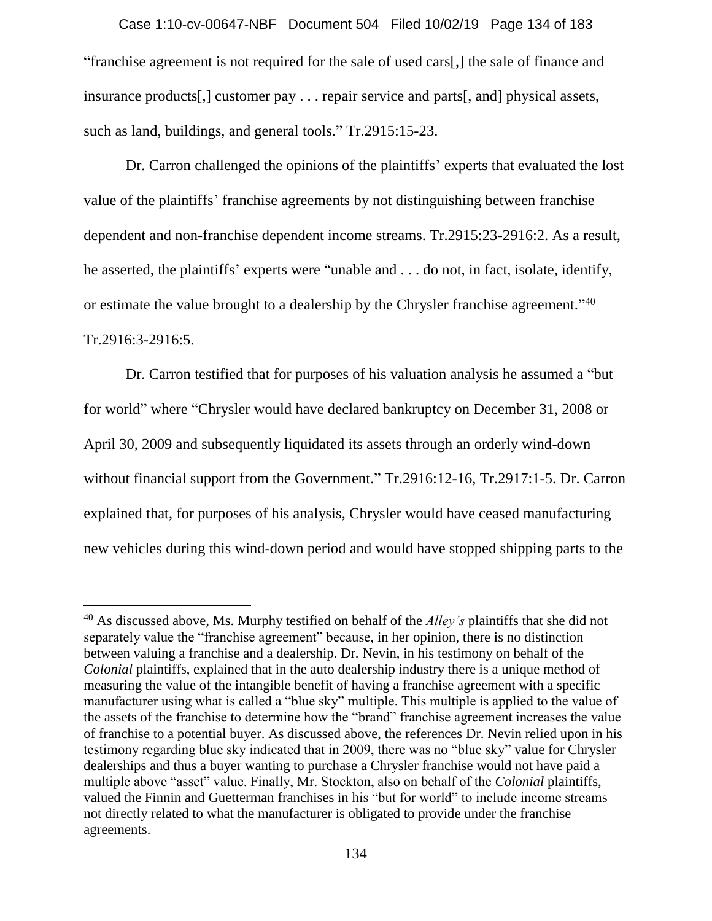"franchise agreement is not required for the sale of used cars[,] the sale of finance and insurance products[,] customer pay . . . repair service and parts[, and] physical assets, such as land, buildings, and general tools." Tr.2915:15-23. Case 1:10-cv-00647-NBF Document 504 Filed 10/02/19 Page 134 of 183

Dr. Carron challenged the opinions of the plaintiffs' experts that evaluated the lost value of the plaintiffs' franchise agreements by not distinguishing between franchise dependent and non-franchise dependent income streams. Tr.2915:23-2916:2. As a result, he asserted, the plaintiffs' experts were "unable and . . . do not, in fact, isolate, identify, or estimate the value brought to a dealership by the Chrysler franchise agreement."<sup>40</sup> Tr.2916:3-2916:5.

Dr. Carron testified that for purposes of his valuation analysis he assumed a "but for world" where "Chrysler would have declared bankruptcy on December 31, 2008 or April 30, 2009 and subsequently liquidated its assets through an orderly wind-down without financial support from the Government." Tr.2916:12-16, Tr.2917:1-5. Dr. Carron explained that, for purposes of his analysis, Chrysler would have ceased manufacturing new vehicles during this wind-down period and would have stopped shipping parts to the

<sup>40</sup> As discussed above, Ms. Murphy testified on behalf of the *Alley's* plaintiffs that she did not separately value the "franchise agreement" because, in her opinion, there is no distinction between valuing a franchise and a dealership. Dr. Nevin, in his testimony on behalf of the *Colonial* plaintiffs, explained that in the auto dealership industry there is a unique method of measuring the value of the intangible benefit of having a franchise agreement with a specific manufacturer using what is called a "blue sky" multiple. This multiple is applied to the value of the assets of the franchise to determine how the "brand" franchise agreement increases the value of franchise to a potential buyer. As discussed above, the references Dr. Nevin relied upon in his testimony regarding blue sky indicated that in 2009, there was no "blue sky" value for Chrysler dealerships and thus a buyer wanting to purchase a Chrysler franchise would not have paid a multiple above "asset" value. Finally, Mr. Stockton, also on behalf of the *Colonial* plaintiffs, valued the Finnin and Guetterman franchises in his "but for world" to include income streams not directly related to what the manufacturer is obligated to provide under the franchise agreements.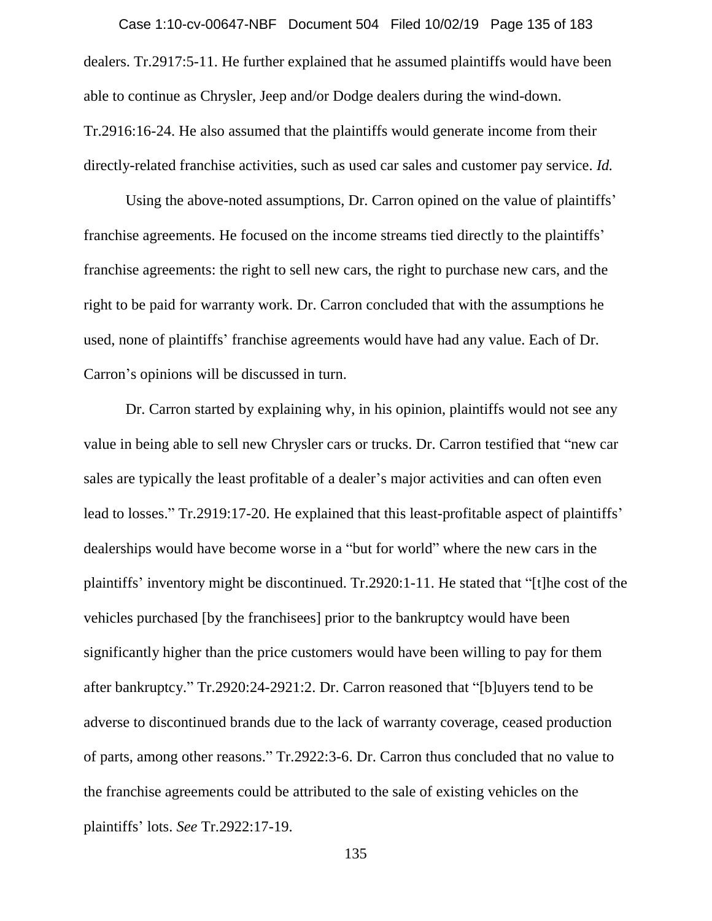dealers. Tr.2917:5-11. He further explained that he assumed plaintiffs would have been able to continue as Chrysler, Jeep and/or Dodge dealers during the wind-down. Tr.2916:16-24. He also assumed that the plaintiffs would generate income from their directly-related franchise activities, such as used car sales and customer pay service. *Id.*  Case 1:10-cv-00647-NBF Document 504 Filed 10/02/19 Page 135 of 183

Using the above-noted assumptions, Dr. Carron opined on the value of plaintiffs' franchise agreements. He focused on the income streams tied directly to the plaintiffs' franchise agreements: the right to sell new cars, the right to purchase new cars, and the right to be paid for warranty work. Dr. Carron concluded that with the assumptions he used, none of plaintiffs' franchise agreements would have had any value. Each of Dr. Carron's opinions will be discussed in turn.

Dr. Carron started by explaining why, in his opinion, plaintiffs would not see any value in being able to sell new Chrysler cars or trucks. Dr. Carron testified that "new car sales are typically the least profitable of a dealer's major activities and can often even lead to losses." Tr.2919:17-20. He explained that this least-profitable aspect of plaintiffs' dealerships would have become worse in a "but for world" where the new cars in the plaintiffs' inventory might be discontinued. Tr.2920:1-11. He stated that "[t]he cost of the vehicles purchased [by the franchisees] prior to the bankruptcy would have been significantly higher than the price customers would have been willing to pay for them after bankruptcy." Tr.2920:24-2921:2. Dr. Carron reasoned that "[b]uyers tend to be adverse to discontinued brands due to the lack of warranty coverage, ceased production of parts, among other reasons." Tr.2922:3-6. Dr. Carron thus concluded that no value to the franchise agreements could be attributed to the sale of existing vehicles on the plaintiffs' lots. *See* Tr.2922:17-19.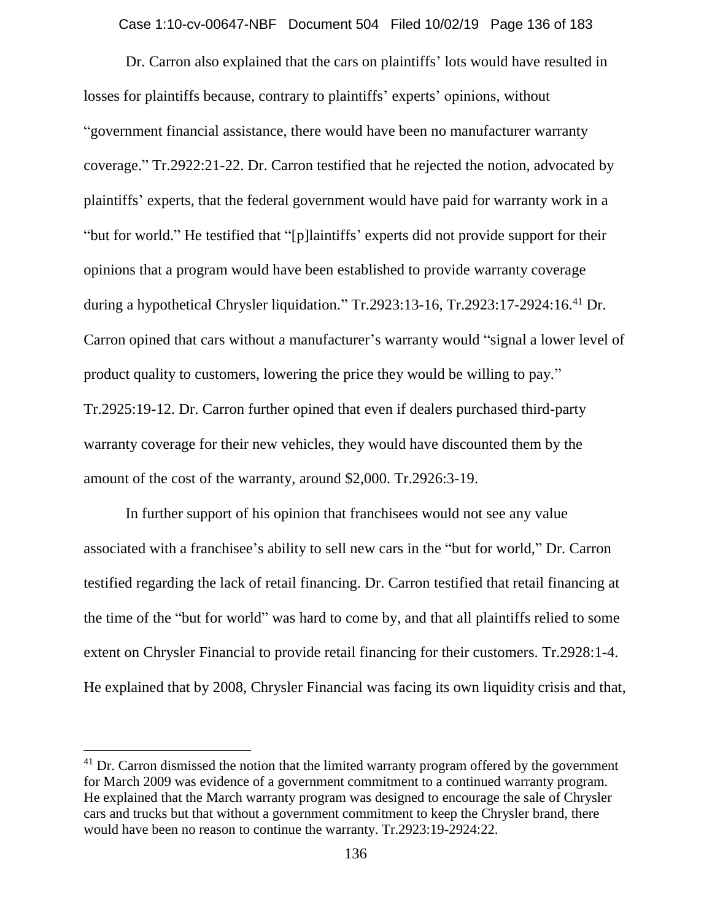Case 1:10-cv-00647-NBF Document 504 Filed 10/02/19 Page 136 of 183

Dr. Carron also explained that the cars on plaintiffs' lots would have resulted in losses for plaintiffs because, contrary to plaintiffs' experts' opinions, without "government financial assistance, there would have been no manufacturer warranty coverage." Tr.2922:21-22. Dr. Carron testified that he rejected the notion, advocated by plaintiffs' experts, that the federal government would have paid for warranty work in a "but for world." He testified that "[p]laintiffs' experts did not provide support for their opinions that a program would have been established to provide warranty coverage during a hypothetical Chrysler liquidation." Tr.2923:13-16, Tr.2923:17-2924:16.<sup>41</sup> Dr. Carron opined that cars without a manufacturer's warranty would "signal a lower level of product quality to customers, lowering the price they would be willing to pay." Tr.2925:19-12. Dr. Carron further opined that even if dealers purchased third-party warranty coverage for their new vehicles, they would have discounted them by the amount of the cost of the warranty, around \$2,000. Tr.2926:3-19.

In further support of his opinion that franchisees would not see any value associated with a franchisee's ability to sell new cars in the "but for world," Dr. Carron testified regarding the lack of retail financing. Dr. Carron testified that retail financing at the time of the "but for world" was hard to come by, and that all plaintiffs relied to some extent on Chrysler Financial to provide retail financing for their customers. Tr.2928:1-4. He explained that by 2008, Chrysler Financial was facing its own liquidity crisis and that,

 $\overline{a}$ 

 $41$  Dr. Carron dismissed the notion that the limited warranty program offered by the government for March 2009 was evidence of a government commitment to a continued warranty program. He explained that the March warranty program was designed to encourage the sale of Chrysler cars and trucks but that without a government commitment to keep the Chrysler brand, there would have been no reason to continue the warranty. Tr.2923:19-2924:22.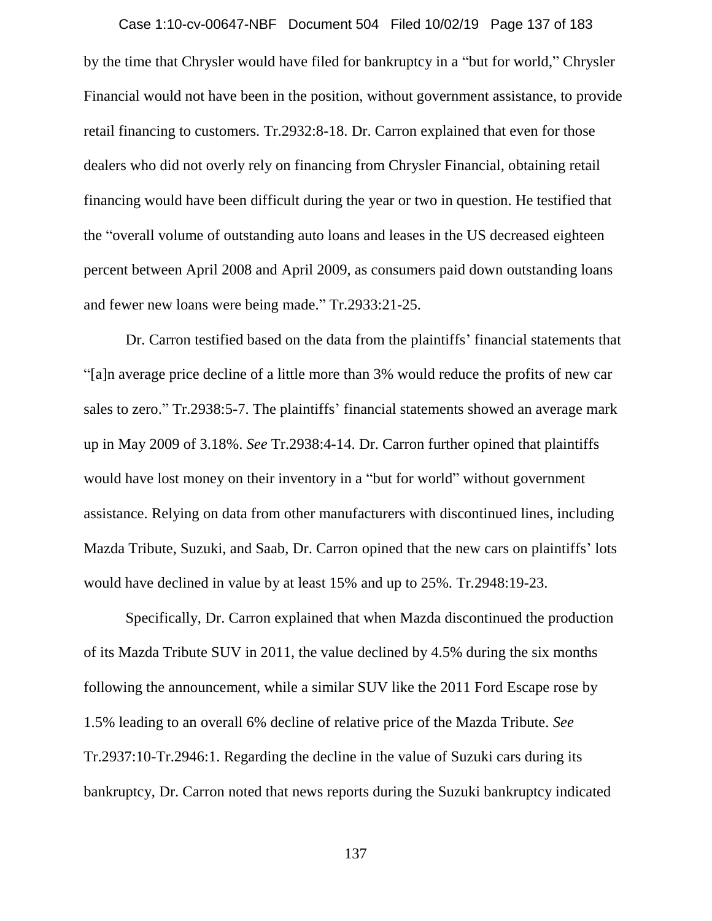by the time that Chrysler would have filed for bankruptcy in a "but for world," Chrysler Financial would not have been in the position, without government assistance, to provide retail financing to customers. Tr.2932:8-18. Dr. Carron explained that even for those dealers who did not overly rely on financing from Chrysler Financial, obtaining retail financing would have been difficult during the year or two in question. He testified that the "overall volume of outstanding auto loans and leases in the US decreased eighteen percent between April 2008 and April 2009, as consumers paid down outstanding loans and fewer new loans were being made." Tr.2933:21-25. Case 1:10-cv-00647-NBF Document 504 Filed 10/02/19 Page 137 of 183

Dr. Carron testified based on the data from the plaintiffs' financial statements that "[a]n average price decline of a little more than 3% would reduce the profits of new car sales to zero." Tr.2938:5-7. The plaintiffs' financial statements showed an average mark up in May 2009 of 3.18%. *See* Tr.2938:4-14. Dr. Carron further opined that plaintiffs would have lost money on their inventory in a "but for world" without government assistance. Relying on data from other manufacturers with discontinued lines, including Mazda Tribute, Suzuki, and Saab, Dr. Carron opined that the new cars on plaintiffs' lots would have declined in value by at least 15% and up to 25%. Tr.2948:19-23.

Specifically, Dr. Carron explained that when Mazda discontinued the production of its Mazda Tribute SUV in 2011, the value declined by 4.5% during the six months following the announcement, while a similar SUV like the 2011 Ford Escape rose by 1.5% leading to an overall 6% decline of relative price of the Mazda Tribute. *See*  Tr.2937:10-Tr.2946:1. Regarding the decline in the value of Suzuki cars during its bankruptcy, Dr. Carron noted that news reports during the Suzuki bankruptcy indicated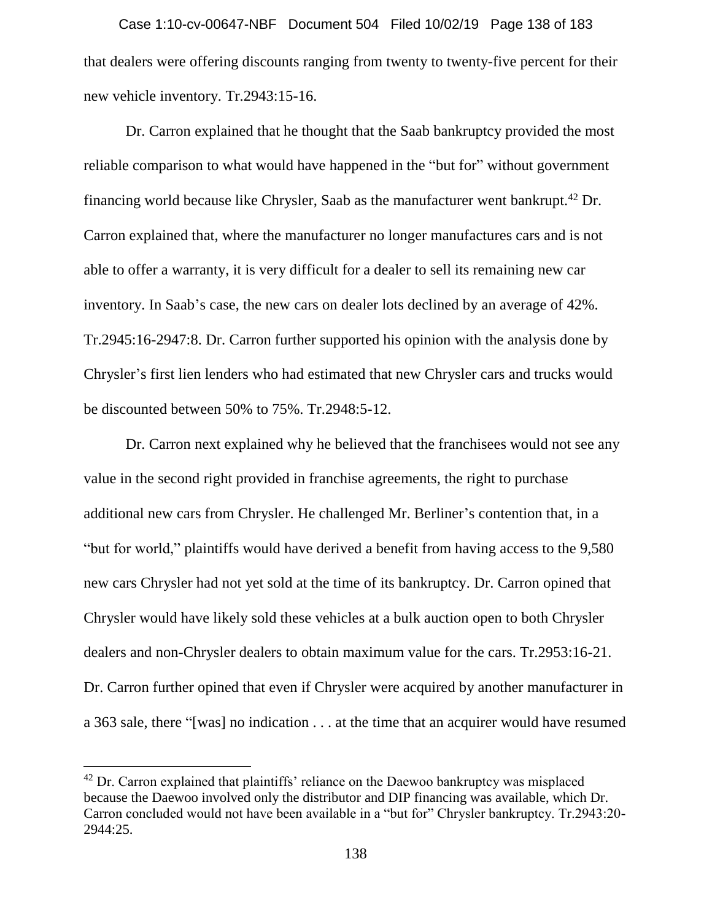that dealers were offering discounts ranging from twenty to twenty-five percent for their new vehicle inventory. Tr.2943:15-16. Case 1:10-cv-00647-NBF Document 504 Filed 10/02/19 Page 138 of 183

Dr. Carron explained that he thought that the Saab bankruptcy provided the most reliable comparison to what would have happened in the "but for" without government financing world because like Chrysler, Saab as the manufacturer went bankrupt.<sup>42</sup> Dr. Carron explained that, where the manufacturer no longer manufactures cars and is not able to offer a warranty, it is very difficult for a dealer to sell its remaining new car inventory. In Saab's case, the new cars on dealer lots declined by an average of 42%. Tr.2945:16-2947:8. Dr. Carron further supported his opinion with the analysis done by Chrysler's first lien lenders who had estimated that new Chrysler cars and trucks would be discounted between 50% to 75%. Tr.2948:5-12.

Dr. Carron next explained why he believed that the franchisees would not see any value in the second right provided in franchise agreements, the right to purchase additional new cars from Chrysler. He challenged Mr. Berliner's contention that, in a "but for world," plaintiffs would have derived a benefit from having access to the 9,580 new cars Chrysler had not yet sold at the time of its bankruptcy. Dr. Carron opined that Chrysler would have likely sold these vehicles at a bulk auction open to both Chrysler dealers and non-Chrysler dealers to obtain maximum value for the cars. Tr.2953:16-21. Dr. Carron further opined that even if Chrysler were acquired by another manufacturer in a 363 sale, there "[was] no indication . . . at the time that an acquirer would have resumed

 $\overline{a}$ 

 $42$  Dr. Carron explained that plaintiffs' reliance on the Daewoo bankruptcy was misplaced because the Daewoo involved only the distributor and DIP financing was available, which Dr. Carron concluded would not have been available in a "but for" Chrysler bankruptcy. Tr.2943:20- 2944:25.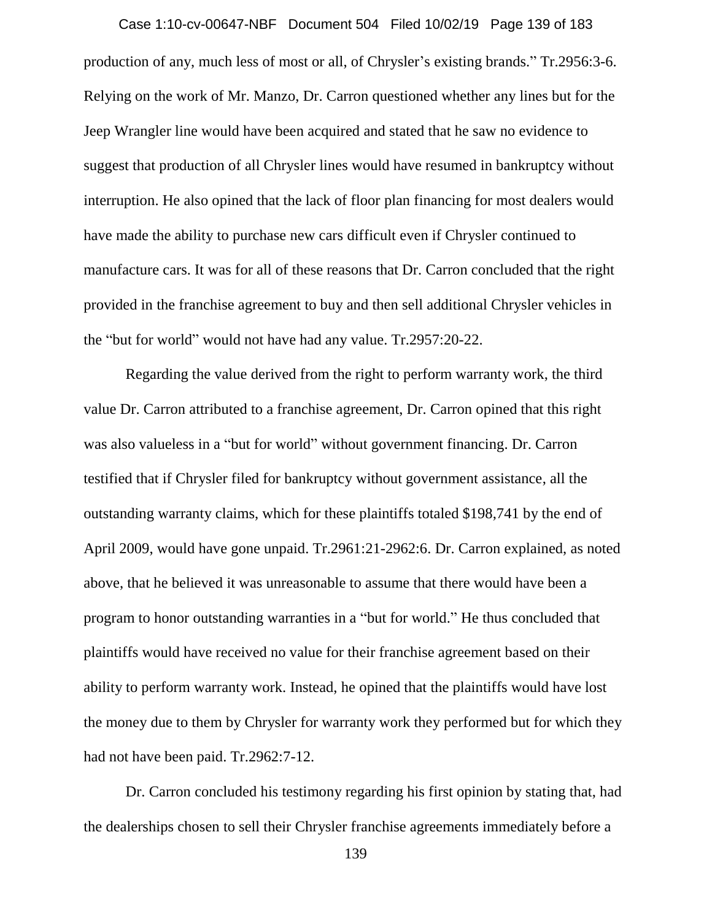production of any, much less of most or all, of Chrysler's existing brands." Tr.2956:3-6. Relying on the work of Mr. Manzo, Dr. Carron questioned whether any lines but for the Jeep Wrangler line would have been acquired and stated that he saw no evidence to suggest that production of all Chrysler lines would have resumed in bankruptcy without interruption. He also opined that the lack of floor plan financing for most dealers would have made the ability to purchase new cars difficult even if Chrysler continued to manufacture cars. It was for all of these reasons that Dr. Carron concluded that the right provided in the franchise agreement to buy and then sell additional Chrysler vehicles in the "but for world" would not have had any value. Tr.2957:20-22. Case 1:10-cv-00647-NBF Document 504 Filed 10/02/19 Page 139 of 183

Regarding the value derived from the right to perform warranty work, the third value Dr. Carron attributed to a franchise agreement, Dr. Carron opined that this right was also valueless in a "but for world" without government financing. Dr. Carron testified that if Chrysler filed for bankruptcy without government assistance, all the outstanding warranty claims, which for these plaintiffs totaled \$198,741 by the end of April 2009, would have gone unpaid. Tr.2961:21-2962:6. Dr. Carron explained, as noted above, that he believed it was unreasonable to assume that there would have been a program to honor outstanding warranties in a "but for world." He thus concluded that plaintiffs would have received no value for their franchise agreement based on their ability to perform warranty work. Instead, he opined that the plaintiffs would have lost the money due to them by Chrysler for warranty work they performed but for which they had not have been paid. Tr.2962:7-12.

Dr. Carron concluded his testimony regarding his first opinion by stating that, had the dealerships chosen to sell their Chrysler franchise agreements immediately before a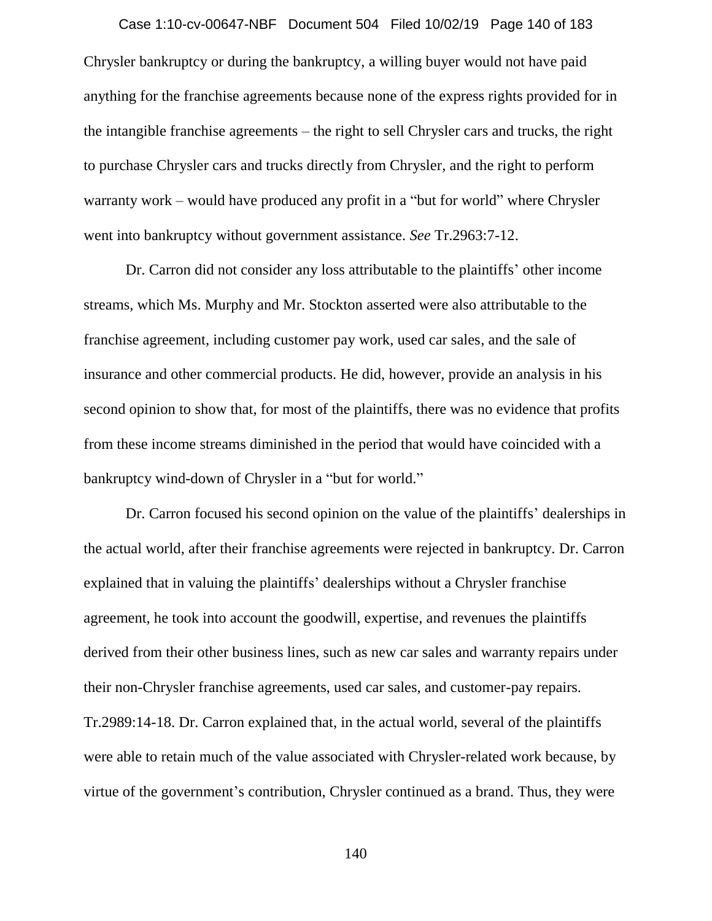# Chrysler bankruptcy or during the bankruptcy, a willing buyer would not have paid anything for the franchise agreements because none of the express rights provided for in the intangible franchise agreements – the right to sell Chrysler cars and trucks, the right to purchase Chrysler cars and trucks directly from Chrysler, and the right to perform warranty work – would have produced any profit in a "but for world" where Chrysler went into bankruptcy without government assistance. *See* Tr.2963:7-12. Case 1:10-cv-00647-NBF Document 504 Filed 10/02/19 Page 140 of 183

Dr. Carron did not consider any loss attributable to the plaintiffs' other income streams, which Ms. Murphy and Mr. Stockton asserted were also attributable to the franchise agreement, including customer pay work, used car sales, and the sale of insurance and other commercial products. He did, however, provide an analysis in his second opinion to show that, for most of the plaintiffs, there was no evidence that profits from these income streams diminished in the period that would have coincided with a bankruptcy wind-down of Chrysler in a "but for world."

Dr. Carron focused his second opinion on the value of the plaintiffs' dealerships in the actual world, after their franchise agreements were rejected in bankruptcy. Dr. Carron explained that in valuing the plaintiffs' dealerships without a Chrysler franchise agreement, he took into account the goodwill, expertise, and revenues the plaintiffs derived from their other business lines, such as new car sales and warranty repairs under their non-Chrysler franchise agreements, used car sales, and customer-pay repairs. Tr.2989:14-18. Dr. Carron explained that, in the actual world, several of the plaintiffs were able to retain much of the value associated with Chrysler-related work because, by virtue of the government's contribution, Chrysler continued as a brand. Thus, they were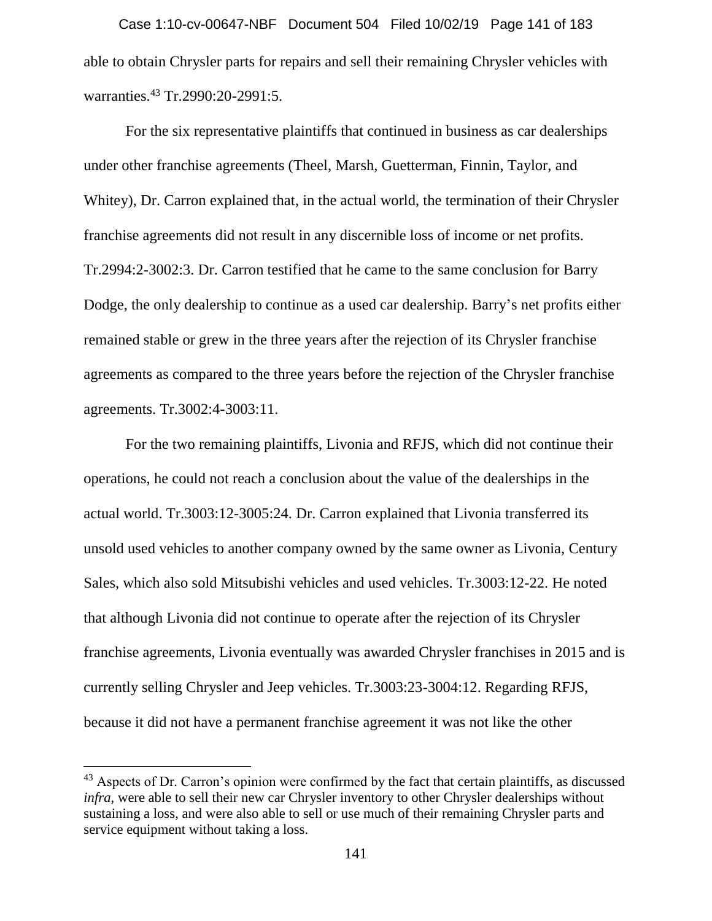able to obtain Chrysler parts for repairs and sell their remaining Chrysler vehicles with warranties.<sup>43</sup> Tr.2990:20-2991:5. Case 1:10-cv-00647-NBF Document 504 Filed 10/02/19 Page 141 of 183

For the six representative plaintiffs that continued in business as car dealerships under other franchise agreements (Theel, Marsh, Guetterman, Finnin, Taylor, and Whitey), Dr. Carron explained that, in the actual world, the termination of their Chrysler franchise agreements did not result in any discernible loss of income or net profits. Tr.2994:2-3002:3. Dr. Carron testified that he came to the same conclusion for Barry Dodge, the only dealership to continue as a used car dealership. Barry's net profits either remained stable or grew in the three years after the rejection of its Chrysler franchise agreements as compared to the three years before the rejection of the Chrysler franchise agreements. Tr.3002:4-3003:11.

For the two remaining plaintiffs, Livonia and RFJS, which did not continue their operations, he could not reach a conclusion about the value of the dealerships in the actual world. Tr.3003:12-3005:24. Dr. Carron explained that Livonia transferred its unsold used vehicles to another company owned by the same owner as Livonia, Century Sales, which also sold Mitsubishi vehicles and used vehicles. Tr.3003:12-22. He noted that although Livonia did not continue to operate after the rejection of its Chrysler franchise agreements, Livonia eventually was awarded Chrysler franchises in 2015 and is currently selling Chrysler and Jeep vehicles. Tr.3003:23-3004:12. Regarding RFJS, because it did not have a permanent franchise agreement it was not like the other

 $\overline{a}$ 

<sup>&</sup>lt;sup>43</sup> Aspects of Dr. Carron's opinion were confirmed by the fact that certain plaintiffs, as discussed *infra*, were able to sell their new car Chrysler inventory to other Chrysler dealerships without sustaining a loss, and were also able to sell or use much of their remaining Chrysler parts and service equipment without taking a loss.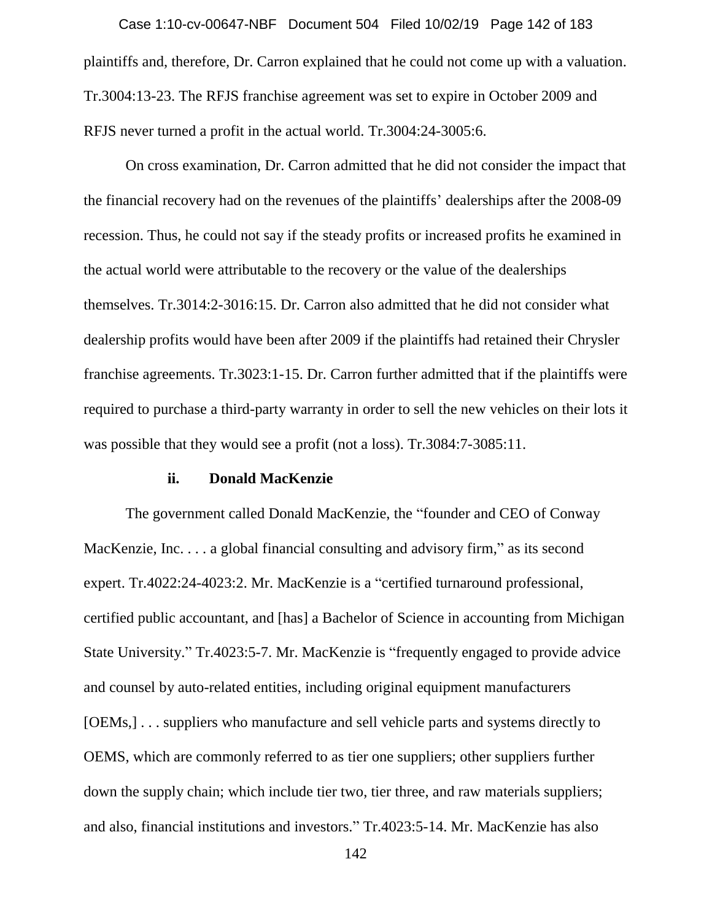plaintiffs and, therefore, Dr. Carron explained that he could not come up with a valuation. Tr.3004:13-23. The RFJS franchise agreement was set to expire in October 2009 and RFJS never turned a profit in the actual world. Tr.3004:24-3005:6. Case 1:10-cv-00647-NBF Document 504 Filed 10/02/19 Page 142 of 183

On cross examination, Dr. Carron admitted that he did not consider the impact that the financial recovery had on the revenues of the plaintiffs' dealerships after the 2008-09 recession. Thus, he could not say if the steady profits or increased profits he examined in the actual world were attributable to the recovery or the value of the dealerships themselves. Tr.3014:2-3016:15. Dr. Carron also admitted that he did not consider what dealership profits would have been after 2009 if the plaintiffs had retained their Chrysler franchise agreements. Tr.3023:1-15. Dr. Carron further admitted that if the plaintiffs were required to purchase a third-party warranty in order to sell the new vehicles on their lots it was possible that they would see a profit (not a loss). Tr.3084:7-3085:11.

# **ii. Donald MacKenzie**

The government called Donald MacKenzie, the "founder and CEO of Conway MacKenzie, Inc. . . . a global financial consulting and advisory firm," as its second expert. Tr.4022:24-4023:2. Mr. MacKenzie is a "certified turnaround professional, certified public accountant, and [has] a Bachelor of Science in accounting from Michigan State University." Tr.4023:5-7. Mr. MacKenzie is "frequently engaged to provide advice and counsel by auto-related entities, including original equipment manufacturers [OEMs,] . . . suppliers who manufacture and sell vehicle parts and systems directly to OEMS, which are commonly referred to as tier one suppliers; other suppliers further down the supply chain; which include tier two, tier three, and raw materials suppliers; and also, financial institutions and investors." Tr.4023:5-14. Mr. MacKenzie has also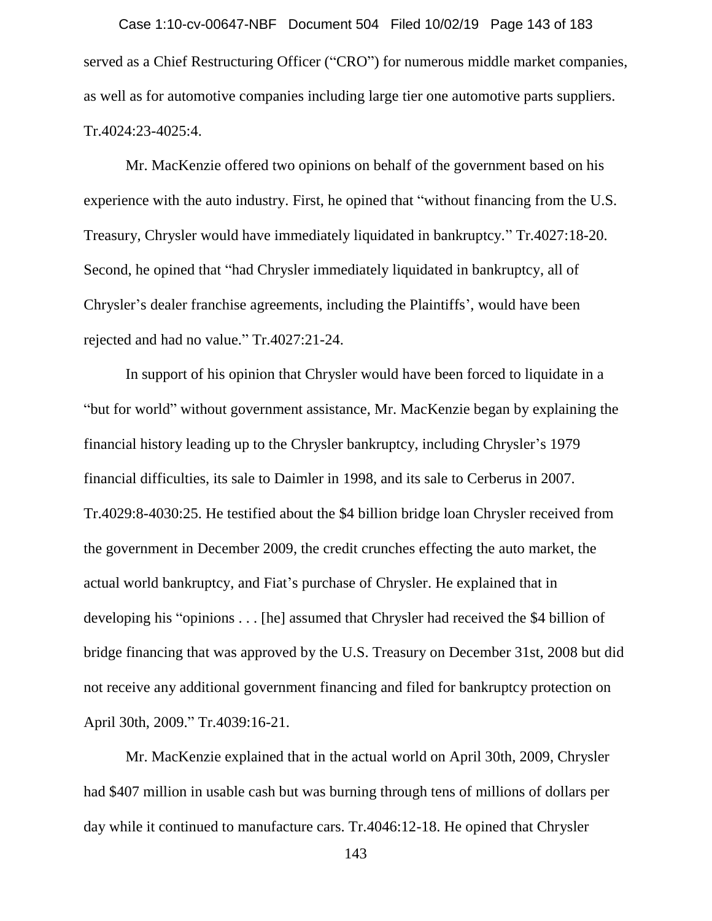served as a Chief Restructuring Officer ("CRO") for numerous middle market companies, as well as for automotive companies including large tier one automotive parts suppliers. Tr.4024:23-4025:4. Case 1:10-cv-00647-NBF Document 504 Filed 10/02/19 Page 143 of 183

Mr. MacKenzie offered two opinions on behalf of the government based on his experience with the auto industry. First, he opined that "without financing from the U.S. Treasury, Chrysler would have immediately liquidated in bankruptcy." Tr.4027:18-20. Second, he opined that "had Chrysler immediately liquidated in bankruptcy, all of Chrysler's dealer franchise agreements, including the Plaintiffs', would have been rejected and had no value." Tr.4027:21-24.

In support of his opinion that Chrysler would have been forced to liquidate in a "but for world" without government assistance, Mr. MacKenzie began by explaining the financial history leading up to the Chrysler bankruptcy, including Chrysler's 1979 financial difficulties, its sale to Daimler in 1998, and its sale to Cerberus in 2007. Tr.4029:8-4030:25. He testified about the \$4 billion bridge loan Chrysler received from the government in December 2009, the credit crunches effecting the auto market, the actual world bankruptcy, and Fiat's purchase of Chrysler. He explained that in developing his "opinions . . . [he] assumed that Chrysler had received the \$4 billion of bridge financing that was approved by the U.S. Treasury on December 31st, 2008 but did not receive any additional government financing and filed for bankruptcy protection on April 30th, 2009." Tr.4039:16-21.

Mr. MacKenzie explained that in the actual world on April 30th, 2009, Chrysler had \$407 million in usable cash but was burning through tens of millions of dollars per day while it continued to manufacture cars. Tr.4046:12-18. He opined that Chrysler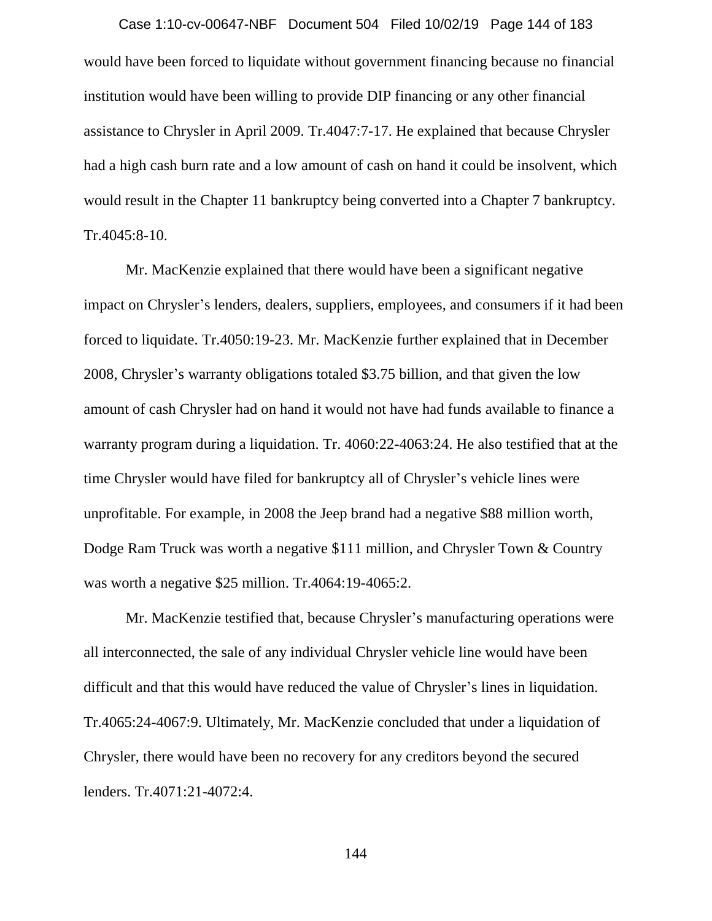would have been forced to liquidate without government financing because no financial institution would have been willing to provide DIP financing or any other financial assistance to Chrysler in April 2009. Tr.4047:7-17. He explained that because Chrysler had a high cash burn rate and a low amount of cash on hand it could be insolvent, which would result in the Chapter 11 bankruptcy being converted into a Chapter 7 bankruptcy. Tr.4045:8-10. Case 1:10-cv-00647-NBF Document 504 Filed 10/02/19 Page 144 of 183

Mr. MacKenzie explained that there would have been a significant negative impact on Chrysler's lenders, dealers, suppliers, employees, and consumers if it had been forced to liquidate. Tr.4050:19-23. Mr. MacKenzie further explained that in December 2008, Chrysler's warranty obligations totaled \$3.75 billion, and that given the low amount of cash Chrysler had on hand it would not have had funds available to finance a warranty program during a liquidation. Tr. 4060:22-4063:24. He also testified that at the time Chrysler would have filed for bankruptcy all of Chrysler's vehicle lines were unprofitable. For example, in 2008 the Jeep brand had a negative \$88 million worth, Dodge Ram Truck was worth a negative \$111 million, and Chrysler Town & Country was worth a negative \$25 million. Tr.4064:19-4065:2.

Mr. MacKenzie testified that, because Chrysler's manufacturing operations were all interconnected, the sale of any individual Chrysler vehicle line would have been difficult and that this would have reduced the value of Chrysler's lines in liquidation. Tr.4065:24-4067:9. Ultimately, Mr. MacKenzie concluded that under a liquidation of Chrysler, there would have been no recovery for any creditors beyond the secured lenders. Tr.4071:21-4072:4.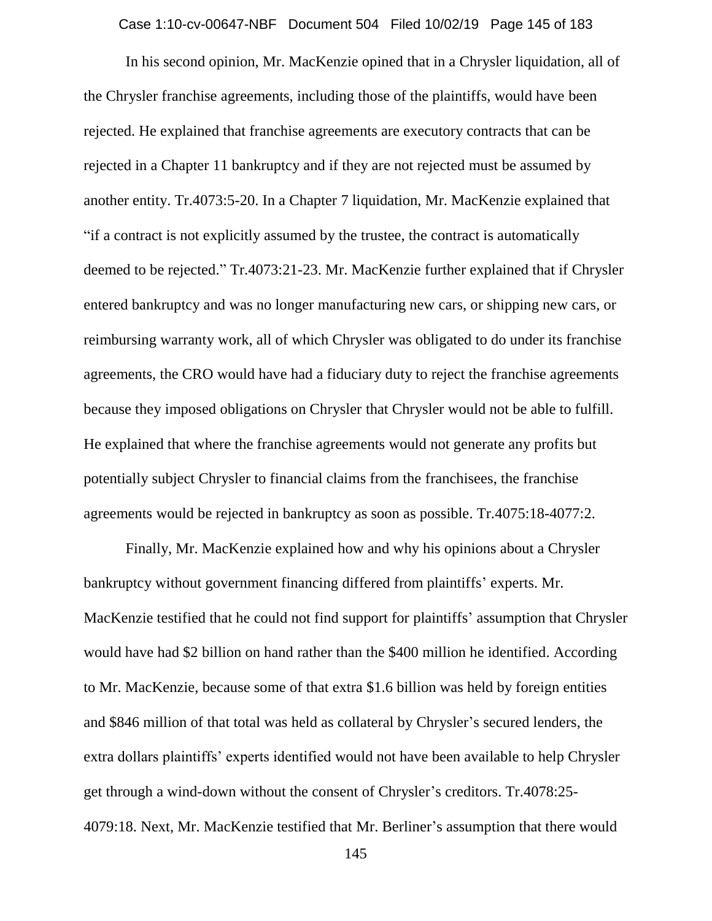Case 1:10-cv-00647-NBF Document 504 Filed 10/02/19 Page 145 of 183

In his second opinion, Mr. MacKenzie opined that in a Chrysler liquidation, all of the Chrysler franchise agreements, including those of the plaintiffs, would have been rejected. He explained that franchise agreements are executory contracts that can be rejected in a Chapter 11 bankruptcy and if they are not rejected must be assumed by another entity. Tr.4073:5-20. In a Chapter 7 liquidation, Mr. MacKenzie explained that "if a contract is not explicitly assumed by the trustee, the contract is automatically deemed to be rejected." Tr.4073:21-23. Mr. MacKenzie further explained that if Chrysler entered bankruptcy and was no longer manufacturing new cars, or shipping new cars, or reimbursing warranty work, all of which Chrysler was obligated to do under its franchise agreements, the CRO would have had a fiduciary duty to reject the franchise agreements because they imposed obligations on Chrysler that Chrysler would not be able to fulfill. He explained that where the franchise agreements would not generate any profits but potentially subject Chrysler to financial claims from the franchisees, the franchise agreements would be rejected in bankruptcy as soon as possible. Tr.4075:18-4077:2.

Finally, Mr. MacKenzie explained how and why his opinions about a Chrysler bankruptcy without government financing differed from plaintiffs' experts. Mr. MacKenzie testified that he could not find support for plaintiffs' assumption that Chrysler would have had \$2 billion on hand rather than the \$400 million he identified. According to Mr. MacKenzie, because some of that extra \$1.6 billion was held by foreign entities and \$846 million of that total was held as collateral by Chrysler's secured lenders, the extra dollars plaintiffs' experts identified would not have been available to help Chrysler get through a wind-down without the consent of Chrysler's creditors. Tr.4078:25- 4079:18. Next, Mr. MacKenzie testified that Mr. Berliner's assumption that there would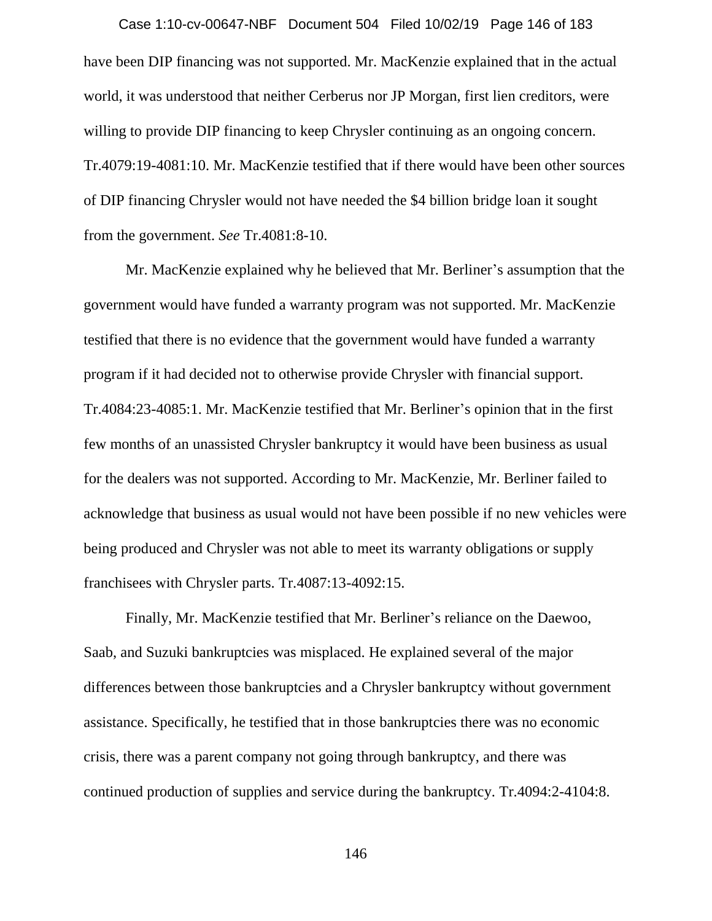have been DIP financing was not supported. Mr. MacKenzie explained that in the actual world, it was understood that neither Cerberus nor JP Morgan, first lien creditors, were willing to provide DIP financing to keep Chrysler continuing as an ongoing concern. Tr.4079:19-4081:10. Mr. MacKenzie testified that if there would have been other sources of DIP financing Chrysler would not have needed the \$4 billion bridge loan it sought from the government. *See* Tr.4081:8-10. Case 1:10-cv-00647-NBF Document 504 Filed 10/02/19 Page 146 of 183

Mr. MacKenzie explained why he believed that Mr. Berliner's assumption that the government would have funded a warranty program was not supported. Mr. MacKenzie testified that there is no evidence that the government would have funded a warranty program if it had decided not to otherwise provide Chrysler with financial support. Tr.4084:23-4085:1. Mr. MacKenzie testified that Mr. Berliner's opinion that in the first few months of an unassisted Chrysler bankruptcy it would have been business as usual for the dealers was not supported. According to Mr. MacKenzie, Mr. Berliner failed to acknowledge that business as usual would not have been possible if no new vehicles were being produced and Chrysler was not able to meet its warranty obligations or supply franchisees with Chrysler parts. Tr.4087:13-4092:15.

Finally, Mr. MacKenzie testified that Mr. Berliner's reliance on the Daewoo, Saab, and Suzuki bankruptcies was misplaced. He explained several of the major differences between those bankruptcies and a Chrysler bankruptcy without government assistance. Specifically, he testified that in those bankruptcies there was no economic crisis, there was a parent company not going through bankruptcy, and there was continued production of supplies and service during the bankruptcy. Tr.4094:2-4104:8.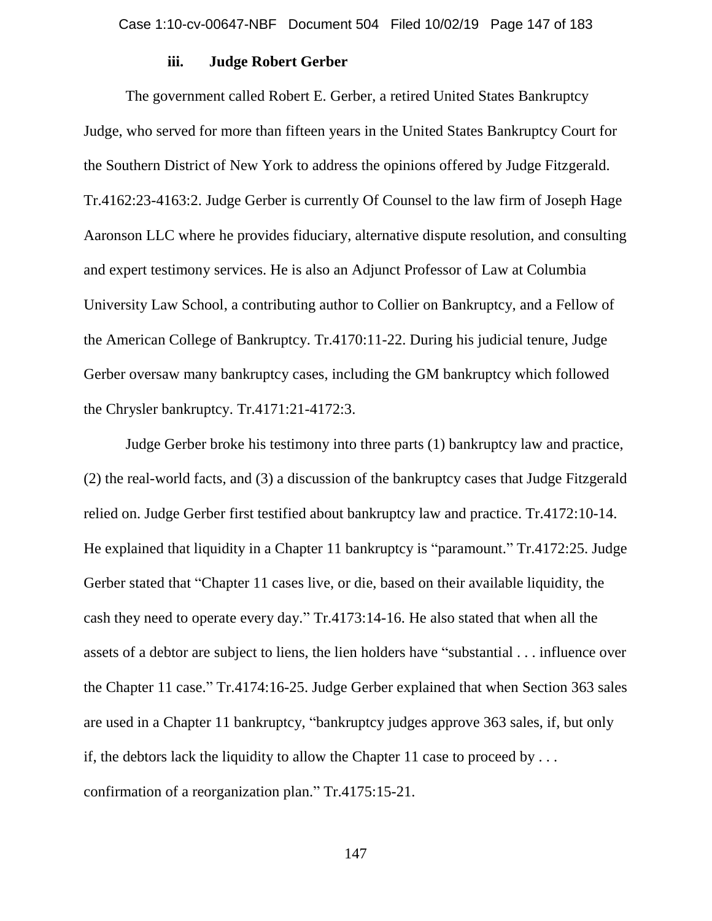### **iii. Judge Robert Gerber**

The government called Robert E. Gerber, a retired United States Bankruptcy Judge, who served for more than fifteen years in the United States Bankruptcy Court for the Southern District of New York to address the opinions offered by Judge Fitzgerald. Tr.4162:23-4163:2. Judge Gerber is currently Of Counsel to the law firm of Joseph Hage Aaronson LLC where he provides fiduciary, alternative dispute resolution, and consulting and expert testimony services. He is also an Adjunct Professor of Law at Columbia University Law School, a contributing author to Collier on Bankruptcy, and a Fellow of the American College of Bankruptcy. Tr.4170:11-22. During his judicial tenure, Judge Gerber oversaw many bankruptcy cases, including the GM bankruptcy which followed the Chrysler bankruptcy. Tr.4171:21-4172:3.

Judge Gerber broke his testimony into three parts (1) bankruptcy law and practice, (2) the real-world facts, and (3) a discussion of the bankruptcy cases that Judge Fitzgerald relied on. Judge Gerber first testified about bankruptcy law and practice. Tr.4172:10-14. He explained that liquidity in a Chapter 11 bankruptcy is "paramount." Tr.4172:25. Judge Gerber stated that "Chapter 11 cases live, or die, based on their available liquidity, the cash they need to operate every day." Tr.4173:14-16. He also stated that when all the assets of a debtor are subject to liens, the lien holders have "substantial . . . influence over the Chapter 11 case." Tr.4174:16-25. Judge Gerber explained that when Section 363 sales are used in a Chapter 11 bankruptcy, "bankruptcy judges approve 363 sales, if, but only if, the debtors lack the liquidity to allow the Chapter 11 case to proceed by  $\dots$ confirmation of a reorganization plan." Tr.4175:15-21.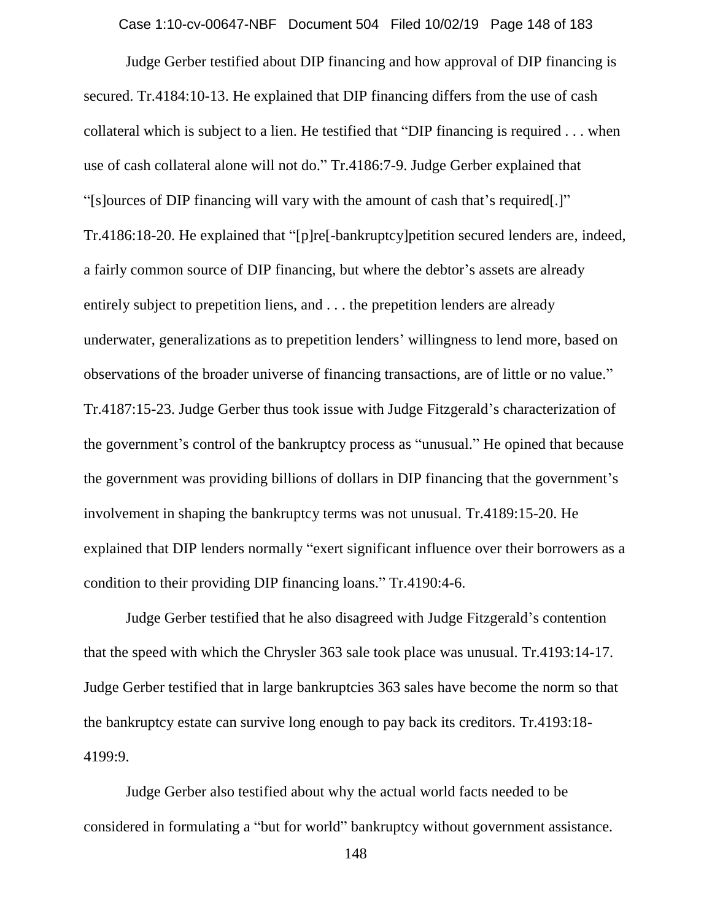Case 1:10-cv-00647-NBF Document 504 Filed 10/02/19 Page 148 of 183

Judge Gerber testified about DIP financing and how approval of DIP financing is secured. Tr.4184:10-13. He explained that DIP financing differs from the use of cash collateral which is subject to a lien. He testified that "DIP financing is required . . . when use of cash collateral alone will not do." Tr.4186:7-9. Judge Gerber explained that "[s]ources of DIP financing will vary with the amount of cash that's required[.]" Tr.4186:18-20. He explained that "[p]re[-bankruptcy]petition secured lenders are, indeed, a fairly common source of DIP financing, but where the debtor's assets are already entirely subject to prepetition liens, and . . . the prepetition lenders are already underwater, generalizations as to prepetition lenders' willingness to lend more, based on observations of the broader universe of financing transactions, are of little or no value." Tr.4187:15-23. Judge Gerber thus took issue with Judge Fitzgerald's characterization of the government's control of the bankruptcy process as "unusual." He opined that because the government was providing billions of dollars in DIP financing that the government's involvement in shaping the bankruptcy terms was not unusual. Tr.4189:15-20. He explained that DIP lenders normally "exert significant influence over their borrowers as a condition to their providing DIP financing loans." Tr.4190:4-6.

Judge Gerber testified that he also disagreed with Judge Fitzgerald's contention that the speed with which the Chrysler 363 sale took place was unusual. Tr.4193:14-17. Judge Gerber testified that in large bankruptcies 363 sales have become the norm so that the bankruptcy estate can survive long enough to pay back its creditors. Tr.4193:18- 4199:9.

Judge Gerber also testified about why the actual world facts needed to be considered in formulating a "but for world" bankruptcy without government assistance.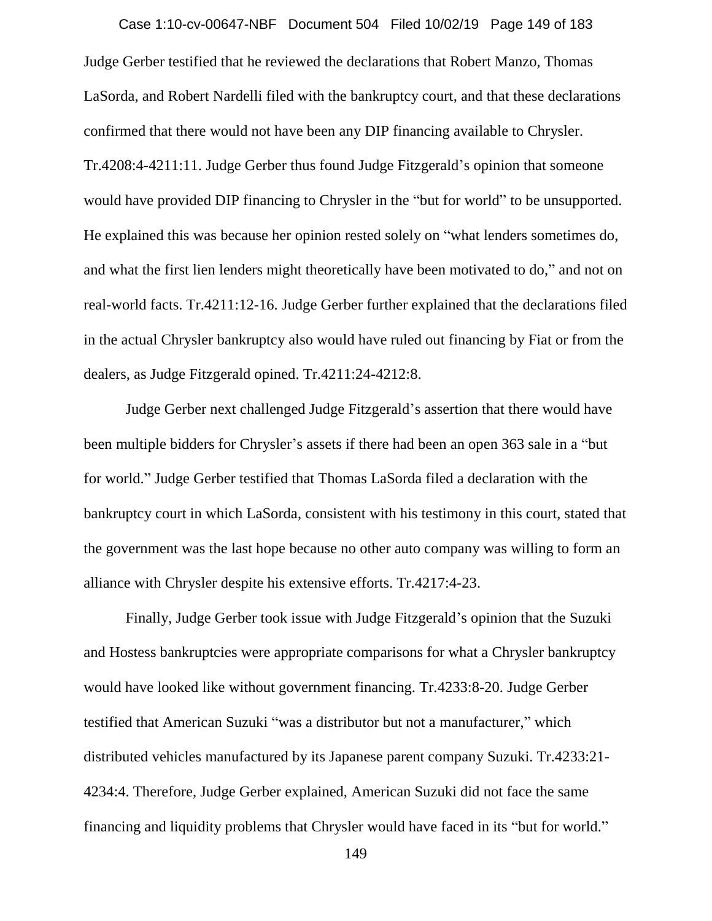Judge Gerber testified that he reviewed the declarations that Robert Manzo, Thomas LaSorda, and Robert Nardelli filed with the bankruptcy court, and that these declarations confirmed that there would not have been any DIP financing available to Chrysler. Tr.4208:4-4211:11. Judge Gerber thus found Judge Fitzgerald's opinion that someone would have provided DIP financing to Chrysler in the "but for world" to be unsupported. He explained this was because her opinion rested solely on "what lenders sometimes do, and what the first lien lenders might theoretically have been motivated to do," and not on real-world facts. Tr.4211:12-16. Judge Gerber further explained that the declarations filed in the actual Chrysler bankruptcy also would have ruled out financing by Fiat or from the dealers, as Judge Fitzgerald opined. Tr.4211:24-4212:8. Case 1:10-cv-00647-NBF Document 504 Filed 10/02/19 Page 149 of 183

Judge Gerber next challenged Judge Fitzgerald's assertion that there would have been multiple bidders for Chrysler's assets if there had been an open 363 sale in a "but for world." Judge Gerber testified that Thomas LaSorda filed a declaration with the bankruptcy court in which LaSorda, consistent with his testimony in this court, stated that the government was the last hope because no other auto company was willing to form an alliance with Chrysler despite his extensive efforts. Tr.4217:4-23.

Finally, Judge Gerber took issue with Judge Fitzgerald's opinion that the Suzuki and Hostess bankruptcies were appropriate comparisons for what a Chrysler bankruptcy would have looked like without government financing. Tr.4233:8-20. Judge Gerber testified that American Suzuki "was a distributor but not a manufacturer," which distributed vehicles manufactured by its Japanese parent company Suzuki. Tr.4233:21- 4234:4. Therefore, Judge Gerber explained, American Suzuki did not face the same financing and liquidity problems that Chrysler would have faced in its "but for world."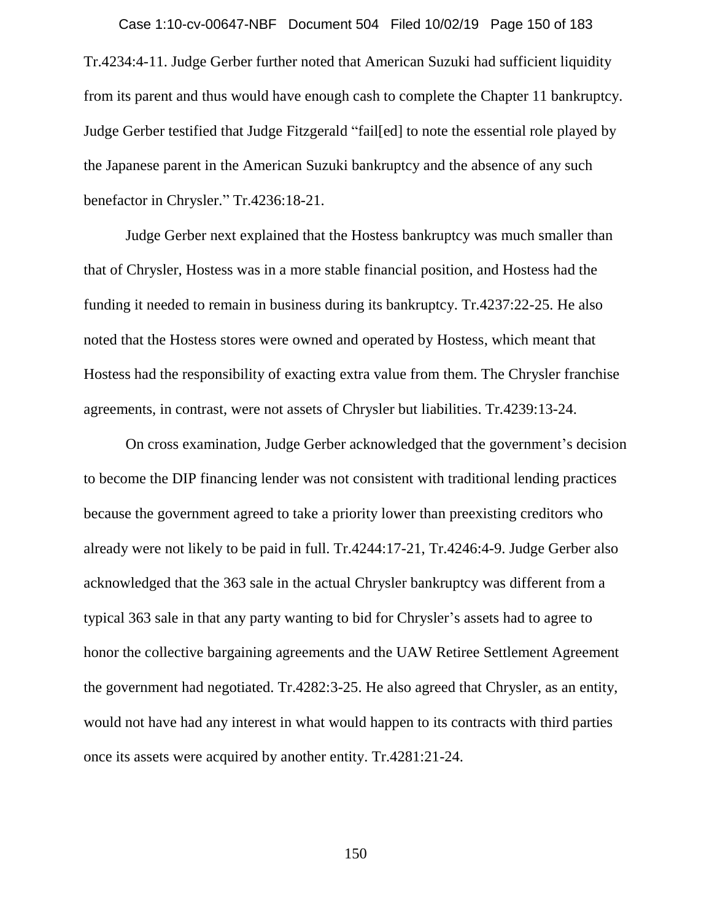Tr.4234:4-11. Judge Gerber further noted that American Suzuki had sufficient liquidity from its parent and thus would have enough cash to complete the Chapter 11 bankruptcy. Judge Gerber testified that Judge Fitzgerald "fail[ed] to note the essential role played by the Japanese parent in the American Suzuki bankruptcy and the absence of any such benefactor in Chrysler." Tr.4236:18-21. Case 1:10-cv-00647-NBF Document 504 Filed 10/02/19 Page 150 of 183

Judge Gerber next explained that the Hostess bankruptcy was much smaller than that of Chrysler, Hostess was in a more stable financial position, and Hostess had the funding it needed to remain in business during its bankruptcy. Tr.4237:22-25. He also noted that the Hostess stores were owned and operated by Hostess, which meant that Hostess had the responsibility of exacting extra value from them. The Chrysler franchise agreements, in contrast, were not assets of Chrysler but liabilities. Tr.4239:13-24.

On cross examination, Judge Gerber acknowledged that the government's decision to become the DIP financing lender was not consistent with traditional lending practices because the government agreed to take a priority lower than preexisting creditors who already were not likely to be paid in full. Tr.4244:17-21, Tr.4246:4-9. Judge Gerber also acknowledged that the 363 sale in the actual Chrysler bankruptcy was different from a typical 363 sale in that any party wanting to bid for Chrysler's assets had to agree to honor the collective bargaining agreements and the UAW Retiree Settlement Agreement the government had negotiated. Tr.4282:3-25. He also agreed that Chrysler, as an entity, would not have had any interest in what would happen to its contracts with third parties once its assets were acquired by another entity. Tr.4281:21-24.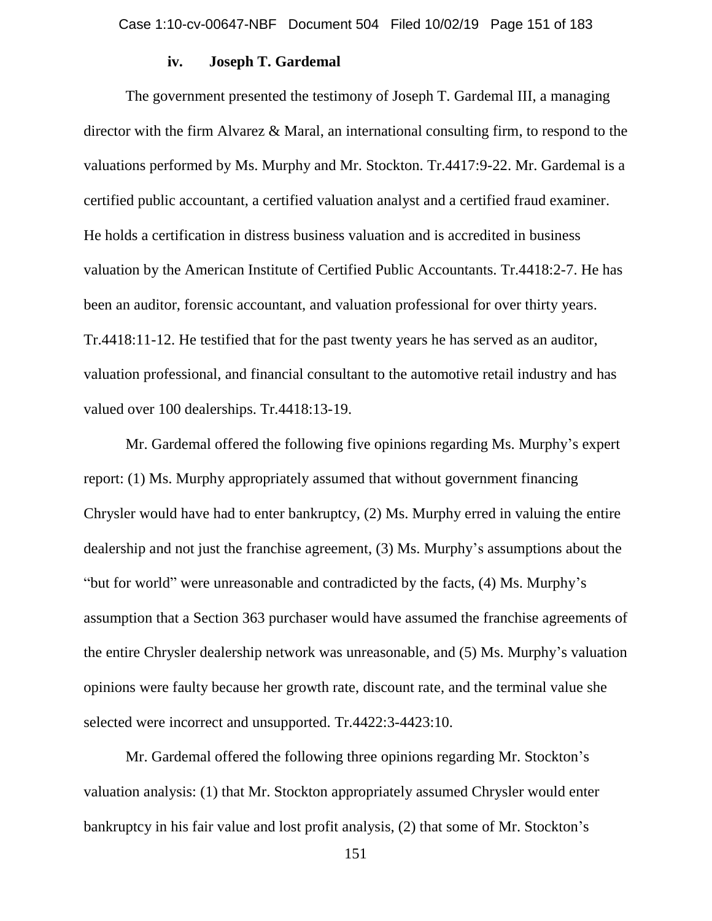### **iv. Joseph T. Gardemal**

The government presented the testimony of Joseph T. Gardemal III, a managing director with the firm Alvarez & Maral, an international consulting firm, to respond to the valuations performed by Ms. Murphy and Mr. Stockton. Tr.4417:9-22. Mr. Gardemal is a certified public accountant, a certified valuation analyst and a certified fraud examiner. He holds a certification in distress business valuation and is accredited in business valuation by the American Institute of Certified Public Accountants. Tr.4418:2-7. He has been an auditor, forensic accountant, and valuation professional for over thirty years. Tr.4418:11-12. He testified that for the past twenty years he has served as an auditor, valuation professional, and financial consultant to the automotive retail industry and has valued over 100 dealerships. Tr.4418:13-19.

Mr. Gardemal offered the following five opinions regarding Ms. Murphy's expert report: (1) Ms. Murphy appropriately assumed that without government financing Chrysler would have had to enter bankruptcy, (2) Ms. Murphy erred in valuing the entire dealership and not just the franchise agreement, (3) Ms. Murphy's assumptions about the "but for world" were unreasonable and contradicted by the facts, (4) Ms. Murphy's assumption that a Section 363 purchaser would have assumed the franchise agreements of the entire Chrysler dealership network was unreasonable, and (5) Ms. Murphy's valuation opinions were faulty because her growth rate, discount rate, and the terminal value she selected were incorrect and unsupported. Tr.4422:3-4423:10.

Mr. Gardemal offered the following three opinions regarding Mr. Stockton's valuation analysis: (1) that Mr. Stockton appropriately assumed Chrysler would enter bankruptcy in his fair value and lost profit analysis, (2) that some of Mr. Stockton's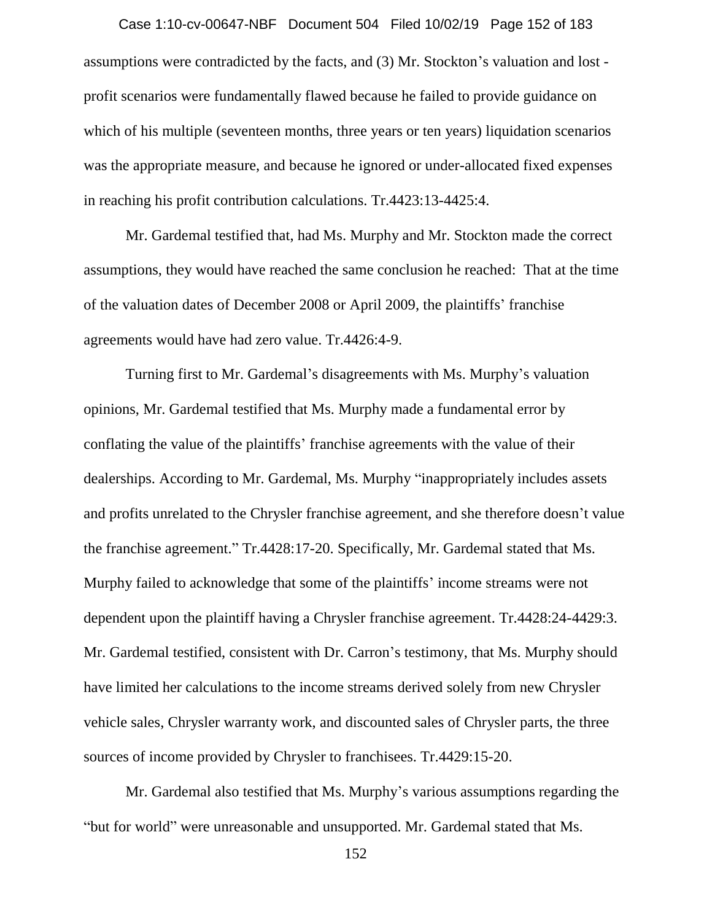assumptions were contradicted by the facts, and (3) Mr. Stockton's valuation and lost profit scenarios were fundamentally flawed because he failed to provide guidance on which of his multiple (seventeen months, three years or ten years) liquidation scenarios was the appropriate measure, and because he ignored or under-allocated fixed expenses in reaching his profit contribution calculations. Tr.4423:13-4425:4. Case 1:10-cv-00647-NBF Document 504 Filed 10/02/19 Page 152 of 183

Mr. Gardemal testified that, had Ms. Murphy and Mr. Stockton made the correct assumptions, they would have reached the same conclusion he reached: That at the time of the valuation dates of December 2008 or April 2009, the plaintiffs' franchise agreements would have had zero value. Tr.4426:4-9.

Turning first to Mr. Gardemal's disagreements with Ms. Murphy's valuation opinions, Mr. Gardemal testified that Ms. Murphy made a fundamental error by conflating the value of the plaintiffs' franchise agreements with the value of their dealerships. According to Mr. Gardemal, Ms. Murphy "inappropriately includes assets and profits unrelated to the Chrysler franchise agreement, and she therefore doesn't value the franchise agreement." Tr.4428:17-20. Specifically, Mr. Gardemal stated that Ms. Murphy failed to acknowledge that some of the plaintiffs' income streams were not dependent upon the plaintiff having a Chrysler franchise agreement. Tr.4428:24-4429:3. Mr. Gardemal testified, consistent with Dr. Carron's testimony, that Ms. Murphy should have limited her calculations to the income streams derived solely from new Chrysler vehicle sales, Chrysler warranty work, and discounted sales of Chrysler parts, the three sources of income provided by Chrysler to franchisees. Tr.4429:15-20.

Mr. Gardemal also testified that Ms. Murphy's various assumptions regarding the "but for world" were unreasonable and unsupported. Mr. Gardemal stated that Ms.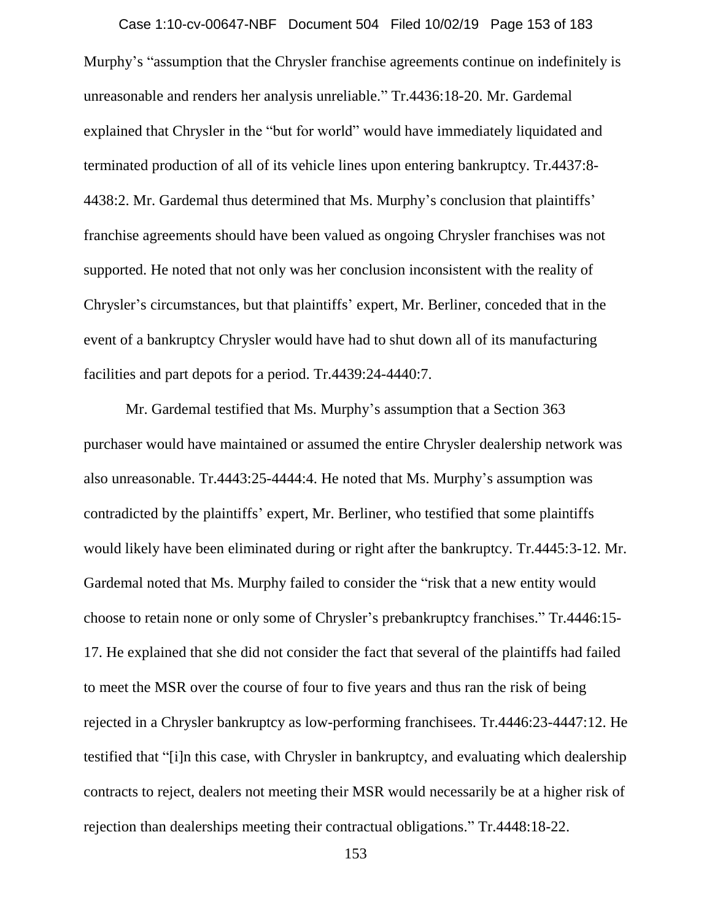Murphy's "assumption that the Chrysler franchise agreements continue on indefinitely is unreasonable and renders her analysis unreliable." Tr.4436:18-20. Mr. Gardemal explained that Chrysler in the "but for world" would have immediately liquidated and terminated production of all of its vehicle lines upon entering bankruptcy. Tr.4437:8- 4438:2. Mr. Gardemal thus determined that Ms. Murphy's conclusion that plaintiffs' franchise agreements should have been valued as ongoing Chrysler franchises was not supported. He noted that not only was her conclusion inconsistent with the reality of Chrysler's circumstances, but that plaintiffs' expert, Mr. Berliner, conceded that in the event of a bankruptcy Chrysler would have had to shut down all of its manufacturing facilities and part depots for a period. Tr.4439:24-4440:7. Case 1:10-cv-00647-NBF Document 504 Filed 10/02/19 Page 153 of 183

Mr. Gardemal testified that Ms. Murphy's assumption that a Section 363 purchaser would have maintained or assumed the entire Chrysler dealership network was also unreasonable. Tr.4443:25-4444:4. He noted that Ms. Murphy's assumption was contradicted by the plaintiffs' expert, Mr. Berliner, who testified that some plaintiffs would likely have been eliminated during or right after the bankruptcy. Tr.4445:3-12. Mr. Gardemal noted that Ms. Murphy failed to consider the "risk that a new entity would choose to retain none or only some of Chrysler's prebankruptcy franchises." Tr.4446:15- 17. He explained that she did not consider the fact that several of the plaintiffs had failed to meet the MSR over the course of four to five years and thus ran the risk of being rejected in a Chrysler bankruptcy as low-performing franchisees. Tr.4446:23-4447:12. He testified that "[i]n this case, with Chrysler in bankruptcy, and evaluating which dealership contracts to reject, dealers not meeting their MSR would necessarily be at a higher risk of rejection than dealerships meeting their contractual obligations." Tr.4448:18-22.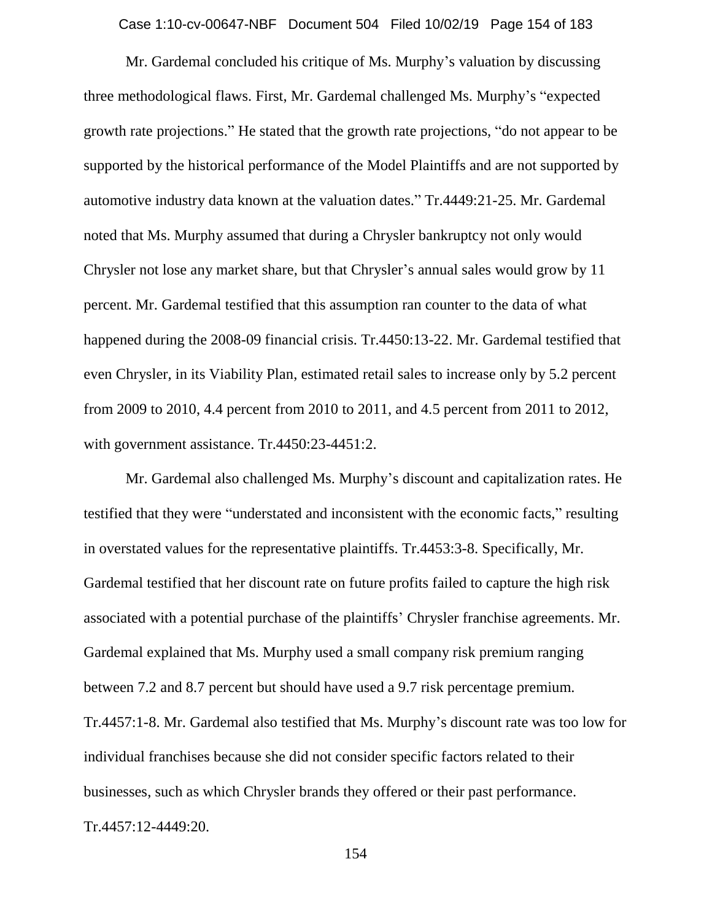Case 1:10-cv-00647-NBF Document 504 Filed 10/02/19 Page 154 of 183

Mr. Gardemal concluded his critique of Ms. Murphy's valuation by discussing three methodological flaws. First, Mr. Gardemal challenged Ms. Murphy's "expected growth rate projections." He stated that the growth rate projections, "do not appear to be supported by the historical performance of the Model Plaintiffs and are not supported by automotive industry data known at the valuation dates." Tr.4449:21-25. Mr. Gardemal noted that Ms. Murphy assumed that during a Chrysler bankruptcy not only would Chrysler not lose any market share, but that Chrysler's annual sales would grow by 11 percent. Mr. Gardemal testified that this assumption ran counter to the data of what happened during the 2008-09 financial crisis. Tr.4450:13-22. Mr. Gardemal testified that even Chrysler, in its Viability Plan, estimated retail sales to increase only by 5.2 percent from 2009 to 2010, 4.4 percent from 2010 to 2011, and 4.5 percent from 2011 to 2012, with government assistance. Tr.4450:23-4451:2.

Mr. Gardemal also challenged Ms. Murphy's discount and capitalization rates. He testified that they were "understated and inconsistent with the economic facts," resulting in overstated values for the representative plaintiffs. Tr.4453:3-8. Specifically, Mr. Gardemal testified that her discount rate on future profits failed to capture the high risk associated with a potential purchase of the plaintiffs' Chrysler franchise agreements. Mr. Gardemal explained that Ms. Murphy used a small company risk premium ranging between 7.2 and 8.7 percent but should have used a 9.7 risk percentage premium. Tr.4457:1-8. Mr. Gardemal also testified that Ms. Murphy's discount rate was too low for individual franchises because she did not consider specific factors related to their businesses, such as which Chrysler brands they offered or their past performance. Tr.4457:12-4449:20.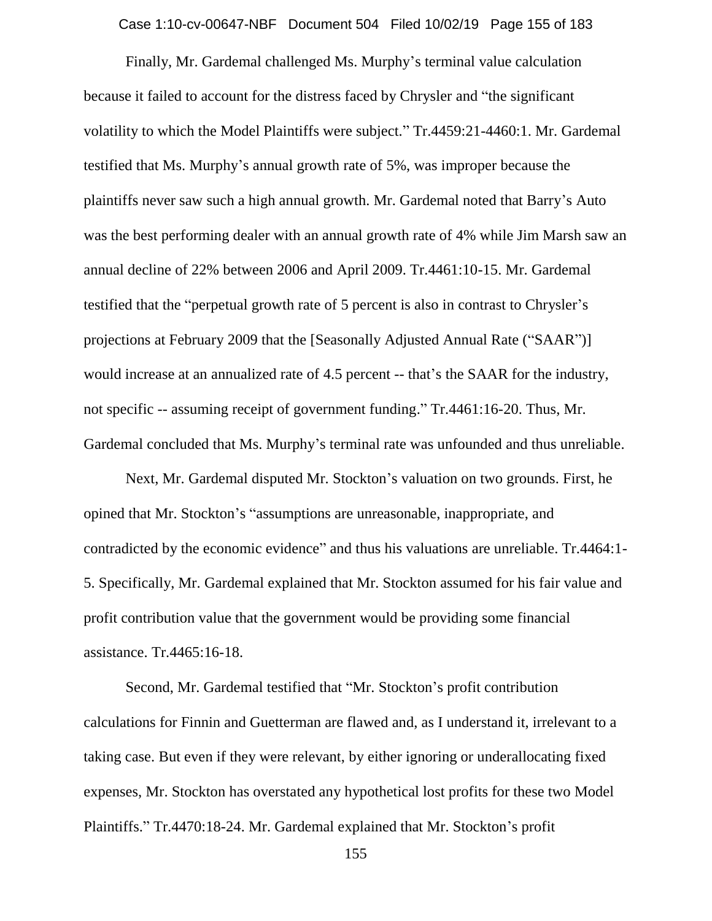Case 1:10-cv-00647-NBF Document 504 Filed 10/02/19 Page 155 of 183

Finally, Mr. Gardemal challenged Ms. Murphy's terminal value calculation because it failed to account for the distress faced by Chrysler and "the significant volatility to which the Model Plaintiffs were subject." Tr.4459:21-4460:1. Mr. Gardemal testified that Ms. Murphy's annual growth rate of 5%, was improper because the plaintiffs never saw such a high annual growth. Mr. Gardemal noted that Barry's Auto was the best performing dealer with an annual growth rate of 4% while Jim Marsh saw an annual decline of 22% between 2006 and April 2009. Tr.4461:10-15. Mr. Gardemal testified that the "perpetual growth rate of 5 percent is also in contrast to Chrysler's projections at February 2009 that the [Seasonally Adjusted Annual Rate ("SAAR")] would increase at an annualized rate of 4.5 percent -- that's the SAAR for the industry, not specific -- assuming receipt of government funding." Tr.4461:16-20. Thus, Mr. Gardemal concluded that Ms. Murphy's terminal rate was unfounded and thus unreliable.

Next, Mr. Gardemal disputed Mr. Stockton's valuation on two grounds. First, he opined that Mr. Stockton's "assumptions are unreasonable, inappropriate, and contradicted by the economic evidence" and thus his valuations are unreliable. Tr.4464:1- 5. Specifically, Mr. Gardemal explained that Mr. Stockton assumed for his fair value and profit contribution value that the government would be providing some financial assistance. Tr.4465:16-18.

Second, Mr. Gardemal testified that "Mr. Stockton's profit contribution calculations for Finnin and Guetterman are flawed and, as I understand it, irrelevant to a taking case. But even if they were relevant, by either ignoring or underallocating fixed expenses, Mr. Stockton has overstated any hypothetical lost profits for these two Model Plaintiffs." Tr.4470:18-24. Mr. Gardemal explained that Mr. Stockton's profit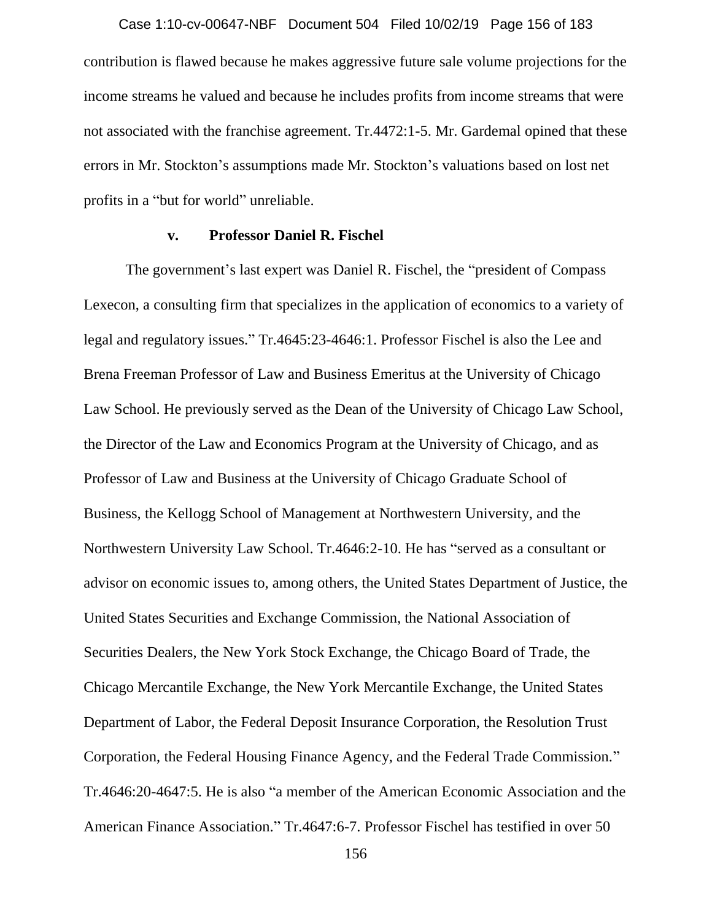contribution is flawed because he makes aggressive future sale volume projections for the income streams he valued and because he includes profits from income streams that were not associated with the franchise agreement. Tr.4472:1-5. Mr. Gardemal opined that these errors in Mr. Stockton's assumptions made Mr. Stockton's valuations based on lost net profits in a "but for world" unreliable. Case 1:10-cv-00647-NBF Document 504 Filed 10/02/19 Page 156 of 183

#### **v. Professor Daniel R. Fischel**

The government's last expert was Daniel R. Fischel, the "president of Compass Lexecon, a consulting firm that specializes in the application of economics to a variety of legal and regulatory issues." Tr.4645:23-4646:1. Professor Fischel is also the Lee and Brena Freeman Professor of Law and Business Emeritus at the University of Chicago Law School. He previously served as the Dean of the University of Chicago Law School, the Director of the Law and Economics Program at the University of Chicago, and as Professor of Law and Business at the University of Chicago Graduate School of Business, the Kellogg School of Management at Northwestern University, and the Northwestern University Law School. Tr.4646:2-10. He has "served as a consultant or advisor on economic issues to, among others, the United States Department of Justice, the United States Securities and Exchange Commission, the National Association of Securities Dealers, the New York Stock Exchange, the Chicago Board of Trade, the Chicago Mercantile Exchange, the New York Mercantile Exchange, the United States Department of Labor, the Federal Deposit Insurance Corporation, the Resolution Trust Corporation, the Federal Housing Finance Agency, and the Federal Trade Commission." Tr.4646:20-4647:5. He is also "a member of the American Economic Association and the American Finance Association." Tr.4647:6-7. Professor Fischel has testified in over 50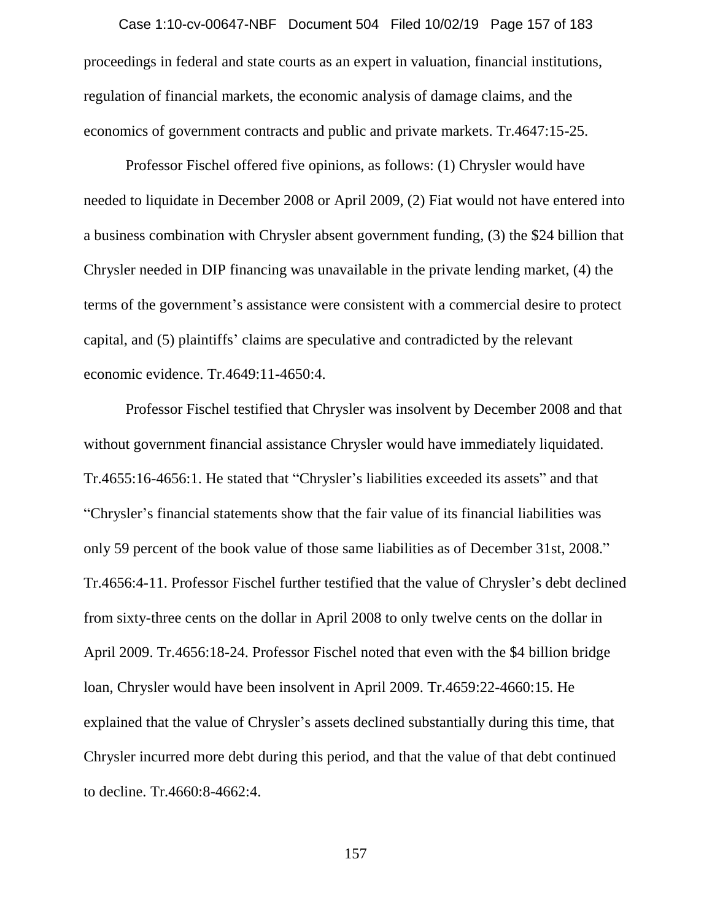proceedings in federal and state courts as an expert in valuation, financial institutions, regulation of financial markets, the economic analysis of damage claims, and the economics of government contracts and public and private markets. Tr.4647:15-25. Case 1:10-cv-00647-NBF Document 504 Filed 10/02/19 Page 157 of 183

Professor Fischel offered five opinions, as follows: (1) Chrysler would have needed to liquidate in December 2008 or April 2009, (2) Fiat would not have entered into a business combination with Chrysler absent government funding, (3) the \$24 billion that Chrysler needed in DIP financing was unavailable in the private lending market, (4) the terms of the government's assistance were consistent with a commercial desire to protect capital, and (5) plaintiffs' claims are speculative and contradicted by the relevant economic evidence. Tr.4649:11-4650:4.

Professor Fischel testified that Chrysler was insolvent by December 2008 and that without government financial assistance Chrysler would have immediately liquidated. Tr.4655:16-4656:1. He stated that "Chrysler's liabilities exceeded its assets" and that "Chrysler's financial statements show that the fair value of its financial liabilities was only 59 percent of the book value of those same liabilities as of December 31st, 2008." Tr.4656:4-11. Professor Fischel further testified that the value of Chrysler's debt declined from sixty-three cents on the dollar in April 2008 to only twelve cents on the dollar in April 2009. Tr.4656:18-24. Professor Fischel noted that even with the \$4 billion bridge loan, Chrysler would have been insolvent in April 2009. Tr.4659:22-4660:15. He explained that the value of Chrysler's assets declined substantially during this time, that Chrysler incurred more debt during this period, and that the value of that debt continued to decline. Tr.4660:8-4662:4.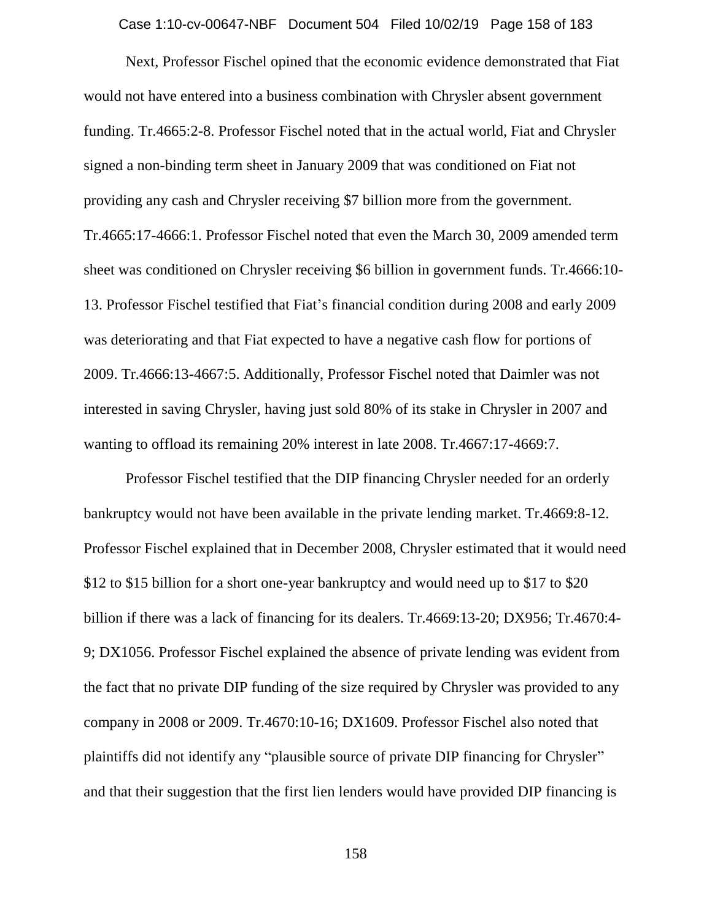Case 1:10-cv-00647-NBF Document 504 Filed 10/02/19 Page 158 of 183

Next, Professor Fischel opined that the economic evidence demonstrated that Fiat would not have entered into a business combination with Chrysler absent government funding. Tr.4665:2-8. Professor Fischel noted that in the actual world, Fiat and Chrysler signed a non-binding term sheet in January 2009 that was conditioned on Fiat not providing any cash and Chrysler receiving \$7 billion more from the government. Tr.4665:17-4666:1. Professor Fischel noted that even the March 30, 2009 amended term sheet was conditioned on Chrysler receiving \$6 billion in government funds. Tr.4666:10- 13. Professor Fischel testified that Fiat's financial condition during 2008 and early 2009 was deteriorating and that Fiat expected to have a negative cash flow for portions of 2009. Tr.4666:13-4667:5. Additionally, Professor Fischel noted that Daimler was not interested in saving Chrysler, having just sold 80% of its stake in Chrysler in 2007 and wanting to offload its remaining 20% interest in late 2008. Tr.4667:17-4669:7.

Professor Fischel testified that the DIP financing Chrysler needed for an orderly bankruptcy would not have been available in the private lending market. Tr.4669:8-12. Professor Fischel explained that in December 2008, Chrysler estimated that it would need \$12 to \$15 billion for a short one-year bankruptcy and would need up to \$17 to \$20 billion if there was a lack of financing for its dealers. Tr.4669:13-20; DX956; Tr.4670:4- 9; DX1056. Professor Fischel explained the absence of private lending was evident from the fact that no private DIP funding of the size required by Chrysler was provided to any company in 2008 or 2009. Tr.4670:10-16; DX1609. Professor Fischel also noted that plaintiffs did not identify any "plausible source of private DIP financing for Chrysler" and that their suggestion that the first lien lenders would have provided DIP financing is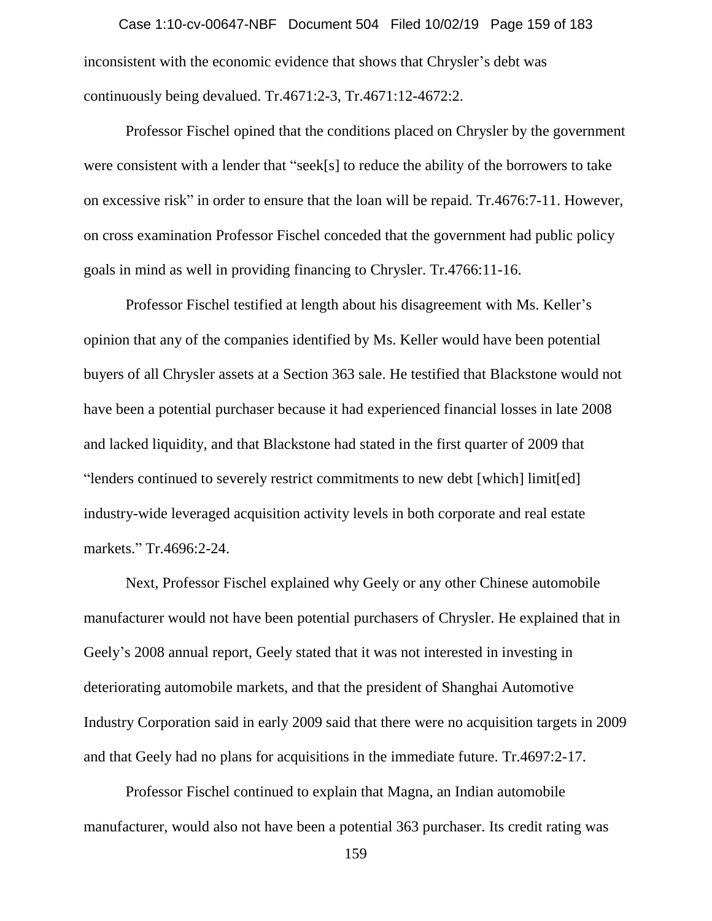inconsistent with the economic evidence that shows that Chrysler's debt was continuously being devalued. Tr.4671:2-3, Tr.4671:12-4672:2. Case 1:10-cv-00647-NBF Document 504 Filed 10/02/19 Page 159 of 183

Professor Fischel opined that the conditions placed on Chrysler by the government were consistent with a lender that "seek[s] to reduce the ability of the borrowers to take on excessive risk" in order to ensure that the loan will be repaid. Tr.4676:7-11. However, on cross examination Professor Fischel conceded that the government had public policy goals in mind as well in providing financing to Chrysler. Tr.4766:11-16.

Professor Fischel testified at length about his disagreement with Ms. Keller's opinion that any of the companies identified by Ms. Keller would have been potential buyers of all Chrysler assets at a Section 363 sale. He testified that Blackstone would not have been a potential purchaser because it had experienced financial losses in late 2008 and lacked liquidity, and that Blackstone had stated in the first quarter of 2009 that "lenders continued to severely restrict commitments to new debt [which] limit[ed] industry-wide leveraged acquisition activity levels in both corporate and real estate markets." Tr.4696:2-24.

Next, Professor Fischel explained why Geely or any other Chinese automobile manufacturer would not have been potential purchasers of Chrysler. He explained that in Geely's 2008 annual report, Geely stated that it was not interested in investing in deteriorating automobile markets, and that the president of Shanghai Automotive Industry Corporation said in early 2009 said that there were no acquisition targets in 2009 and that Geely had no plans for acquisitions in the immediate future. Tr.4697:2-17.

Professor Fischel continued to explain that Magna, an Indian automobile manufacturer, would also not have been a potential 363 purchaser. Its credit rating was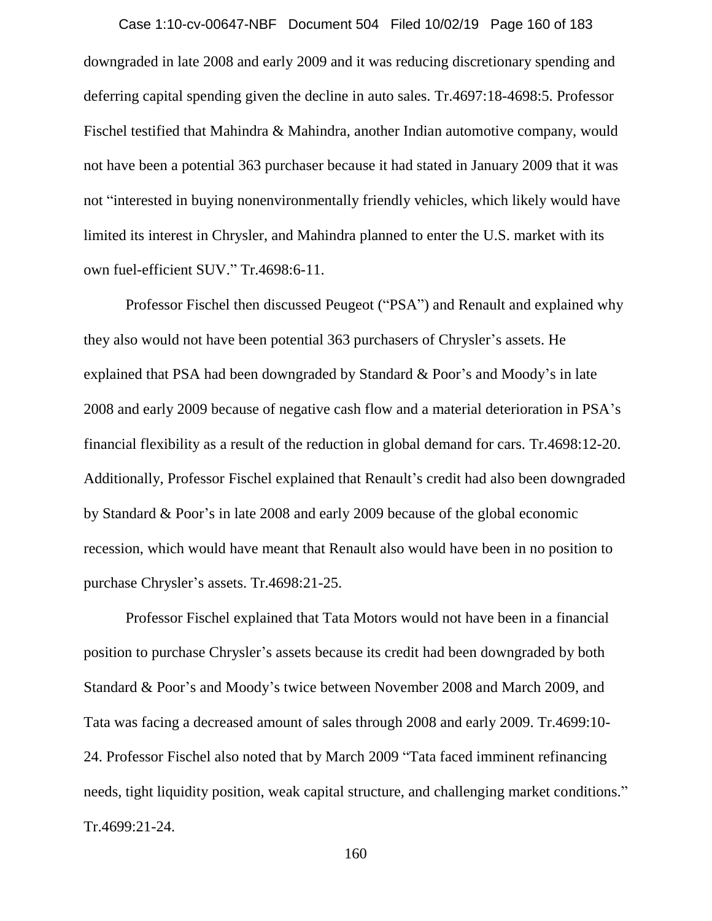downgraded in late 2008 and early 2009 and it was reducing discretionary spending and deferring capital spending given the decline in auto sales. Tr.4697:18-4698:5. Professor Fischel testified that Mahindra & Mahindra, another Indian automotive company, would not have been a potential 363 purchaser because it had stated in January 2009 that it was not "interested in buying nonenvironmentally friendly vehicles, which likely would have limited its interest in Chrysler, and Mahindra planned to enter the U.S. market with its own fuel-efficient SUV." Tr.4698:6-11. Case 1:10-cv-00647-NBF Document 504 Filed 10/02/19 Page 160 of 183

Professor Fischel then discussed Peugeot ("PSA") and Renault and explained why they also would not have been potential 363 purchasers of Chrysler's assets. He explained that PSA had been downgraded by Standard & Poor's and Moody's in late 2008 and early 2009 because of negative cash flow and a material deterioration in PSA's financial flexibility as a result of the reduction in global demand for cars. Tr.4698:12-20. Additionally, Professor Fischel explained that Renault's credit had also been downgraded by Standard & Poor's in late 2008 and early 2009 because of the global economic recession, which would have meant that Renault also would have been in no position to purchase Chrysler's assets. Tr.4698:21-25.

Professor Fischel explained that Tata Motors would not have been in a financial position to purchase Chrysler's assets because its credit had been downgraded by both Standard & Poor's and Moody's twice between November 2008 and March 2009, and Tata was facing a decreased amount of sales through 2008 and early 2009. Tr.4699:10- 24. Professor Fischel also noted that by March 2009 "Tata faced imminent refinancing needs, tight liquidity position, weak capital structure, and challenging market conditions." Tr.4699:21-24.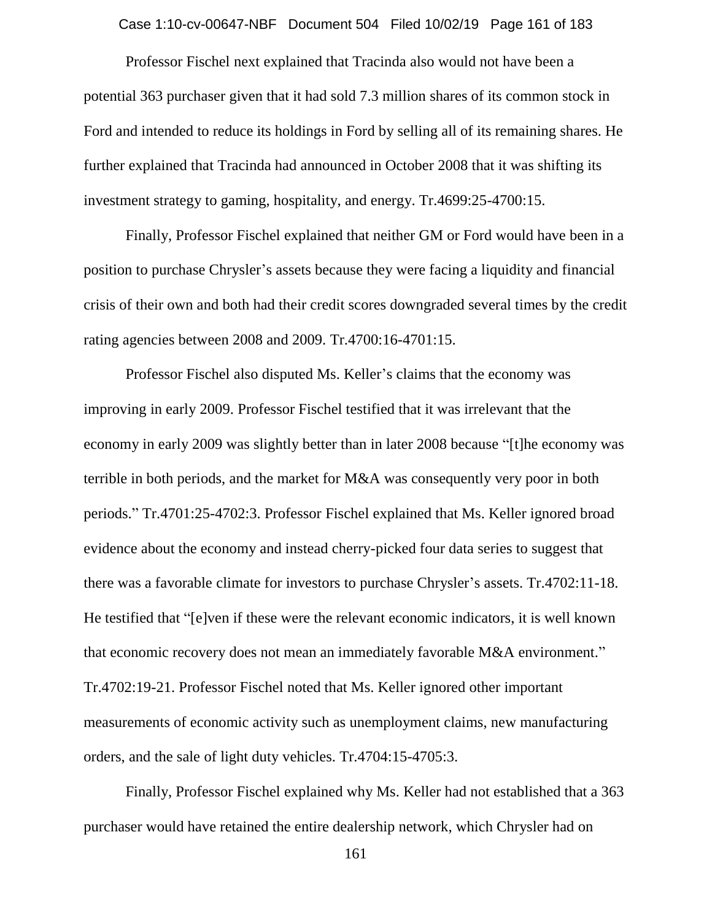Case 1:10-cv-00647-NBF Document 504 Filed 10/02/19 Page 161 of 183

Professor Fischel next explained that Tracinda also would not have been a potential 363 purchaser given that it had sold 7.3 million shares of its common stock in Ford and intended to reduce its holdings in Ford by selling all of its remaining shares. He further explained that Tracinda had announced in October 2008 that it was shifting its investment strategy to gaming, hospitality, and energy. Tr.4699:25-4700:15.

Finally, Professor Fischel explained that neither GM or Ford would have been in a position to purchase Chrysler's assets because they were facing a liquidity and financial crisis of their own and both had their credit scores downgraded several times by the credit rating agencies between 2008 and 2009. Tr.4700:16-4701:15.

Professor Fischel also disputed Ms. Keller's claims that the economy was improving in early 2009. Professor Fischel testified that it was irrelevant that the economy in early 2009 was slightly better than in later 2008 because "[t]he economy was terrible in both periods, and the market for M&A was consequently very poor in both periods." Tr.4701:25-4702:3. Professor Fischel explained that Ms. Keller ignored broad evidence about the economy and instead cherry-picked four data series to suggest that there was a favorable climate for investors to purchase Chrysler's assets. Tr.4702:11-18. He testified that "[e]ven if these were the relevant economic indicators, it is well known that economic recovery does not mean an immediately favorable M&A environment." Tr.4702:19-21. Professor Fischel noted that Ms. Keller ignored other important measurements of economic activity such as unemployment claims, new manufacturing orders, and the sale of light duty vehicles. Tr.4704:15-4705:3.

Finally, Professor Fischel explained why Ms. Keller had not established that a 363 purchaser would have retained the entire dealership network, which Chrysler had on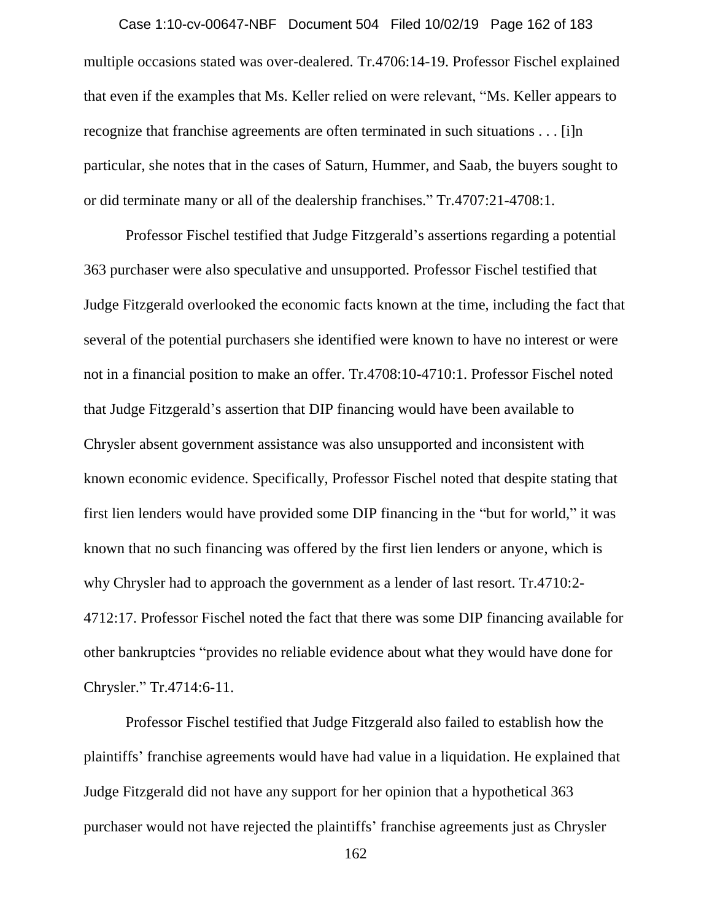multiple occasions stated was over-dealered. Tr.4706:14-19. Professor Fischel explained that even if the examples that Ms. Keller relied on were relevant, "Ms. Keller appears to recognize that franchise agreements are often terminated in such situations . . . [i]n particular, she notes that in the cases of Saturn, Hummer, and Saab, the buyers sought to or did terminate many or all of the dealership franchises." Tr.4707:21-4708:1. Case 1:10-cv-00647-NBF Document 504 Filed 10/02/19 Page 162 of 183

Professor Fischel testified that Judge Fitzgerald's assertions regarding a potential 363 purchaser were also speculative and unsupported. Professor Fischel testified that Judge Fitzgerald overlooked the economic facts known at the time, including the fact that several of the potential purchasers she identified were known to have no interest or were not in a financial position to make an offer. Tr.4708:10-4710:1. Professor Fischel noted that Judge Fitzgerald's assertion that DIP financing would have been available to Chrysler absent government assistance was also unsupported and inconsistent with known economic evidence. Specifically, Professor Fischel noted that despite stating that first lien lenders would have provided some DIP financing in the "but for world," it was known that no such financing was offered by the first lien lenders or anyone, which is why Chrysler had to approach the government as a lender of last resort. Tr.4710:2- 4712:17. Professor Fischel noted the fact that there was some DIP financing available for other bankruptcies "provides no reliable evidence about what they would have done for Chrysler." Tr.4714:6-11.

Professor Fischel testified that Judge Fitzgerald also failed to establish how the plaintiffs' franchise agreements would have had value in a liquidation. He explained that Judge Fitzgerald did not have any support for her opinion that a hypothetical 363 purchaser would not have rejected the plaintiffs' franchise agreements just as Chrysler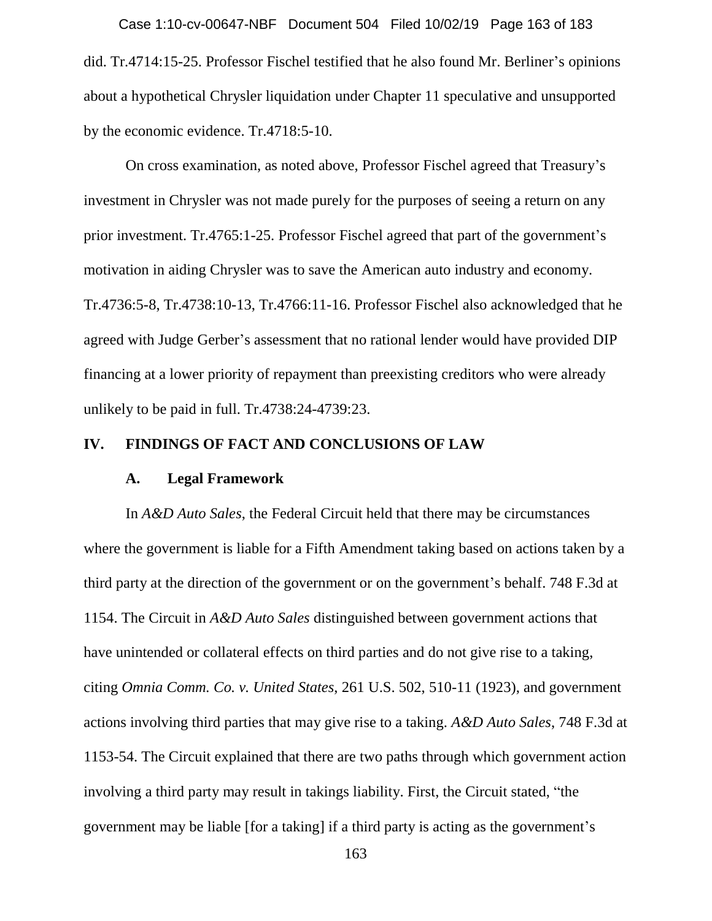did. Tr.4714:15-25. Professor Fischel testified that he also found Mr. Berliner's opinions about a hypothetical Chrysler liquidation under Chapter 11 speculative and unsupported by the economic evidence. Tr.4718:5-10. Case 1:10-cv-00647-NBF Document 504 Filed 10/02/19 Page 163 of 183

On cross examination, as noted above, Professor Fischel agreed that Treasury's investment in Chrysler was not made purely for the purposes of seeing a return on any prior investment. Tr.4765:1-25. Professor Fischel agreed that part of the government's motivation in aiding Chrysler was to save the American auto industry and economy. Tr.4736:5-8, Tr.4738:10-13, Tr.4766:11-16. Professor Fischel also acknowledged that he agreed with Judge Gerber's assessment that no rational lender would have provided DIP financing at a lower priority of repayment than preexisting creditors who were already unlikely to be paid in full. Tr.4738:24-4739:23.

### **IV. FINDINGS OF FACT AND CONCLUSIONS OF LAW**

#### **A. Legal Framework**

In *A&D Auto Sales*, the Federal Circuit held that there may be circumstances where the government is liable for a Fifth Amendment taking based on actions taken by a third party at the direction of the government or on the government's behalf. 748 F.3d at 1154. The Circuit in *A&D Auto Sales* distinguished between government actions that have unintended or collateral effects on third parties and do not give rise to a taking, citing *Omnia Comm. Co. v. United States*, 261 U.S. 502, 510-11 (1923), and government actions involving third parties that may give rise to a taking. *A&D Auto Sales*, 748 F.3d at 1153-54. The Circuit explained that there are two paths through which government action involving a third party may result in takings liability. First, the Circuit stated, "the government may be liable [for a taking] if a third party is acting as the government's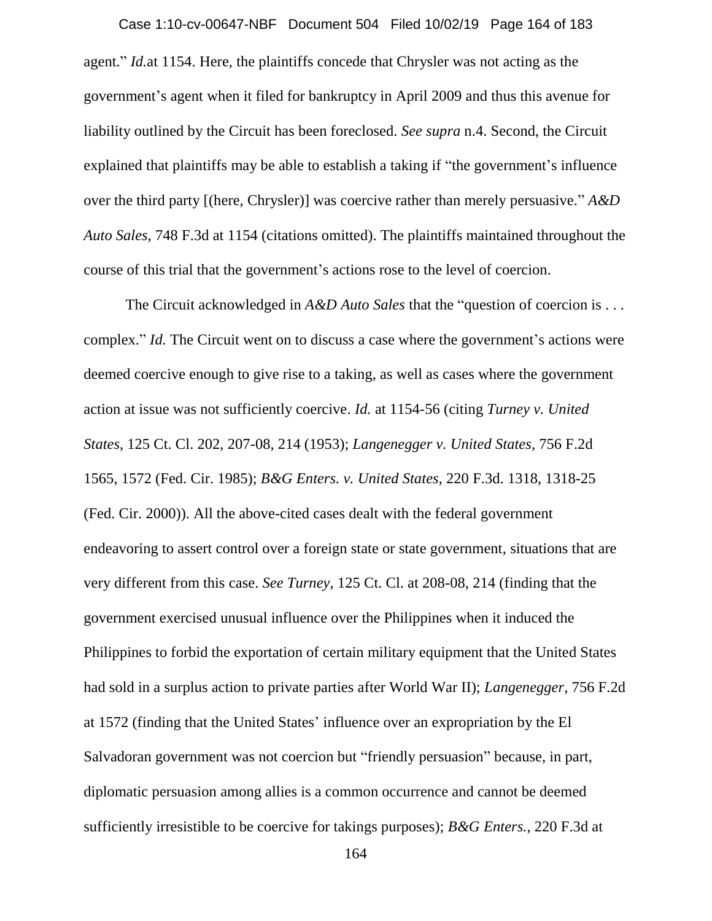agent." *Id.*at 1154. Here, the plaintiffs concede that Chrysler was not acting as the government's agent when it filed for bankruptcy in April 2009 and thus this avenue for liability outlined by the Circuit has been foreclosed. *See supra* n.4. Second, the Circuit explained that plaintiffs may be able to establish a taking if "the government's influence over the third party [(here, Chrysler)] was coercive rather than merely persuasive." *A&D Auto Sales*, 748 F.3d at 1154 (citations omitted). The plaintiffs maintained throughout the course of this trial that the government's actions rose to the level of coercion. Case 1:10-cv-00647-NBF Document 504 Filed 10/02/19 Page 164 of 183

The Circuit acknowledged in *A&D Auto Sales* that the "question of coercion is . . . complex." *Id.* The Circuit went on to discuss a case where the government's actions were deemed coercive enough to give rise to a taking, as well as cases where the government action at issue was not sufficiently coercive. *Id.* at 1154-56 (citing *Turney v. United States*, 125 Ct. Cl. 202, 207-08, 214 (1953); *Langenegger v. United States*, 756 F.2d 1565, 1572 (Fed. Cir. 1985); *B&G Enters. v. United States*, 220 F.3d. 1318, 1318-25 (Fed. Cir. 2000)). All the above-cited cases dealt with the federal government endeavoring to assert control over a foreign state or state government, situations that are very different from this case. *See Turney*, 125 Ct. Cl. at 208-08, 214 (finding that the government exercised unusual influence over the Philippines when it induced the Philippines to forbid the exportation of certain military equipment that the United States had sold in a surplus action to private parties after World War II); *Langenegger*, 756 F.2d at 1572 (finding that the United States' influence over an expropriation by the El Salvadoran government was not coercion but "friendly persuasion" because, in part, diplomatic persuasion among allies is a common occurrence and cannot be deemed sufficiently irresistible to be coercive for takings purposes); *B&G Enters.*, 220 F.3d at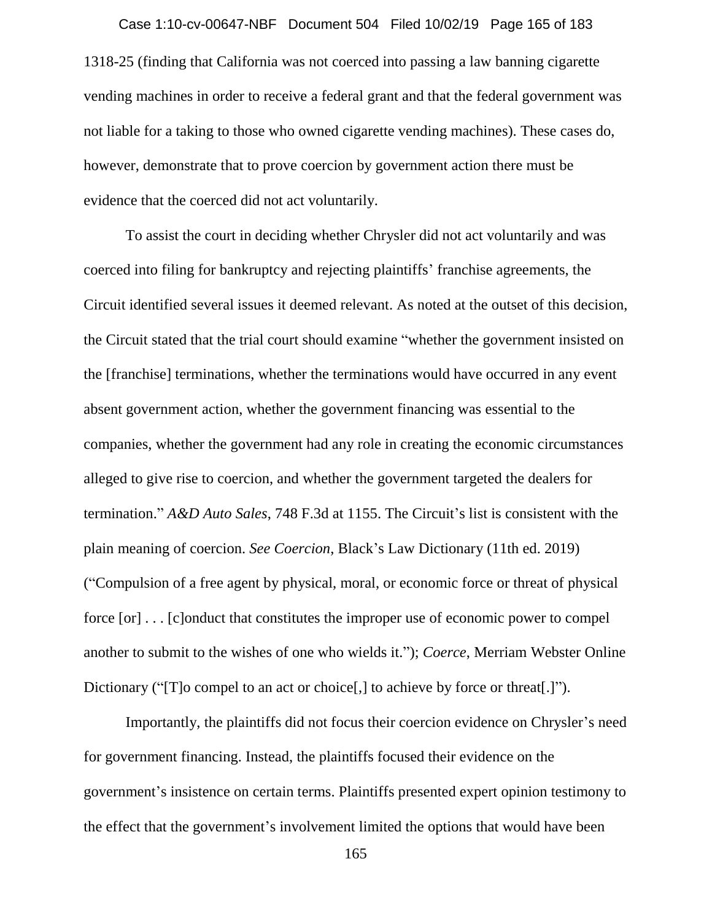1318-25 (finding that California was not coerced into passing a law banning cigarette vending machines in order to receive a federal grant and that the federal government was not liable for a taking to those who owned cigarette vending machines). These cases do, however, demonstrate that to prove coercion by government action there must be evidence that the coerced did not act voluntarily. Case 1:10-cv-00647-NBF Document 504 Filed 10/02/19 Page 165 of 183

To assist the court in deciding whether Chrysler did not act voluntarily and was coerced into filing for bankruptcy and rejecting plaintiffs' franchise agreements, the Circuit identified several issues it deemed relevant. As noted at the outset of this decision, the Circuit stated that the trial court should examine "whether the government insisted on the [franchise] terminations, whether the terminations would have occurred in any event absent government action, whether the government financing was essential to the companies, whether the government had any role in creating the economic circumstances alleged to give rise to coercion, and whether the government targeted the dealers for termination." *A&D Auto Sales*, 748 F.3d at 1155. The Circuit's list is consistent with the plain meaning of coercion. *See Coercion*, Black's Law Dictionary (11th ed. 2019) ("Compulsion of a free agent by physical, moral, or economic force or threat of physical force [or] . . . [c]onduct that constitutes the improper use of economic power to compel another to submit to the wishes of one who wields it."); *Coerce*, Merriam Webster Online Dictionary ("To compel to an act or choice, it to achieve by force or threat.]").

Importantly, the plaintiffs did not focus their coercion evidence on Chrysler's need for government financing. Instead, the plaintiffs focused their evidence on the government's insistence on certain terms. Plaintiffs presented expert opinion testimony to the effect that the government's involvement limited the options that would have been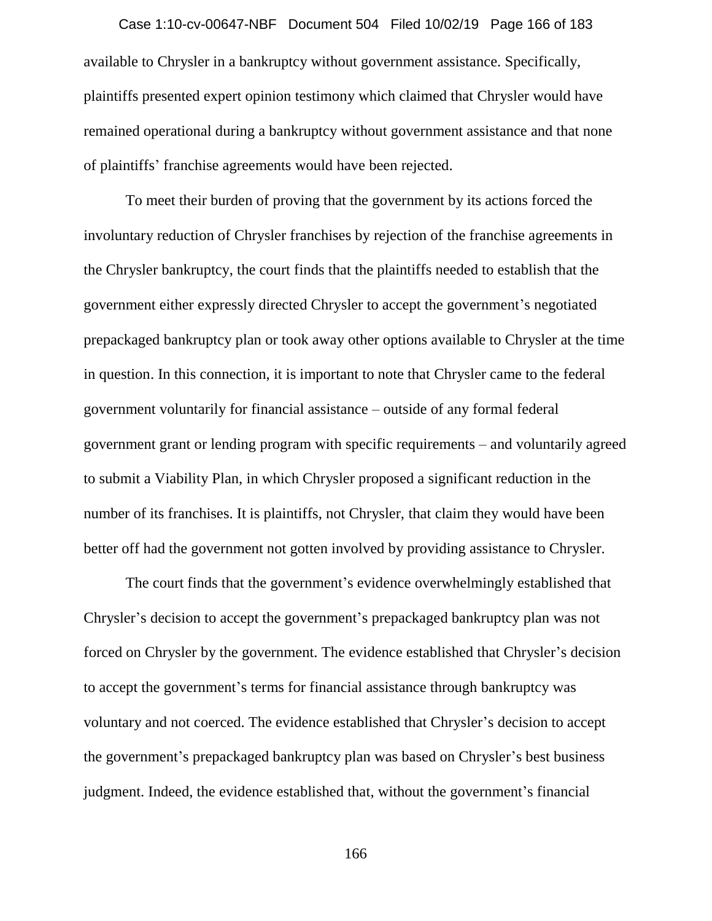available to Chrysler in a bankruptcy without government assistance. Specifically, plaintiffs presented expert opinion testimony which claimed that Chrysler would have remained operational during a bankruptcy without government assistance and that none of plaintiffs' franchise agreements would have been rejected. Case 1:10-cv-00647-NBF Document 504 Filed 10/02/19 Page 166 of 183

To meet their burden of proving that the government by its actions forced the involuntary reduction of Chrysler franchises by rejection of the franchise agreements in the Chrysler bankruptcy, the court finds that the plaintiffs needed to establish that the government either expressly directed Chrysler to accept the government's negotiated prepackaged bankruptcy plan or took away other options available to Chrysler at the time in question. In this connection, it is important to note that Chrysler came to the federal government voluntarily for financial assistance – outside of any formal federal government grant or lending program with specific requirements – and voluntarily agreed to submit a Viability Plan, in which Chrysler proposed a significant reduction in the number of its franchises. It is plaintiffs, not Chrysler, that claim they would have been better off had the government not gotten involved by providing assistance to Chrysler.

The court finds that the government's evidence overwhelmingly established that Chrysler's decision to accept the government's prepackaged bankruptcy plan was not forced on Chrysler by the government. The evidence established that Chrysler's decision to accept the government's terms for financial assistance through bankruptcy was voluntary and not coerced. The evidence established that Chrysler's decision to accept the government's prepackaged bankruptcy plan was based on Chrysler's best business judgment. Indeed, the evidence established that, without the government's financial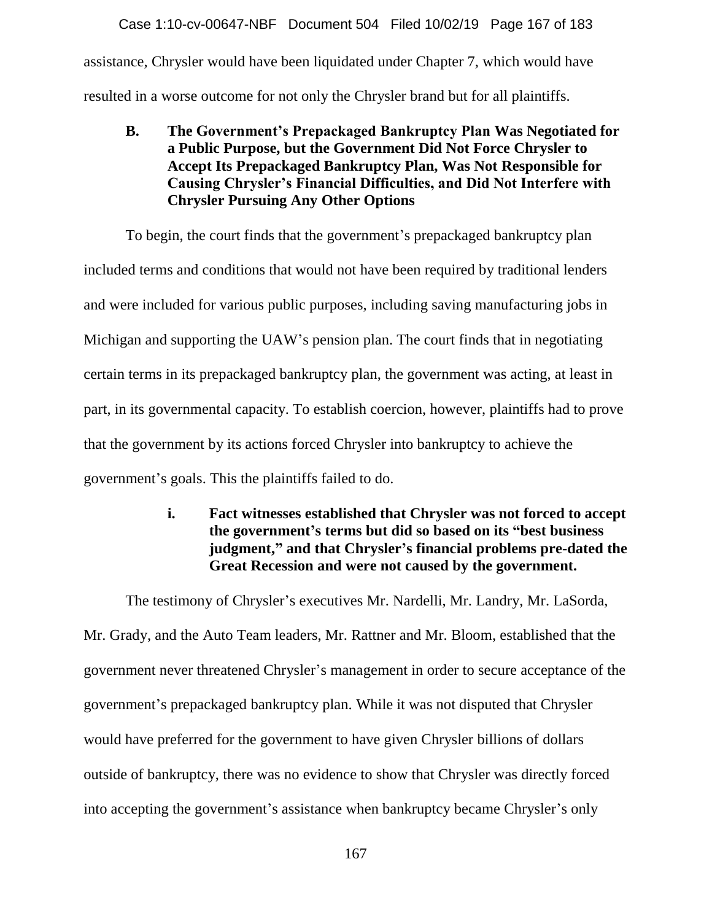assistance, Chrysler would have been liquidated under Chapter 7, which would have resulted in a worse outcome for not only the Chrysler brand but for all plaintiffs. Case 1:10-cv-00647-NBF Document 504 Filed 10/02/19 Page 167 of 183

**B. The Government's Prepackaged Bankruptcy Plan Was Negotiated for a Public Purpose, but the Government Did Not Force Chrysler to Accept Its Prepackaged Bankruptcy Plan, Was Not Responsible for Causing Chrysler's Financial Difficulties, and Did Not Interfere with Chrysler Pursuing Any Other Options**

To begin, the court finds that the government's prepackaged bankruptcy plan included terms and conditions that would not have been required by traditional lenders and were included for various public purposes, including saving manufacturing jobs in Michigan and supporting the UAW's pension plan. The court finds that in negotiating certain terms in its prepackaged bankruptcy plan, the government was acting, at least in part, in its governmental capacity. To establish coercion, however, plaintiffs had to prove that the government by its actions forced Chrysler into bankruptcy to achieve the government's goals. This the plaintiffs failed to do.

> **i. Fact witnesses established that Chrysler was not forced to accept the government's terms but did so based on its "best business judgment," and that Chrysler's financial problems pre-dated the Great Recession and were not caused by the government.**

The testimony of Chrysler's executives Mr. Nardelli, Mr. Landry, Mr. LaSorda, Mr. Grady, and the Auto Team leaders, Mr. Rattner and Mr. Bloom, established that the government never threatened Chrysler's management in order to secure acceptance of the government's prepackaged bankruptcy plan. While it was not disputed that Chrysler would have preferred for the government to have given Chrysler billions of dollars outside of bankruptcy, there was no evidence to show that Chrysler was directly forced into accepting the government's assistance when bankruptcy became Chrysler's only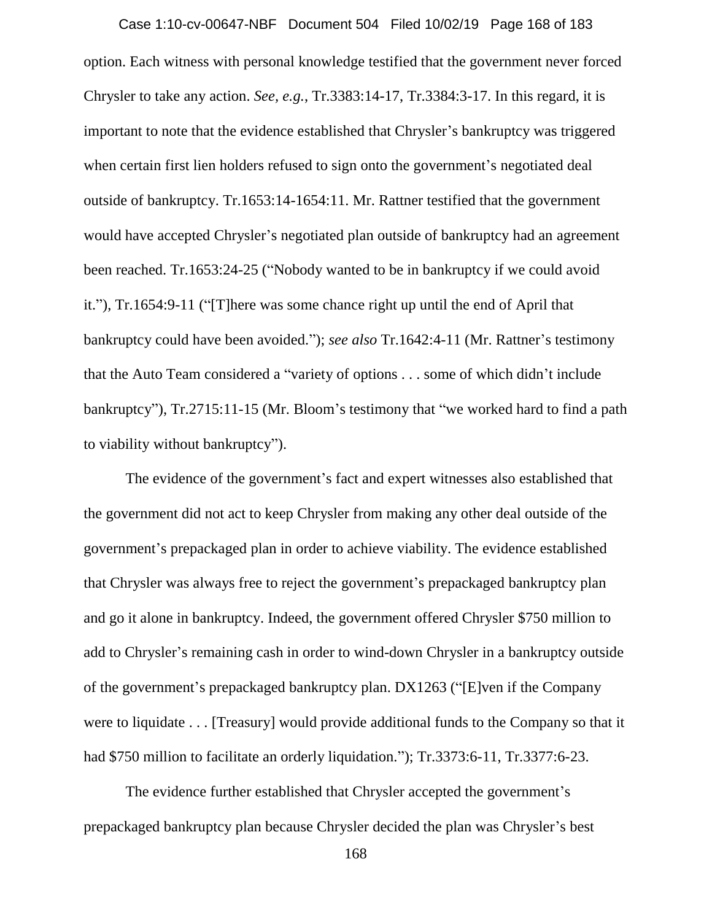option. Each witness with personal knowledge testified that the government never forced Chrysler to take any action. *See, e.g.*, Tr.3383:14-17, Tr.3384:3-17. In this regard, it is important to note that the evidence established that Chrysler's bankruptcy was triggered when certain first lien holders refused to sign onto the government's negotiated deal outside of bankruptcy. Tr.1653:14-1654:11. Mr. Rattner testified that the government would have accepted Chrysler's negotiated plan outside of bankruptcy had an agreement been reached. Tr.1653:24-25 ("Nobody wanted to be in bankruptcy if we could avoid it."), Tr.1654:9-11 ("[T]here was some chance right up until the end of April that bankruptcy could have been avoided."); *see also* Tr.1642:4-11 (Mr. Rattner's testimony that the Auto Team considered a "variety of options . . . some of which didn't include bankruptcy"), Tr.2715:11-15 (Mr. Bloom's testimony that "we worked hard to find a path to viability without bankruptcy"). Case 1:10-cv-00647-NBF Document 504 Filed 10/02/19 Page 168 of 183

The evidence of the government's fact and expert witnesses also established that the government did not act to keep Chrysler from making any other deal outside of the government's prepackaged plan in order to achieve viability. The evidence established that Chrysler was always free to reject the government's prepackaged bankruptcy plan and go it alone in bankruptcy. Indeed, the government offered Chrysler \$750 million to add to Chrysler's remaining cash in order to wind-down Chrysler in a bankruptcy outside of the government's prepackaged bankruptcy plan. DX1263 ("[E]ven if the Company were to liquidate . . . [Treasury] would provide additional funds to the Company so that it had \$750 million to facilitate an orderly liquidation."); Tr.3373:6-11, Tr.3377:6-23.

The evidence further established that Chrysler accepted the government's prepackaged bankruptcy plan because Chrysler decided the plan was Chrysler's best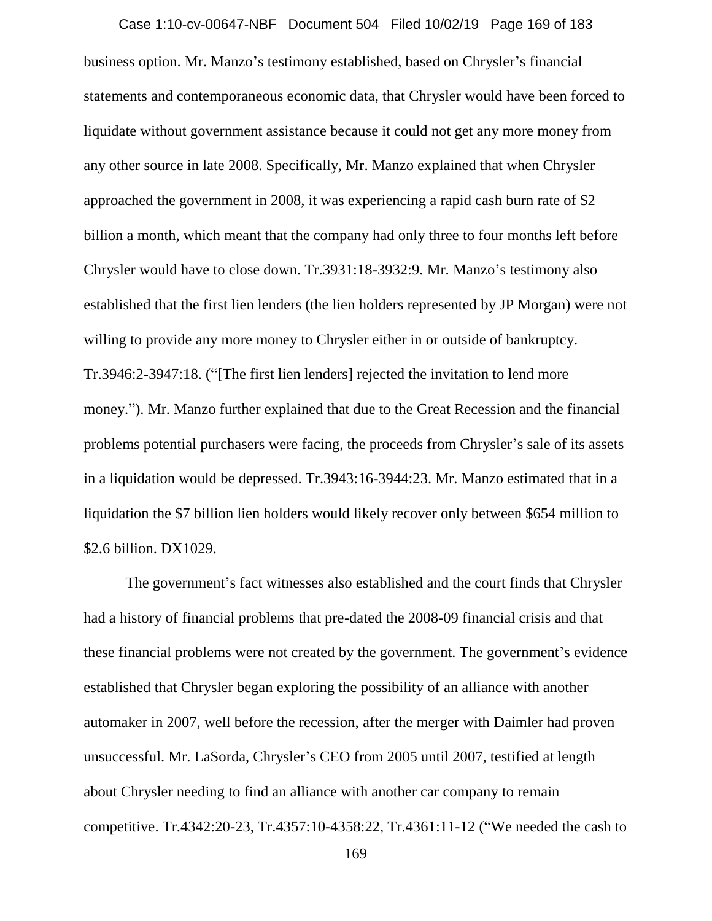business option. Mr. Manzo's testimony established, based on Chrysler's financial statements and contemporaneous economic data, that Chrysler would have been forced to liquidate without government assistance because it could not get any more money from any other source in late 2008. Specifically, Mr. Manzo explained that when Chrysler approached the government in 2008, it was experiencing a rapid cash burn rate of \$2 billion a month, which meant that the company had only three to four months left before Chrysler would have to close down. Tr.3931:18-3932:9. Mr. Manzo's testimony also established that the first lien lenders (the lien holders represented by JP Morgan) were not willing to provide any more money to Chrysler either in or outside of bankruptcy. Tr.3946:2-3947:18. ("[The first lien lenders] rejected the invitation to lend more money."). Mr. Manzo further explained that due to the Great Recession and the financial problems potential purchasers were facing, the proceeds from Chrysler's sale of its assets in a liquidation would be depressed. Tr.3943:16-3944:23. Mr. Manzo estimated that in a liquidation the \$7 billion lien holders would likely recover only between \$654 million to \$2.6 billion. DX1029. Case 1:10-cv-00647-NBF Document 504 Filed 10/02/19 Page 169 of 183

The government's fact witnesses also established and the court finds that Chrysler had a history of financial problems that pre-dated the 2008-09 financial crisis and that these financial problems were not created by the government. The government's evidence established that Chrysler began exploring the possibility of an alliance with another automaker in 2007, well before the recession, after the merger with Daimler had proven unsuccessful. Mr. LaSorda, Chrysler's CEO from 2005 until 2007, testified at length about Chrysler needing to find an alliance with another car company to remain competitive. Tr.4342:20-23, Tr.4357:10-4358:22, Tr.4361:11-12 ("We needed the cash to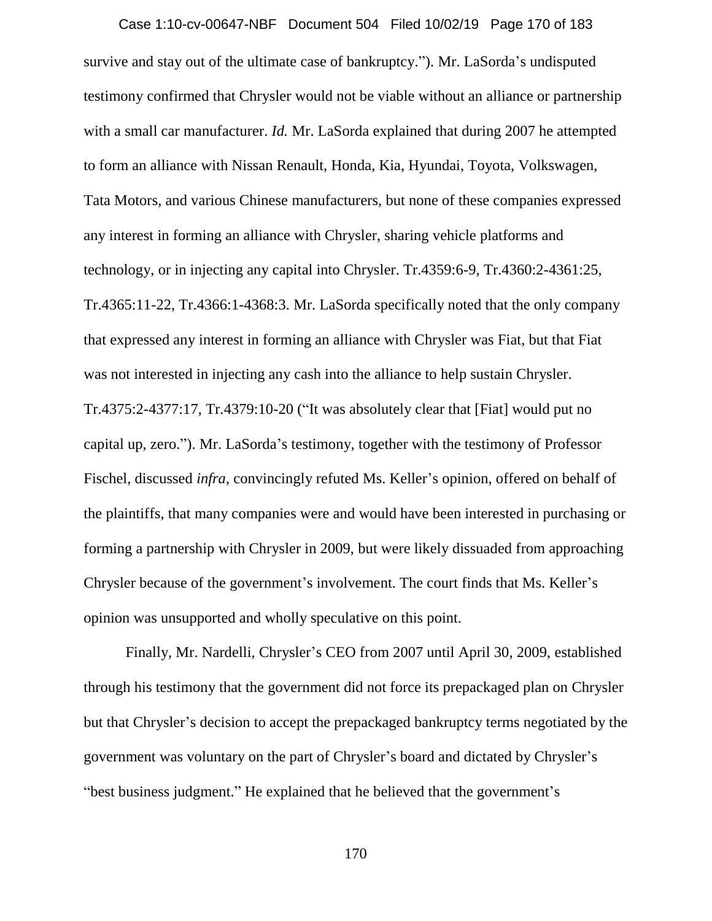survive and stay out of the ultimate case of bankruptcy."). Mr. LaSorda's undisputed testimony confirmed that Chrysler would not be viable without an alliance or partnership with a small car manufacturer. *Id.* Mr. LaSorda explained that during 2007 he attempted to form an alliance with Nissan Renault, Honda, Kia, Hyundai, Toyota, Volkswagen, Tata Motors, and various Chinese manufacturers, but none of these companies expressed any interest in forming an alliance with Chrysler, sharing vehicle platforms and technology, or in injecting any capital into Chrysler. Tr.4359:6-9, Tr.4360:2-4361:25, Tr.4365:11-22, Tr.4366:1-4368:3. Mr. LaSorda specifically noted that the only company that expressed any interest in forming an alliance with Chrysler was Fiat, but that Fiat was not interested in injecting any cash into the alliance to help sustain Chrysler. Tr.4375:2-4377:17, Tr.4379:10-20 ("It was absolutely clear that [Fiat] would put no capital up, zero."). Mr. LaSorda's testimony, together with the testimony of Professor Fischel, discussed *infra*, convincingly refuted Ms. Keller's opinion, offered on behalf of the plaintiffs, that many companies were and would have been interested in purchasing or forming a partnership with Chrysler in 2009, but were likely dissuaded from approaching Chrysler because of the government's involvement. The court finds that Ms. Keller's opinion was unsupported and wholly speculative on this point. Case 1:10-cv-00647-NBF Document 504 Filed 10/02/19 Page 170 of 183

Finally, Mr. Nardelli, Chrysler's CEO from 2007 until April 30, 2009, established through his testimony that the government did not force its prepackaged plan on Chrysler but that Chrysler's decision to accept the prepackaged bankruptcy terms negotiated by the government was voluntary on the part of Chrysler's board and dictated by Chrysler's "best business judgment." He explained that he believed that the government's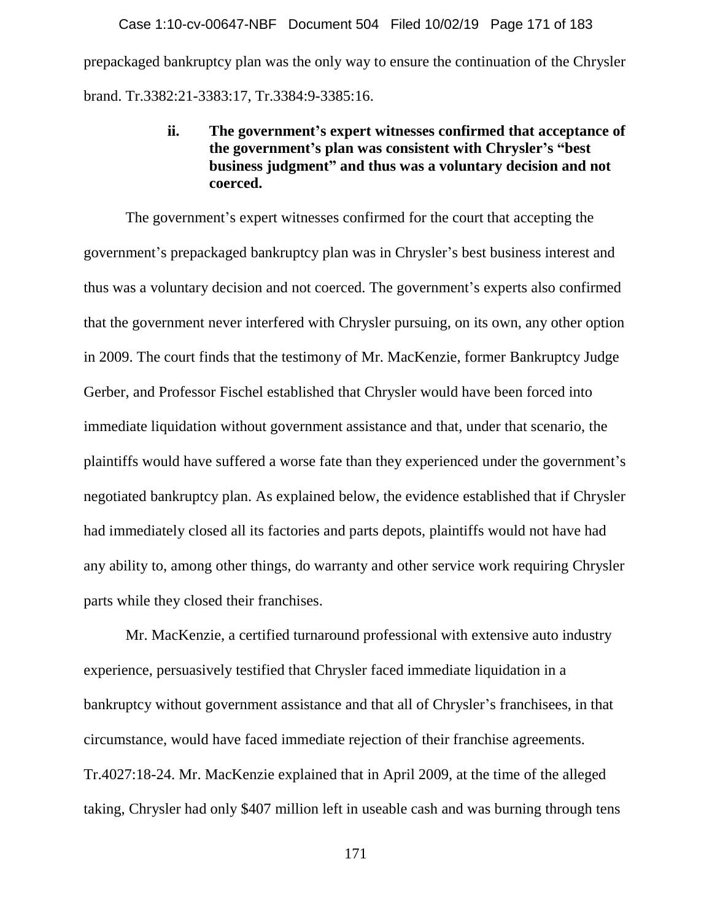prepackaged bankruptcy plan was the only way to ensure the continuation of the Chrysler brand. Tr.3382:21-3383:17, Tr.3384:9-3385:16. Case 1:10-cv-00647-NBF Document 504 Filed 10/02/19 Page 171 of 183

# **ii. The government's expert witnesses confirmed that acceptance of the government's plan was consistent with Chrysler's "best business judgment" and thus was a voluntary decision and not coerced.**

The government's expert witnesses confirmed for the court that accepting the government's prepackaged bankruptcy plan was in Chrysler's best business interest and thus was a voluntary decision and not coerced. The government's experts also confirmed that the government never interfered with Chrysler pursuing, on its own, any other option in 2009. The court finds that the testimony of Mr. MacKenzie, former Bankruptcy Judge Gerber, and Professor Fischel established that Chrysler would have been forced into immediate liquidation without government assistance and that, under that scenario, the plaintiffs would have suffered a worse fate than they experienced under the government's negotiated bankruptcy plan. As explained below, the evidence established that if Chrysler had immediately closed all its factories and parts depots, plaintiffs would not have had any ability to, among other things, do warranty and other service work requiring Chrysler parts while they closed their franchises.

Mr. MacKenzie, a certified turnaround professional with extensive auto industry experience, persuasively testified that Chrysler faced immediate liquidation in a bankruptcy without government assistance and that all of Chrysler's franchisees, in that circumstance, would have faced immediate rejection of their franchise agreements. Tr.4027:18-24. Mr. MacKenzie explained that in April 2009, at the time of the alleged taking, Chrysler had only \$407 million left in useable cash and was burning through tens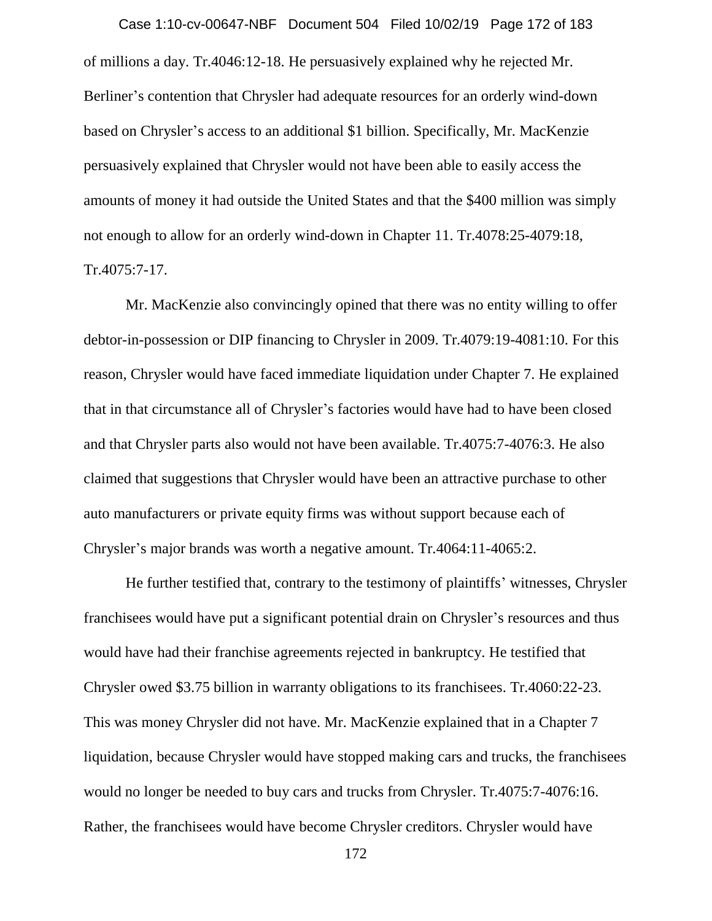of millions a day. Tr.4046:12-18. He persuasively explained why he rejected Mr. Berliner's contention that Chrysler had adequate resources for an orderly wind-down based on Chrysler's access to an additional \$1 billion. Specifically, Mr. MacKenzie persuasively explained that Chrysler would not have been able to easily access the amounts of money it had outside the United States and that the \$400 million was simply not enough to allow for an orderly wind-down in Chapter 11. Tr.4078:25-4079:18, Tr.4075:7-17. Case 1:10-cv-00647-NBF Document 504 Filed 10/02/19 Page 172 of 183

Mr. MacKenzie also convincingly opined that there was no entity willing to offer debtor-in-possession or DIP financing to Chrysler in 2009. Tr.4079:19-4081:10. For this reason, Chrysler would have faced immediate liquidation under Chapter 7. He explained that in that circumstance all of Chrysler's factories would have had to have been closed and that Chrysler parts also would not have been available. Tr.4075:7-4076:3. He also claimed that suggestions that Chrysler would have been an attractive purchase to other auto manufacturers or private equity firms was without support because each of Chrysler's major brands was worth a negative amount. Tr.4064:11-4065:2.

He further testified that, contrary to the testimony of plaintiffs' witnesses, Chrysler franchisees would have put a significant potential drain on Chrysler's resources and thus would have had their franchise agreements rejected in bankruptcy. He testified that Chrysler owed \$3.75 billion in warranty obligations to its franchisees. Tr.4060:22-23. This was money Chrysler did not have. Mr. MacKenzie explained that in a Chapter 7 liquidation, because Chrysler would have stopped making cars and trucks, the franchisees would no longer be needed to buy cars and trucks from Chrysler. Tr.4075:7-4076:16. Rather, the franchisees would have become Chrysler creditors. Chrysler would have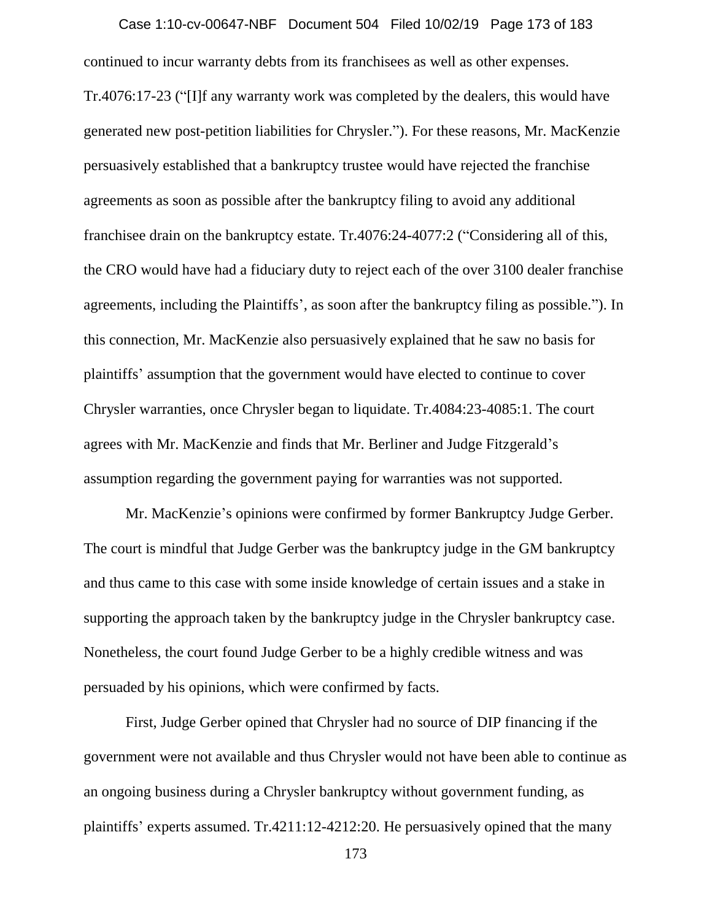continued to incur warranty debts from its franchisees as well as other expenses. Tr.4076:17-23 ("[I]f any warranty work was completed by the dealers, this would have generated new post-petition liabilities for Chrysler."). For these reasons, Mr. MacKenzie persuasively established that a bankruptcy trustee would have rejected the franchise agreements as soon as possible after the bankruptcy filing to avoid any additional franchisee drain on the bankruptcy estate. Tr.4076:24-4077:2 ("Considering all of this, the CRO would have had a fiduciary duty to reject each of the over 3100 dealer franchise agreements, including the Plaintiffs', as soon after the bankruptcy filing as possible."). In this connection, Mr. MacKenzie also persuasively explained that he saw no basis for plaintiffs' assumption that the government would have elected to continue to cover Chrysler warranties, once Chrysler began to liquidate. Tr.4084:23-4085:1. The court agrees with Mr. MacKenzie and finds that Mr. Berliner and Judge Fitzgerald's assumption regarding the government paying for warranties was not supported. Case 1:10-cv-00647-NBF Document 504 Filed 10/02/19 Page 173 of 183

Mr. MacKenzie's opinions were confirmed by former Bankruptcy Judge Gerber. The court is mindful that Judge Gerber was the bankruptcy judge in the GM bankruptcy and thus came to this case with some inside knowledge of certain issues and a stake in supporting the approach taken by the bankruptcy judge in the Chrysler bankruptcy case. Nonetheless, the court found Judge Gerber to be a highly credible witness and was persuaded by his opinions, which were confirmed by facts.

First, Judge Gerber opined that Chrysler had no source of DIP financing if the government were not available and thus Chrysler would not have been able to continue as an ongoing business during a Chrysler bankruptcy without government funding, as plaintiffs' experts assumed. Tr.4211:12-4212:20. He persuasively opined that the many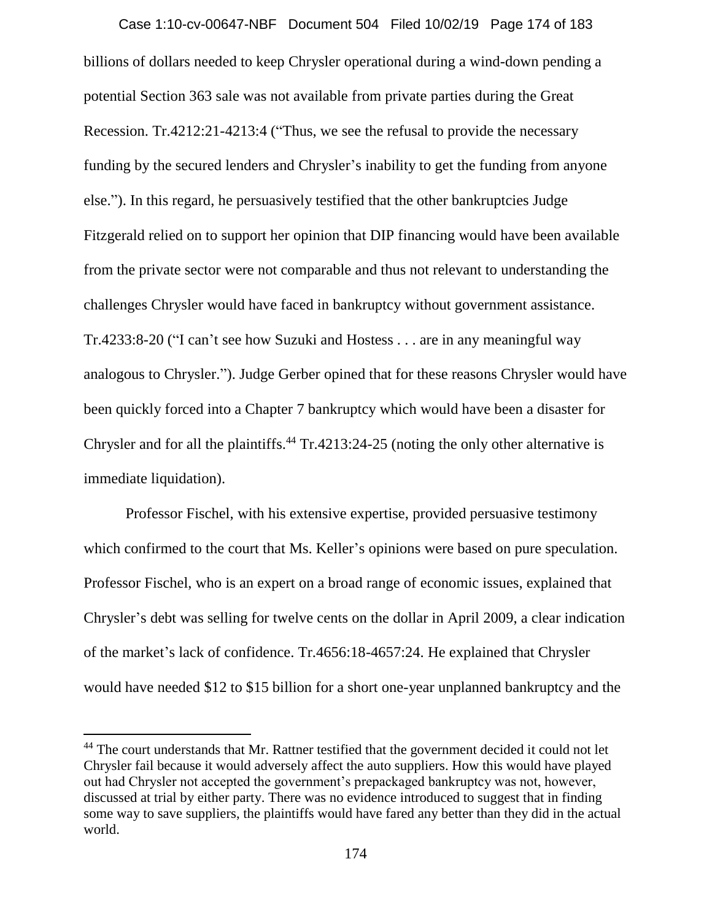billions of dollars needed to keep Chrysler operational during a wind-down pending a potential Section 363 sale was not available from private parties during the Great Recession. Tr.4212:21-4213:4 ("Thus, we see the refusal to provide the necessary funding by the secured lenders and Chrysler's inability to get the funding from anyone else."). In this regard, he persuasively testified that the other bankruptcies Judge Fitzgerald relied on to support her opinion that DIP financing would have been available from the private sector were not comparable and thus not relevant to understanding the challenges Chrysler would have faced in bankruptcy without government assistance. Tr.4233:8-20 ("I can't see how Suzuki and Hostess . . . are in any meaningful way analogous to Chrysler."). Judge Gerber opined that for these reasons Chrysler would have been quickly forced into a Chapter 7 bankruptcy which would have been a disaster for Chrysler and for all the plaintiffs.<sup>44</sup> Tr.4213:24-25 (noting the only other alternative is immediate liquidation). Case 1:10-cv-00647-NBF Document 504 Filed 10/02/19 Page 174 of 183

Professor Fischel, with his extensive expertise, provided persuasive testimony which confirmed to the court that Ms. Keller's opinions were based on pure speculation. Professor Fischel, who is an expert on a broad range of economic issues, explained that Chrysler's debt was selling for twelve cents on the dollar in April 2009, a clear indication of the market's lack of confidence. Tr.4656:18-4657:24. He explained that Chrysler would have needed \$12 to \$15 billion for a short one-year unplanned bankruptcy and the

 $\overline{a}$ 

<sup>&</sup>lt;sup>44</sup> The court understands that Mr. Rattner testified that the government decided it could not let Chrysler fail because it would adversely affect the auto suppliers. How this would have played out had Chrysler not accepted the government's prepackaged bankruptcy was not, however, discussed at trial by either party. There was no evidence introduced to suggest that in finding some way to save suppliers, the plaintiffs would have fared any better than they did in the actual world.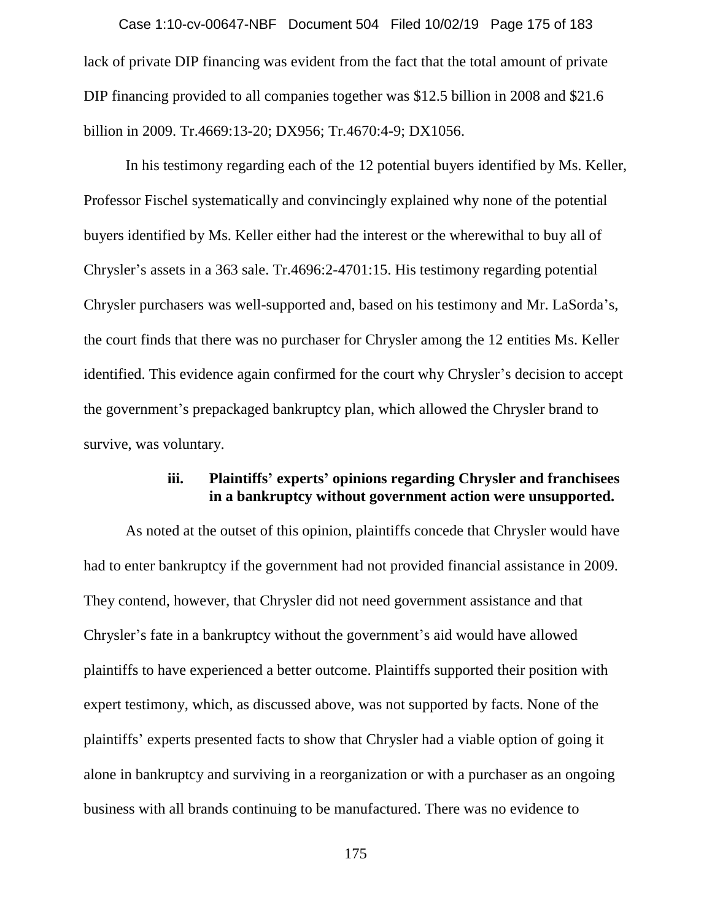lack of private DIP financing was evident from the fact that the total amount of private DIP financing provided to all companies together was \$12.5 billion in 2008 and \$21.6 billion in 2009. Tr.4669:13-20; DX956; Tr.4670:4-9; DX1056. Case 1:10-cv-00647-NBF Document 504 Filed 10/02/19 Page 175 of 183

In his testimony regarding each of the 12 potential buyers identified by Ms. Keller, Professor Fischel systematically and convincingly explained why none of the potential buyers identified by Ms. Keller either had the interest or the wherewithal to buy all of Chrysler's assets in a 363 sale. Tr.4696:2-4701:15. His testimony regarding potential Chrysler purchasers was well-supported and, based on his testimony and Mr. LaSorda's, the court finds that there was no purchaser for Chrysler among the 12 entities Ms. Keller identified. This evidence again confirmed for the court why Chrysler's decision to accept the government's prepackaged bankruptcy plan, which allowed the Chrysler brand to survive, was voluntary.

## **iii. Plaintiffs' experts' opinions regarding Chrysler and franchisees in a bankruptcy without government action were unsupported.**

As noted at the outset of this opinion, plaintiffs concede that Chrysler would have had to enter bankruptcy if the government had not provided financial assistance in 2009. They contend, however, that Chrysler did not need government assistance and that Chrysler's fate in a bankruptcy without the government's aid would have allowed plaintiffs to have experienced a better outcome. Plaintiffs supported their position with expert testimony, which, as discussed above, was not supported by facts. None of the plaintiffs' experts presented facts to show that Chrysler had a viable option of going it alone in bankruptcy and surviving in a reorganization or with a purchaser as an ongoing business with all brands continuing to be manufactured. There was no evidence to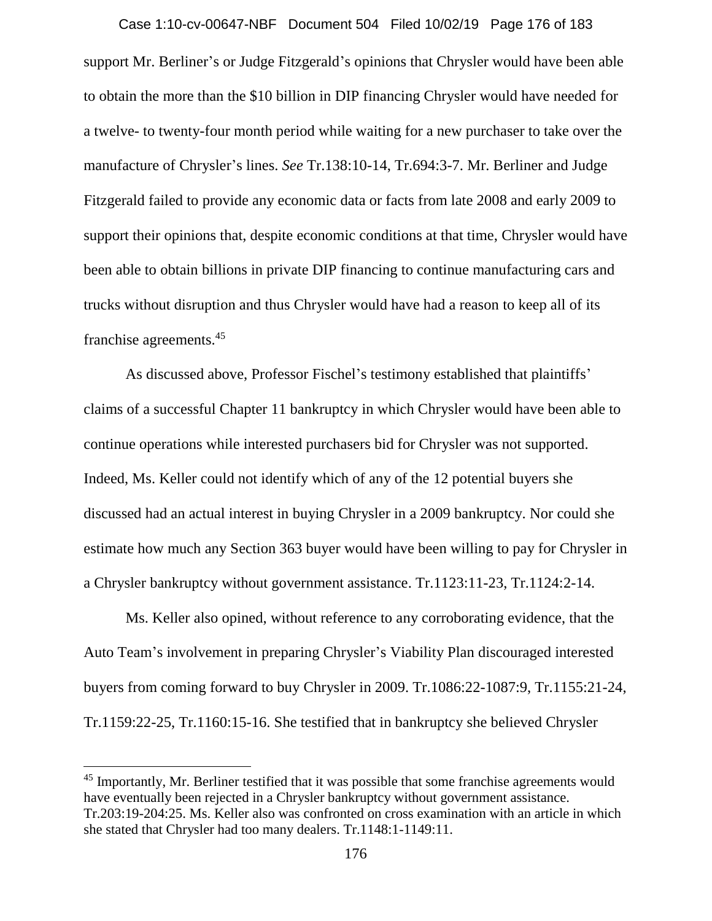support Mr. Berliner's or Judge Fitzgerald's opinions that Chrysler would have been able to obtain the more than the \$10 billion in DIP financing Chrysler would have needed for a twelve- to twenty-four month period while waiting for a new purchaser to take over the manufacture of Chrysler's lines. *See* Tr.138:10-14, Tr.694:3-7. Mr. Berliner and Judge Fitzgerald failed to provide any economic data or facts from late 2008 and early 2009 to support their opinions that, despite economic conditions at that time, Chrysler would have been able to obtain billions in private DIP financing to continue manufacturing cars and trucks without disruption and thus Chrysler would have had a reason to keep all of its franchise agreements.<sup>45</sup> Case 1:10-cv-00647-NBF Document 504 Filed 10/02/19 Page 176 of 183

As discussed above, Professor Fischel's testimony established that plaintiffs' claims of a successful Chapter 11 bankruptcy in which Chrysler would have been able to continue operations while interested purchasers bid for Chrysler was not supported. Indeed, Ms. Keller could not identify which of any of the 12 potential buyers she discussed had an actual interest in buying Chrysler in a 2009 bankruptcy. Nor could she estimate how much any Section 363 buyer would have been willing to pay for Chrysler in a Chrysler bankruptcy without government assistance. Tr.1123:11-23, Tr.1124:2-14.

Ms. Keller also opined, without reference to any corroborating evidence, that the Auto Team's involvement in preparing Chrysler's Viability Plan discouraged interested buyers from coming forward to buy Chrysler in 2009. Tr.1086:22-1087:9, Tr.1155:21-24, Tr.1159:22-25, Tr.1160:15-16. She testified that in bankruptcy she believed Chrysler

 $\overline{a}$ 

<sup>&</sup>lt;sup>45</sup> Importantly, Mr. Berliner testified that it was possible that some franchise agreements would have eventually been rejected in a Chrysler bankruptcy without government assistance. Tr.203:19-204:25. Ms. Keller also was confronted on cross examination with an article in which she stated that Chrysler had too many dealers. Tr.1148:1-1149:11.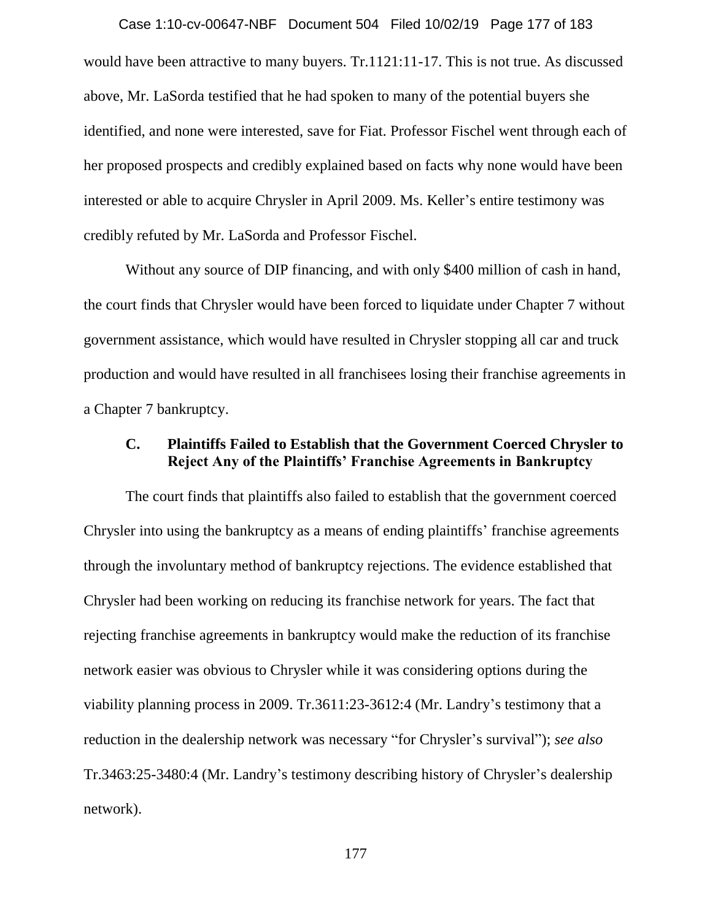would have been attractive to many buyers. Tr.1121:11-17. This is not true. As discussed above, Mr. LaSorda testified that he had spoken to many of the potential buyers she identified, and none were interested, save for Fiat. Professor Fischel went through each of her proposed prospects and credibly explained based on facts why none would have been interested or able to acquire Chrysler in April 2009. Ms. Keller's entire testimony was credibly refuted by Mr. LaSorda and Professor Fischel. Case 1:10-cv-00647-NBF Document 504 Filed 10/02/19 Page 177 of 183

Without any source of DIP financing, and with only \$400 million of cash in hand, the court finds that Chrysler would have been forced to liquidate under Chapter 7 without government assistance, which would have resulted in Chrysler stopping all car and truck production and would have resulted in all franchisees losing their franchise agreements in a Chapter 7 bankruptcy.

# **C. Plaintiffs Failed to Establish that the Government Coerced Chrysler to Reject Any of the Plaintiffs' Franchise Agreements in Bankruptcy**

The court finds that plaintiffs also failed to establish that the government coerced Chrysler into using the bankruptcy as a means of ending plaintiffs' franchise agreements through the involuntary method of bankruptcy rejections. The evidence established that Chrysler had been working on reducing its franchise network for years. The fact that rejecting franchise agreements in bankruptcy would make the reduction of its franchise network easier was obvious to Chrysler while it was considering options during the viability planning process in 2009. Tr.3611:23-3612:4 (Mr. Landry's testimony that a reduction in the dealership network was necessary "for Chrysler's survival"); *see also*  Tr.3463:25-3480:4 (Mr. Landry's testimony describing history of Chrysler's dealership network).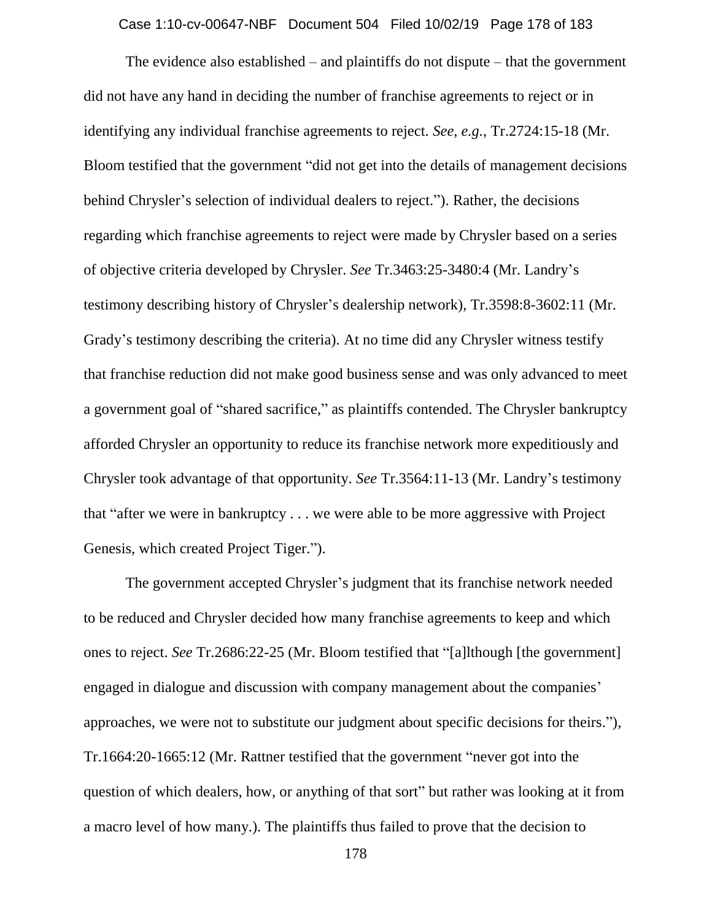Case 1:10-cv-00647-NBF Document 504 Filed 10/02/19 Page 178 of 183

The evidence also established – and plaintiffs do not dispute – that the government did not have any hand in deciding the number of franchise agreements to reject or in identifying any individual franchise agreements to reject. *See, e.g.*, Tr.2724:15-18 (Mr. Bloom testified that the government "did not get into the details of management decisions behind Chrysler's selection of individual dealers to reject."). Rather, the decisions regarding which franchise agreements to reject were made by Chrysler based on a series of objective criteria developed by Chrysler. *See* Tr.3463:25-3480:4 (Mr. Landry's testimony describing history of Chrysler's dealership network), Tr.3598:8-3602:11 (Mr. Grady's testimony describing the criteria). At no time did any Chrysler witness testify that franchise reduction did not make good business sense and was only advanced to meet a government goal of "shared sacrifice," as plaintiffs contended. The Chrysler bankruptcy afforded Chrysler an opportunity to reduce its franchise network more expeditiously and Chrysler took advantage of that opportunity. *See* Tr.3564:11-13 (Mr. Landry's testimony that "after we were in bankruptcy . . . we were able to be more aggressive with Project Genesis, which created Project Tiger.").

The government accepted Chrysler's judgment that its franchise network needed to be reduced and Chrysler decided how many franchise agreements to keep and which ones to reject. *See* Tr.2686:22-25 (Mr. Bloom testified that "[a]lthough [the government] engaged in dialogue and discussion with company management about the companies' approaches, we were not to substitute our judgment about specific decisions for theirs."), Tr.1664:20-1665:12 (Mr. Rattner testified that the government "never got into the question of which dealers, how, or anything of that sort" but rather was looking at it from a macro level of how many.). The plaintiffs thus failed to prove that the decision to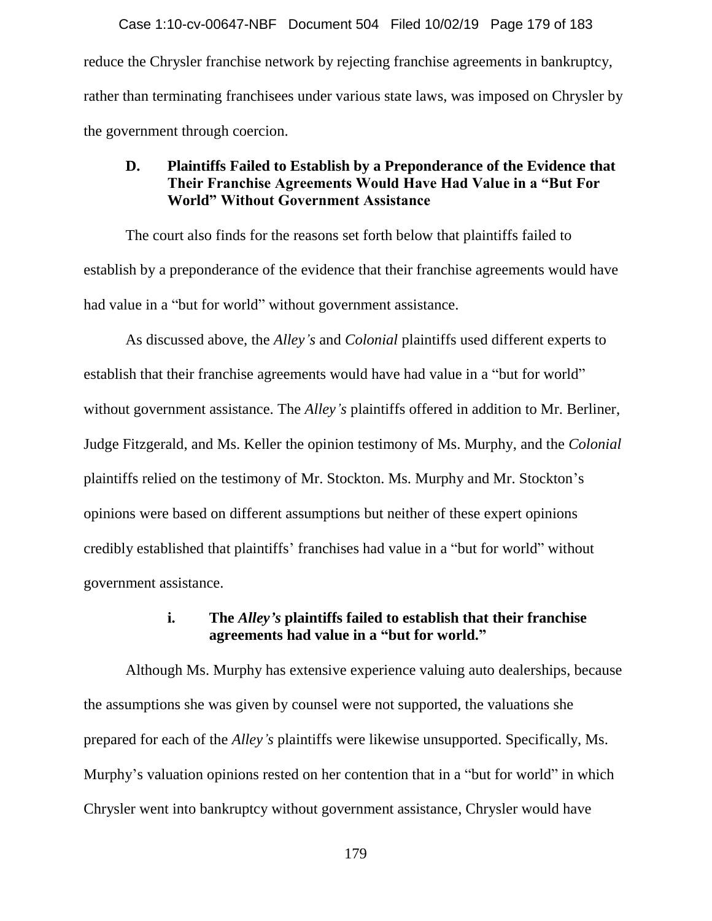reduce the Chrysler franchise network by rejecting franchise agreements in bankruptcy, rather than terminating franchisees under various state laws, was imposed on Chrysler by the government through coercion. Case 1:10-cv-00647-NBF Document 504 Filed 10/02/19 Page 179 of 183

# **D. Plaintiffs Failed to Establish by a Preponderance of the Evidence that Their Franchise Agreements Would Have Had Value in a "But For World" Without Government Assistance**

The court also finds for the reasons set forth below that plaintiffs failed to establish by a preponderance of the evidence that their franchise agreements would have had value in a "but for world" without government assistance.

As discussed above, the *Alley's* and *Colonial* plaintiffs used different experts to establish that their franchise agreements would have had value in a "but for world" without government assistance. The *Alley's* plaintiffs offered in addition to Mr. Berliner, Judge Fitzgerald, and Ms. Keller the opinion testimony of Ms. Murphy, and the *Colonial* plaintiffs relied on the testimony of Mr. Stockton. Ms. Murphy and Mr. Stockton's opinions were based on different assumptions but neither of these expert opinions credibly established that plaintiffs' franchises had value in a "but for world" without government assistance.

## **i. The** *Alley's* **plaintiffs failed to establish that their franchise agreements had value in a "but for world."**

Although Ms. Murphy has extensive experience valuing auto dealerships, because the assumptions she was given by counsel were not supported, the valuations she prepared for each of the *Alley's* plaintiffs were likewise unsupported. Specifically, Ms. Murphy's valuation opinions rested on her contention that in a "but for world" in which Chrysler went into bankruptcy without government assistance, Chrysler would have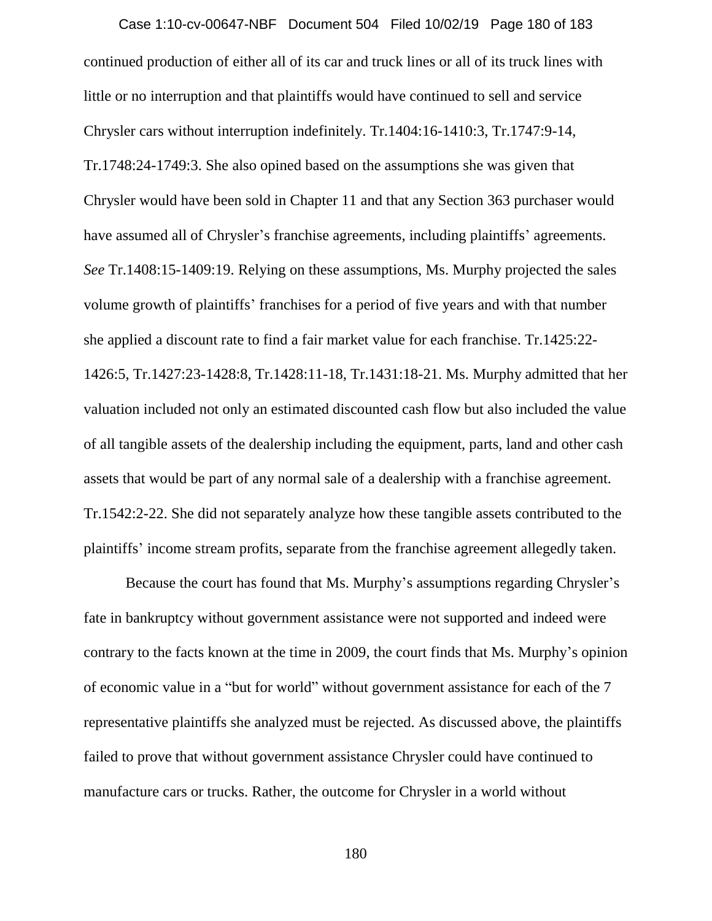continued production of either all of its car and truck lines or all of its truck lines with little or no interruption and that plaintiffs would have continued to sell and service Chrysler cars without interruption indefinitely. Tr.1404:16-1410:3, Tr.1747:9-14, Tr.1748:24-1749:3. She also opined based on the assumptions she was given that Chrysler would have been sold in Chapter 11 and that any Section 363 purchaser would have assumed all of Chrysler's franchise agreements, including plaintiffs' agreements. *See* Tr.1408:15-1409:19. Relying on these assumptions, Ms. Murphy projected the sales volume growth of plaintiffs' franchises for a period of five years and with that number she applied a discount rate to find a fair market value for each franchise. Tr.1425:22- 1426:5, Tr.1427:23-1428:8, Tr.1428:11-18, Tr.1431:18-21. Ms. Murphy admitted that her valuation included not only an estimated discounted cash flow but also included the value of all tangible assets of the dealership including the equipment, parts, land and other cash assets that would be part of any normal sale of a dealership with a franchise agreement. Tr.1542:2-22. She did not separately analyze how these tangible assets contributed to the plaintiffs' income stream profits, separate from the franchise agreement allegedly taken. Case 1:10-cv-00647-NBF Document 504 Filed 10/02/19 Page 180 of 183

Because the court has found that Ms. Murphy's assumptions regarding Chrysler's fate in bankruptcy without government assistance were not supported and indeed were contrary to the facts known at the time in 2009, the court finds that Ms. Murphy's opinion of economic value in a "but for world" without government assistance for each of the 7 representative plaintiffs she analyzed must be rejected. As discussed above, the plaintiffs failed to prove that without government assistance Chrysler could have continued to manufacture cars or trucks. Rather, the outcome for Chrysler in a world without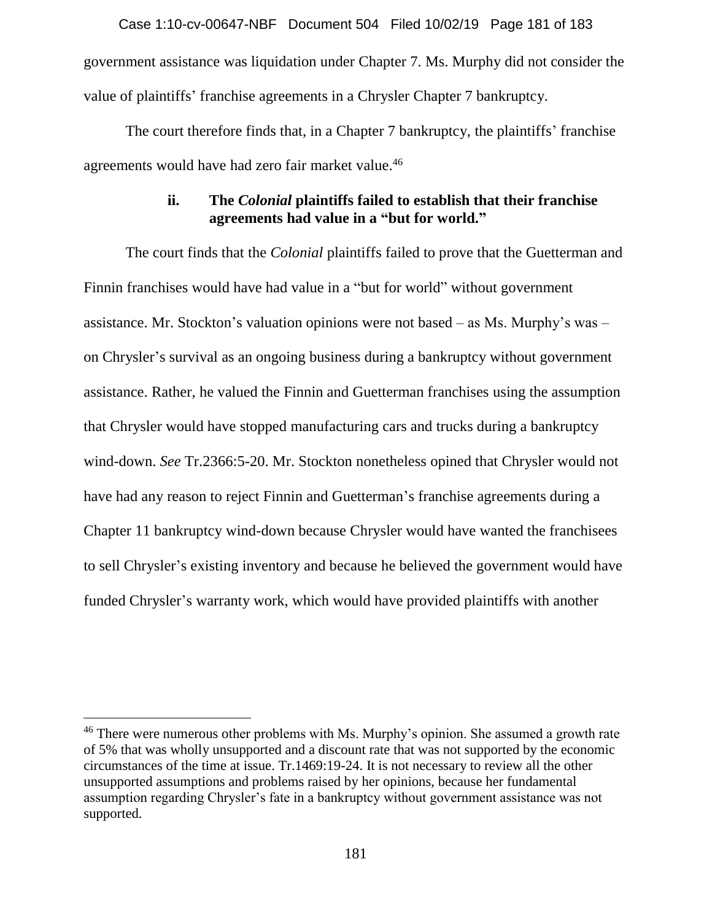government assistance was liquidation under Chapter 7. Ms. Murphy did not consider the value of plaintiffs' franchise agreements in a Chrysler Chapter 7 bankruptcy. Case 1:10-cv-00647-NBF Document 504 Filed 10/02/19 Page 181 of 183

The court therefore finds that, in a Chapter 7 bankruptcy, the plaintiffs' franchise agreements would have had zero fair market value. 46

## **ii. The** *Colonial* **plaintiffs failed to establish that their franchise agreements had value in a "but for world."**

The court finds that the *Colonial* plaintiffs failed to prove that the Guetterman and Finnin franchises would have had value in a "but for world" without government assistance. Mr. Stockton's valuation opinions were not based – as Ms. Murphy's was – on Chrysler's survival as an ongoing business during a bankruptcy without government assistance. Rather, he valued the Finnin and Guetterman franchises using the assumption that Chrysler would have stopped manufacturing cars and trucks during a bankruptcy wind-down. *See* Tr.2366:5-20. Mr. Stockton nonetheless opined that Chrysler would not have had any reason to reject Finnin and Guetterman's franchise agreements during a Chapter 11 bankruptcy wind-down because Chrysler would have wanted the franchisees to sell Chrysler's existing inventory and because he believed the government would have funded Chrysler's warranty work, which would have provided plaintiffs with another

<sup>&</sup>lt;sup>46</sup> There were numerous other problems with Ms. Murphy's opinion. She assumed a growth rate of 5% that was wholly unsupported and a discount rate that was not supported by the economic circumstances of the time at issue. Tr.1469:19-24. It is not necessary to review all the other unsupported assumptions and problems raised by her opinions, because her fundamental assumption regarding Chrysler's fate in a bankruptcy without government assistance was not supported.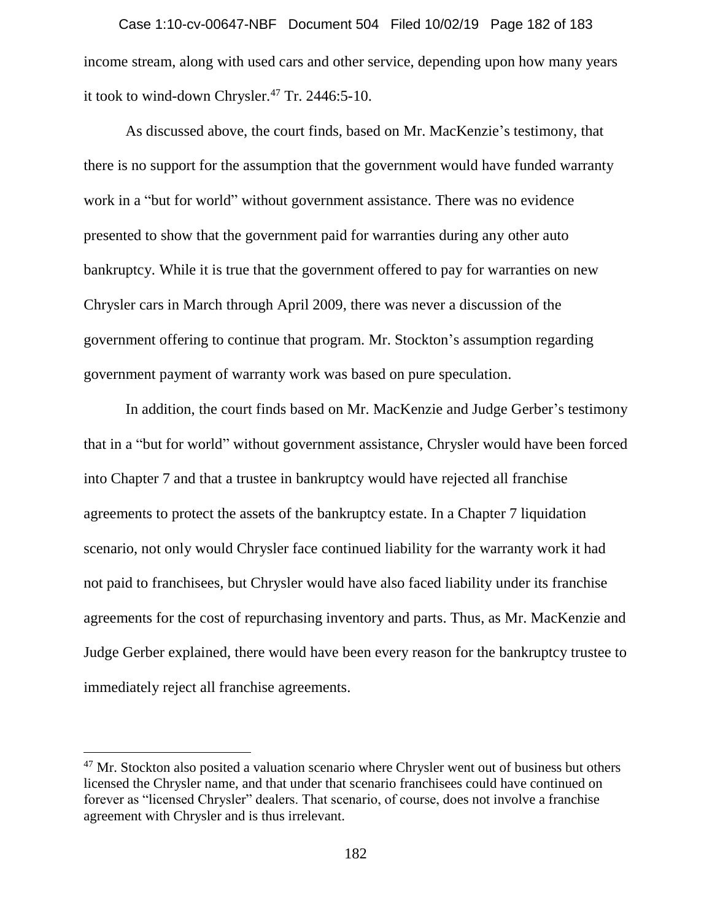income stream, along with used cars and other service, depending upon how many years it took to wind-down Chrysler. $47$  Tr. 2446:5-10. Case 1:10-cv-00647-NBF Document 504 Filed 10/02/19 Page 182 of 183

As discussed above, the court finds, based on Mr. MacKenzie's testimony, that there is no support for the assumption that the government would have funded warranty work in a "but for world" without government assistance. There was no evidence presented to show that the government paid for warranties during any other auto bankruptcy. While it is true that the government offered to pay for warranties on new Chrysler cars in March through April 2009, there was never a discussion of the government offering to continue that program. Mr. Stockton's assumption regarding government payment of warranty work was based on pure speculation.

In addition, the court finds based on Mr. MacKenzie and Judge Gerber's testimony that in a "but for world" without government assistance, Chrysler would have been forced into Chapter 7 and that a trustee in bankruptcy would have rejected all franchise agreements to protect the assets of the bankruptcy estate. In a Chapter 7 liquidation scenario, not only would Chrysler face continued liability for the warranty work it had not paid to franchisees, but Chrysler would have also faced liability under its franchise agreements for the cost of repurchasing inventory and parts. Thus, as Mr. MacKenzie and Judge Gerber explained, there would have been every reason for the bankruptcy trustee to immediately reject all franchise agreements.

 $\overline{a}$ 

 $47$  Mr. Stockton also posited a valuation scenario where Chrysler went out of business but others licensed the Chrysler name, and that under that scenario franchisees could have continued on forever as "licensed Chrysler" dealers. That scenario, of course, does not involve a franchise agreement with Chrysler and is thus irrelevant.